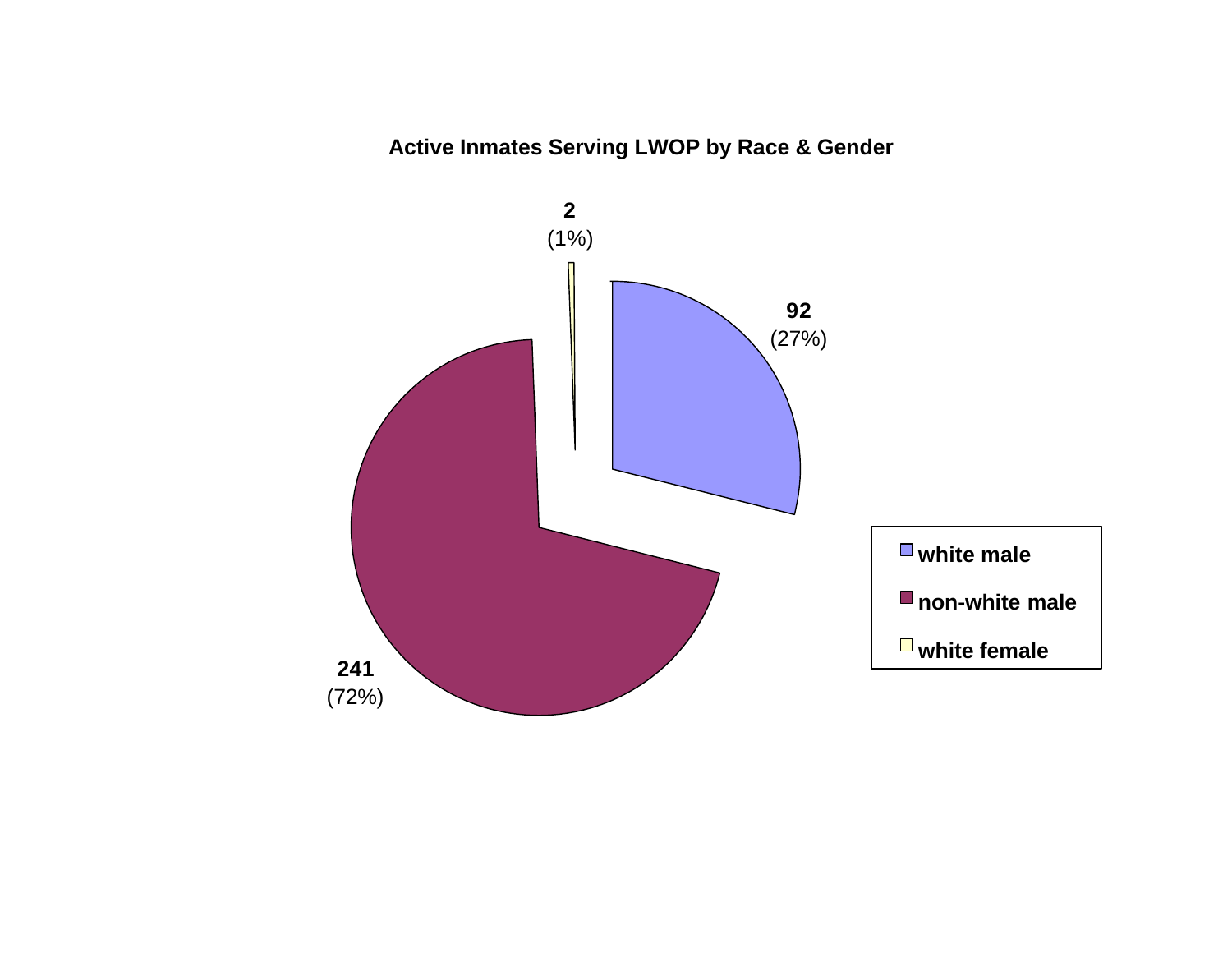# **Active Inmates Serving LWOP by Race & Gender**

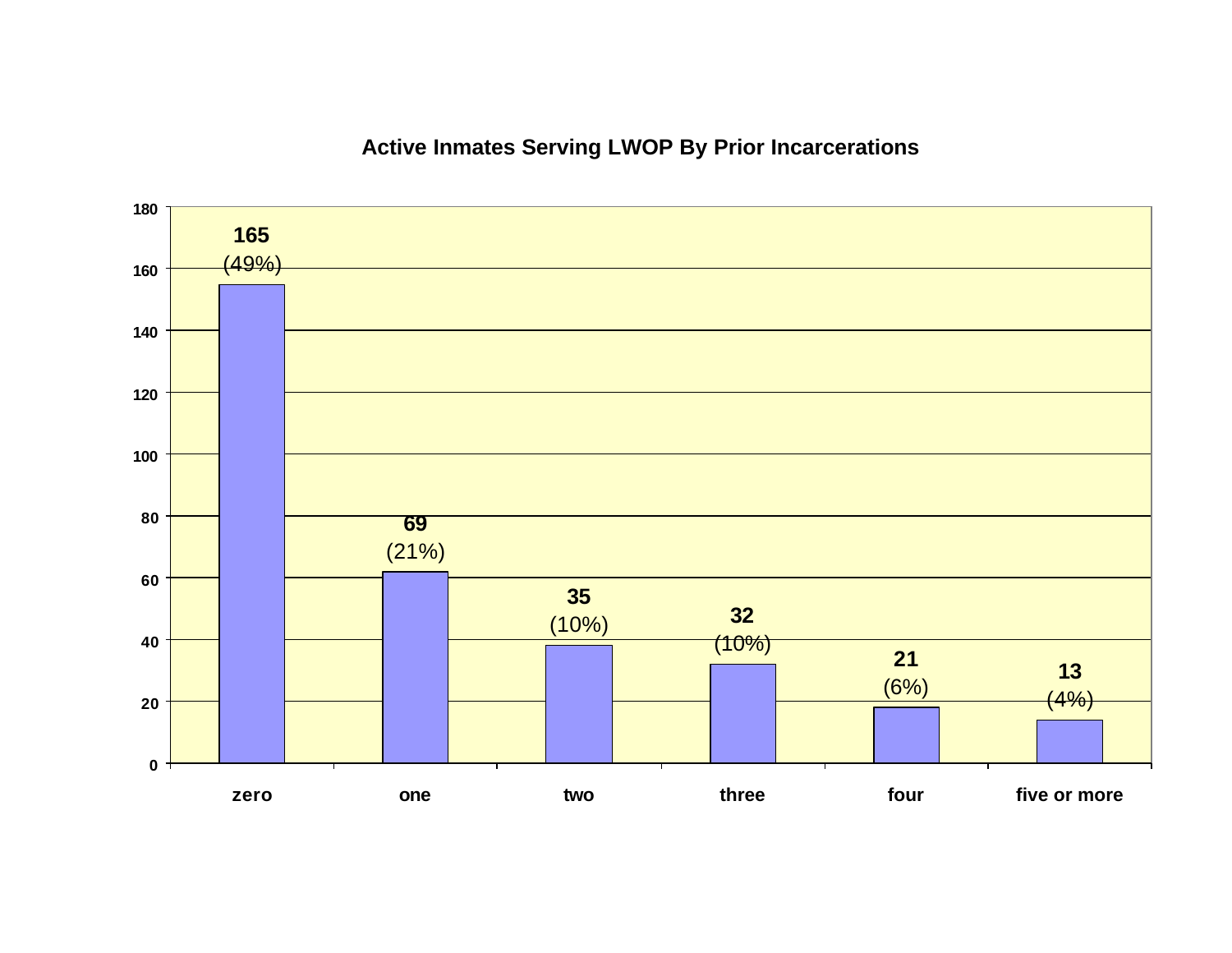# **Active Inmates Serving LWOP By Prior Incarcerations**

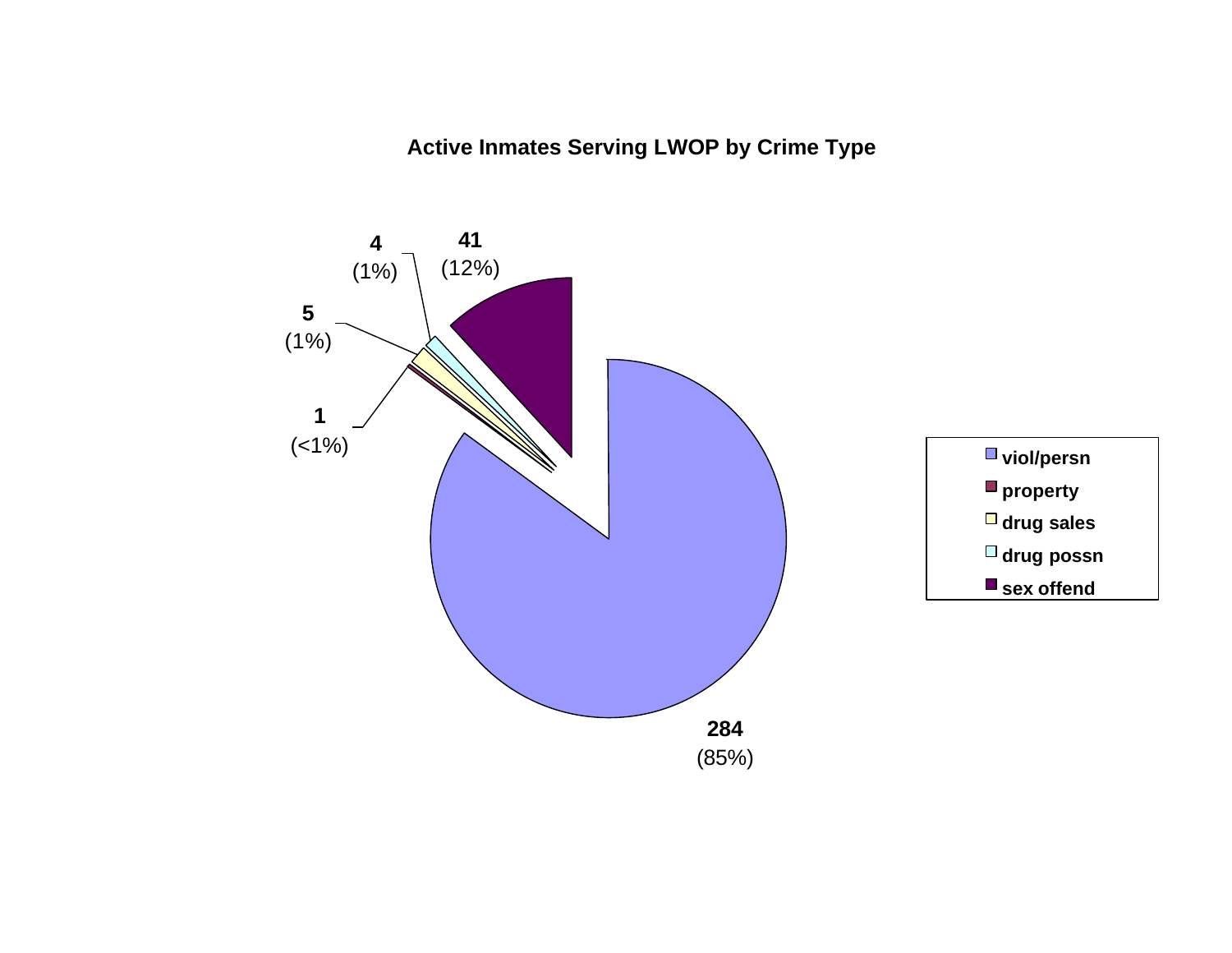**Active Inmates Serving LWOP by Crime Type**

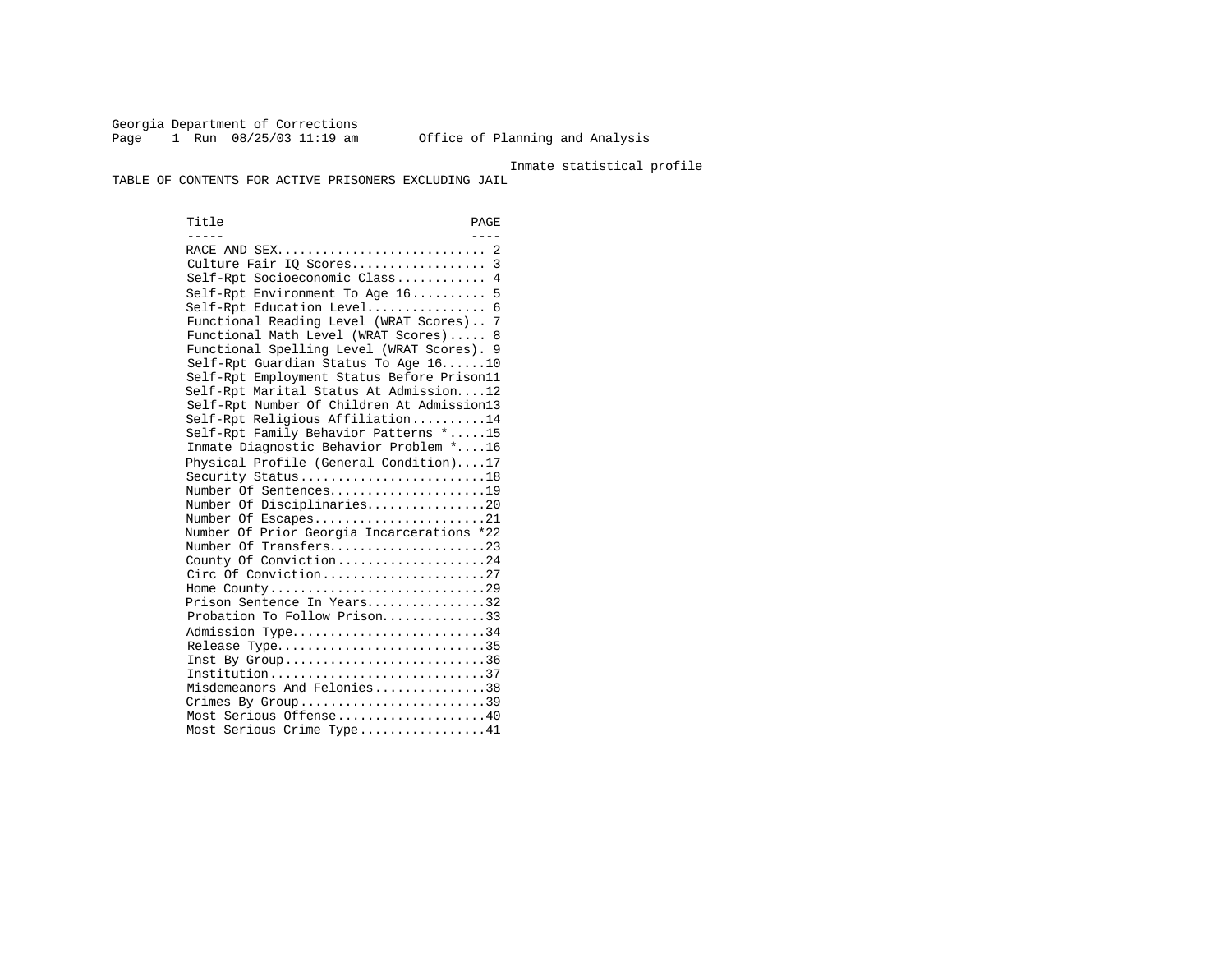Georgia Department of Corrections<br>Page 1 Run 08/25/03 11:19 am Page 1 Run 08/25/03 11:19 am Office of Planning and Analysis

Inmate statistical profile

TABLE OF CONTENTS FOR ACTIVE PRISONERS EXCLUDING JAIL

Title PAGE ----- ---- RACE AND SEX............................ 2 Culture Fair IQ Scores.................. 3 Self-Rpt Socioeconomic Class............ 4 Self-Rpt Environment To Age 16.......... 5 Self-Rpt Education Level................ 6 Functional Reading Level (WRAT Scores).. 7 Functional Math Level (WRAT Scores)..... 8 Functional Spelling Level (WRAT Scores). 9 Self-Rpt Guardian Status To Age 16......10 Self-Rpt Employment Status Before Prison11 Self-Rpt Marital Status At Admission....12 Self-Rpt Number Of Children At Admission13 Self-Rpt Religious Affiliation..........14 Self-Rpt Family Behavior Patterns \*.....15 Inmate Diagnostic Behavior Problem \*....16 Physical Profile (General Condition)....17 Security Status...........................18 Number Of Sentences.....................19 Number Of Disciplinaries................20 Number Of Escapes.........................21 Number Of Prior Georgia Incarcerations \*22 Number Of Transfers.......................23 County Of Conviction....................24 Circ Of Conviction........................27 Home County.............................29 Prison Sentence In Years................32 Probation To Follow Prison..............33 Admission Type.............................34 Release Type................................35 Inst By Group..................................36 Institution.............................37 Misdemeanors And Felonies...............38 Crimes By Group..............................39 Most Serious Offense....................40 Most Serious Crime Type.................41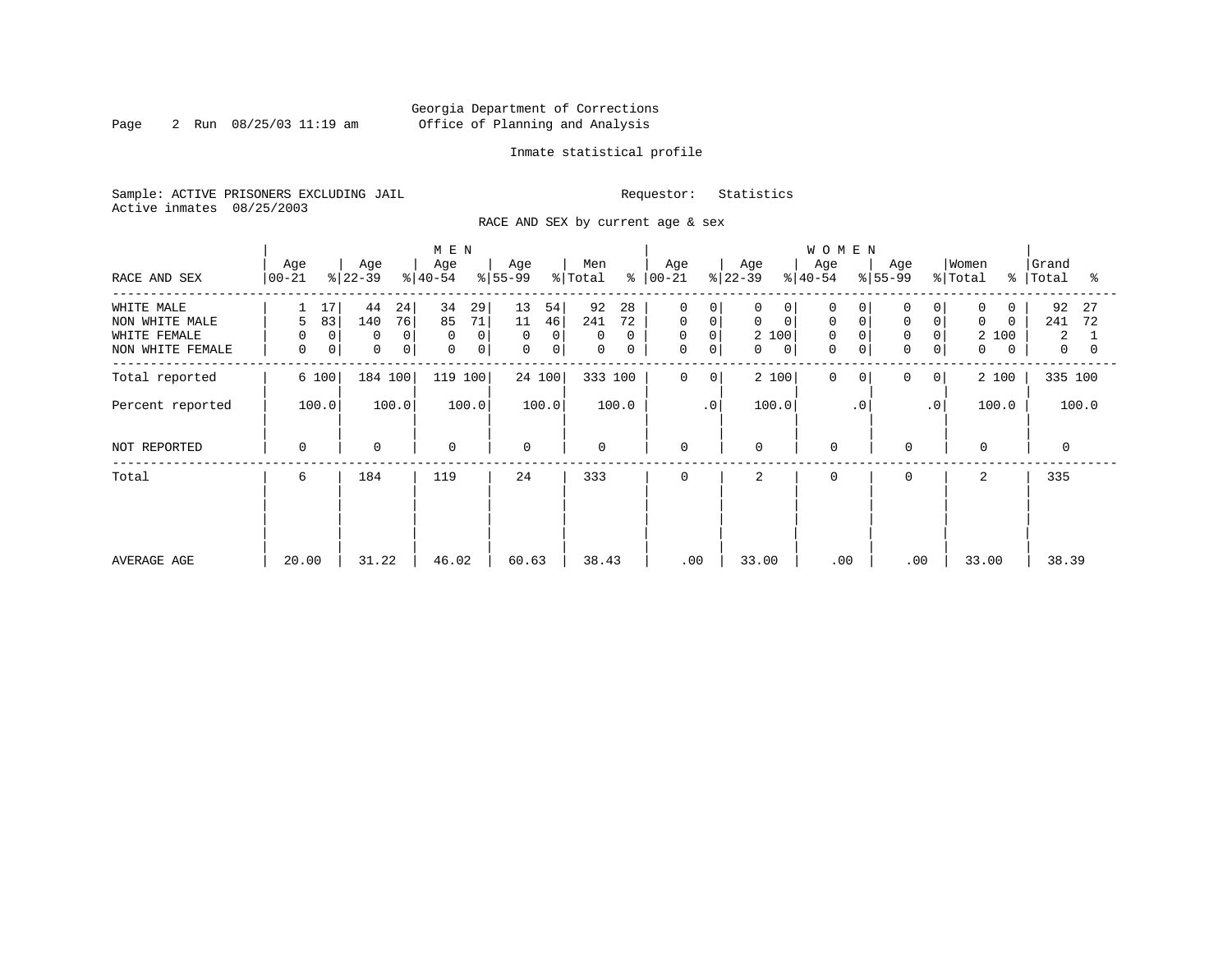Page 2 Run 08/25/03 11:19 am

# Inmate statistical profile

Sample: ACTIVE PRISONERS EXCLUDING JAIL Requestor: Statistics Active inmates 08/25/2003

RACE AND SEX by current age & sex

|                                                                  |                                   |                                           | M E N                                    |                                                                 |                                                  |                                                          |                                                                                 | <b>WOMEN</b>                                          |                                                                       |                                                        |                                              |
|------------------------------------------------------------------|-----------------------------------|-------------------------------------------|------------------------------------------|-----------------------------------------------------------------|--------------------------------------------------|----------------------------------------------------------|---------------------------------------------------------------------------------|-------------------------------------------------------|-----------------------------------------------------------------------|--------------------------------------------------------|----------------------------------------------|
| RACE AND SEX                                                     | Age<br>$ 00 - 21 $                | Age<br>$ 22-39 $                          | Age<br>$ 40-54 $                         | Age<br>$ 55-99 $                                                | Men<br>န္<br>% Total                             | Age<br>$ 00 - 21 $                                       | Age<br>$ 22-39 $                                                                | Age<br>$ 40-54 $                                      | Age<br>$8 55-99$                                                      | Women<br>% Total<br>$\approx$                          | Grand<br>Total<br>°≈                         |
| WHITE MALE<br>NON WHITE MALE<br>WHITE FEMALE<br>NON WHITE FEMALE | 17<br>83<br>5<br>0<br>0<br>0<br>0 | 44<br>24<br>76<br>140<br>0<br>0<br>0<br>0 | 34<br>29<br>71<br>85<br>0<br>0<br>0<br>0 | 13<br>54<br>11<br>46<br>0<br>$\overline{0}$<br>$\mathbf 0$<br>0 | 92<br>28<br>241<br>72<br>0<br>$\Omega$<br>0<br>0 | 0<br>0<br>$\mathbf 0$<br>0<br>0<br>0<br>$\mathbf 0$<br>0 | 0<br>0<br>$\mathbf 0$<br>$\mathbf 0$<br>2 100<br>$\mathbf{0}$<br>$\overline{0}$ | 0<br>0<br>$\mathbf 0$<br>$\Omega$<br>0<br>$\mathbf 0$ | 0<br>$\mathbf 0$<br>$\overline{0}$<br>$\mathbf 0$<br>$\mathbf 0$<br>0 | $\Omega$<br>$\Omega$<br>$\Omega$<br>100<br>2<br>0<br>0 | 92<br>27<br>241<br>72<br>2<br>$\overline{0}$ |
| Total reported                                                   | 6 100                             | 184 100                                   | 119 100                                  | 24 100                                                          | 333 100                                          | $\mathbf 0$<br>0                                         | 2 100                                                                           | 0<br>$\Omega$                                         | 0<br>$\overline{0}$                                                   | 2 100                                                  | 335 100                                      |
| Percent reported                                                 | 100.0                             | 100.0<br>100.0                            |                                          | 100.0                                                           | 100.0                                            | $\cdot$ 0                                                | 100.0                                                                           | $\cdot$ 0                                             | $\cdot$ 0                                                             | 100.0                                                  | 100.0                                        |
| NOT REPORTED                                                     | 0                                 | $\mathbf 0$                               | 0                                        | $\mathbf 0$                                                     | 0                                                | 0                                                        | $\mathbf 0$                                                                     | $\mathbf 0$                                           | $\mathbf 0$                                                           | $\mathbf{0}$                                           | $\mathbf 0$                                  |
| Total                                                            | 6                                 | 184                                       | 119                                      | 24                                                              | 333                                              | 0                                                        | 2                                                                               | $\Omega$                                              | 0                                                                     | 2                                                      | 335                                          |
| AVERAGE AGE                                                      | 20.00                             | 31.22                                     | 46.02                                    | 60.63                                                           | 38.43                                            | .00                                                      | 33.00                                                                           | .00                                                   | .00                                                                   | 33.00                                                  | 38.39                                        |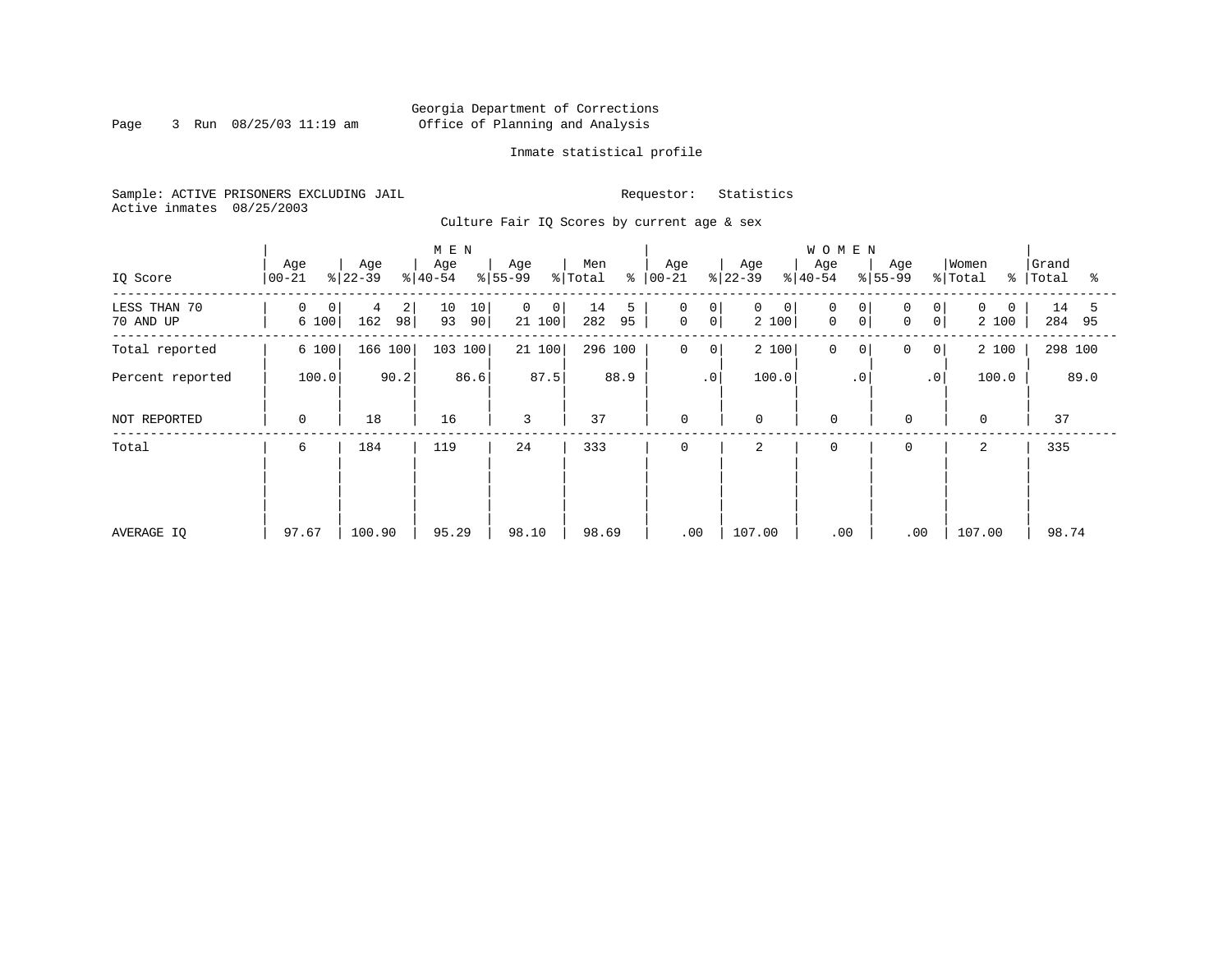Page 3 Run 08/25/03 11:19 am

# Inmate statistical profile

Sample: ACTIVE PRISONERS EXCLUDING JAIL Requestor: Statistics Active inmates 08/25/2003

Culture Fair IQ Scores by current age & sex

|                           |                  |                     | M E N                |                                           |                      |                                                                 |                  | <b>WOMEN</b>                  |                                     |                               |                      |
|---------------------------|------------------|---------------------|----------------------|-------------------------------------------|----------------------|-----------------------------------------------------------------|------------------|-------------------------------|-------------------------------------|-------------------------------|----------------------|
| IQ Score                  | Age<br>$00 - 21$ | Age<br>$ 22-39 $    | Age<br>$ 40-54 $     | Age<br>$ 55-99$                           | Men<br>% Total       | Age<br>$8   00 - 21$                                            | Age<br>$ 22-39 $ | Age<br>$ 40-54 $              | Age<br>$ 55-99 $                    | Women<br>% Total<br>$\approx$ | Grand<br>Total<br>ႜ  |
| LESS THAN 70<br>70 AND UP | 0<br>0<br>6 100  | 2<br>4<br>98<br>162 | 10<br>10<br>93<br>90 | $\overline{0}$<br>$\overline{0}$<br>21100 | 14<br>5<br>95<br>282 | $\mathbf 0$<br>0 <sup>1</sup><br>0 <sup>1</sup><br>$\mathsf{O}$ | 0<br>0<br>2 100  | 0<br>0<br>$\overline{0}$<br>0 | 0<br>0 <sup>1</sup><br>0<br>$\circ$ | $\Omega$<br>0<br>2 100        | 14<br>5<br>284<br>95 |
| Total reported            | 6 100            | 166 100             | 103 100              | 21100                                     | 296 100              | $\mathbf 0$<br>0                                                | 2 100            | 0<br>0                        | 0<br>$\mathbf{0}$                   | 2 100                         | 298 100              |
| Percent reported          | 100.0            | 90.2                | 86.6                 | 87.5                                      | 88.9                 | .0 <sup>1</sup>                                                 | 100.0            | $\cdot$ 0                     | $\cdot$ 0                           | 100.0                         | 89.0                 |
| NOT REPORTED              | 0                | 18                  | 16                   | 3                                         | 37                   | 0                                                               | $\mathbf 0$      | $\mathbf 0$                   | $\mathbf 0$                         | $\mathbf 0$                   | 37                   |
| Total                     | 6                | 184                 | 119                  | 24                                        | 333                  | 0                                                               | 2                | $\mathbf 0$                   | $\mathbf 0$                         | 2                             | 335                  |
|                           |                  |                     |                      |                                           |                      |                                                                 |                  |                               |                                     |                               |                      |
|                           |                  |                     |                      |                                           |                      |                                                                 |                  |                               |                                     |                               |                      |
| AVERAGE IO                | 97.67            | 100.90              | 95.29                | 98.10                                     | 98.69                | .00                                                             | 107.00           | .00                           | .00                                 | 107.00                        | 98.74                |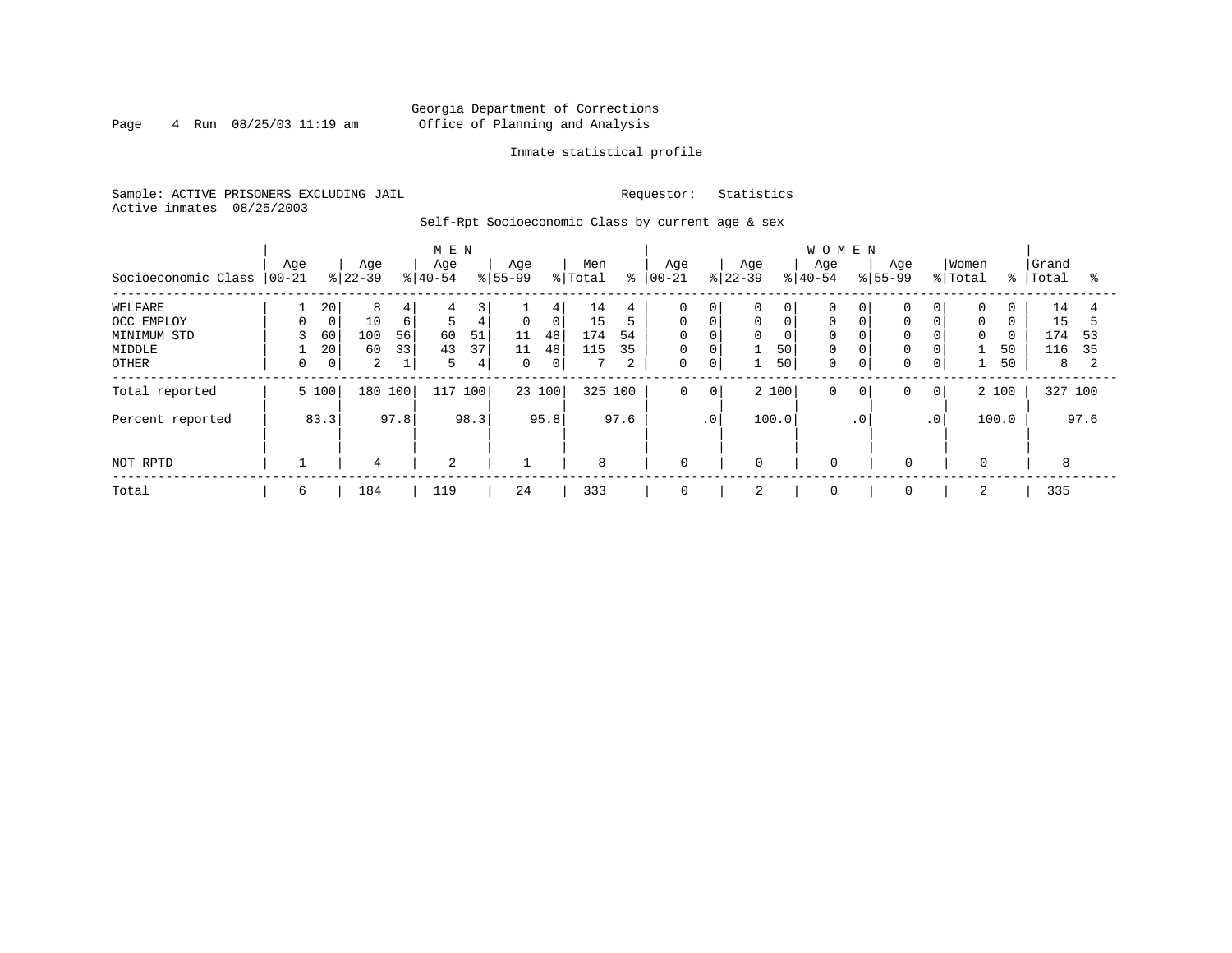# Georgia Department of Corrections Page 4 Run 08/25/03 11:19 am Office of Planning and Analysis

# Inmate statistical profile

Sample: ACTIVE PRISONERS EXCLUDING JAIL Requestor: Statistics Active inmates 08/25/2003

Self-Rpt Socioeconomic Class by current age & sex

|                     | M E N           |       |                  |          |                  |      |                  |                |                |      |                   |                |                  |       | <b>WOMEN</b>     |             |                  |             |                  |          |                |      |
|---------------------|-----------------|-------|------------------|----------|------------------|------|------------------|----------------|----------------|------|-------------------|----------------|------------------|-------|------------------|-------------|------------------|-------------|------------------|----------|----------------|------|
| Socioeconomic Class | Age<br>$ 00-21$ |       | Age<br>$ 22-39 $ |          | Age<br>$8 40-54$ |      | Age<br>$8 55-99$ |                | Men<br>% Total | နွ   | Age<br>$ 00 - 21$ |                | Age<br>$ 22-39 $ |       | Age<br>$8 40-54$ |             | Age<br>$ 55-99 $ |             | Women<br>% Total | % ၂      | Grand<br>Total | °≈   |
| WELFARE             |                 | 20    | 8                | 4        | 4                | 3'   |                  | 4              | 14             | 4    | 0                 | $\mathbf 0$    | 0                | 0     | 0                |             |                  | 0           | 0                | 0        | 14             |      |
| OCC EMPLOY          | $\Omega$        | 0     | 10               | $6 \mid$ | 5                | 4    | $\mathbf 0$      | 0 <sup>1</sup> | 15             | 5    | $\mathbf 0$       | $\mathbf 0$    | 0                | 0     | $\mathbf 0$      |             | $\Omega$         | $\mathbf 0$ | $\mathbf 0$      | $\Omega$ | 15             |      |
| MINIMUM STD         |                 | 60    | 100              | 56       | 60               | 51   | 11               | 48             | 174            | 54   | $\Omega$          | $\Omega$       | 0                | 0     | $\Omega$         |             | $\Omega$         | $\Omega$    | $\Omega$         | $\Omega$ | 174            | 53   |
| MIDDLE              |                 | 20    | 60               | 33       | 43               | 37   | 11               | 48             | 115            | 35   | 0                 | $\overline{0}$ |                  | 50    | $\mathbf 0$      |             | 0                | 0           |                  | 50       | 116            | 35   |
| OTHER               |                 | 0     | 2                |          | 5                | 4    | $\mathbf{0}$     | 0 <sup>1</sup> |                | 2    | 0                 | 0              |                  | 50    | $\mathbf 0$      | $\mathbf 0$ | 0                | $\mathbf 0$ |                  | 50       | 8              |      |
| Total reported      |                 | 5 100 | 180 100          |          | 117              | 100  |                  | 23 100         | 325 100        |      | $\mathbf 0$       | $\mathbf 0$    |                  | 2 100 | 0                | $\circ$     | 0                | 0           |                  | 2 100    | 327 100        |      |
| Percent reported    |                 | 83.3  |                  | 97.8     |                  | 98.3 |                  | 95.8           |                | 97.6 |                   | $\cdot$ 0      |                  | 100.0 |                  | $\cdot$ 0   |                  | $\cdot$ 0   |                  | 100.0    |                | 97.6 |
| NOT RPTD            |                 |       | $\overline{4}$   |          | 2                |      |                  |                | 8              |      | 0                 |                | $\mathbf 0$      |       | $\mathbf 0$      |             | $\mathbf 0$      |             | 0                |          | 8              |      |
| Total               | 6               |       | 184              |          | 119              |      | 24               |                | 333            |      | 0                 |                | 2                |       | 0                |             | 0                |             |                  |          | 335            |      |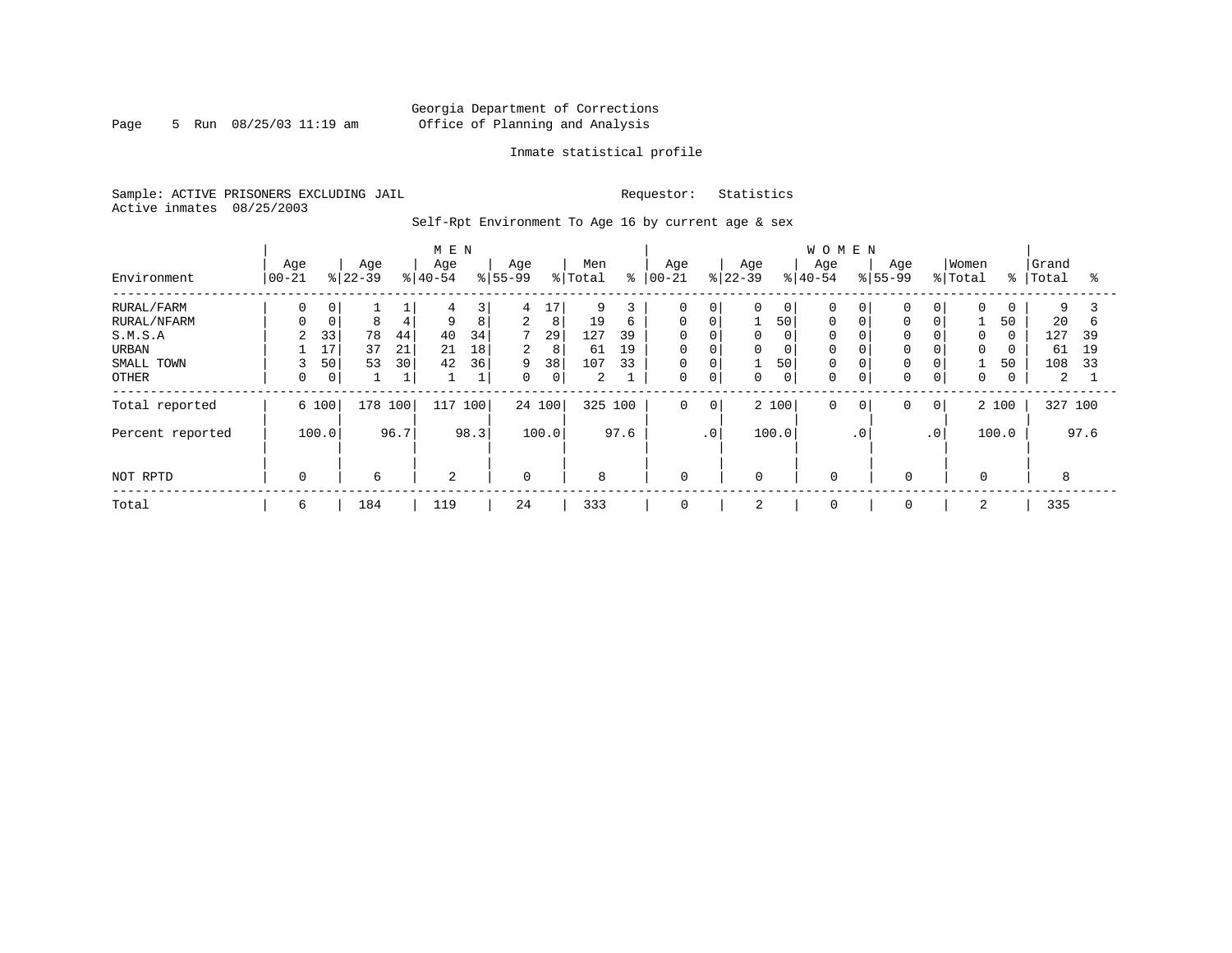Page 5 Run  $08/25/03$  11:19 am

# Inmate statistical profile

Sample: ACTIVE PRISONERS EXCLUDING JAIL Requestor: Statistics Active inmates 08/25/2003

Self-Rpt Environment To Age 16 by current age & sex

|                  |                  |             |                  |      | M E N            |              |                    |         |                |         |                   |             |                  |                | WOMEN            |           |                    |                 |                  |               |                |      |
|------------------|------------------|-------------|------------------|------|------------------|--------------|--------------------|---------|----------------|---------|-------------------|-------------|------------------|----------------|------------------|-----------|--------------------|-----------------|------------------|---------------|----------------|------|
| Environment      | Age<br>$ 00-21 $ |             | Age<br>$ 22-39 $ |      | Age<br>$8 40-54$ |              | Age<br>$8155 - 99$ |         | Men<br>% Total | ి       | Age<br>$ 00 - 21$ |             | Age<br>$8 22-39$ |                | Age<br>$8 40-54$ |           | Age<br>$8155 - 99$ |                 | Women<br>% Total | $\frac{8}{6}$ | Grand<br>Total | ႜ    |
| RURAL/FARM       | 0                | 0           |                  |      | 4                | 3            | 4                  | $\pm 7$ | 9              |         | $\Omega$          | 0           | 0                | $\overline{0}$ |                  | 0         | $\mathbf 0$        | 0               | $\Omega$         | 0             | 9              |      |
| RURAL/NFARM      |                  | $\mathbf 0$ | 8                | 4    | 9                | 8            | $\overline{a}$     | 8       | 19             | 6       | $\mathbf 0$       | $\mathbf 0$ |                  | 50             | $\Omega$         |           | 0                  | 0               |                  | 50            | 20             | b    |
| S.M.S.A          | 2                | 33          | 78               | 44   | 40               | 34           | $7^{\circ}$        | 29      | 127            | 39      | $\mathbf 0$       | $\mathbf 0$ | 0                | 0              | $\Omega$         |           | $\mathbf 0$        | $\overline{0}$  | $\Omega$         | $\Omega$      | 127            | 39   |
| URBAN            |                  | 17          | 37               | 21   | 21               | 18           | $\overline{2}$     | 8       | 61             | 19      | $\mathbf 0$       | $\mathbf 0$ | 0                | 0              | $\Omega$         |           | $\mathbf 0$        | 0               | $\mathbf 0$      | 0             | 61             | 19   |
| SMALL TOWN       | 3                | 50          | 53               | 30   | 42               | 36           | 9                  | 38      | 107            | 33      | $\mathbf 0$       | $\mathbf 0$ | 1                | 50             | $\Omega$         |           | $\mathbf 0$        | 0               |                  | 50            | 108            | 33   |
| <b>OTHER</b>     | 0                | 0           |                  |      |                  | $\mathbf{I}$ | $\Omega$           | 0       | $\overline{a}$ |         | $\Omega$          | $\mathbf 0$ | $\Omega$         | 0              | $\Omega$         | 0         | $\mathbf 0$        | 0               | 0                | 0             | 2              |      |
| Total reported   | 6 100            |             | 178 100          |      | 117              | 100          | 24 100             |         |                | 325 100 | $\mathbf 0$       | $\mathbf 0$ |                  | 2 100          | $\Omega$         | 0         | 0                  | $\circ$         |                  | 2 100         | 327 100        |      |
| Percent reported | 100.0            |             |                  | 96.7 |                  | 98.3         |                    | 100.0   |                | 97.6    |                   | $\cdot$ 0   |                  | 100.0          |                  | $\cdot$ 0 |                    | .0 <sup>1</sup> |                  | 100.0         |                | 97.6 |
| NOT RPTD         | $\Omega$         |             | 6                |      | $\overline{a}$   |              | $\Omega$           |         | 8              |         | $\mathbf 0$       |             | $\Omega$         |                | $\Omega$         |           | 0                  |                 | $\Omega$         |               | 8              |      |
| Total            | 6                |             | 184              |      | 119              |              | 24                 |         | 333            |         | $\mathbf 0$       |             | 2                |                | $\mathbf 0$      |           | 0                  |                 |                  |               | 335            |      |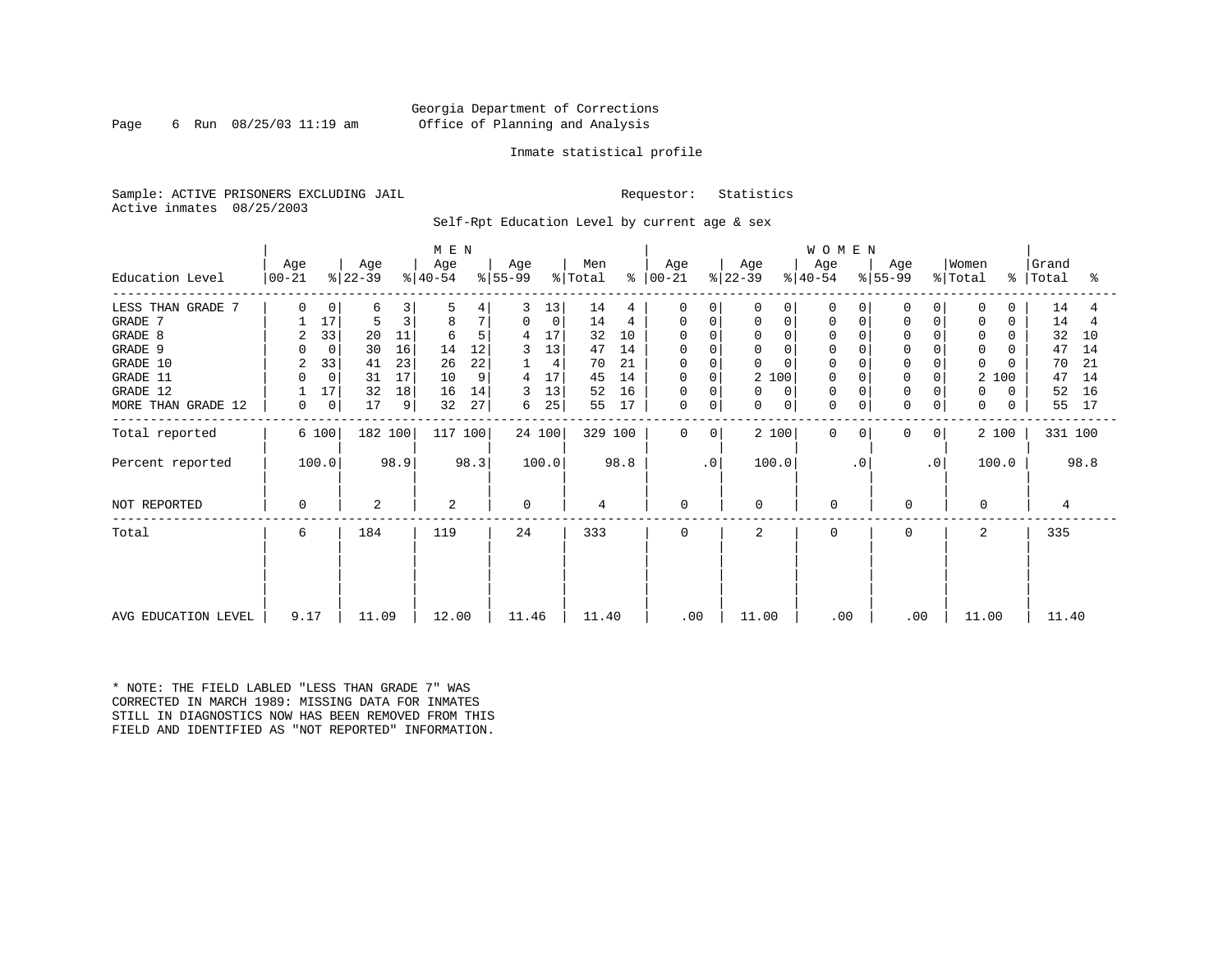Page 6 Run 08/25/03 11:19 am

# Inmate statistical profile

Sample: ACTIVE PRISONERS EXCLUDING JAIL Requestor: Statistics Active inmates 08/25/2003

Self-Rpt Education Level by current age & sex

|                     | M E N            |             |                  |      |                  |      |                  |             |                |         |                  |           |                  |                         | <b>WOMEN</b> |                  |             |                              |               |                |      |
|---------------------|------------------|-------------|------------------|------|------------------|------|------------------|-------------|----------------|---------|------------------|-----------|------------------|-------------------------|--------------|------------------|-------------|------------------------------|---------------|----------------|------|
| Education Level     | Age<br>$ 00-21 $ |             | Age<br>$ 22-39 $ |      | Age<br>$ 40-54 $ |      | Age<br>$ 55-99 $ |             | Men<br>% Total | န္      | Age<br>$ 00-21 $ |           | Age<br>$ 22-39 $ | Age<br>$ 40-54 $        |              | Age<br>$ 55-99 $ |             | Women<br>$\frac{1}{2}$ Total | $\frac{8}{3}$ | Grand<br>Total | ႜ    |
| LESS THAN GRADE 7   | U                | 0           | 6                | 3    | 5                |      |                  | 13          | 14             | 4       | $\Omega$         | $\Omega$  | U                | 0<br>$\Omega$           |              |                  |             | 0                            | 0             | 14             |      |
| GRADE 7             |                  | 17          | 5                | 3    | 8                | 7    | 0                | $\mathbf 0$ | 14             | 4       | 0                | 0         | 0                | 0<br>0                  | 0            | <sup>0</sup>     | $\mathbf 0$ | $\mathbf 0$                  | $\Omega$      | 14             | 4    |
| GRADE 8             | 2                | 33          | 20               | 11   | 6                | 5    | 4                | 17          | 32             | 10      | $\Omega$         | $\cap$    | $\mathbf 0$      | 0                       |              |                  |             | 0                            | 0             | 32             | 10   |
| GRADE 9             |                  | $\mathbf 0$ | 30               | 16   | 14               | 12   |                  | 13          | 47             | 14      | $\Omega$         |           | $\mathbf 0$      | $\Omega$<br>0           |              |                  |             | $\Omega$                     |               | 47             | 14   |
| GRADE 10            | 2                | 33          | 41               | 23   | 26               | 22   |                  | 4           | 70             | 21      | $\mathbf 0$      | $\Omega$  | 0                | $\mathbf 0$<br>$\Omega$ |              |                  | $\mathbf 0$ | $\Omega$                     |               | 70             | 21   |
| GRADE 11            |                  | $\mathbf 0$ | 31               | 17   | 10               | 9    | 4                | 17          | 45             | 14      | 0                | $\Omega$  | 2 100            | 0                       |              |                  | 0           | 2                            | 100           | 47             | 14   |
| GRADE 12            |                  | 17          | 32               | 18   | 16               | 14   | 3                | 13          | 52             | 16      | 0                | 0         | 0                | $\Omega$<br>$\Omega$    |              |                  |             | 0                            | 0             | 52             | 16   |
| MORE THAN GRADE 12  | 0                | 0           | 17               | 9    | 32               | 27   | 6                | 25          | 55             | 17      | $\mathbf 0$      | 0         | 0                | $\mathbf 0$<br>$\Omega$ | $\mathbf 0$  | $\Omega$         | $\mathbf 0$ | 0                            | $\Omega$      | 55             | 17   |
| Total reported      |                  | 6 100       | 182 100          |      | 117 100          |      |                  | 24 100      |                | 329 100 | $\Omega$         | $\Omega$  | 2 100            | $\Omega$                | <sup>o</sup> | 0                | 0           |                              | 2 100         | 331 100        |      |
| Percent reported    |                  | 100.0       |                  | 98.9 |                  | 98.3 |                  | 100.0       |                | 98.8    |                  | $\cdot$ 0 | 100.0            |                         | $\cdot$ 0    |                  | $\cdot$ 0   |                              | 100.0         |                | 98.8 |
| NOT REPORTED        | 0                |             | 2                |      | 2                |      | $\Omega$         |             | 4              |         | $\mathbf 0$      |           | $\Omega$         | $\mathbf 0$             |              | 0                |             | $\Omega$                     |               | 4              |      |
| Total               | 6                |             | 184              |      | 119              |      | 24               |             | 333            |         | $\Omega$         |           | $\mathbf{2}$     | $\Omega$                |              | $\Omega$         |             | $\mathcal{L}$                |               | 335            |      |
|                     |                  |             |                  |      |                  |      |                  |             |                |         |                  |           |                  |                         |              |                  |             |                              |               |                |      |
| AVG EDUCATION LEVEL | 9.17             |             | 11.09            |      | 12.00            |      | 11.46            |             | 11.40          |         | .00              |           | 11.00            |                         | .00          | .00              |             | 11.00                        |               | 11.40          |      |

\* NOTE: THE FIELD LABLED "LESS THAN GRADE 7" WAS CORRECTED IN MARCH 1989: MISSING DATA FOR INMATES STILL IN DIAGNOSTICS NOW HAS BEEN REMOVED FROM THIS FIELD AND IDENTIFIED AS "NOT REPORTED" INFORMATION.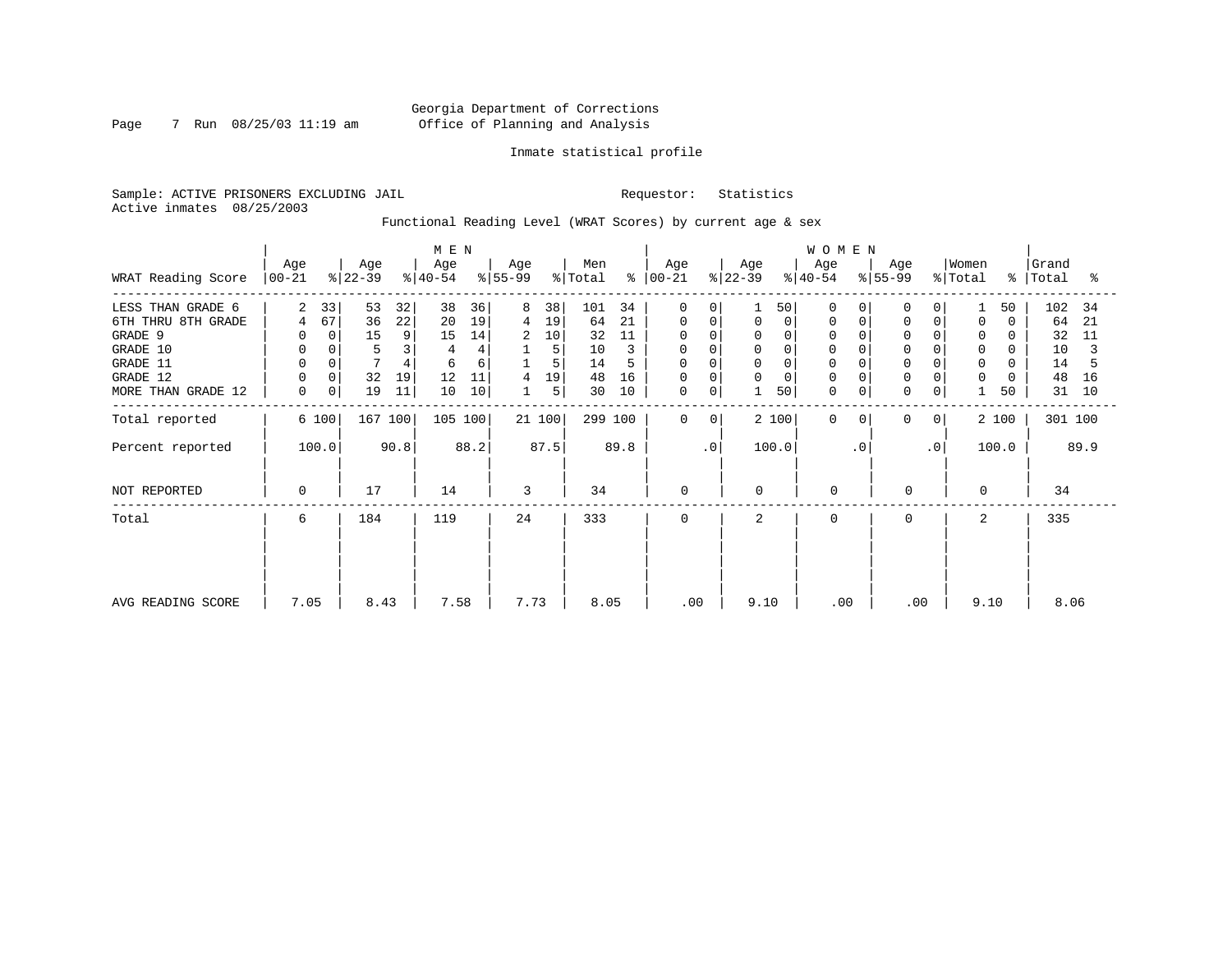Page 7 Run 08/25/03 11:19 am

# Inmate statistical profile

Sample: ACTIVE PRISONERS EXCLUDING JAIL Requestor: Statistics Active inmates 08/25/2003

Functional Reading Level (WRAT Scores) by current age & sex

|                      |                      |                  | M E N              |                  |                                  |                         |                     | <b>WOMEN</b>         |                          |                  |                         |
|----------------------|----------------------|------------------|--------------------|------------------|----------------------------------|-------------------------|---------------------|----------------------|--------------------------|------------------|-------------------------|
| WRAT Reading Score   | Age<br>$ 00-21$      | Age<br>$ 22-39 $ | Age<br>$ 40-54 $   | Age<br>$ 55-99 $ | Men<br>$\frac{1}{2}$ Total<br>န္ | Age<br>$ 00 - 21 $      | Age<br>$ 22-39 $    | Age<br>$ 40-54 $     | Age<br>$\frac{8}{55-99}$ | Women<br>% Total | Grand<br>%   Total<br>ႜ |
| LESS THAN GRADE 6    | 33<br>$\overline{2}$ | 53<br>32         | 38<br>36           | 38<br>8          | 101<br>34                        | $\Omega$<br>$\Omega$    | 50                  | $\Omega$             | $\Omega$                 | 50               | 102<br>-34              |
| 6TH THRU 8TH GRADE   | 67<br>4              | 22<br>36         | 20<br>19           | 19<br>4          | 21<br>64                         | 0<br>0                  | 0<br>0              | $\Omega$             | 0<br>$\Omega$            | $\Omega$<br>0    | 64<br>21                |
| GRADE 9              |                      | 15<br>9          | 14<br>15           | 10<br>2          | 32<br>11                         | 0                       | 0                   |                      | 0                        | 0                | 32<br>11                |
| GRADE 10             |                      | 3                |                    | 5                | 10                               | 0<br>0                  | $\overline{0}$<br>0 | $\mathbf 0$          | $\Omega$                 | $\mathbf 0$<br>0 | 10                      |
| GRADE 11<br>GRADE 12 |                      | 32<br>19         | 6<br>6<br>12<br>11 | 5<br>19<br>4     | 14<br>48<br>16                   | $\Omega$<br>0           | $\Omega$<br>0       |                      | $\mathbf 0$              | 0<br>0           | 14<br>48<br>16          |
| MORE THAN GRADE 12   | $\mathbf 0$<br>0     | 19<br>11         | 10<br>10           | 5<br>$\mathbf 1$ | 30<br>10                         | $\mathbf 0$<br>0        | 50                  | $\Omega$<br>0        | 0<br>0                   | 50               | 31<br>10                |
| Total reported       | 6 100                | 167 100          | 105 100            | 21 100           | 299 100                          | $\mathbf 0$<br>$\Omega$ | 2 100               | $\Omega$<br>$\Omega$ | 0<br>0                   | 2 100            | 301 100                 |
| Percent reported     | 100.0                | 90.8             | 88.2               | 87.5             | 89.8                             | $\cdot$ 0               | 100.0               | $\cdot$ 0            | $\cdot$ 0                | 100.0            | 89.9                    |
| NOT REPORTED         | $\Omega$             | 17               | 14                 | 3                | 34                               | 0                       | $\Omega$            | $\mathbf 0$          | 0                        | $\Omega$         | 34                      |
| Total                | 6                    | 184              | 119                | 24               | 333                              | 0                       | 2                   | $\Omega$             | 0                        | 2                | 335                     |
|                      |                      |                  |                    |                  |                                  |                         |                     |                      |                          |                  |                         |
| AVG READING SCORE    | 7.05                 | 8.43             | 7.58               | 7.73             | 8.05                             | .00                     | 9.10                | .00                  | .00                      | 9.10             | 8.06                    |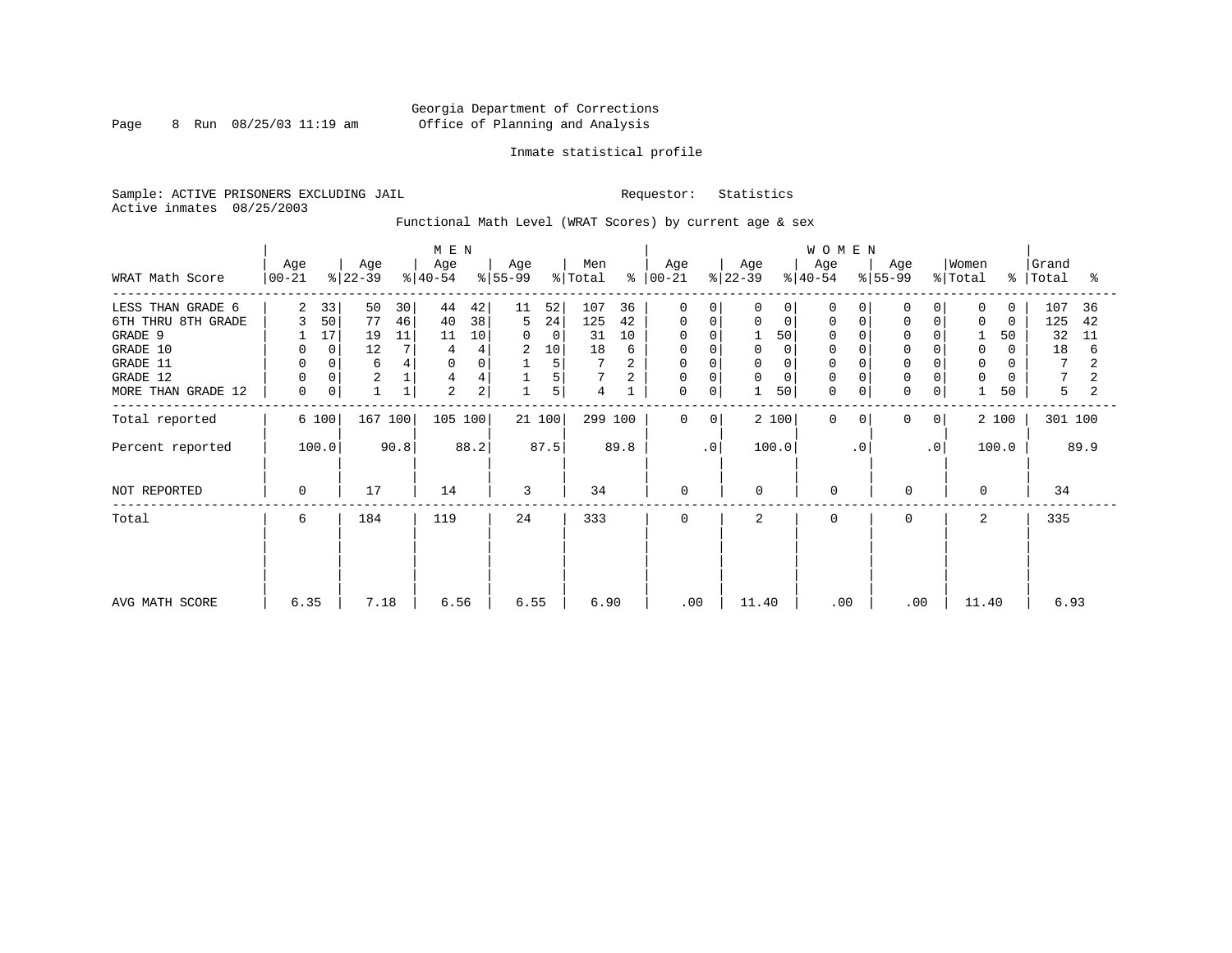Page 8 Run  $08/25/03$  11:19 am

# Inmate statistical profile

Sample: ACTIVE PRISONERS EXCLUDING JAIL Requestor: Statistics Active inmates 08/25/2003

Functional Math Level (WRAT Scores) by current age & sex

|                    |                  |       |                  | M E N |                  |          |                  |        |                |      |                  |              |                  | WOMEN       |                  |           |                            |             |                  |               |                |      |
|--------------------|------------------|-------|------------------|-------|------------------|----------|------------------|--------|----------------|------|------------------|--------------|------------------|-------------|------------------|-----------|----------------------------|-------------|------------------|---------------|----------------|------|
| WRAT Math Score    | Age<br>$00 - 21$ |       | Age<br>$ 22-39 $ |       | Age<br>$ 40-54 $ |          | Age<br>$ 55-99 $ |        | Men<br>% Total | န္   | Age<br>$ 00-21 $ |              | Age<br>$ 22-39 $ |             | Age<br>$8 40-54$ |           | Age<br>$\frac{1}{6}$ 55-99 |             | Women<br>% Total | $\frac{8}{6}$ | Grand<br>Total | ႜ    |
| LESS THAN GRADE 6  | 2                | 33    | 50               | 30    | 44               | 42       | 11               | 52     | 107            | 36   | 0                | $\Omega$     | 0                | $\Omega$    | $\Omega$         |           |                            |             | 0                | $\Omega$      | 107            | 36   |
| 6TH THRU 8TH GRADE | 3                | 50    | 77               | 46    | 40               | 38       | 5                | 24     | 125            | 42   | 0                | 0            | 0                | $\mathbf 0$ | 0                |           |                            |             | 0                | $\Omega$      | 125            | 42   |
| GRADE 9            |                  | 17    | 19               | 11    | 11               | 10       | 0                | 0      | 31             | 10   | 0                |              |                  | 50          | 0                |           |                            |             |                  | 50            | 32             | 11   |
| GRADE 10           |                  | 0     | 12               |       |                  |          | 2                | 10     | 18             | 6    | 0                |              |                  | $\Omega$    | $\Omega$         |           |                            |             | 0                | 0             | 18             | 6    |
| GRADE 11           |                  |       | 6                |       |                  | $\Omega$ |                  | 5      |                |      | $\Omega$         |              |                  | $\Omega$    |                  |           |                            |             | $\Omega$         |               | 7              |      |
| GRADE 12           |                  |       | $\sqrt{2}$       |       |                  |          |                  | 5      |                |      | 0                | $\Omega$     | 0                | $\Omega$    | $\Omega$         |           |                            |             | $\mathbf 0$      |               |                |      |
| MORE THAN GRADE 12 | 0                | 0     |                  |       | $\overline{2}$   | 2        |                  | 5      | 4              |      | 0                | 0            |                  | 50          | $\mathbf 0$      | 0         | $\Omega$                   | $\mathbf 0$ |                  | 50            | 5              |      |
| Total reported     |                  | 6 100 | 167 100          |       | 105 100          |          |                  | 21 100 | 299 100        |      | $\mathbf 0$      | $\mathbf{0}$ |                  | 2 100       | $\Omega$         | $\Omega$  | $\Omega$                   | 0           |                  | 2 100         | 301 100        |      |
| Percent reported   |                  | 100.0 |                  | 90.8  |                  | 88.2     |                  | 87.5   |                | 89.8 |                  | $\cdot$ 0    |                  | 100.0       |                  | $\cdot$ 0 |                            | $\cdot$ 0   |                  | 100.0         |                | 89.9 |
| NOT REPORTED       | $\Omega$         |       | 17               |       | 14               |          | 3                |        | 34             |      | 0                |              | $\Omega$         |             | $\mathbf 0$      |           | 0                          |             | 0                |               | 34             |      |
| Total              | 6                |       | 184              |       | 119              |          | 24               |        | 333            |      | $\mathbf 0$      |              | 2                |             | $\Omega$         |           | $\Omega$                   |             | 2                |               | 335            |      |
|                    |                  |       |                  |       |                  |          |                  |        |                |      |                  |              |                  |             |                  |           |                            |             |                  |               |                |      |
|                    |                  |       |                  |       |                  |          |                  |        |                |      |                  |              |                  |             |                  |           |                            |             |                  |               |                |      |
| AVG MATH SCORE     | 6.35             |       | 7.18             |       | 6.56             |          | 6.55             |        | 6.90           |      | .00              |              | 11.40            |             | .00              |           | .00                        |             | 11.40            |               | 6.93           |      |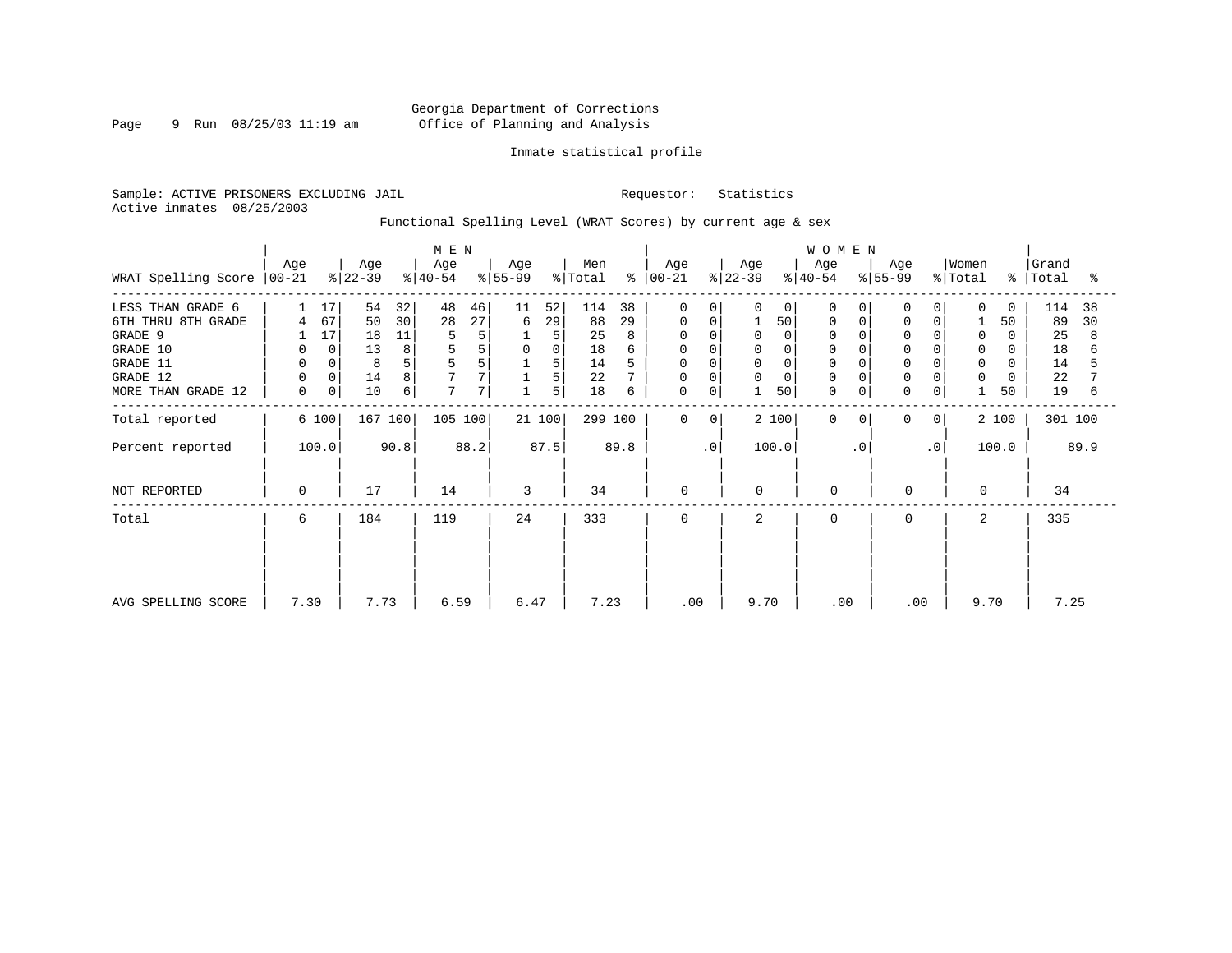Page 9 Run 08/25/03 11:19 am

# Inmate statistical profile

Sample: ACTIVE PRISONERS EXCLUDING JAIL Requestor: Statistics Active inmates 08/25/2003

Functional Spelling Level (WRAT Scores) by current age & sex

|                     |                  |             |                  |      | M E N            |      |                  |             |                |            |                  |                |                  |          | WOMEN            |           |                  |                |                              |          |                    |      |
|---------------------|------------------|-------------|------------------|------|------------------|------|------------------|-------------|----------------|------------|------------------|----------------|------------------|----------|------------------|-----------|------------------|----------------|------------------------------|----------|--------------------|------|
| WRAT Spelling Score | Age<br>$ 00-21 $ |             | Age<br>$ 22-39 $ |      | Age<br>$ 40-54 $ |      | Age<br>$ 55-99 $ |             | Men<br>% Total | $\epsilon$ | Age<br>$ 00-21 $ |                | Age<br>$ 22-39 $ |          | Age<br>$ 40-54 $ |           | Age<br>$ 55-99 $ |                | Women<br>$\frac{1}{2}$ Total |          | Grand<br>%   Total | ႜ    |
| LESS THAN GRADE 6   |                  | 17          | 54               | 32   | 48               | 46   | 11               | 52          | 114            | 38         | 0                | 0              | 0                | 0        | $\Omega$         |           | $\Omega$         |                | $\Omega$                     | $\Omega$ | 114                | 38   |
| 6TH THRU 8TH GRADE  | 4                | 67          | 50               | 30   | 28               | 27   | 6                | 29          | 88             | 29         | 0                | 0              |                  | 50       | $\Omega$         |           | $\mathbf 0$      | 0              |                              | 50       | 89                 | 30   |
| GRADE 9             |                  | 17          | 18               | 11   |                  | 5    |                  | 5           | 25             |            |                  |                | $\Omega$         | $\Omega$ | $\Omega$         |           | $\Omega$         |                | 0                            | 0        | 25                 | 8    |
| GRADE 10            | 0                | $\mathbf 0$ | 13               | 8    |                  | 5    | 0                | $\mathbf 0$ | 18             |            | 0                |                | 0                |          |                  |           | $\mathbf 0$      |                | 0                            | 0        | 18                 |      |
| GRADE 11            | $\mathbf 0$      | 0           | 8                | 5    |                  | 5    |                  | 5           | 14             |            | <sup>0</sup>     |                | $\mathbf 0$      |          |                  |           | $\Omega$         |                | $\Omega$                     |          | 14                 |      |
| GRADE 12            | $\mathbf 0$      | 0           | 14               | 8    |                  |      |                  | 5           | 22             |            | 0                | $\Omega$       | 0                | $\Omega$ | $\Omega$         |           | $\mathbf 0$      | 0              | 0                            | O        | 22                 |      |
| MORE THAN GRADE 12  | 0                | 0           | 10               | 6    | 7                | 7    |                  | 5           | 18             | 6          | 0                | 0              |                  | 50       | $\mathbf 0$      | 0         | 0                | $\overline{0}$ |                              | 50       | 19                 | 6    |
| Total reported      |                  | 6 100       | 167 100          |      | 105 100          |      |                  | 21100       | 299 100        |            | $\mathbf 0$      | 0 <sup>1</sup> |                  | 2 100    | $\Omega$         | 0         | $\mathbf 0$      | 0 <sup>1</sup> |                              | 2 100    | 301 100            |      |
| Percent reported    |                  | 100.0       |                  | 90.8 |                  | 88.2 |                  | 87.5        |                | 89.8       |                  | $\cdot$ 0      |                  | 100.0    |                  | $\cdot$ 0 |                  | $\cdot$ 0      |                              | 100.0    |                    | 89.9 |
| NOT REPORTED        | 0                |             | 17               |      | 14               |      | 3                |             | 34             |            | 0                |                | $\mathbf 0$      |          | $\mathbf 0$      |           | 0                |                | $\Omega$                     |          | 34                 |      |
| Total               | 6                |             | 184              |      | 119              |      | 24               |             | 333            |            | 0                |                | 2                |          | $\Omega$         |           | 0                |                | 2                            |          | 335                |      |
|                     |                  |             |                  |      |                  |      |                  |             |                |            |                  |                |                  |          |                  |           |                  |                |                              |          |                    |      |
| AVG SPELLING SCORE  | 7.30             |             | 7.73             |      | 6.59             |      | 6.47             |             | 7.23           |            |                  | .00            | 9.70             |          | .00              |           | .00              |                | 9.70                         |          | 7.25               |      |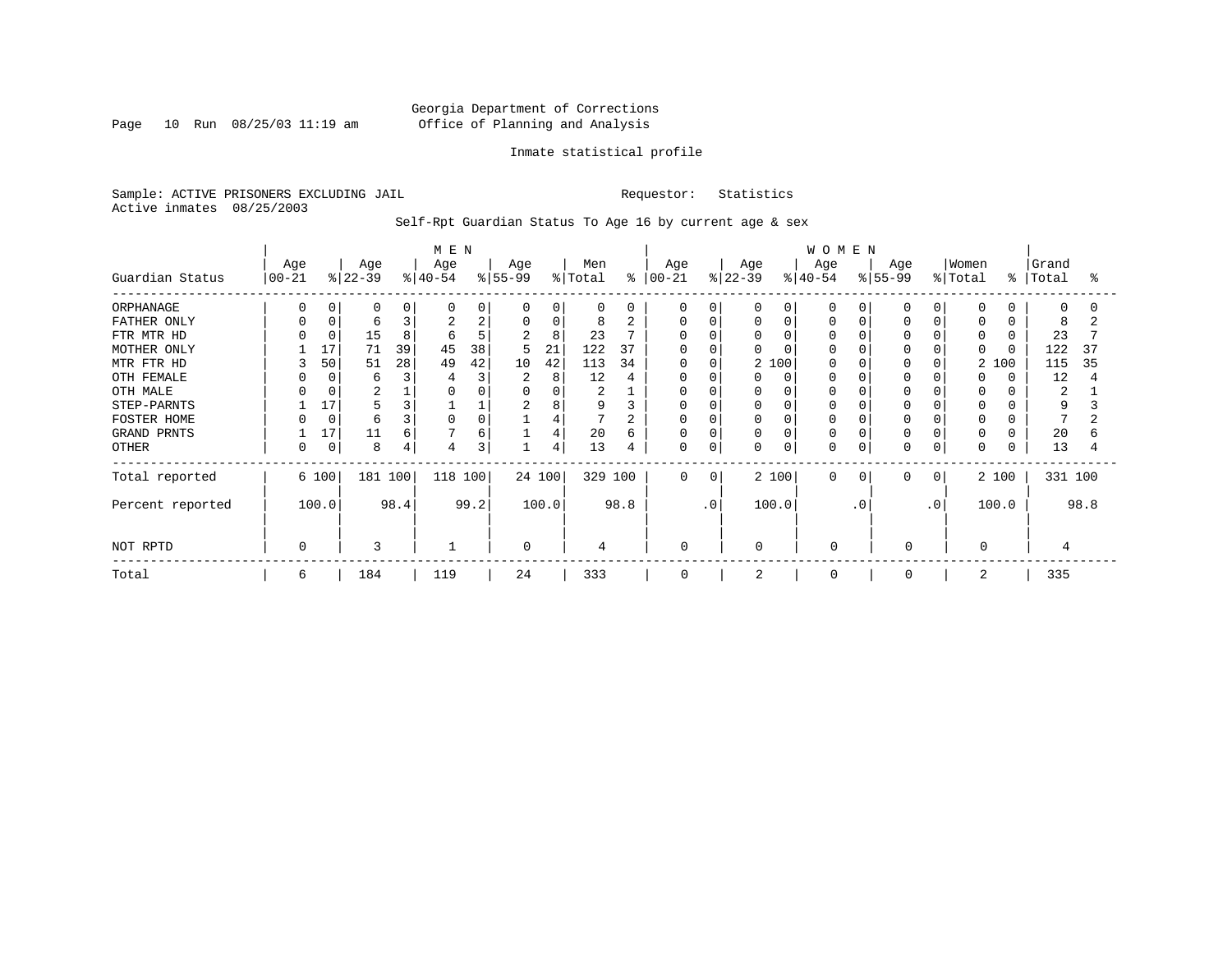Page 10 Run 08/25/03 11:19 am

# Inmate statistical profile

Sample: ACTIVE PRISONERS EXCLUDING JAIL Requestor: Statistics Active inmates 08/25/2003

# Self-Rpt Guardian Status To Age 16 by current age & sex

| Guardian Status                                                                                                                                     | Age<br>$00 - 21$ |                                | Age<br>$ 22-39 $                                                           |                    | M E N<br>Age<br>$ 40-54 $    |                                   | Age<br>$ 55-99$                                 |                                                       | Men<br>% Total                                                                             |                                   | Age<br>$8   00 - 21$           |                                            | Age<br>$ 22-39 $ |                             | WOMEN<br>Age<br>$ 40-54 $ |                 | Age<br>$8 55-99$ |                                                                                    | Women<br>% Total                                                                      | ႜ              | Grand<br>Total                                         | ႜ        |
|-----------------------------------------------------------------------------------------------------------------------------------------------------|------------------|--------------------------------|----------------------------------------------------------------------------|--------------------|------------------------------|-----------------------------------|-------------------------------------------------|-------------------------------------------------------|--------------------------------------------------------------------------------------------|-----------------------------------|--------------------------------|--------------------------------------------|------------------|-----------------------------|---------------------------|-----------------|------------------|------------------------------------------------------------------------------------|---------------------------------------------------------------------------------------|----------------|--------------------------------------------------------|----------|
| ORPHANAGE<br>FATHER ONLY<br>FTR MTR HD<br>MOTHER ONLY<br>MTR FTR HD<br>OTH FEMALE<br>OTH MALE<br>STEP-PARNTS<br>FOSTER HOME<br>GRAND PRNTS<br>OTHER | 3                | 0<br>17<br>50<br>17<br>17<br>0 | <sup>0</sup><br>6<br>15<br>71<br>51<br>6<br>$\overline{c}$<br>6<br>11<br>8 | 39<br>28<br>6<br>4 | O<br>2<br>б<br>45<br>49<br>O | 0<br>2<br>5<br>38<br>42<br>6<br>3 | $\Omega$<br>2<br>5<br>10<br>2<br>$\overline{2}$ | O<br>0<br>8<br>21<br>42<br>8<br>0<br>8<br>4<br>4<br>4 | $\Omega$<br>8<br>23<br>122<br>113<br>12<br>$\overline{2}$<br>9<br>$\mathbf{r}$<br>20<br>13 | 2<br>37<br>34<br>4<br>2<br>6<br>4 | $\Omega$<br>$\Omega$<br>0<br>0 | $\Omega$<br>$\Omega$<br>$\Omega$<br>0<br>0 | 0<br>U<br>0<br>0 | $\Omega$<br>0<br>2 100<br>0 | O<br>0<br>O<br>0          | C<br>C<br>0     | U                | <sup>0</sup><br>0<br>$\Omega$<br>$\Omega$<br>$\Omega$<br>$\Omega$<br>$\Omega$<br>0 | $\Omega$<br>0<br>$\Omega$<br>$\Omega$<br>$\overline{2}$<br>O<br>O<br>0<br>0<br>0<br>0 | 100            | U<br>8<br>23<br>122<br>115<br>12<br>2<br>9<br>20<br>13 | 37<br>35 |
| Total reported<br>Percent reported<br>NOT RPTD                                                                                                      |                  | 6 100<br>100.0                 | 181 100<br>3                                                               | 98.4               | 118 100                      | 99.2                              | $\Omega$                                        | 24 100<br>100.0                                       | 329 100<br>4                                                                               | 98.8                              | $\Omega$<br>$\Omega$           | $\Omega$<br>$\cdot$ 0                      | U                | 2 100<br>100.0              | $\Omega$<br>$\Omega$      | $\Omega$<br>. 0 | 0<br>$\Omega$    | $\Omega$<br>$\cdot$ 0                                                              | $\Omega$                                                                              | 2 100<br>100.0 | 331 100<br>4                                           | 98.8     |
| Total                                                                                                                                               | 6                |                                | 184                                                                        |                    | 119                          |                                   | 24                                              |                                                       | 333                                                                                        |                                   | 0                              |                                            | 2                |                             | $\mathbf 0$               |                 | $\Omega$         |                                                                                    | 2                                                                                     |                | 335                                                    |          |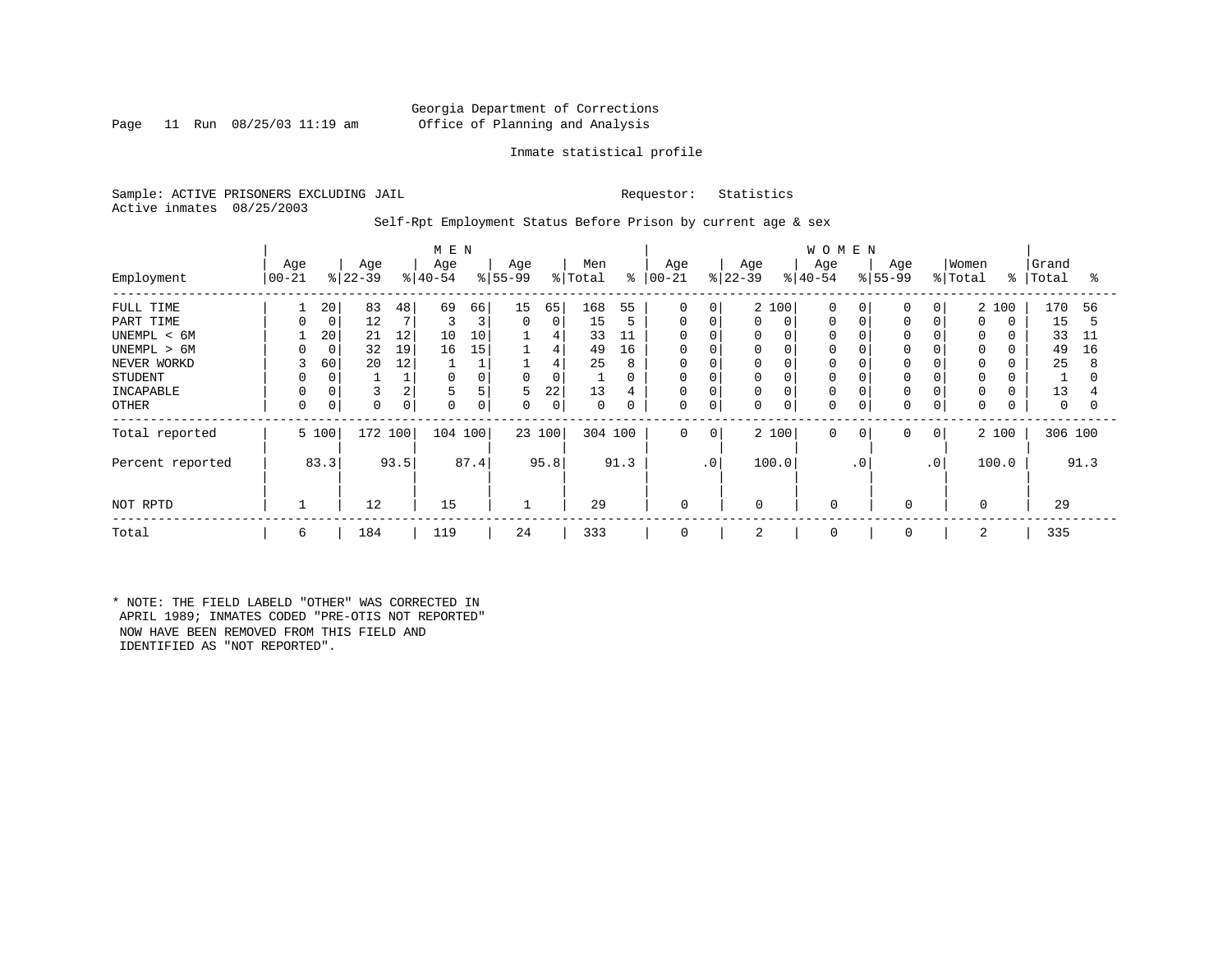# Georgia Department of Corrections Page 11 Run 08/25/03 11:19 am Office of Planning and Analysis

# Inmate statistical profile

Sample: ACTIVE PRISONERS EXCLUDING JAIL Requestor: Statistics Active inmates 08/25/2003

Self-Rpt Employment Status Before Prison by current age & sex

|                  |                    |       |                 |      | M E N            |          |                  |        |                |          |                   |              |                  |       | <b>WOMEN</b>     |           |                  |              |                  |          |                |      |
|------------------|--------------------|-------|-----------------|------|------------------|----------|------------------|--------|----------------|----------|-------------------|--------------|------------------|-------|------------------|-----------|------------------|--------------|------------------|----------|----------------|------|
| Employment       | Age<br>$ 00 - 21 $ |       | Age<br>$ 22-39$ |      | Age<br>$ 40-54 $ |          | Age<br>$ 55-99 $ |        | Men<br>% Total | ႜ        | Age<br>$ 00 - 21$ |              | Age<br>$ 22-39 $ |       | Age<br>$ 40-54 $ |           | Age<br>$ 55-99 $ |              | Women<br>% Total | ွေ       | Grand<br>Total | °    |
| FULL TIME        |                    | 20    | 83              | 48   | 69               | 66       | 15               | 65     | 168            | 55       | $\mathbf 0$       | 0            |                  | 2 100 | $\Omega$         |           | $\Omega$         | $\Omega$     |                  | 2 100    | 170            | 56   |
| PART TIME        |                    | 0     | 12              |      |                  | 3        | $\mathbf{0}$     | 0      | 15             | 5        | 0                 | 0            | 0                | 0     | 0                |           | $\mathbf 0$      | 0            | 0                | $\Omega$ | 15             | 5    |
| UNEMPL < 6M      |                    | 20    | 21              | 12   | 10               | 10       |                  | 4      | 33             | 11       | 0                 | $\Omega$     | 0                |       |                  |           | 0                |              | 0                |          | 33             | 11   |
| UNEMPL > 6M      |                    | 0     | 32              | 19   | 16               | 15       |                  | 4      | 49             | 16       | $\Omega$          | $\Omega$     | 0                |       | $\Omega$         |           | $\Omega$         |              | $\Omega$         |          | 49             | 16   |
| NEVER WORKD      | 3                  | 60    | 20              | 12   |                  |          |                  | 4      | 25             | 8        | $\Omega$          | $\mathsf{C}$ | 0                |       |                  |           | $\Omega$         |              | $\Omega$         |          | 25             | 8    |
| <b>STUDENT</b>   |                    | 0     |                 |      | $\Omega$         | $\Omega$ | 0                | 0      |                | $\Omega$ | 0                 | 0            | 0                |       | $\Omega$         |           | 0                |              | $\Omega$         |          |                |      |
| INCAPABLE        |                    |       |                 | 2    | 5                | 5        | 5                | 22     | 13             | 4        | 0                 | C            |                  |       | $\mathbf 0$      |           |                  |              | 0                |          | 13             |      |
| OTHER            | 0                  | 0     |                 | 0    | 0                | $\Omega$ | $\Omega$         | 0      | 0              | $\Omega$ | $\mathbf 0$       | 0            | 0                |       | $\Omega$         |           | $\Omega$         | 0            | $\Omega$         |          | $\Omega$       |      |
| Total reported   |                    | 5 100 | 172 100         |      | 104 100          |          |                  | 23 100 | 304 100        |          | 0                 | 0            |                  | 2 100 | $\mathbf 0$      | 0         | 0                | $\mathbf{0}$ |                  | 2 100    | 306 100        |      |
| Percent reported |                    | 83.3  |                 | 93.5 |                  | 87.4     |                  | 95.8   |                | 91.3     |                   | $\cdot$ 0    |                  | 100.0 |                  | $\cdot$ 0 |                  | $\cdot$ 0    |                  | 100.0    |                | 91.3 |
| NOT RPTD         |                    |       | 12              |      | 15               |          |                  |        | 29             |          | $\mathbf 0$       |              | $\Omega$         |       | $\mathbf 0$      |           |                  |              | $\Omega$         |          | 29             |      |
| Total            | 6                  |       | 184             |      | 119              |          | 24               |        | 333            |          | 0                 |              | $\overline{2}$   |       | $\mathbf 0$      |           | 0                |              | 2                |          | 335            |      |

\* NOTE: THE FIELD LABELD "OTHER" WAS CORRECTED IN APRIL 1989; INMATES CODED "PRE-OTIS NOT REPORTED" NOW HAVE BEEN REMOVED FROM THIS FIELD AND IDENTIFIED AS "NOT REPORTED".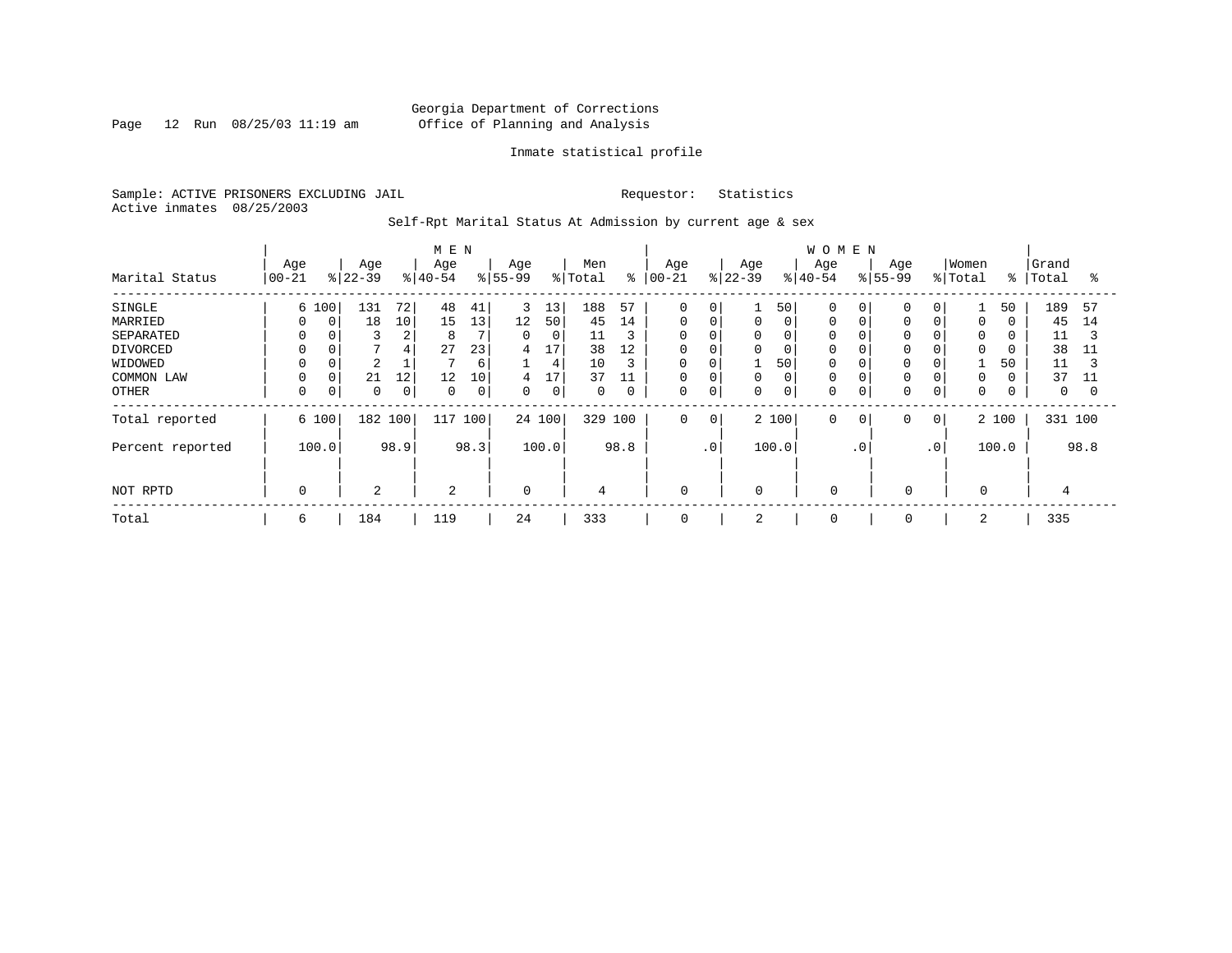Page 12 Run 08/25/03 11:19 am

# Inmate statistical profile

Sample: ACTIVE PRISONERS EXCLUDING JAIL Requestor: Statistics Active inmates 08/25/2003

Self-Rpt Marital Status At Admission by current age & sex

|                                                                                     |                                  |                                                            |                               | M E N                          |                                |                             |                                     |                                                  |                                     |                                                               |                            |                  |                                             | <b>WOMEN</b>                                            |                |                    |                             |                                           |                |                                                   |                           |
|-------------------------------------------------------------------------------------|----------------------------------|------------------------------------------------------------|-------------------------------|--------------------------------|--------------------------------|-----------------------------|-------------------------------------|--------------------------------------------------|-------------------------------------|---------------------------------------------------------------|----------------------------|------------------|---------------------------------------------|---------------------------------------------------------|----------------|--------------------|-----------------------------|-------------------------------------------|----------------|---------------------------------------------------|---------------------------|
| Marital Status                                                                      | Age<br>$ 00-21 $                 | Age<br>$8 22-39$                                           |                               | Age<br>$ 40-54 $               |                                | Age<br>$8 55-99$            |                                     | Men<br>% Total                                   | ៖                                   | Age<br>$ 00 - 21$                                             |                            | Age<br>$8 22-39$ |                                             | Age<br>$ 40-54$                                         |                | Age<br>$8155 - 99$ |                             | Women<br>% Total                          | $\frac{8}{6}$  | Grand<br>Total                                    | °≈                        |
| SINGLE<br>MARRIED<br>SEPARATED<br>DIVORCED<br>WIDOWED<br>COMMON LAW<br><b>OTHER</b> | 6 100<br>0<br>$\Omega$<br>0<br>0 | 131<br>18<br>0<br>3<br>$\overline{2}$<br>21<br>0<br>0<br>0 | 72<br>10<br>∠<br>4<br>12<br>0 | 48<br>15<br>8<br>27<br>12<br>0 | 41<br>13<br>23<br>6<br>10<br>0 | 3<br>12<br>0<br>4<br>4<br>0 | 13<br>50<br>0<br>17<br>4<br>17<br>0 | 188<br>45<br>11<br>38<br>10<br>37<br>$\mathbf 0$ | 57<br>14<br>3<br>12<br>3<br>11<br>0 | $\mathbf 0$<br>0<br>$\mathbf 0$<br>0<br>0<br>$\mathbf 0$<br>0 | 0<br>0<br>0<br>0<br>O<br>0 | 0<br>0<br>0<br>0 | 50<br>0<br>0<br>0<br>50<br>$\mathbf 0$<br>0 | $\Omega$<br>0<br>0<br>0<br>0<br>$\mathbf 0$<br>$\Omega$ |                |                    | 0<br>0                      | 0<br>$\mathbf 0$<br>0<br>$\mathbf 0$<br>0 | 50<br>0<br>50  | 189<br>45<br>11<br>38<br>11<br>37<br>$\mathbf{0}$ | 57<br>14<br>3<br>11<br>11 |
| Total reported<br>Percent reported                                                  | 6 100<br>100.0                   |                                                            | 182 100<br>98.9               | 117                            | 100<br>98.3                    |                             | 24 100<br>100.0                     | 329                                              | 100<br>98.8                         | $\mathbf 0$                                                   | 0<br>$\cdot$ 0             |                  | 2 100<br>100.0                              | $\mathbf 0$                                             | 0<br>$\cdot$ 0 | 0                  | $\overline{0}$<br>$\cdot$ 0 |                                           | 2 100<br>100.0 | 331 100                                           | 98.8                      |
| NOT RPTD                                                                            | 0                                | 2                                                          |                               | 2                              |                                | $\mathbf 0$                 |                                     | 4                                                |                                     | $\mathbf 0$                                                   |                            | $\mathbf 0$      |                                             | $\mathbf 0$                                             |                | $\mathbf 0$        |                             | $\mathbf 0$                               |                | 4                                                 |                           |
| Total                                                                               | 6                                | 184                                                        |                               | 119                            |                                | 24                          |                                     | 333                                              |                                     | 0                                                             |                            | 2                |                                             | 0                                                       |                | 0                  |                             | 2                                         |                | 335                                               |                           |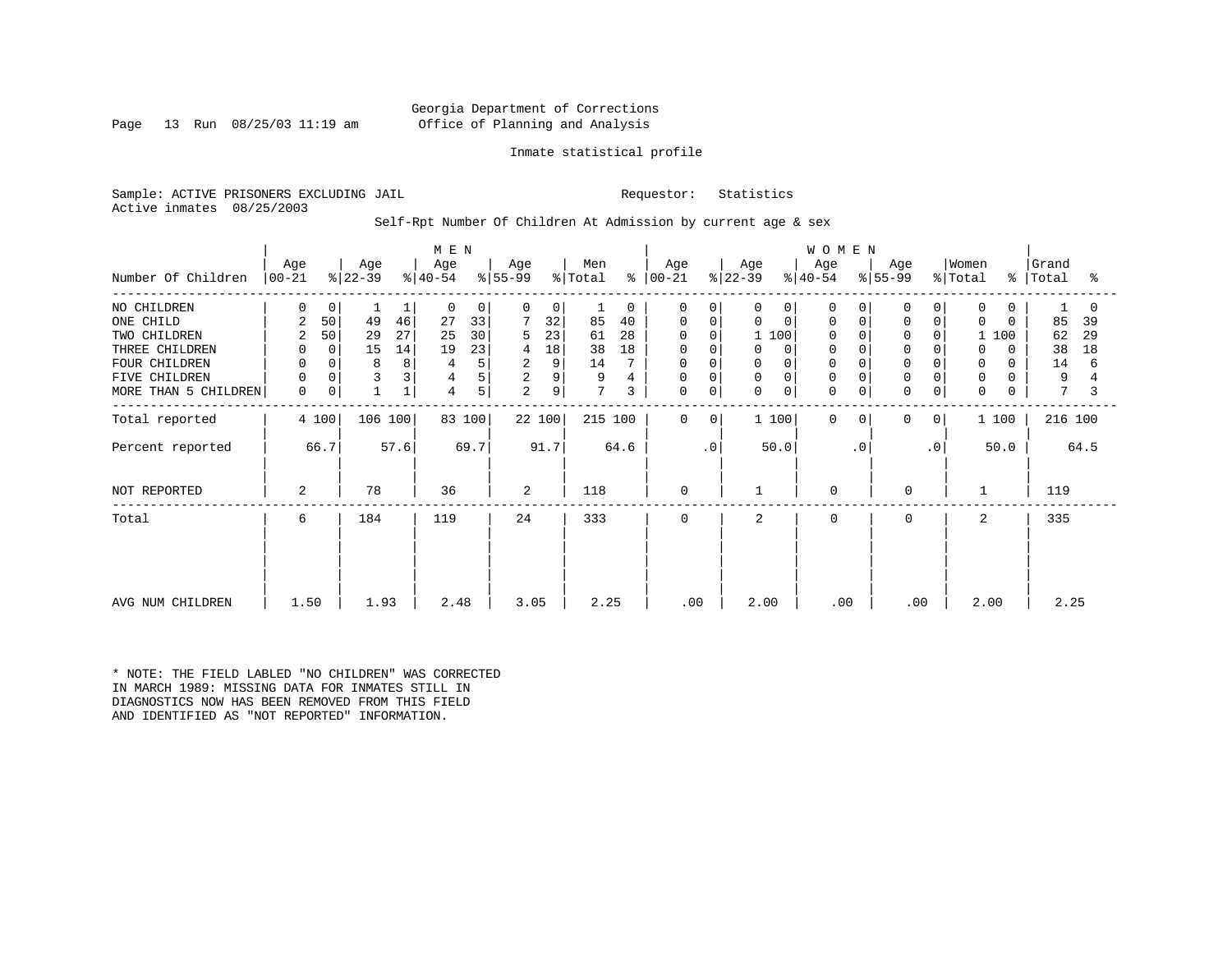# Georgia Department of Corrections Page 13 Run 08/25/03 11:19 am Office of Planning and Analysis

# Inmate statistical profile

Sample: ACTIVE PRISONERS EXCLUDING JAIL Requestor: Statistics Active inmates 08/25/2003

# Self-Rpt Number Of Children At Admission by current age & sex

|                      |                  |                |                  |             | M E N            |        |                  |        |                |               |                  |             |                  |                | <b>WOMEN</b>     |           |                  |             |                  |               |                |      |
|----------------------|------------------|----------------|------------------|-------------|------------------|--------|------------------|--------|----------------|---------------|------------------|-------------|------------------|----------------|------------------|-----------|------------------|-------------|------------------|---------------|----------------|------|
| Number Of Children   | Age<br>$ 00-21 $ |                | Age<br>$ 22-39 $ |             | Age<br>$ 40-54 $ |        | Age<br>$ 55-99 $ |        | Men<br>% Total | $\frac{8}{6}$ | Age<br>$ 00-21 $ |             | Age<br>$ 22-39 $ |                | Age<br>$ 40-54 $ |           | Age<br>$ 55-99 $ |             | Women<br>% Total | $\frac{8}{3}$ | Grand<br>Total | °≈   |
|                      |                  |                |                  |             |                  |        |                  |        |                |               |                  |             |                  |                |                  |           |                  |             |                  |               |                |      |
| NO CHILDREN          | 0                | 0              |                  | 1           | 0                | 0      | $\Omega$         | 0      |                | 0             | $\Omega$         | $\Omega$    | 0                | $\overline{0}$ | $\Omega$         |           | $\Omega$         | 0           | $\mathbf 0$      | 0             |                |      |
| ONE CHILD            | 2                | 50             | 49               | 46          | 27               | 33     |                  | 32     | 85             | 40            | 0                | 0           | 0                | 0              | 0                |           | $\Omega$         | 0           | $\Omega$         | $\Omega$      | 85             | 39   |
| TWO CHILDREN         | 2                | 50             | 29               | 27          | 25               | 30     | 5                | 23     | 61             | 28            |                  | $\Omega$    | 1 100            |                | 0                |           |                  |             |                  | 100           | 62             | 29   |
| THREE CHILDREN       | 0                | $\overline{0}$ | 15               | 14          | 19               | 23     | 4                | 18     | 38             | 18            | 0                | 0           | $\Omega$         | $\Omega$       | $\mathbf 0$      |           | $\Omega$         |             | 0                | $\Omega$      | 38             | 18   |
| FOUR CHILDREN        | $\mathbf 0$      |                | 8                | 8           |                  | 5      | 2                | 9      | 14             |               | 0                |             | 0                |                | $\Omega$         |           |                  |             | 0                | $\Omega$      | 14             | 6    |
| FIVE CHILDREN        | 0                |                | 3                | 3           | 4                | 5      | $\overline{c}$   | 9      | 9              |               | 0                | $\Omega$    | 0                | 0              | $\Omega$         |           | $\Omega$         |             | 0                |               | 9              |      |
| MORE THAN 5 CHILDREN | $\mathsf{O}$     | 0              |                  | $\mathbf 1$ | 4                | 5      | 2                | 9      | 7              | 3             | 0                | $\mathbf 0$ | 0                | 0              | $\Omega$         | 0         | $\mathbf 0$      | $\mathbf 0$ | $\mathbf 0$      | 0             | 7              |      |
| Total reported       |                  | 4 100          | 106 100          |             |                  | 83 100 |                  | 22 100 | 215 100        |               | $\mathbf 0$      | 0           | 1100             |                | $\Omega$         | $\Omega$  | 0                | 0           |                  | 1 100         | 216 100        |      |
| Percent reported     |                  | 66.7           |                  | 57.6        |                  | 69.7   |                  | 91.7   |                | 64.6          |                  | $\cdot$ 0   |                  | 50.0           |                  | $\cdot$ 0 |                  | $\cdot$ 0   |                  | 50.0          |                | 64.5 |
| NOT REPORTED         | 2                |                | 78               |             | 36               |        | 2                |        | 118            |               | $\mathbf 0$      |             |                  |                | $\mathbf 0$      |           | 0                |             | $\mathbf{1}$     |               | 119            |      |
| Total                | 6                |                | 184              |             | 119              |        | 24               |        | 333            |               | $\mathbf 0$      |             | 2                |                | $\Omega$         |           | $\mathbf 0$      |             | 2                |               | 335            |      |
|                      |                  |                |                  |             |                  |        |                  |        |                |               |                  |             |                  |                |                  |           |                  |             |                  |               |                |      |
|                      |                  |                |                  |             |                  |        |                  |        |                |               |                  |             |                  |                |                  |           |                  |             |                  |               |                |      |
| AVG NUM CHILDREN     | 1.50             |                | 1.93             |             | 2.48             |        | 3.05             |        | 2.25           |               | .00              |             | 2.00             |                | .00              |           | .00              |             | 2.00             |               | 2.25           |      |

\* NOTE: THE FIELD LABLED "NO CHILDREN" WAS CORRECTED IN MARCH 1989: MISSING DATA FOR INMATES STILL IN DIAGNOSTICS NOW HAS BEEN REMOVED FROM THIS FIELD AND IDENTIFIED AS "NOT REPORTED" INFORMATION.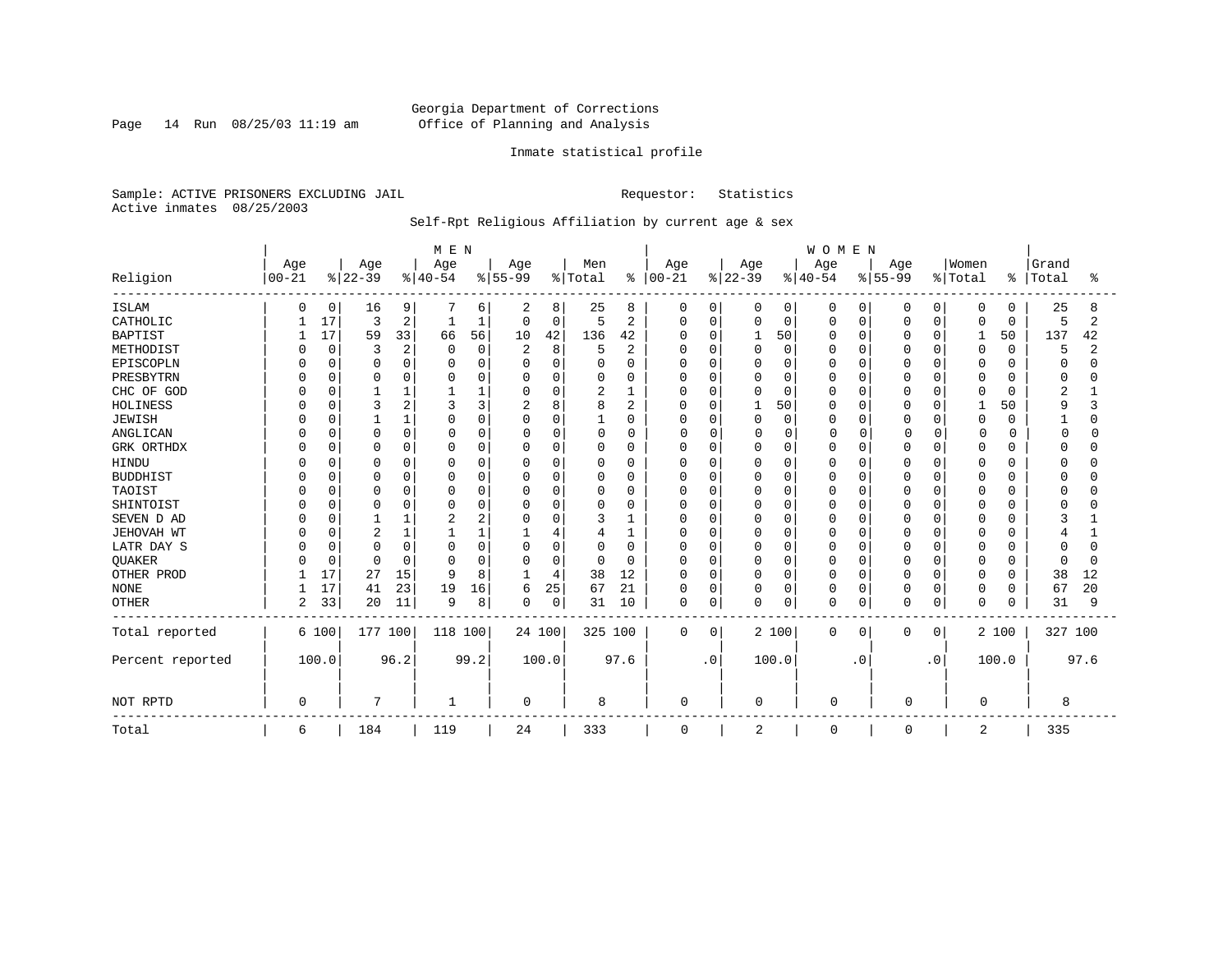Page 14 Run 08/25/03 11:19 am

# Inmate statistical profile

Sample: ACTIVE PRISONERS EXCLUDING JAIL Requestor: Statistics Active inmates 08/25/2003

# Self-Rpt Religious Affiliation by current age & sex

|                  |            |             |                |                | M E N    |             |                |          |          |      |               |             |              |             | <b>WOMEN</b> |             |          |             |          |          |              |      |
|------------------|------------|-------------|----------------|----------------|----------|-------------|----------------|----------|----------|------|---------------|-------------|--------------|-------------|--------------|-------------|----------|-------------|----------|----------|--------------|------|
|                  | Age        |             | Age            |                | Age      |             | Age            |          | Men      |      | Age           |             | Age          |             | Age          |             | Age      |             | Women    |          | Grand        |      |
| Religion         | $ 00 - 21$ |             | $ 22-39$       |                | $ 40-54$ |             | $8 55-99$      |          | % Total  |      | $8   00 - 21$ |             | $ 22-39$     |             | $ 40-54$     |             | $ 55-99$ |             | % Total  | ႜ        | Total        | °    |
| <b>ISLAM</b>     | $\Omega$   | 0           | 16             | 9              |          | 6           | 2              | 8        | 25       | 8    | 0             | 0           |              | 0           | $\Omega$     | 0           | 0        | 0           | 0        | $\Omega$ | 25           | 8    |
| CATHOLIC         |            | 17          | 3              | 2              | 1        | 1           | 0              | 0        | 5        | 2    | 0             | $\mathbf 0$ | 0            | $\mathbf 0$ | $\Omega$     | $\mathbf 0$ | 0        | $\mathbf 0$ | 0        | 0        | 5            | 2    |
| <b>BAPTIST</b>   |            | 17          | 59             | 33             | 66       | 56          | 10             | 42       | 136      | 42   | $\Omega$      | 0           |              | 50          | 0            | $\Omega$    | 0        | $\Omega$    | 1        | 50       | 137          | 42   |
| METHODIST        |            | $\mathbf 0$ | 3              | 2              | $\Omega$ | $\mathbf 0$ | $\overline{2}$ | 8        | 5        | 2    |               | $\mathbf 0$ | $\Omega$     | $\mathbf 0$ | O            | 0           | O        | 0           | 0        | 0        | 5            |      |
| EPISCOPLN        |            | O           | $\Omega$       | $\Omega$       |          | $\Omega$    | 0              | 0        |          | 0    |               | $\Omega$    |              | $\Omega$    |              | $\Omega$    | 0        | $\Omega$    | 0        | $\Omega$ | <sup>0</sup> |      |
| PRESBYTRN        |            | $\Omega$    | $\Omega$       | $\Omega$       |          | U           | $\Omega$       | 0        | 0        | 0    | $\Omega$      | $\Omega$    |              | $\Omega$    | 0            | $\Omega$    | 0        | $\Omega$    | 0        | $\Omega$ | $\Omega$     |      |
| CHC OF GOD       |            | U           |                |                |          |             | $\Omega$       | O        | 2        |      | $\Omega$      | $\Omega$    | <sup>0</sup> | $\Omega$    | N            | $\cap$      | O        | $\Omega$    | O        | $\Omega$ | 2            |      |
| <b>HOLINESS</b>  |            |             | 3              | $\overline{c}$ |          | ζ           | $\overline{2}$ | 8        | 8        | 2    | $\Omega$      | $\Omega$    |              | 50          | U            | $\Omega$    | O        | $\Omega$    | 1        | 50       | 9            |      |
| <b>JEWISH</b>    |            | U           |                |                | ∩        | 0           | $\Omega$       | 0        |          | 0    | <sup>0</sup>  | $\Omega$    | $\Omega$     | $\mathbf 0$ | O            | $\Omega$    | O        | $\Omega$    | $\Omega$ | O        |              | U    |
| ANGLICAN         |            | U           | $\Omega$       |                | n        | U           | 0              | 0        | 0        | 0    | n             | $\Omega$    |              | $\mathbf 0$ |              | $\Omega$    | 0        | O           | $\Omega$ |          | ∩            |      |
| GRK ORTHDX       |            | $\Omega$    | n              |                | $\Omega$ | 0           | $\Omega$       | $\Omega$ | $\Omega$ | 0    | $\Omega$      | $\mathbf 0$ |              | $\mathbf 0$ | O            | O           | O        | $\Omega$    | $\Omega$ | O        | $\Omega$     |      |
| <b>HINDU</b>     |            |             | $\Omega$       |                | C        | 0           | 0              | 0        | 0        | 0    | $\Omega$      | $\mathbf 0$ |              | $\mathbf 0$ | N            | $\Omega$    | O        | 0           | 0        | O        | <sup>0</sup> |      |
| <b>BUDDHIST</b>  |            |             | $\Omega$       | $\Omega$       |          | $\Omega$    | 0              | 0        | 0        | 0    | $\Omega$      | $\Omega$    |              | $\Omega$    |              | $\Omega$    | 0        | 0           | 0        | O        |              |      |
| TAOIST           |            |             | $\Omega$       |                | C        | $\cap$      | $\Omega$       | 0        | 0        | 0    | 0             | $\Omega$    |              | $\Omega$    |              | $\Omega$    | 0        | $\Omega$    | 0        | O        | <sup>0</sup> |      |
| SHINTOIST        |            |             | $\Omega$       | $\cap$         | O        | U           | $\Omega$       | O        | U        | 0    | <sup>0</sup>  | $\Omega$    | ∩            | $\Omega$    | N            | $\cap$      | O        | $\Omega$    | U        | $\Omega$ | n            |      |
| SEVEN D AD       |            |             |                |                |          | 2           | $\Omega$       | $\cap$   | 3        |      | $\Omega$      | $\Omega$    | $\cap$       | $\Omega$    | $\cap$       | $\cap$      | O        | $\Omega$    | 0        | $\Omega$ | 3            |      |
| JEHOVAH WT       |            |             | $\overline{c}$ |                |          |             |                | 4        | 4        |      | <sup>0</sup>  | $\Omega$    | $\Omega$     | $\Omega$    | O            | $\Omega$    | O        | $\Omega$    | $\Omega$ | O        | 4            |      |
| LATR DAY S       |            | O           | $\Omega$       |                | C        | 0           | $\Omega$       | 0        | 0        | 0    | <sup>0</sup>  | $\mathbf 0$ |              | $\mathbf 0$ | Ω            | $\Omega$    | 0        | $\Omega$    | $\Omega$ | 0        | $\Omega$     |      |
| <b>OUAKER</b>    |            | $\Omega$    | $\cap$         |                | $\cap$   | 0           | $\Omega$       | 0        | $\Omega$ | 0    | $\Omega$      | $\Omega$    |              | 0           | O            | $\Omega$    | O        | $\Omega$    | 0        | O        | $\Omega$     | ∩    |
| OTHER PROD       |            | 17          | 27             | 15             | q        | 8           |                | 4        | 38       | 12   | $\Omega$      | $\Omega$    | 0            | $\Omega$    | O            | $\Omega$    | 0        | $\Omega$    | 0        | 0        | 38           | 12   |
| <b>NONE</b>      |            | 17          | 41             | 23             | 19       | 16          | 6              | 25       | 67       | 21   | $\Omega$      | $\Omega$    | $\Omega$     | $\mathbf 0$ | 0            | $\mathbf 0$ | 0        | 0           | 0        | $\Omega$ | 67           | 20   |
| <b>OTHER</b>     | 2          | 33          | 20             | 11             | 9        | 8           | $\Omega$       | 0        | 31       | 10   | $\Omega$      | 0           | 0            | $\mathbf 0$ | $\Omega$     | 0           | 0        | 0           | 0        | 0        | 31           | 9    |
| Total reported   |            | 6 100       | 177            | 100            | 118 100  |             | 24 100         |          | 325 100  |      | $\Omega$      | 0           |              | 2 100       | 0            | 0           | 0        | 0           |          | 2 100    | 327 100      |      |
| Percent reported |            | 100.0       |                | 96.2           |          | 99.2        |                | 100.0    |          | 97.6 |               | $\cdot$ 0   |              | 100.0       |              | . 0         |          | $\cdot$ 0   |          | 100.0    |              | 97.6 |
| NOT RPTD         | $\Omega$   |             | 7              |                | 1        |             | $\Omega$       |          | 8        |      | $\Omega$      |             | 0            |             | $\Omega$     |             | $\Omega$ |             | $\Omega$ |          | 8            |      |
| Total            | 6          |             | 184            |                | 119      |             | 24             |          | 333      |      | 0             |             | 2            |             | 0            |             | 0        |             | 2        |          | 335          |      |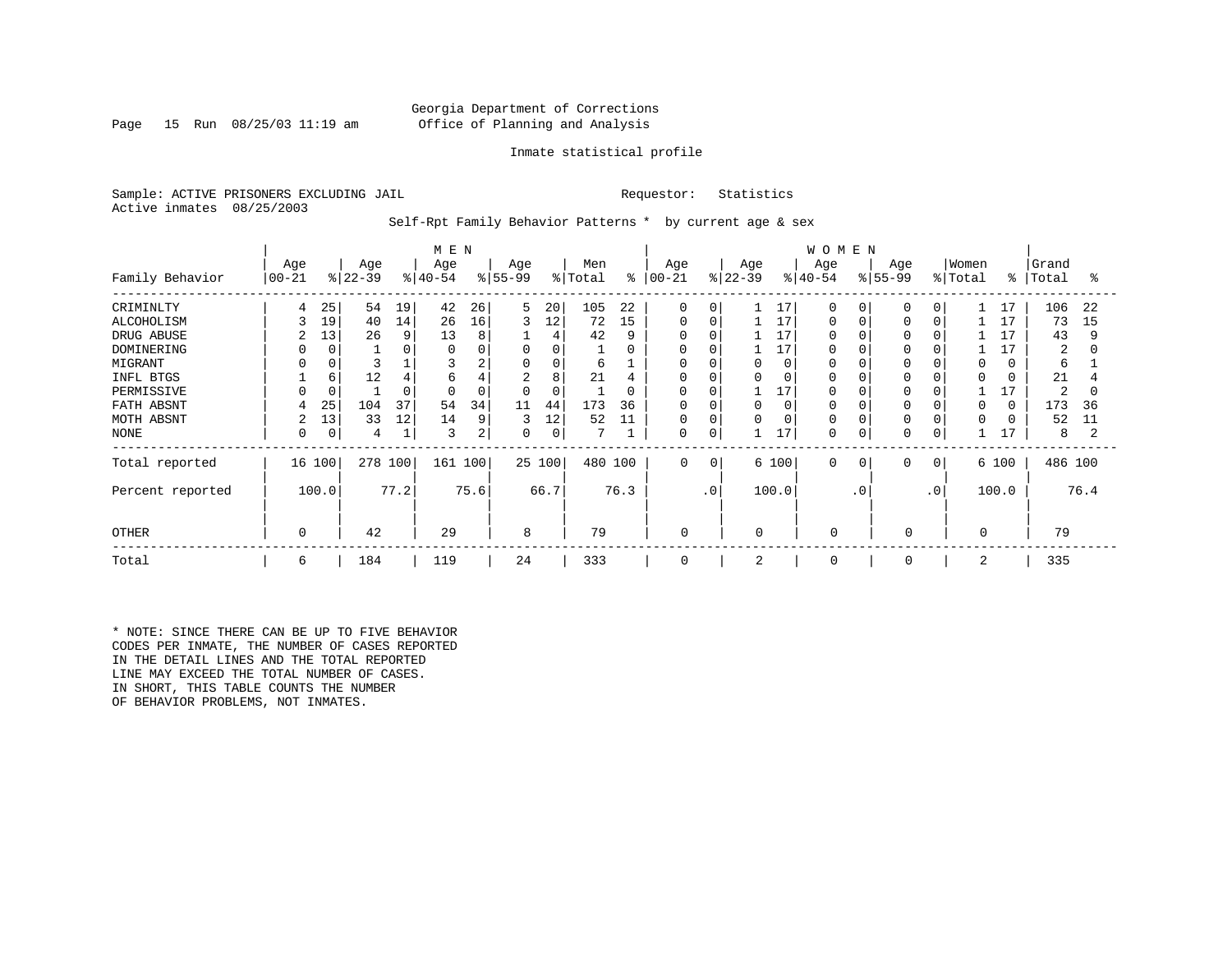# Georgia Department of Corrections Page 15 Run 08/25/03 11:19 am Office of Planning and Analysis

### Inmate statistical profile

Sample: ACTIVE PRISONERS EXCLUDING JAIL **Requestor:** Statistics Active inmates 08/25/2003

Self-Rpt Family Behavior Patterns \* by current age & sex

|                  |                |             |           |      | M E N        |      |                |        |         |          |             |           |           |          | <b>WOMEN</b> |             |           |                 |          |          |         |      |
|------------------|----------------|-------------|-----------|------|--------------|------|----------------|--------|---------|----------|-------------|-----------|-----------|----------|--------------|-------------|-----------|-----------------|----------|----------|---------|------|
|                  | Age            |             | Age       |      | Age          |      | Age            |        | Men     |          | Age         |           | Age       |          | Age          |             | Age       |                 | Women    |          | Grand   |      |
| Family Behavior  | $00 - 21$      |             | $ 22-39 $ |      | $ 40-54 $    |      | $ 55-99$       |        | % Total | ႜ        | $00 - 21$   |           | $ 22-39 $ |          | $ 40-54$     |             | $ 55-99 $ |                 | % Total  | ွေ       | Total   | ႜ    |
| CRIMINLTY        |                | 25          | 54        | 19   | 42           | 26   | 5              | 20     | 105     | 22       | $\Omega$    | $\Omega$  |           | 17       | $\Omega$     | $\Omega$    | $\Omega$  | $\Omega$        |          | 17       | 106     | 22   |
| ALCOHOLISM       |                | 19          | 40        | 14   | 26           | 16   | 3              | 12     | 72      | 15       | $\Omega$    | $\Omega$  |           | 17       | $\Omega$     |             | $\Omega$  | $\Omega$        |          | 17       | 73      | 15   |
| DRUG ABUSE       | 2              | 13          | 26        | 9    | 13           | 8    |                | 4      | 42      | 9        | 0           | O         |           | 17       |              |             |           |                 |          | 17       | 43      | 9    |
| DOMINERING       |                |             |           | 0    |              |      | 0              | 0      |         | 0        | 0           |           |           | 17       |              |             |           |                 |          |          | 2       | 0    |
| MIGRANT          |                |             |           |      |              | 2    | 0              | 0      | 6       |          | 0           | 0         | 0         | $\Omega$ |              |             | $\Omega$  |                 | $\Omega$ | 0        | 6       |      |
| INFL BTGS        |                | 6           | 12        | 4    | 6            |      | $\overline{2}$ | 8      | 21      | 4        | 0           | 0         | 0         |          |              |             |           |                 | $\Omega$ |          | 21      |      |
| PERMISSIVE       |                |             |           | 0    | <sup>0</sup> | 0    | $\Omega$       | 0      |         | $\Omega$ | $\Omega$    | $\Omega$  |           | 17       | $\Omega$     |             | $\Omega$  |                 |          |          | 2       | O    |
| FATH ABSNT       |                | 25          | 104       | 37   | 54           | 34   | 11             | 44     | 173     | 36       | $\Omega$    | $\Omega$  | $\Omega$  |          |              |             | 0         |                 | $\Omega$ | $\Omega$ | 173     | 36   |
| MOTH ABSNT       | $\overline{c}$ | 13          | 33        | 12   | 14           | 9    | 3              | 12     | 52      | 11       | $\Omega$    | $\Omega$  | $\Omega$  |          | $\Omega$     |             |           |                 | $\Omega$ |          | 52      | 11   |
| NONE             | 0              | $\mathbf 0$ | 4         |      | 3            | 2    | 0              | 0      |         |          | 0           | 0         |           | 17       | $\Omega$     |             | 0         | 0               |          | 17       | 8       |      |
| Total reported   | 16 100         |             | 278 100   |      | 161 100      |      |                | 25 100 | 480 100 |          | $\mathbf 0$ | 0         |           | 6 100    | $\mathbf 0$  | $\mathbf 0$ | 0         | 0 <sup>1</sup>  |          | 6 100    | 486 100 |      |
| Percent reported |                | 100.0       |           | 77.2 |              | 75.6 |                | 66.7   |         | 76.3     |             | $\cdot$ 0 |           | 100.0    |              | $\cdot$ 0   |           | .0 <sup>°</sup> |          | 100.0    |         | 76.4 |
| <b>OTHER</b>     | $\Omega$       |             | 42        |      | 29           |      | 8              |        | 79      |          | 0           |           | $\Omega$  |          | $\Omega$     |             | 0         |                 | $\Omega$ |          | 79      |      |
| Total            | 6              |             | 184       |      | 119          |      | 24             |        | 333     |          | 0           |           | 2         |          | $\mathbf 0$  |             | 0         |                 | 2        |          | 335     |      |

\* NOTE: SINCE THERE CAN BE UP TO FIVE BEHAVIOR CODES PER INMATE, THE NUMBER OF CASES REPORTED IN THE DETAIL LINES AND THE TOTAL REPORTED LINE MAY EXCEED THE TOTAL NUMBER OF CASES. IN SHORT, THIS TABLE COUNTS THE NUMBER OF BEHAVIOR PROBLEMS, NOT INMATES.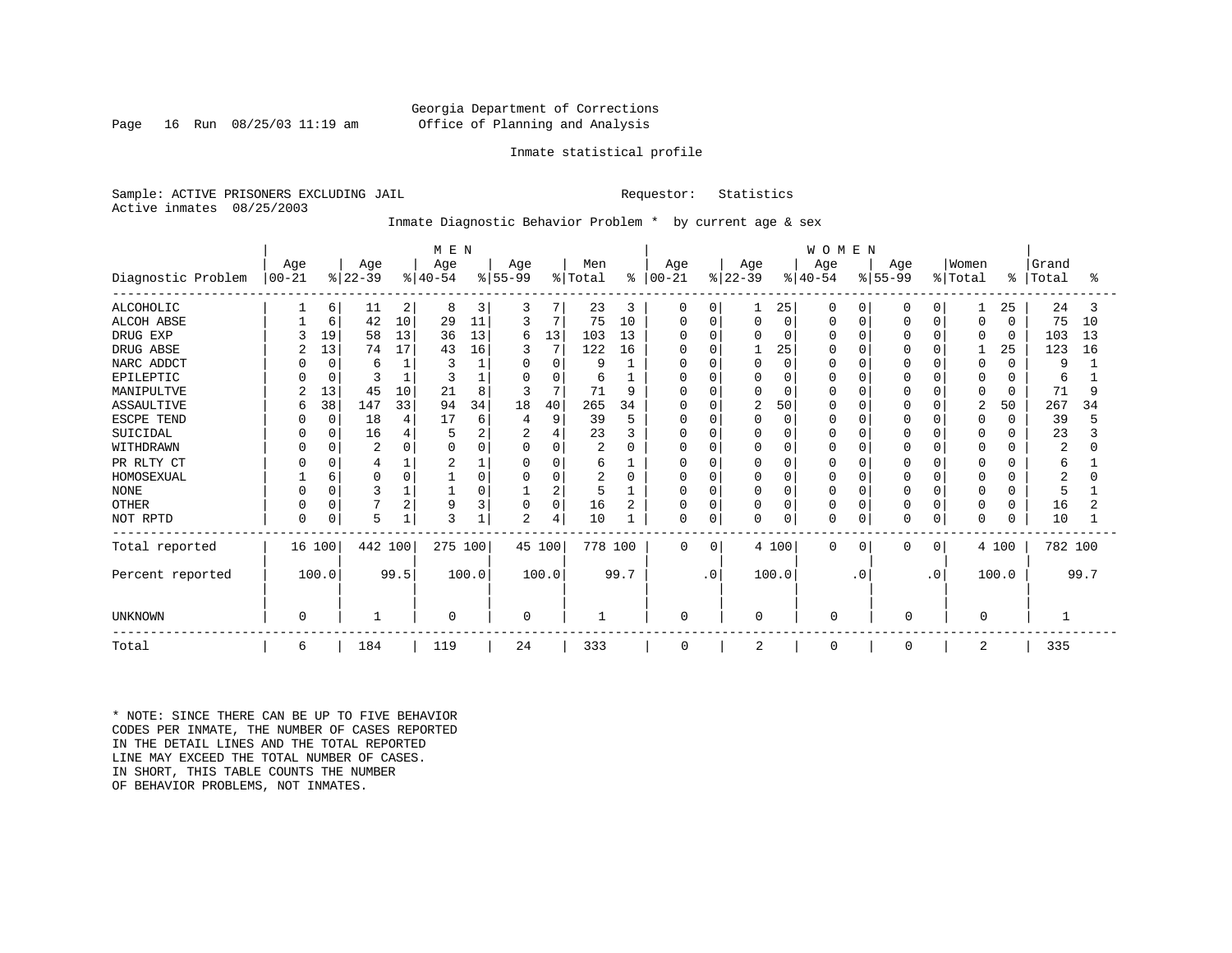# Georgia Department of Corrections Page 16 Run 08/25/03 11:19 am Office of Planning and Analysis

### Inmate statistical profile

Sample: ACTIVE PRISONERS EXCLUDING JAIL **Requestor:** Statistics Active inmates 08/25/2003

# Inmate Diagnostic Behavior Problem \* by current age & sex

|                    | M E N             |          |                  |      |                  |        |                 |             |                |      |                      |             |                  |          | WOMEN            |             |                  |              |                  |          |                |      |
|--------------------|-------------------|----------|------------------|------|------------------|--------|-----------------|-------------|----------------|------|----------------------|-------------|------------------|----------|------------------|-------------|------------------|--------------|------------------|----------|----------------|------|
| Diagnostic Problem | Age<br>$ 00 - 21$ |          | Age<br>$ 22-39 $ |      | Age<br>$ 40-54 $ |        | Age<br>$ 55-99$ |             | Men<br>% Total |      | Age<br>$8   00 - 21$ |             | Age<br>$ 22-39 $ |          | Age<br>$ 40-54 $ |             | Age<br>$ 55-99 $ |              | Women<br>% Total | ႜ        | Grand<br>Total | °≈   |
|                    |                   |          |                  |      |                  |        |                 |             |                |      |                      |             |                  |          |                  |             |                  |              |                  |          |                |      |
| <b>ALCOHOLIC</b>   |                   | 6        | 11               | 2    | 8                | 3      | 3               |             | 23             | 3    | 0                    | 0           |                  | 25       | $\Omega$         | 0           | 0                | 0            | 1                | 25       | 24             | 3    |
| <b>ALCOH ABSE</b>  |                   | 6        | 42               | 10   | 29               | 11     | 3               | 7           | 75             | 10   | 0                    | 0           | $\Omega$         | 0        |                  | 0           | O                | $\Omega$     | 0                | $\Omega$ | 75             | 10   |
| DRUG EXP           |                   | 19       | 58               | 13   | 36               | 13     | 6               | 13          | 103            | 13   | O                    | O           |                  | 0        |                  | $\Omega$    |                  | $\Omega$     | $\Omega$         | $\Omega$ | 103            | 13   |
| DRUG ABSE          |                   | 13       | 74               | 17   | 43               | 16     | 3               |             | 122            | 16   | O                    | O           |                  | 25       |                  | $\Omega$    |                  | $\Omega$     |                  | 25       | 123            | 16   |
| NARC ADDCT         |                   | $\Omega$ | 6                |      |                  |        | $\Omega$        | $\Omega$    | 9              |      | O                    | O           |                  | $\Omega$ |                  | $\Omega$    | O                | $\Omega$     | $\Omega$         | $\Omega$ | 9              |      |
| EPILEPTIC          |                   | $\Omega$ |                  |      |                  |        | $\Omega$        | $\Omega$    | 6              |      | 0                    | O           |                  | $\Omega$ |                  | $\Omega$    |                  | $\Omega$     | 0                | O        | 6              |      |
| MANIPULTVE         |                   | 13       | 45               | 10   | 21               | 8      | 3               | 7           | 71             | 9    |                      | O           |                  | $\Omega$ |                  | $\Omega$    |                  | $\cap$       | 0                | $\Omega$ | 71             | 9    |
| ASSAULTIVE         | 6                 | 38       | 147              | 33   | 94               | 34     | 18              | 40          | 265            | 34   | $\Omega$             | O           | $\overline{c}$   | 50       |                  | $\Omega$    | $\Omega$         | $\Omega$     | $\overline{2}$   | 50       | 267            | 34   |
| ESCPE TEND         |                   | $\Omega$ | 18               |      | 17               | 6      | 4               | 9           | 39             | 5    | 0                    | 0           |                  | 0        |                  | $\Omega$    |                  | $\cap$       | 0                | $\Omega$ | 39             |      |
| SUICIDAL           |                   |          | 16               |      |                  |        | $\overline{2}$  | 4           | 23             | 3    | O                    | $\Omega$    |                  | $\Omega$ |                  | $\Omega$    |                  |              | <sup>0</sup>     |          | 23             |      |
| WITHDRAWN          |                   |          | 2                |      |                  |        | $\Omega$        | $\Omega$    | $\overline{c}$ | U    | O                    | O           |                  | $\Omega$ |                  | $\Omega$    |                  | $\cap$       | 0                |          | 2              |      |
| PR RLTY CT         |                   |          |                  |      | 2                |        | 0               | 0           | 6              |      | 0                    | 0           |                  | 0        |                  | $\Omega$    | 0                | <sup>0</sup> | 0                |          | 6              |      |
| HOMOSEXUAL         |                   | 6        | $\Omega$         |      |                  | $\cap$ | $\Omega$        | 0           | 2              | O    | <sup>0</sup>         | 0           |                  | $\Omega$ |                  | $\Omega$    | O                | $\cap$       | $\Omega$         | U        |                |      |
| <b>NONE</b>        |                   |          | 3                |      |                  |        |                 | 2           | 5              |      | 0                    | 0           |                  | $\Omega$ |                  | $\Omega$    | 0                | $\Omega$     | $\Omega$         | O        | 5              |      |
| <b>OTHER</b>       |                   |          |                  | 2    | 9                | 3      | $\Omega$        | $\mathbf 0$ | 16             |      | 0                    | 0           | <sup>0</sup>     | 0        |                  | $\mathbf 0$ | <sup>0</sup>     | $\Omega$     | 0                | 0        | 16             |      |
| NOT RPTD           | O                 | $\Omega$ | 5                |      | 3                |        | $\overline{c}$  | 4           | 10             |      | $\Omega$             | 0           |                  | 0        | n                | $\mathbf 0$ |                  | $\Omega$     | $\Omega$         | 0        | 10             |      |
| Total reported     | 16 100            |          | 442 100          |      | 275 100          |        |                 | 45 100      | 778 100        |      | $\mathbf 0$          | $\mathbf 0$ |                  | 4 100    | 0                | 0           | $\Omega$         | $\Omega$     |                  | 4 100    | 782 100        |      |
| Percent reported   |                   | 100.0    |                  | 99.5 |                  | 100.0  |                 | 100.0       |                | 99.7 |                      | $\cdot$ 0   |                  | 100.0    |                  | $\cdot$ 0   |                  | $\cdot$ 0    |                  | 100.0    |                | 99.7 |
| <b>UNKNOWN</b>     | $\Omega$          |          |                  |      | $\Omega$         |        | 0               |             |                |      | $\mathbf 0$          |             | 0                |          | 0                |             | 0                |              | 0                |          |                |      |
| Total              | 6                 |          | 184              |      | 119              |        | 24              |             | 333            |      | 0                    |             | 2                |          | 0                |             | 0                |              | 2                |          | 335            |      |

\* NOTE: SINCE THERE CAN BE UP TO FIVE BEHAVIOR CODES PER INMATE, THE NUMBER OF CASES REPORTED IN THE DETAIL LINES AND THE TOTAL REPORTED LINE MAY EXCEED THE TOTAL NUMBER OF CASES. IN SHORT, THIS TABLE COUNTS THE NUMBER OF BEHAVIOR PROBLEMS, NOT INMATES.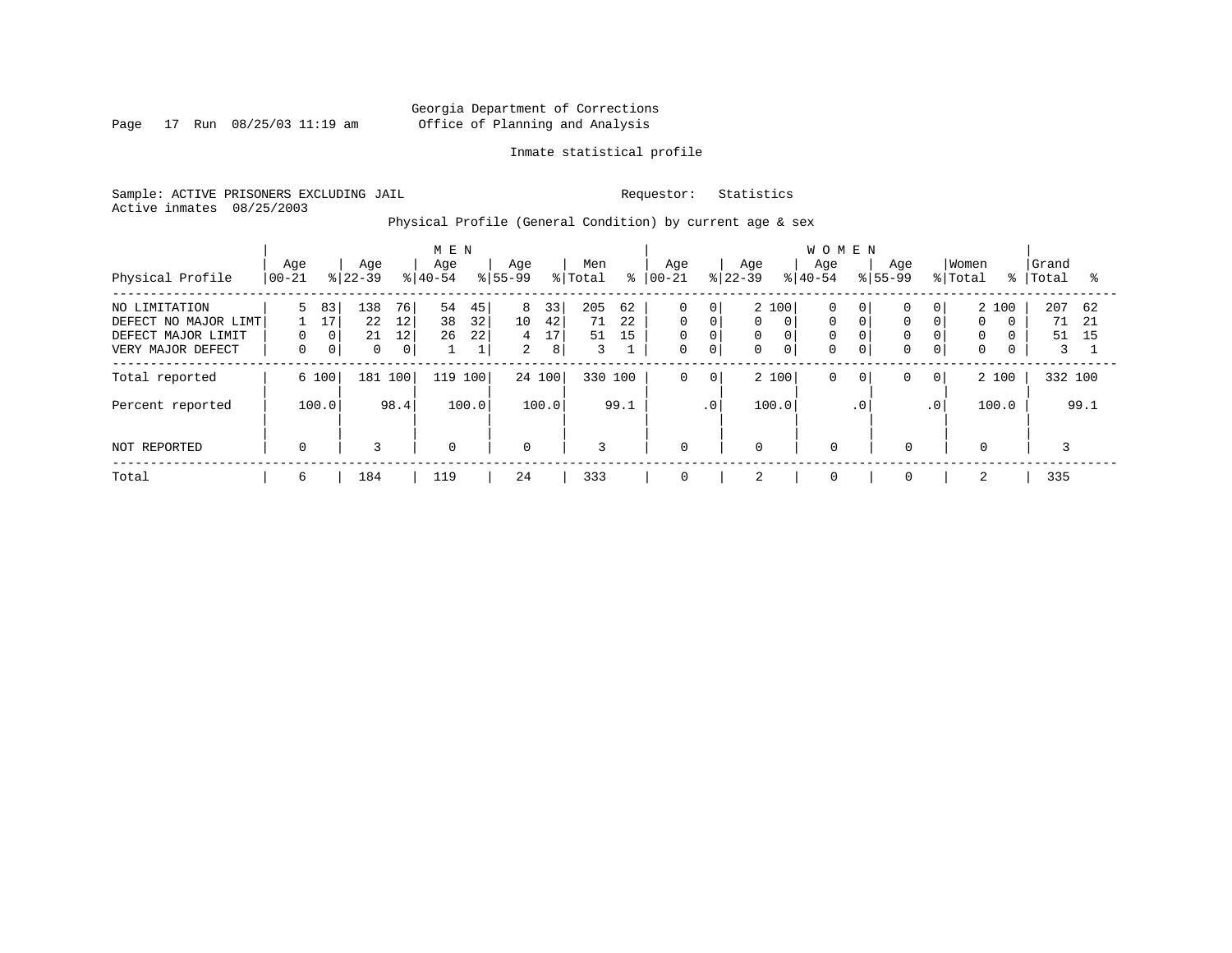Page 17 Run 08/25/03 11:19 am

# Inmate statistical profile

Sample: ACTIVE PRISONERS EXCLUDING JAIL Requestor: Statistics Active inmates 08/25/2003

Physical Profile (General Condition) by current age & sex

|                      |                  |             |                  |                | M E N            |       |                    |       |                |      |                 |                |                  |             | <b>WOMEN</b>     |                |             |                |                  |          |                |      |
|----------------------|------------------|-------------|------------------|----------------|------------------|-------|--------------------|-------|----------------|------|-----------------|----------------|------------------|-------------|------------------|----------------|-------------|----------------|------------------|----------|----------------|------|
| Physical Profile     | Age<br>$00 - 21$ |             | Age<br>$ 22-39 $ |                | Age<br>$8 40-54$ |       | Age<br>$8155 - 99$ |       | Men<br>% Total | ៖    | Age<br>$ 00-21$ |                | Age<br>$ 22-39 $ |             | Age<br>$8 40-54$ | $8155 - 99$    | Aqe         |                | Women<br>% Total | ႜႜ       | Grand<br>Total | °≈   |
|                      |                  |             |                  |                |                  |       |                    |       |                |      |                 |                |                  |             |                  |                |             |                |                  |          |                |      |
| NO LIMITATION        | 5.               | 83          | 138              | 76             | 54               | 45    | 8                  | 33    | 205            | 62   | $\mathbf 0$     | $\overline{0}$ | 2 100            |             | 0                | 0              | $\Omega$    | 0 <sup>1</sup> | 2 100            |          | 207            | 62   |
| DEFECT NO MAJOR LIMT |                  | 17          | 22               | 12             | 38               | 32    | 10 <sup>°</sup>    | 42    | 71             | 22   | $\mathbf 0$     | 0              | 0                | $\Omega$    | $\mathbf 0$      | $\Omega$       | $\Omega$    | $\Omega$       | $\Omega$         | $\Omega$ | 71             | -21  |
| DEFECT MAJOR LIMIT   | 0                | 0           | 21               | 12             | 26               | 22    | 4                  | 17    | 51             | 15   | $\mathbf 0$     | 0              | 0                | 0           | 0                |                | $\Omega$    | 0              | 0                |          | 51             | 15   |
| VERY MAJOR DEFECT    | $\Omega$         | $\mathbf 0$ | $\Omega$         | 0 <sup>1</sup> |                  | 1     | $\overline{2}$     | 8     | 3              |      | $\mathbf 0$     | $\mathbf{0}$   | $\Omega$         | $\mathbf 0$ | $\Omega$         | 0              | $\Omega$    | $\overline{0}$ | $\mathbf 0$      |          | 3              |      |
| Total reported       |                  | 6 100       | 181 100          |                | 119              | 100   | 24 100             |       | 330 100        |      | $\mathbf 0$     | $\mathbf 0$    | 2 100            |             | 0                | 0 <sub>1</sub> | 0           | $\mathbf{0}$   | 2 100            |          | 332 100        |      |
| Percent reported     |                  | 100.0       |                  | 98.4           |                  | 100.0 |                    | 100.0 |                | 99.1 |                 | $\cdot$ 0      | 100.0            |             |                  | $\cdot$ 0      |             | $\cdot$ 0      | 100.0            |          |                | 99.1 |
| NOT REPORTED         | $\mathbf 0$      |             | 3                |                | $\mathbf 0$      |       | $\mathbf 0$        |       | 3              |      | $\mathbf 0$     |                | $\mathbf 0$      |             | $\Omega$         |                | $\mathbf 0$ |                | $\mathbf 0$      |          |                |      |
| Total                | 6                |             | 184              |                | 119              |       | 24                 |       | 333            |      | 0               |                | 2                |             | $\mathbf 0$      |                | $\mathbf 0$ |                | 2                |          | 335            |      |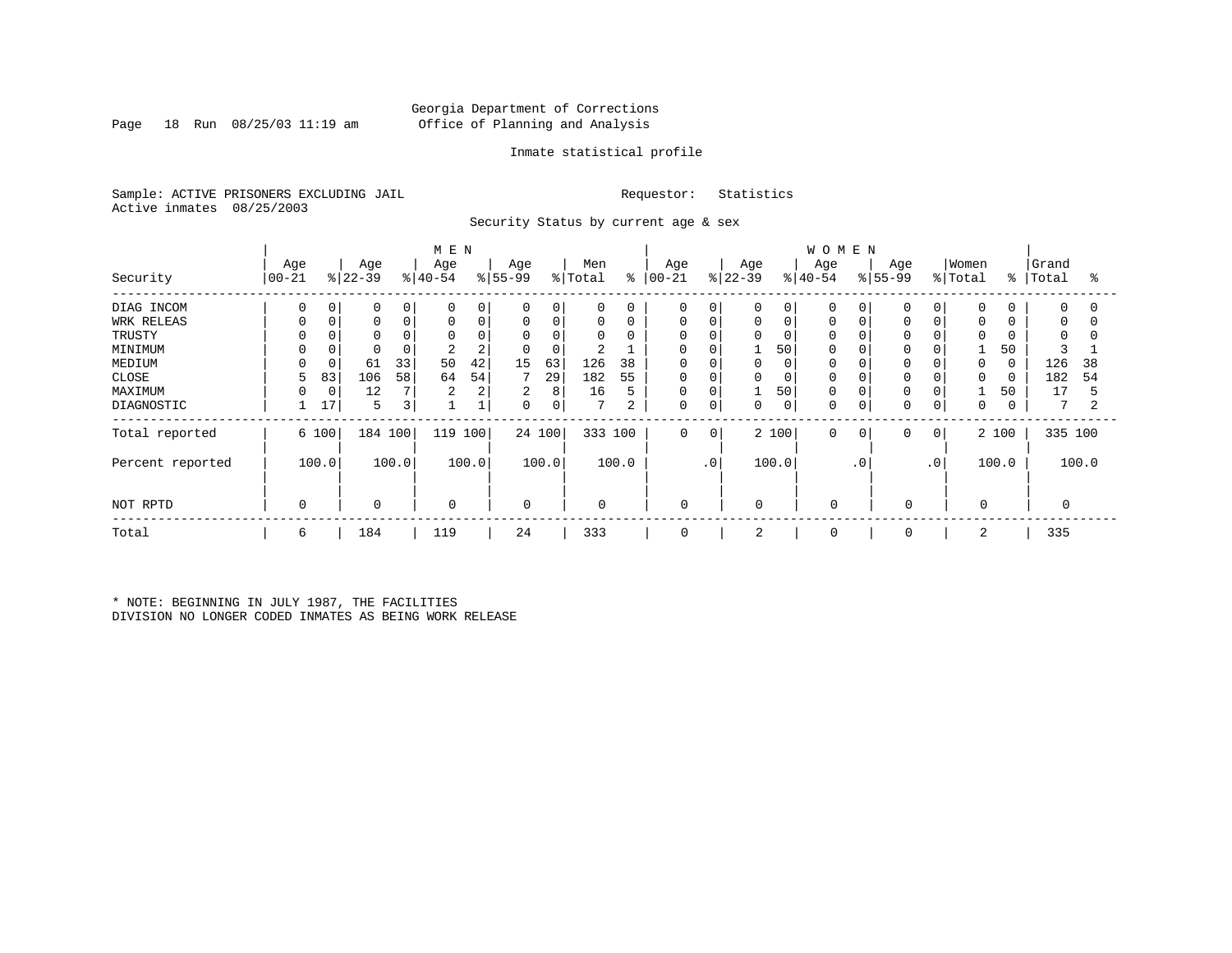# Georgia Department of Corrections Page 18 Run 08/25/03 11:19 am Office of Planning and Analysis

# Inmate statistical profile

Sample: ACTIVE PRISONERS EXCLUDING JAIL Requestor: Statistics Active inmates 08/25/2003

Security Status by current age & sex

|                  |                 |       |                  |       | M E N            |             |                 |        |                 |       |                      |             |                  |             | <b>WOMEN</b>     |           |                  |             |                  |       |                |                |
|------------------|-----------------|-------|------------------|-------|------------------|-------------|-----------------|--------|-----------------|-------|----------------------|-------------|------------------|-------------|------------------|-----------|------------------|-------------|------------------|-------|----------------|----------------|
| Security         | Age<br>$ 00-21$ |       | Age<br>$8 22-39$ |       | Age<br>$ 40-54 $ |             | Age<br>$ 55-99$ |        | Men<br>% Total  |       | Age<br>$8   00 - 21$ |             | Age<br>$ 22-39 $ |             | Age<br>$8 40-54$ |           | Age<br>$ 55-99 $ |             | Women<br>% Total | ిం    | Grand<br>Total | °              |
| DIAG INCOM       | $\Omega$        | 0     | $\mathbf 0$      | 0     | $\Omega$         | $\mathbf 0$ | $\mathbf 0$     | 0      | $\mathbf 0$     | 0     | 0                    | 0           | 0                | 0           | 0                |           | $\Omega$         | $\Omega$    | $\mathbf 0$      |       | $\mathbf 0$    | $\Omega$       |
| WRK RELEAS       |                 | 0     | $\mathbf 0$      | 0     | $\Omega$         | $\mathbf 0$ | 0               | 0      | $\mathbf 0$     | 0     | 0                    | $\mathbf 0$ | 0                | $\mathsf 0$ | 0                |           | $\Omega$         | $\Omega$    | 0                |       | 0              | $\Omega$       |
| TRUSTY           |                 |       |                  |       | $\Omega$         |             | $\mathbf 0$     | 0      | $\Omega$        | 0     | 0                    |             | 0                | $\Omega$    | 0                |           |                  |             | $\Omega$         |       | $\Omega$       |                |
| MINIMUM          |                 |       | $\mathbf 0$      |       | 2                | 2           | 0               | 0      | 2               |       | 0                    |             |                  | 50          | 0                |           | $\Omega$         |             |                  | 50    |                |                |
| MEDIUM           |                 |       | 61               | 33    | 50               | 42          | 15              | 63     | 126             | 38    | 0                    |             |                  | 0           | 0                |           |                  |             | $\Omega$         |       | 126            | 38             |
| CLOSE            | 5               | 83    | 106              | 58    | 64               | 54          |                 | 29     | 182             | 55    | 0                    | 0           | 0                | 0           | $\mathbf 0$      |           | $\Omega$         |             | $\Omega$         |       | 182            | 54             |
| MAXIMUM          |                 | 0     | 12               |       | 2                | 2           | 2               | 8      | 16              | 5     | 0                    | $\mathbf 0$ |                  | 50          | $\mathbf 0$      |           | $\Omega$         |             |                  | 50    | 17             | 5              |
| DIAGNOSTIC       |                 | 17    | 5                | 3     |                  |             | 0               | 0      | $7\phantom{.0}$ | 2     | $\mathbf 0$          | 0           | 0                | $\mathbf 0$ | 0                |           | $\Omega$         | $\mathbf 0$ | $\mathbf 0$      |       | 7              | $\overline{c}$ |
| Total reported   |                 | 6 100 | 184 100          |       | 119              | 100         |                 | 24 100 | 333 100         |       | $\mathbf 0$          | 0           |                  | 2 100       | $\mathbf 0$      | 0         | 0                | 0           |                  | 2 100 | 335 100        |                |
| Percent reported |                 | 100.0 |                  | 100.0 |                  | 100.0       |                 | 100.0  |                 | 100.0 |                      | $\cdot$ 0   |                  | 100.0       |                  | $\cdot$ 0 |                  | $\cdot$ 0   |                  | 100.0 |                | 100.0          |
| NOT RPTD         | $\Omega$        |       | $\mathbf 0$      |       | $\mathbf 0$      |             | $\mathbf 0$     |        | $\mathbf{0}$    |       | 0                    |             | $\Omega$         |             | $\Omega$         |           | $\mathbf 0$      |             | 0                |       |                |                |
| Total            | 6               |       | 184              |       | 119              |             | 24              |        | 333             |       | 0                    |             | 2                |             | 0                |           | 0                |             | 2                |       | 335            |                |

\* NOTE: BEGINNING IN JULY 1987, THE FACILITIES DIVISION NO LONGER CODED INMATES AS BEING WORK RELEASE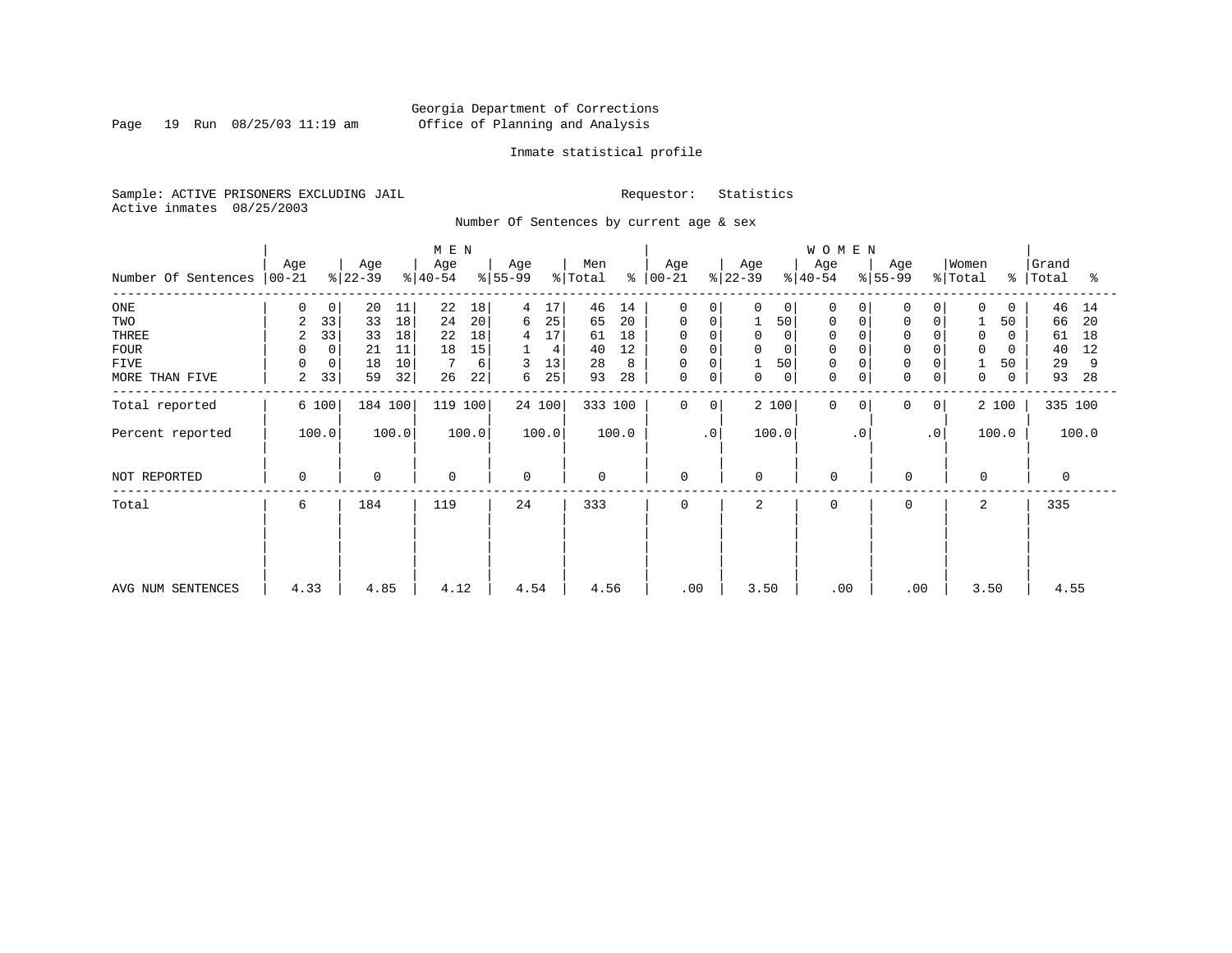Page 19 Run 08/25/03 11:19 am

# Inmate statistical profile

Sample: ACTIVE PRISONERS EXCLUDING JAIL Requestor: Statistics Active inmates 08/25/2003

Number Of Sentences by current age & sex

|                             |                |    |           |       | M E N     |       |           |        |         |         |               |           |           |             | WOMEN       |           |             |           |          |          |           |       |
|-----------------------------|----------------|----|-----------|-------|-----------|-------|-----------|--------|---------|---------|---------------|-----------|-----------|-------------|-------------|-----------|-------------|-----------|----------|----------|-----------|-------|
|                             | Age            |    | Age       |       | Age       |       | Age       |        | Men     |         | Age           |           | Age       |             | Age         |           | Age         |           | Women    |          | Grand     |       |
| Number Of Sentences   00-21 |                |    | $ 22-39 $ |       | $ 40-54 $ |       | $ 55-99 $ |        | % Total |         | $8   00 - 21$ |           | $ 22-39 $ |             | $ 40-54 $   |           | $8 55-99$   |           | % Total  |          | %   Total | ್ಠಿ   |
| $_{\rm ONE}$                | 0              | 0  | 20        | 11    | 22        | 18    | 4         | 17     | 46      | 14      | 0             |           | 0         | 0           | $\Omega$    | 0         | 0           | 0         | $\Omega$ | $\Omega$ | 46        | 14    |
| TWO                         | $\overline{a}$ | 33 | 33        | 18    | 24        | 20    | 6         | 25     | 65      | 20      | 0             | 0         |           | 50          | $\mathbf 0$ |           | $\mathbf 0$ | 0         |          | 50       | 66        | 20    |
| THREE                       | 2              | 33 | 33        | 18    | 22        | 18    | 4         | 17     | 61      | 18      | 0             |           | 0         |             | 0           |           | $\mathbf 0$ |           | 0        | 0        | 61        | 18    |
| <b>FOUR</b>                 | 0              | 0  | 21        | 11    | 18        | 15    |           | 4      | 40      | 12      | 0             |           | $\Omega$  |             | $\Omega$    |           | $\Omega$    |           | $\Omega$ | 0        | 40        | 12    |
| <b>FIVE</b>                 | 0              | 0  | 18        | 10    |           | 6     | 3         | 13     | 28      | 8       | 0             |           | 1         | 50          |             |           | $\Omega$    |           |          | 50       | 29        | 9     |
| MORE THAN FIVE              | 2              | 33 | 59        | 32    | 26        | 22    | 6         | 25     | 93      | 28      | 0             | 0         | 0         | $\mathbf 0$ | $\mathbf 0$ | 0         | $\Omega$    | 0         | 0        | 0        | 93        | 28    |
| Total reported              | 6 100          |    | 184 100   |       | 119 100   |       |           | 24 100 |         | 333 100 | $\Omega$      | 0         |           | 2 100       | $\Omega$    | $\Omega$  | $\Omega$    | $\circ$   |          | 2 100    | 335 100   |       |
| Percent reported            | 100.0          |    |           | 100.0 |           | 100.0 |           | 100.0  |         | 100.0   |               | $\cdot$ 0 |           | 100.0       |             | $\cdot$ 0 |             | $\cdot$ 0 |          | 100.0    |           | 100.0 |
| NOT REPORTED                | 0              |    | 0         |       | 0         |       | 0         |        | 0       |         | $\mathbf 0$   |           | 0         |             | $\Omega$    |           | 0           |           | $\Omega$ |          | 0         |       |
| Total                       | 6              |    | 184       |       | 119       |       | 24        |        | 333     |         | $\Omega$      |           | 2         |             | $\Omega$    |           | $\Omega$    |           | 2        |          | 335       |       |
|                             |                |    |           |       |           |       |           |        |         |         |               |           |           |             |             |           |             |           |          |          |           |       |
|                             |                |    |           |       |           |       |           |        |         |         |               |           |           |             |             |           |             |           |          |          |           |       |
| AVG NUM SENTENCES           | 4.33           |    | 4.85      |       | 4.12      |       | 4.54      |        | 4.56    |         | .00           |           | 3.50      |             | .00         |           | .00         |           | 3.50     |          | 4.55      |       |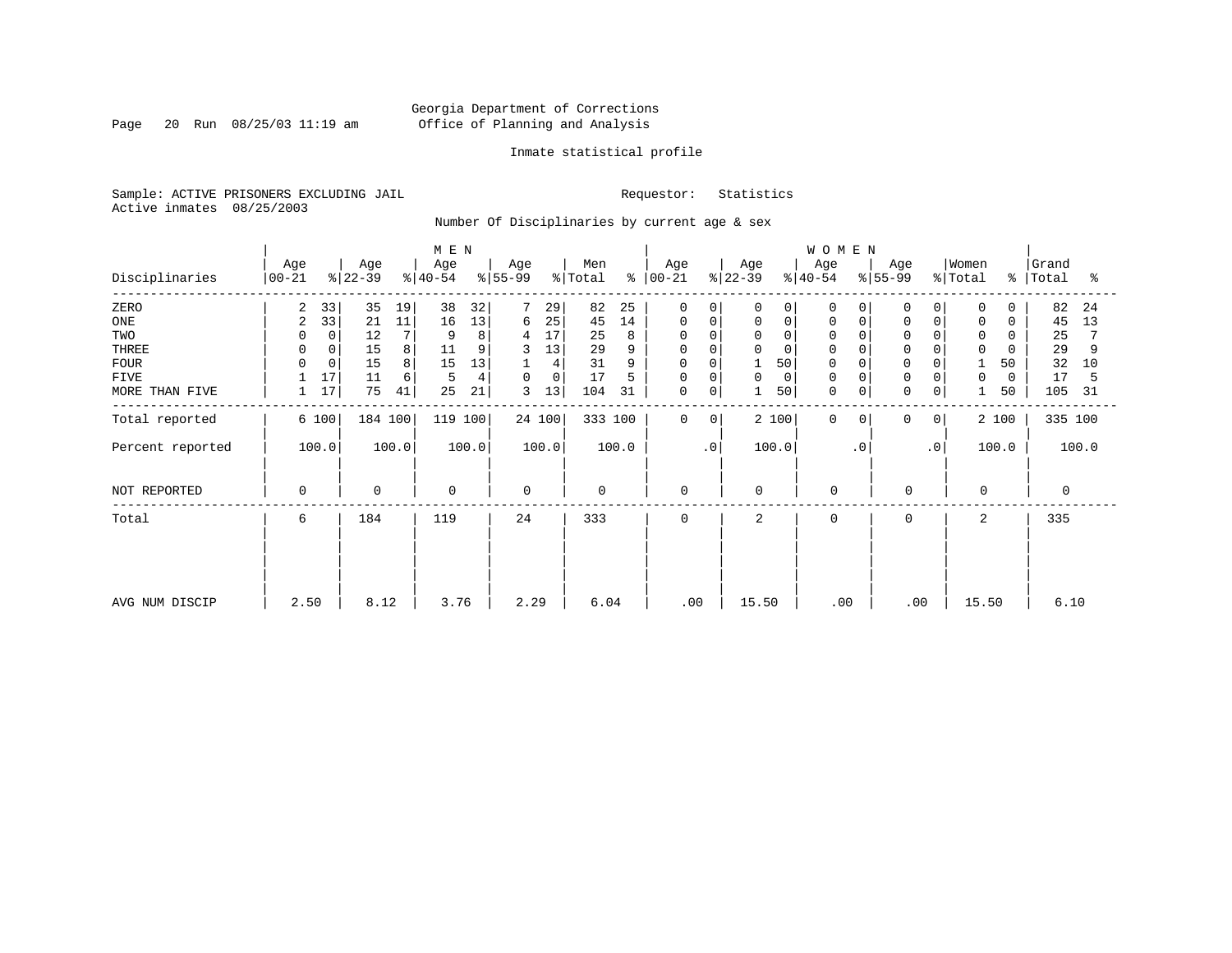Page 20 Run 08/25/03 11:19 am

# Inmate statistical profile

Sample: ACTIVE PRISONERS EXCLUDING JAIL Requestor: Statistics Active inmates 08/25/2003

Number Of Disciplinaries by current age & sex

|                  |                      |                      | M E N                        |                  |                     |                      |                  | WOMEN                         |                      |                         |                         |
|------------------|----------------------|----------------------|------------------------------|------------------|---------------------|----------------------|------------------|-------------------------------|----------------------|-------------------------|-------------------------|
| Disciplinaries   | Age<br>$00 - 21$     | Age<br>$ 22-39 $     | Age<br>$ 55-99$<br>$ 40-54 $ | Age              | Men<br>% Total<br>⊱ | Age<br>$ 00-21 $     | Age<br>$ 22-39 $ | Age<br>$8 55-99$<br>$ 40-54 $ | Age                  | Women<br>% Total        | Grand<br>%   Total<br>ႜ |
| ZERO             | $\overline{2}$<br>33 | 35<br>19             | 38<br>32                     | 7<br>29          | 82<br>25            | 0<br>$\Omega$        | $\Omega$<br>0    | $\Omega$<br>0                 | $\Omega$<br>$\Omega$ | 0<br>$\Omega$           | 82<br>24                |
| ONE              | 33<br>$\overline{2}$ | 21<br>11             | 13<br>16                     | 25<br>6          | 14<br>45            | 0<br>0               | 0<br>0           | 0<br>0                        | 0                    | 0<br>0                  | 45<br>13                |
| TWO              | 0                    | 7 <sub>1</sub><br>12 | 8                            | 17<br>4          | 25<br>8             | $\Omega$<br>$\Omega$ | $\Omega$<br>O    | $\Omega$                      |                      | $\mathbf 0$<br>0        | 25                      |
| THREE            | 0                    | 15<br>8              | 11                           | 13               | 29                  | 0                    | 0                | $\Omega$                      |                      | 0                       | 29                      |
| <b>FOUR</b>      | $\mathbf 0$          | 8<br>15              | 13<br>15                     | 4                | 31<br>9             | 0                    | 50               | $\Omega$                      |                      | 50                      | 32<br>10                |
| <b>FIVE</b>      | 17                   | 11<br>6              | 4<br>5                       | 0<br>$\mathbf 0$ | 17<br>5             | 0<br>$\Omega$        | 0<br>$\Omega$    | $\Omega$                      |                      | $\mathbf 0$<br>$\Omega$ | 17<br>5                 |
| MORE THAN FIVE   | 17                   | 75<br>41             | 25<br>21                     | 13<br>3          | 104<br>31           | 0<br>0               | 50               | $\mathbf 0$<br>$\mathbf 0$    | $\mathbf 0$<br>0     | 50                      | 105<br>31               |
| Total reported   | 6 100                | 184 100              | 119 100                      | 24 100           | 333 100             | $\mathbf 0$<br>0     | 2 100            | $\mathbf 0$<br>$\Omega$       | 0<br>0               | 2 100                   | 335 100                 |
| Percent reported | 100.0                | 100.0                | 100.0                        | 100.0            | 100.0               | $\cdot$ 0            | 100.0            | $\cdot$ 0                     | $\cdot$ 0            | 100.0                   | 100.0                   |
| NOT REPORTED     | $\mathbf 0$          | $\mathbf 0$          | 0                            | $\mathbf 0$      | $\mathbf 0$         | $\mathbf 0$          | $\mathbf 0$      | $\mathbf 0$                   | $\mathbf 0$          | $\mathbf 0$             | $\mathbf 0$             |
| Total            | 6                    | 184                  | 119                          | 24               | 333                 | $\mathbf 0$          | 2                | $\mathbf 0$                   | 0                    | 2                       | 335                     |
|                  |                      |                      |                              |                  |                     |                      |                  |                               |                      |                         |                         |
|                  |                      |                      |                              |                  |                     |                      |                  |                               |                      |                         |                         |
| AVG NUM DISCIP   | 2.50                 | 8.12                 | 3.76                         | 2.29             | 6.04                | .00                  | 15.50            | .00                           | .00                  | 15.50                   | 6.10                    |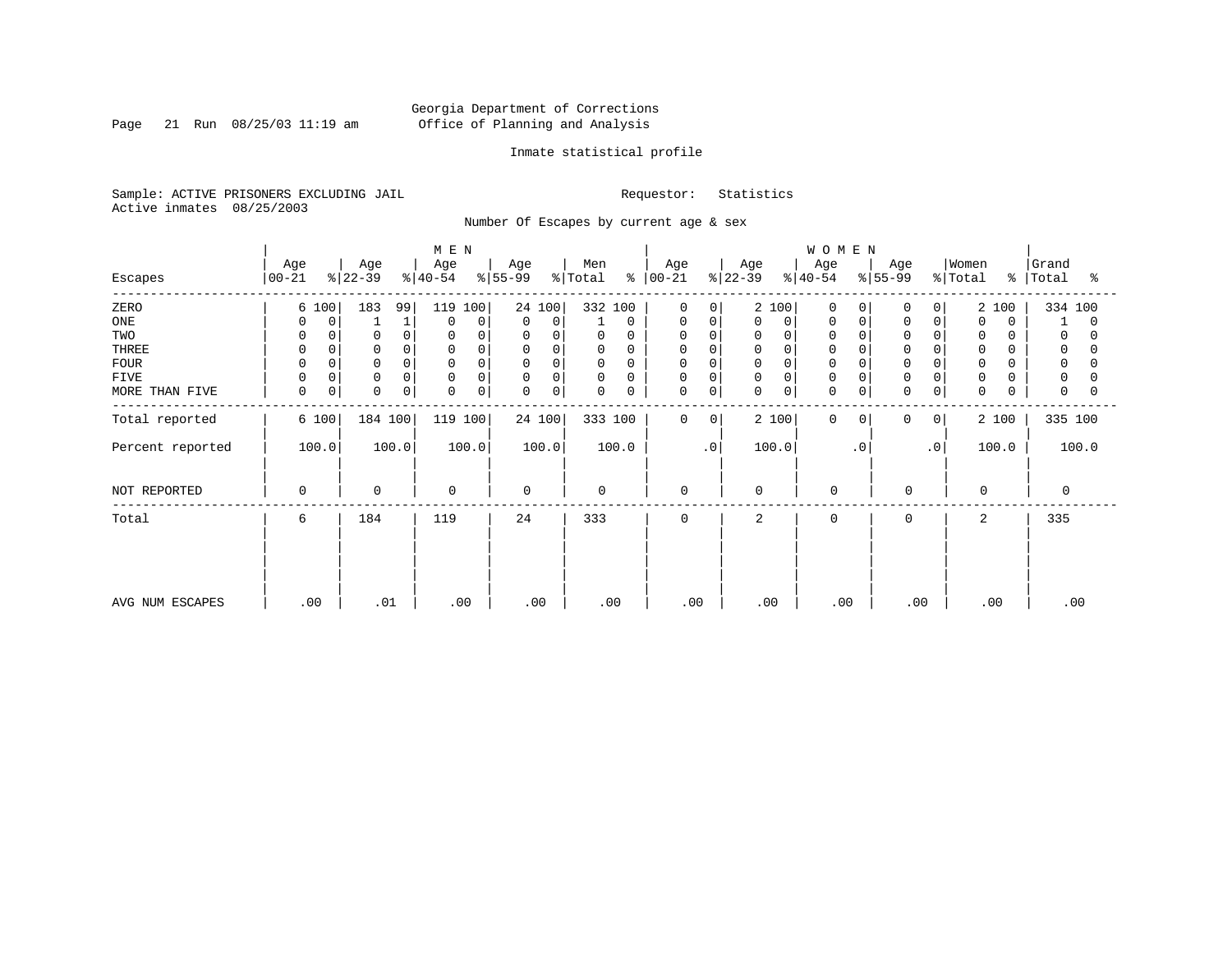Page 21 Run 08/25/03 11:19 am

# Inmate statistical profile

Sample: ACTIVE PRISONERS EXCLUDING JAIL Requestor: Statistics Active inmates 08/25/2003

Number Of Escapes by current age & sex

|                  |                  |                 | M E N            |                  |                  |                               |                  | WOMEN                |                         |                         |                          |
|------------------|------------------|-----------------|------------------|------------------|------------------|-------------------------------|------------------|----------------------|-------------------------|-------------------------|--------------------------|
| Escapes          | Age<br>$00 - 21$ | Age<br>$ 22-39$ | Age<br>$ 40-54 $ | Age<br>$ 55-99$  | Men<br>% Total   | Age<br>$8   00 - 21$          | Age<br>$ 22-39 $ | Age<br>$ 40-54 $     | Age<br>$ 55-99 $        | Women<br>% Total        | Grand<br>%   Total<br>°≈ |
| ZERO             | 6 100            | 183<br>99       | 119 100          | 24 100           | 332 100          | $\mathbf 0$<br>0              | 2 100            | 0<br>0               | 0<br>$\Omega$           | 2 100                   | 334 100                  |
| ONE              | 0<br>$\Omega$    |                 | 0<br>0           | 0<br>$\mathbf 0$ | 0                | 0<br>0                        | 0<br>0           | 0<br>0               |                         | $\mathbf 0$<br>$\Omega$ | 1<br>0                   |
| TWO              | 0<br>$\Omega$    | $\Omega$        | $\Omega$         | 0<br>0           | 0<br>0           | 0<br>$\Omega$                 | $\Omega$<br>0    | 0                    |                         | 0                       | 0                        |
| THREE            | 0                | $\Omega$        | $\Omega$         | 0<br>0           | 0<br>0           | 0<br>$\Omega$                 | 0<br>0           | 0                    |                         | $\mathbf 0$             | 0                        |
| <b>FOUR</b>      | $\Omega$         |                 | $\Omega$         | 0<br>$\mathbf 0$ | $\mathbf 0$      | 0                             | $\mathbf 0$<br>0 | $\Omega$             |                         | $\mathbf 0$             | 0                        |
| FIVE             | 0<br>$\Omega$    | $\Omega$        | 0<br>$\Omega$    | $\mathbf 0$<br>0 | 0<br>0           | 0<br>0                        | 0<br>0           | 0                    |                         | $\mathbf 0$             | 0                        |
| MORE THAN FIVE   | 0<br>$\mathbf 0$ | 0<br>0          | 0<br>0           | 0<br>0           | $\mathbf 0$<br>0 | 0<br>0                        | $\mathbf 0$<br>0 | $\mathbf 0$<br>0     | $\mathbf 0$<br>$\Omega$ | $\mathbf 0$             | 0                        |
| Total reported   | 6 100            | 184 100         | 119 100          | 24 100           | 333 100          | $\mathbf 0$<br>$\overline{0}$ | 2 100            | $\Omega$<br>$\Omega$ | 0<br>0                  | 2 100                   | 335 100                  |
| Percent reported | 100.0            | 100.0           | 100.0            | 100.0            | 100.0            | $\cdot$ 0                     | 100.0            | $\cdot$ 0            | $\cdot$ 0               | 100.0                   | 100.0                    |
| NOT REPORTED     | 0                | $\mathbf 0$     | $\mathbf 0$      | $\mathbf 0$      | $\mathbf 0$      | $\mathbf 0$                   | 0                | $\mathbf 0$          | $\mathbf 0$             | 0                       | 0                        |
| Total            | 6                | 184             | 119              | 24               | 333              | $\mathbf 0$                   | 2                | 0                    | 0                       | 2                       | 335                      |
|                  |                  |                 |                  |                  |                  |                               |                  |                      |                         |                         |                          |
|                  |                  |                 |                  |                  |                  |                               |                  |                      |                         |                         |                          |
| AVG NUM ESCAPES  | .00              | .01             | .00              | .00              | .00              | .00                           | .00              | .00                  | .00                     | .00                     | .00                      |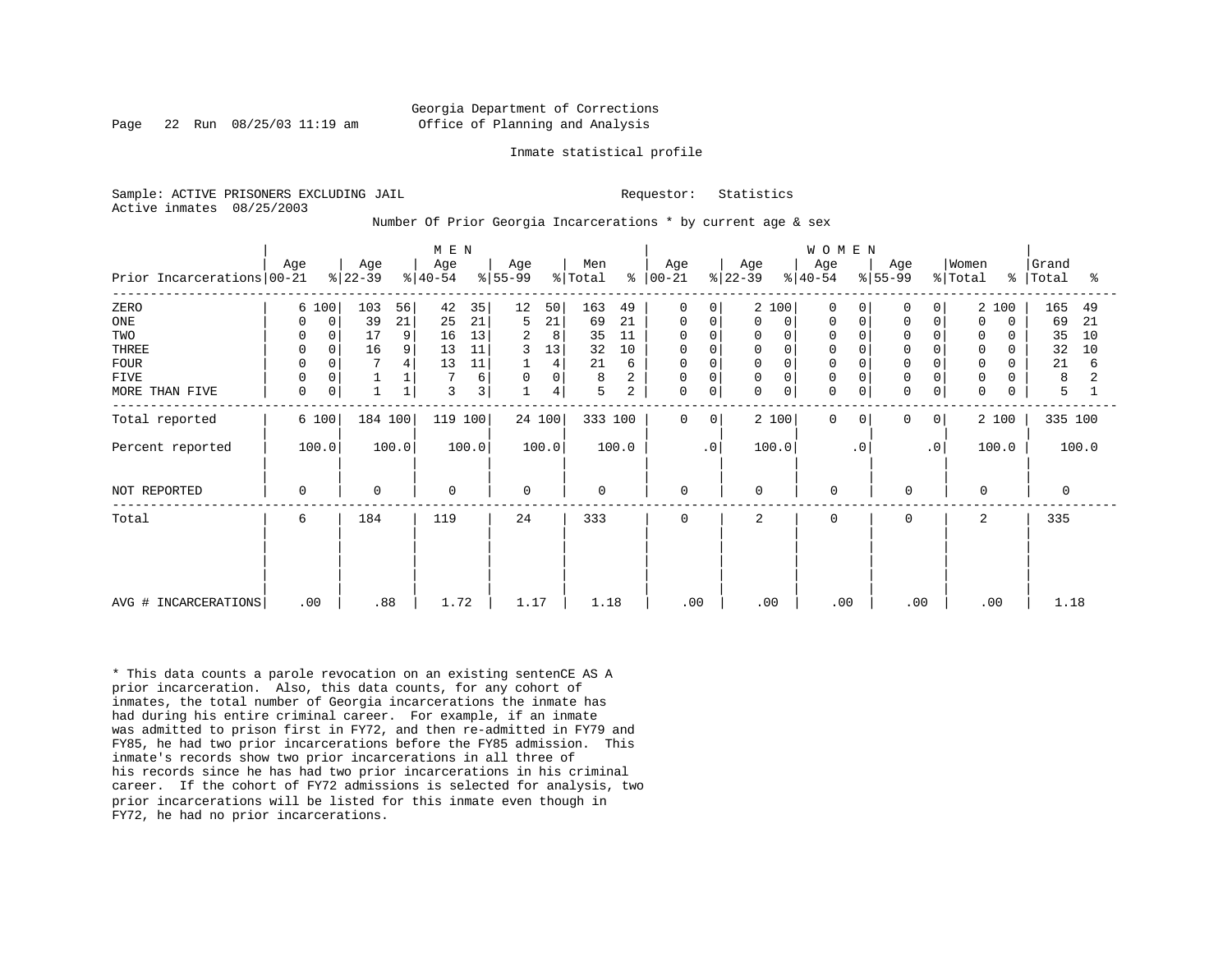# Georgia Department of Corrections Page 22 Run 08/25/03 11:19 am Office of Planning and Analysis

#### Inmate statistical profile

Sample: ACTIVE PRISONERS EXCLUDING JAIL **Requestor:** Statistics Active inmates 08/25/2003

### Number Of Prior Georgia Incarcerations \* by current age & sex

|                            |                  |                  | M E N            |                                    |                     |                            |                  | W O M E N                    |                         |                         |                     |
|----------------------------|------------------|------------------|------------------|------------------------------------|---------------------|----------------------------|------------------|------------------------------|-------------------------|-------------------------|---------------------|
| Prior Incarcerations 00-21 | Age              | Age<br>$ 22-39 $ | Age<br>$ 40-54 $ | Age<br>$ 55-99 $                   | Men<br>% Total<br>៖ | Age<br>$00 - 21$           | Age<br>$ 22-39 $ | Age<br>$ 40-54$<br>$ 55-99 $ | Age<br>% Total          | Women<br>$\frac{8}{6}$  | Grand<br>Total<br>ႜ |
| ZERO                       | 6 100            | 103<br>56        | 35<br>42         | 12<br>50                           | 163<br>49           | $\mathbf 0$<br>$\Omega$    | 2 100            | $\Omega$                     | <sup>0</sup><br>0       | 2 100                   | 165<br>49           |
| ONE                        | $\mathbf 0$<br>0 | 39<br>21         | 21<br>25         | 21<br>5                            | 69<br>21            | 0<br>0                     | 0<br>0           | 0<br>0                       | 0<br>O                  | $\mathbf 0$<br>$\Omega$ | 69<br>21            |
| TWO                        |                  | 17<br>9          | 13<br>16         | 2<br>8                             | 35<br>11            | $\Omega$                   | 0                | $\Omega$                     |                         | $\mathbf 0$             | 35<br>10            |
| THREE                      | 0<br>$\Omega$    | 16<br>9          | 13<br>11         | 3<br>13                            | 32<br>10            | $\mathbf 0$<br>$\mathbf 0$ | $\Omega$<br>0    | 0                            | $\mathbf 0$<br>$\Omega$ | $\mathbf 0$<br>$\Omega$ | 32<br>10            |
| <b>FOUR</b>                | $\Omega$         | 4                | 11<br>13         | 4                                  | 21<br>6             | 0<br>0                     | $\mathbf 0$      | $\Omega$                     |                         | 0<br>0                  | 21<br>6             |
| FIVE                       | $\Omega$         |                  | 6                | $\mathsf{O}\xspace$<br>$\mathsf 0$ | 8<br>2              | $\Omega$<br>0              | 0                | $\mathbf 0$                  |                         | $\mathbf 0$             | 8                   |
| MORE THAN FIVE             | 0<br>0           |                  | 3<br>3           | 4                                  | 5<br>2              | 0<br>$\mathbf 0$           | 0<br>0           | $\mathbf 0$<br>$\mathbf 0$   | 0<br>0                  | $\mathbf 0$<br>0        | 5                   |
| Total reported             | 6 100            | 184 100          | 119 100          | 24 100                             | 333 100             | $\mathbf 0$<br>0           | 2 100            | $\Omega$<br>$\Omega$         | $\Omega$<br>0           | 2 100                   | 335 100             |
| Percent reported           | 100.0            | 100.0            | 100.0            | 100.0                              | 100.0               | $\cdot$ 0                  | 100.0            | $\cdot$ 0                    | $\cdot$ 0               | 100.0                   | 100.0               |
| NOT REPORTED               | 0                | $\mathbf 0$      | $\mathbf 0$      | $\Omega$                           | $\mathbf 0$         | $\mathbf 0$                | $\Omega$         | $\mathbf 0$                  | $\mathbf 0$             | $\Omega$                | $\Omega$            |
| Total                      | 6                | 184              | 119              | 24                                 | 333                 | $\mathbf 0$                | $\overline{a}$   | $\Omega$                     | $\Omega$                | 2                       | 335                 |
|                            |                  |                  |                  |                                    |                     |                            |                  |                              |                         |                         |                     |
|                            |                  |                  |                  |                                    |                     |                            |                  |                              |                         |                         |                     |
| AVG # INCARCERATIONS       | .00              | .88              | 1.72             | 1.17                               | 1.18                | .00                        | .00              | .00                          | .00                     | .00                     | 1.18                |

\* This data counts a parole revocation on an existing sentenCE AS A prior incarceration. Also, this data counts, for any cohort of inmates, the total number of Georgia incarcerations the inmate has had during his entire criminal career. For example, if an inmate was admitted to prison first in FY72, and then re-admitted in FY79 and FY85, he had two prior incarcerations before the FY85 admission. This inmate's records show two prior incarcerations in all three of his records since he has had two prior incarcerations in his criminal career. If the cohort of FY72 admissions is selected for analysis, two prior incarcerations will be listed for this inmate even though in FY72, he had no prior incarcerations.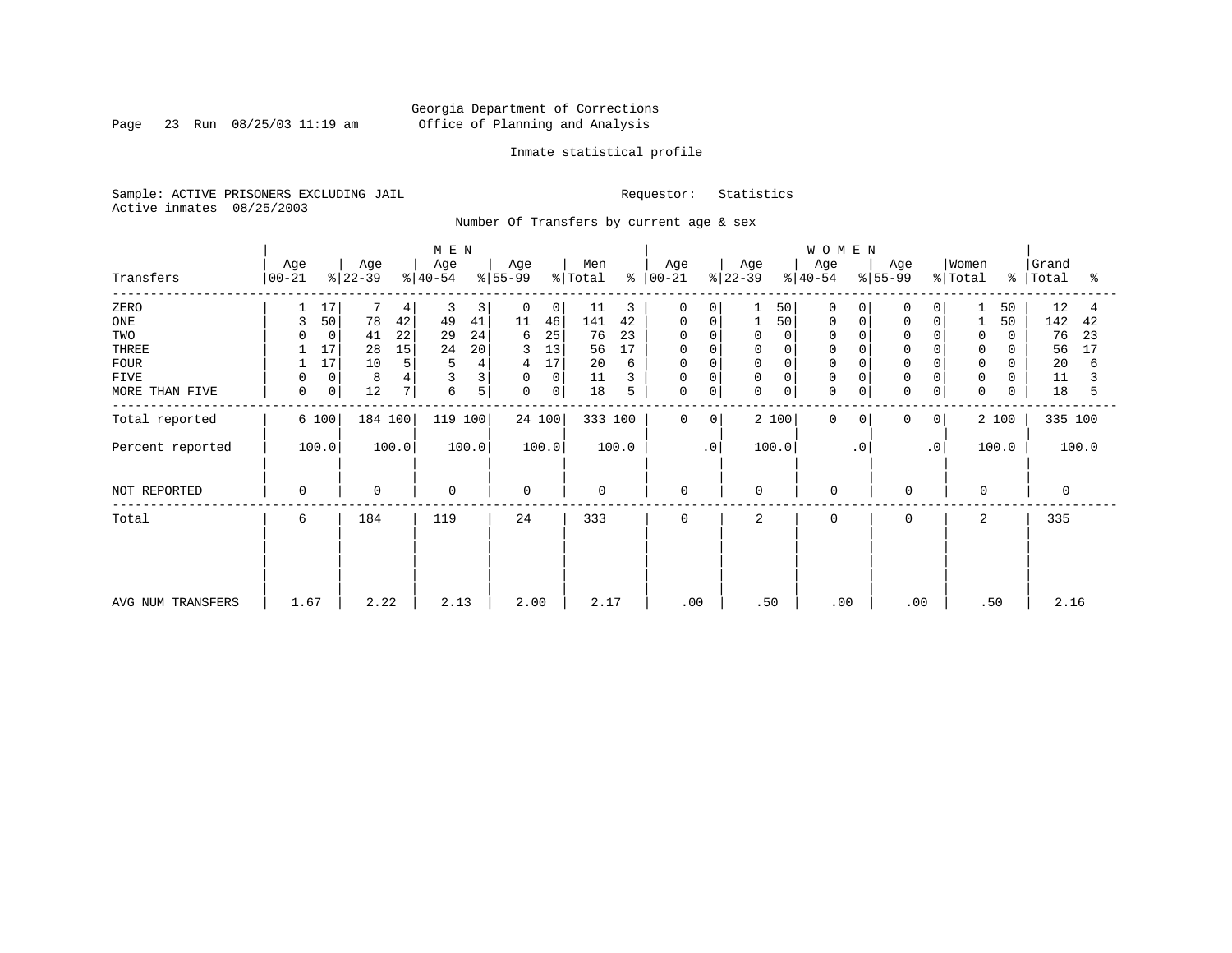Page 23 Run 08/25/03 11:19 am

# Inmate statistical profile

Sample: ACTIVE PRISONERS EXCLUDING JAIL Requestor: Statistics Active inmates 08/25/2003

Number Of Transfers by current age & sex

|                   |                    |                 | M E N            |                  |                |                         |                         | WOMEN                |                         |                              |                         |
|-------------------|--------------------|-----------------|------------------|------------------|----------------|-------------------------|-------------------------|----------------------|-------------------------|------------------------------|-------------------------|
| Transfers         | Age<br>$ 00 - 21 $ | Age<br>$ 22-39$ | Age<br>$ 40-54 $ | Age<br>$ 55-99 $ | Men<br>% Total | Age<br>$8   00 - 21$    | Age<br>$ 22-39 $        | Age<br>$ 40-54 $     | Age<br>$ 55-99 $        | Women<br>$\frac{1}{2}$ Total | Grand<br>%   Total<br>ႜ |
| ZERO              | 17                 | 4               | 3<br>3           | 0<br>0           | 11<br>3        | 0<br>$\Omega$           | 50                      | 0<br>0               | 0<br>$\Omega$           | 50                           | 12                      |
| ONE               | 50<br>3            | 78<br>42        | 41<br>49         | 11<br>46         | 141<br>42      | $\mathbf 0$<br>0        | 50                      | $\mathbf 0$<br>0     | $\mathbf 0$<br>$\Omega$ | 50                           | 142<br>42               |
| TWO               | $\Omega$           | 22<br>41        | 29<br>24         | 25<br>6          | 76<br>23       | $\mathbf 0$<br>$\Omega$ | $\Omega$                | 0                    |                         | 0                            | 76<br>23                |
| THREE             | 17                 | 28<br>15        | 20<br>24         | 13<br>3          | 17<br>56       | 0<br>$\Omega$           | 0                       | 0                    |                         | $\mathbf 0$                  | 56<br>17                |
| <b>FOUR</b>       | 17                 | 10<br>5         | 5<br>4           | 17<br>4          | 20<br>6        | $\mathbf 0$             | 0                       | $\Omega$             |                         | $\mathbf 0$                  | 20<br>6                 |
| FIVE              | 0<br>0             | 8               |                  | 0<br>0           | 11             | 0<br>0                  | $\Omega$<br>0           | 0                    | $\Omega$                | 0                            | 11                      |
| MORE THAN FIVE    | 0<br>0             | 12<br>7         | 5<br>6           | 0<br>0           | 18<br>5        | 0<br>0                  | $\mathbf 0$<br>0        | 0<br>0               | 0<br>0                  | $\mathbf 0$                  | 18<br>5                 |
| Total reported    | 6 100              | 184 100         | 119 100          | 24 100           | 333 100        | $\mathbf 0$             | 2 100<br>$\overline{0}$ | $\Omega$<br>$\Omega$ | 0<br>$\overline{0}$     | 2 100                        | 335 100                 |
| Percent reported  | 100.0              | 100.0           | 100.0            | 100.0            | 100.0          | $\cdot$ 0               | 100.0                   | $\cdot$ 0            | $\cdot$ 0               | 100.0                        | 100.0                   |
| NOT REPORTED      | 0                  | $\mathbf 0$     | $\mathbf 0$      | $\Omega$         | $\mathbf 0$    | $\mathbf 0$             | 0                       | $\mathbf 0$          | 0                       | $\Omega$                     | 0                       |
| Total             | 6                  | 184             | 119              | 24               | 333            | 0                       | 2                       | $\Omega$             | $\Omega$                | 2                            | 335                     |
|                   |                    |                 |                  |                  |                |                         |                         |                      |                         |                              |                         |
|                   |                    |                 |                  |                  |                |                         |                         |                      |                         |                              |                         |
| AVG NUM TRANSFERS | 1.67               | 2.22            | 2.13             | 2.00             | 2.17           | .00                     | .50                     | .00                  | .00                     | .50                          | 2.16                    |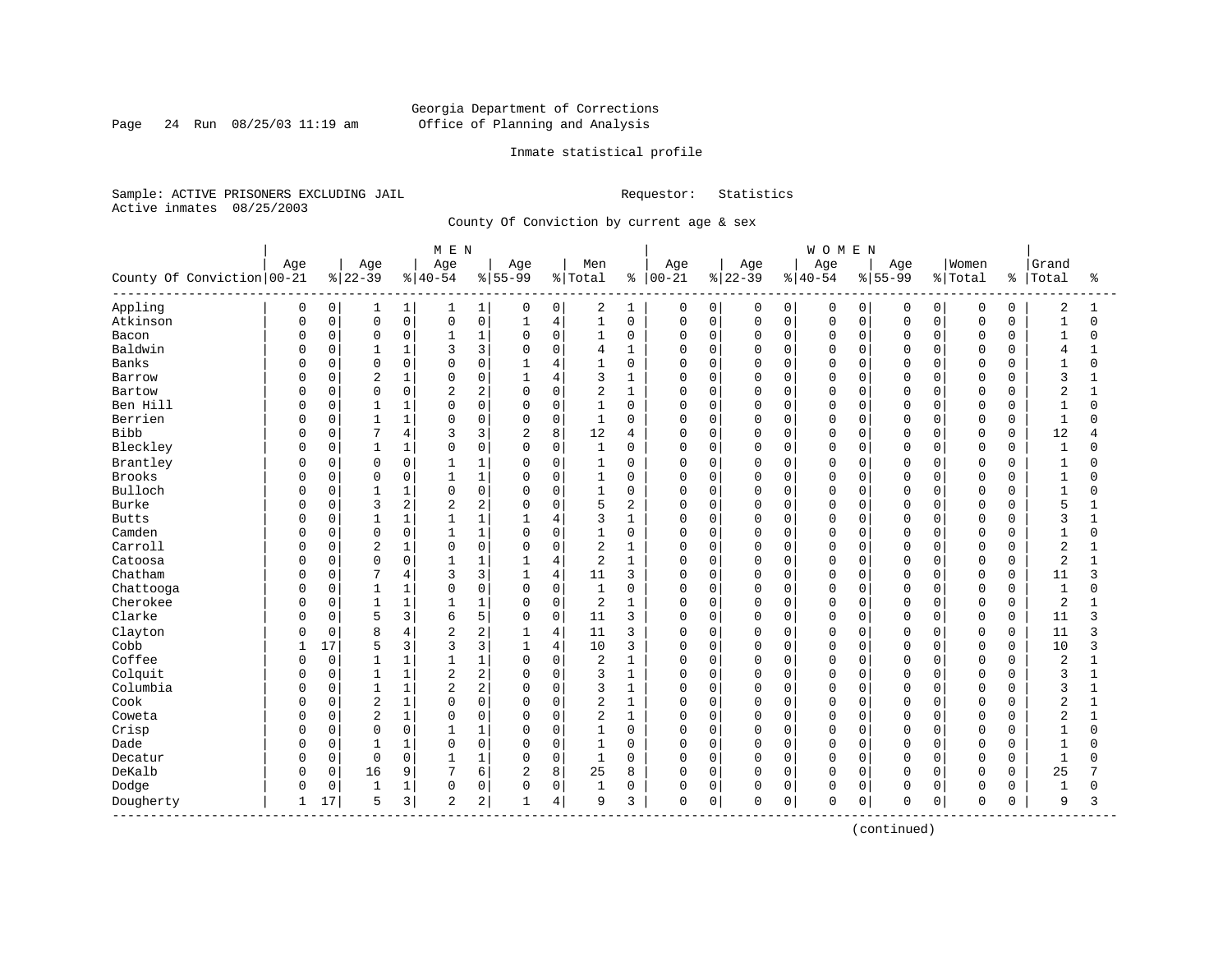Page 24 Run 08/25/03 11:19 am

# Inmate statistical profile

Sample: ACTIVE PRISONERS EXCLUDING JAIL Requestor: Statistics Active inmates 08/25/2003

County Of Conviction by current age & sex

|                                |          |             |                |                | M E N          |                |              |                |                |                |            |             |          |              | WOMEN       |          |          |             |                |             |                |              |
|--------------------------------|----------|-------------|----------------|----------------|----------------|----------------|--------------|----------------|----------------|----------------|------------|-------------|----------|--------------|-------------|----------|----------|-------------|----------------|-------------|----------------|--------------|
|                                | Age      |             | Age            |                | Age            |                | Age          |                | Men            |                | Age        |             | Age      |              | Age         |          | Age      |             | Women          |             | Grand          |              |
| County Of Conviction 00-21     |          |             | $8 22-39$      |                | $ 40-54$       |                | $8 55-99$    |                | % Total        | ႜ              | $ 00 - 21$ |             | $ 22-39$ |              | $ 40-54$    |          | $ 55-99$ |             | % Total        | နွ          | Total          | ႜ            |
| Appling                        | 0        | 0           | 1              | $\mathbf{1}$   | 1              | 1              | 0            | 0              | 2              | 1              | 0          | 0           | 0        | 0            | 0           | 0        | 0        | $\mathbf 0$ | 0              | 0           | 2              | 1            |
| Atkinson                       | O        | $\mathsf 0$ | $\mathsf 0$    | 0              | $\Omega$       | 0              | $\mathbf{1}$ | $\,4$          | $\mathbf{1}$   | $\mathbf 0$    | 0          | $\mathbf 0$ | 0        | $\mathsf{O}$ | $\mathbf 0$ | 0        | $\Omega$ | 0           | $\mathsf 0$    | $\mathbf 0$ | $\mathbf{1}$   | $\Omega$     |
| Bacon                          | O        | $\mathbf 0$ | $\mathbf 0$    | 0              | 1              | $1\,$          | $\Omega$     | $\mathbf 0$    | 1              | $\mathbf 0$    | $\Omega$   | $\mathbf 0$ | 0        | $\mathbf 0$  | $\mathbf 0$ | 0        | $\Omega$ | $\Omega$    | $\mathbf 0$    | 0           | $\mathbf{1}$   | O            |
| Baldwin                        | U        | 0           | $\mathbf{1}$   | $\mathbf 1$    | 3              | 3              | $\Omega$     | $\mathbf 0$    | 4              | $\mathbf{1}$   | 0          | $\mathbf 0$ | 0        | $\mathbf 0$  | $\mathbf 0$ | $\Omega$ | $\Omega$ | $\Omega$    | $\Omega$       | $\Omega$    | 4              |              |
| Banks                          | Ω        | 0           | $\Omega$       | 0              | $\Omega$       | $\Omega$       | $\mathbf{1}$ | 4              | 1              | $\Omega$       | 0          | $\mathbf 0$ | 0        | $\Omega$     | $\Omega$    | $\Omega$ | $\Omega$ | U           | $\Omega$       | $\cap$      | $\mathbf{1}$   | $\cap$       |
| Barrow                         |          | 0           | $\overline{2}$ | 1              | $\Omega$       | $\mathsf 0$    |              | $\overline{4}$ | 3              | $\mathbf{1}$   | 0          | $\mathbf 0$ | 0        | $\mathbf 0$  | $\mathbf 0$ | $\Omega$ | $\Omega$ | $\Omega$    | $\Omega$       | $\Omega$    | 3              |              |
| Bartow                         |          | 0           | 0              | 0              | 2              | $\overline{c}$ | $\mathbf 0$  | 0              | 2              | $\mathbf{1}$   | 0          | $\mathbf 0$ | 0        | $\mathbf 0$  | 0           | 0        | $\Omega$ | 0           | $\mathbf 0$    | $\Omega$    | $\overline{a}$ |              |
| Ben Hill                       | O        | 0           | $\mathbf{1}$   | 1              | $\Omega$       | $\mathbf 0$    | $\mathbf 0$  | $\mathbf 0$    | 1              | $\mathbf 0$    | $\Omega$   | $\mathbf 0$ | 0        | $\mathbf 0$  | $\mathbf 0$ | 0        | $\Omega$ | 0           | $\Omega$       | 0           | $\mathbf{1}$   | $\Omega$     |
| Berrien                        | Ω        | 0           | 1              | 1              | $\Omega$       | $\mathbf 0$    | $\Omega$     | $\mathbf 0$    | 1              | 0              | 0          | 0           | 0        | 0            | $\mathbf 0$ | $\Omega$ | $\Omega$ | 0           | 0              | 0           | 1              | U            |
| <b>Bibb</b>                    | 0        | 0           | 7              | 4              | 3              | 3              | 2            | 8              | 12             | $\overline{4}$ | $\Omega$   | $\mathbf 0$ | 0        | $\mathbf 0$  | $\mathbf 0$ | $\Omega$ | $\Omega$ | $\Omega$    | $\Omega$       | $\mathbf 0$ | 12             | 4            |
| Bleckley                       | 0        | $\Omega$    | $\mathbf{1}$   | 1              | $\Omega$       | 0              | $\Omega$     | $\mathbf 0$    | $\mathbf{1}$   | $\Omega$       | $\Omega$   | $\mathbf 0$ | $\Omega$ | $\Omega$     | $\mathbf 0$ | $\Omega$ | $\Omega$ | $\Omega$    | $\Omega$       | $\Omega$    | $\mathbf{1}$   | O            |
| Brantley                       | 0        | 0           | $\mathbf 0$    | 0              |                | $1\,$          | $\Omega$     | 0              | 1              | 0              | 0          | $\mathbf 0$ | 0        | $\mathbf 0$  | $\mathbf 0$ | $\Omega$ | $\Omega$ | $\Omega$    | $\Omega$       | O           | 1              | O            |
| Brooks                         |          | 0           | 0              | 0              |                | $1\,$          | $\Omega$     | $\mathsf 0$    | 1              | $\mathbf 0$    | 0          | $\mathbf 0$ | 0        | $\mathbf 0$  | $\mathbf 0$ | 0        | $\Omega$ | 0           | $\overline{0}$ | $\Omega$    | $\mathbf 1$    | 0            |
| Bulloch                        |          | 0           | $\mathbf{1}$   | 1              | $\Omega$       | $\mathsf 0$    | $\Omega$     | $\Omega$       | $\mathbf{1}$   | $\mathbf 0$    | 0          | $\mathbf 0$ | 0        | $\mathbf 0$  | $\mathbf 0$ | 0        | $\Omega$ | 0           | $\mathbf 0$    | $\Omega$    | $\mathbf{1}$   | U            |
| <b>Burke</b>                   | O        | 0           | 3              | 2              | 2              | $\overline{2}$ | $\Omega$     | 0              | 5              | 2              | 0          | 0           | 0        | 0            | $\mathbf 0$ | 0        | $\Omega$ | 0           | 0              | 0           | 5              |              |
| <b>Butts</b>                   | Ω        | 0           | $\mathbf{1}$   | $\mathbf 1$    |                | $\mathbf{1}$   | 1            | $\overline{4}$ | 3              | $\mathbf{1}$   | 0          | 0           | 0        | $\mathbf 0$  | $\mathbf 0$ | $\Omega$ | $\Omega$ | 0           | $\Omega$       | $\Omega$    | 3              |              |
| Camden                         | 0        | 0           | $\Omega$       | 0              |                | $1\,$          | $\Omega$     | $\Omega$       | $\mathbf{1}$   | $\Omega$       | $\Omega$   | $\mathbf 0$ | 0        | $\Omega$     | $\Omega$    | $\Omega$ | $\Omega$ | $\Omega$    | $\Omega$       | $\Omega$    | $\mathbf{1}$   | $\Omega$     |
| Carroll                        | 0        | $\mathbf 0$ | $\overline{2}$ | $\mathbf 1$    | $\Omega$       | $\mathbf 0$    | $\Omega$     | $\mathbf 0$    | 2              | $\mathbf{1}$   | $\Omega$   | $\mathbf 0$ | 0        | $\mathbf 0$  | $\mathbf 0$ | $\Omega$ | $\Omega$ | $\Omega$    | $\mathbf 0$    | $\Omega$    | $\overline{2}$ | 1            |
| Catoosa                        |          | $\mathbf 0$ | $\Omega$       | 0              |                | $\mathbf 1$    | $\mathbf{1}$ | 4              | 2              | $\mathbf{1}$   | $\Omega$   | $\mathbf 0$ | 0        | $\mathbf 0$  | $\mathbf 0$ | 0        | $\Omega$ | $\mathbf 0$ | $\Omega$       | 0           | $\overline{2}$ |              |
| Chatham                        | O        | 0           | 7              | 4              | ζ              | 3              | $\mathbf{1}$ | 4              | 11             | 3              | $\Omega$   | $\mathbf 0$ | 0        | $\mathbf 0$  | $\mathbf 0$ | $\Omega$ | $\Omega$ | $\Omega$    | $\mathbf 0$    | $\Omega$    | 11             | ς            |
| Chattooga                      | Ω        | 0           | 1              | 1              | $\Omega$       | $\mathsf 0$    | $\Omega$     | $\mathsf 0$    | $\mathbf{1}$   | $\mathbf 0$    | 0          | $\mathbf 0$ | 0        | $\Omega$     | $\mathbf 0$ | $\Omega$ | $\Omega$ | O           | $\Omega$       | $\Omega$    | $\mathbf{1}$   | O            |
| Cherokee                       | U        | 0           | $\mathbf{1}$   | 1              |                | $1\,$          | $\Omega$     | $\mathbf 0$    | 2              | 1              | 0          | $\mathbf 0$ | 0        | $\Omega$     | $\mathbf 0$ | $\Omega$ | $\Omega$ | O           | $\mathbf 0$    | $\Omega$    | $\overline{a}$ |              |
| Clarke                         |          | $\mathbf 0$ | 5              | 3              | 6              | 5              | $\mathbf 0$  | $\mathbf 0$    | 11             | 3              | $\Omega$   | $\mathbf 0$ | 0        | $\mathbf 0$  | $\mathbf 0$ | $\Omega$ | $\Omega$ | $\Omega$    | $\mathbf 0$    | $\mathbf 0$ | 11             | 3            |
| Clayton                        | 0        | $\mathbf 0$ | 8              | $\overline{4}$ | $\overline{c}$ | $\overline{c}$ |              | $\overline{4}$ | 11             | 3              | $\Omega$   | $\mathbf 0$ | 0        | $\Omega$     | $\mathbf 0$ | $\Omega$ | $\Omega$ | $\Omega$    | $\Omega$       | $\Omega$    | 11             | ς            |
| Cobb                           |          | 17          | 5              | 3              | 3              | 3              | $\mathbf{1}$ | 4              | 10             | 3              | $\Omega$   | $\mathbf 0$ | 0        | $\mathbf 0$  | $\mathbf 0$ | 0        | $\Omega$ | 0           | $\Omega$       | $\mathbf 0$ | 10             | 3            |
| Coffee                         | Ω        | $\mathbf 0$ | $\mathbf{1}$   | 1              | $\mathbf{1}$   | $1\,$          | $\Omega$     | $\mathbf 0$    | $\overline{2}$ | $\mathbf{1}$   | $\Omega$   | $\mathbf 0$ | $\Omega$ | $\mathbf 0$  | $\mathbf 0$ | 0        | $\Omega$ | $\Omega$    | $\Omega$       | $\Omega$    | $\overline{2}$ | $\mathbf{1}$ |
| Colquit                        | U        | 0           | $\mathbf{1}$   | 1              | $\overline{2}$ | $\overline{c}$ | $\Omega$     | $\mathbf 0$    | 3              | $\mathbf{1}$   | 0          | $\mathbf 0$ | 0        | $\mathbf 0$  | $\mathbf 0$ | $\Omega$ | $\Omega$ | O           | $\Omega$       | $\Omega$    | 3              |              |
| Columbia                       | U        | 0           | $\overline{1}$ | 1              | 2              | 2              | $\Omega$     | $\mathbf 0$    | 3              | $\mathbf{1}$   | 0          | $\mathbf 0$ | $\Omega$ | $\Omega$     | $\mathbf 0$ | $\Omega$ | $\cap$   | O           | $\Omega$       | $\Omega$    | 3              |              |
| Cook                           | U        | 0           | $\overline{2}$ | $\mathbf 1$    | $\Omega$       | $\mathbf 0$    | $\Omega$     | $\Omega$       | 2              | $\mathbf{1}$   | 0          | $\mathbf 0$ | 0        | $\mathbf 0$  | $\mathbf 0$ | $\Omega$ | $\Omega$ | $\Omega$    | $\Omega$       | $\Omega$    | $\overline{2}$ | 1            |
| Coweta                         |          | $\mathsf 0$ | $\overline{c}$ | 1              | $\Omega$       | $\mathsf 0$    | $\Omega$     | $\mathsf 0$    | 2              | $\mathbf{1}$   | 0          | $\mathbf 0$ | 0        | $\mathbf 0$  | $\mathbf 0$ | 0        | $\Omega$ | 0           | $\mathbf 0$    | $\Omega$    | $\overline{c}$ |              |
| Crisp                          | Ω        | 0           | $\mathbf 0$    | 0              |                | $1\,$          | $\Omega$     | $\mathbf 0$    | $\mathbf{1}$   | $\mathbf 0$    | 0          | $\mathbf 0$ | 0        | $\mathbf 0$  | $\mathbf 0$ | 0        | $\Omega$ | $\mathbf 0$ | $\mathbf 0$    | $\Omega$    | $\mathbf{1}$   | O            |
| Dade                           | $\Omega$ | $\mathbf 0$ | $\mathbf{1}$   | 1              | $\Omega$       | $\mathbf 0$    | 0            | $\mathbf 0$    | 1              | 0              | 0          | $\mathbf 0$ | 0        | $\mathbf 0$  | $\mathbf 0$ | 0        | $\Omega$ | 0           | $\mathbf 0$    | 0           | $\mathbf{1}$   | O            |
| Decatur                        | U        | 0           | $\mathbf 0$    | 0              |                | $\mathbf{1}$   | $\Omega$     | $\mathbf 0$    | 1              | 0              | 0          | $\mathbf 0$ | 0        | $\mathbf 0$  | $\mathbf 0$ | 0        | $\Omega$ | 0           | $\Omega$       | 0           | $\mathbf{1}$   |              |
| DeKalb                         | 0        | 0           | 16             | 9              | 7              | 6              | 2            | 8              | 25             | 8              | $\Omega$   | $\mathbf 0$ | 0        | $\Omega$     | $\Omega$    | 0        | $\Omega$ | $\Omega$    | $\Omega$       | $\Omega$    | 25             |              |
| Dodge                          | 0        | 0           | $\mathbf{1}$   | 1              | $\Omega$       | 0              | $\Omega$     | $\mathbf 0$    | 1              | 0              | 0          | $\mathbf 0$ | 0        | $\mathbf 0$  | $\mathbf 0$ | 0        | $\Omega$ | 0           | $\mathbf 0$    | $\Omega$    | 1              | $\Omega$     |
| Dougherty<br>----------------- | 1        | 17          | 5              | 3              | 2              | $\overline{c}$ |              | 4              | 9              | 3              | 0          | 0           | 0        | 0            | $\mathbf 0$ | 0        | 0        | 0           | $\mathbf 0$    | $\Omega$    | 9              | 3            |

(continued)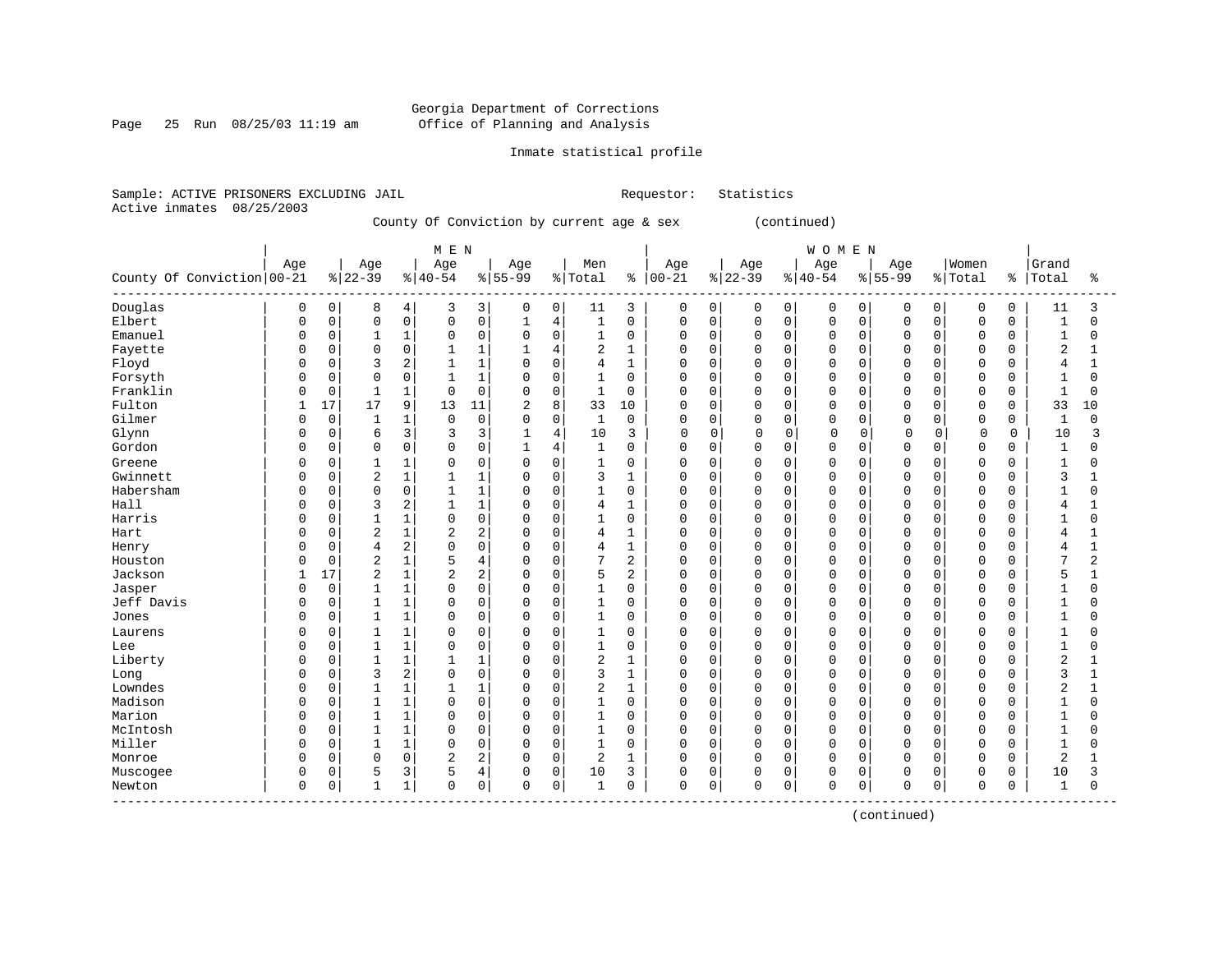# Georgia Department of Corrections Page 25 Run 08/25/03 11:19 am Office of Planning and Analysis

# Inmate statistical profile

Sample: ACTIVE PRISONERS EXCLUDING JAIL Requestor: Statistics Active inmates 08/25/2003

County Of Conviction by current age & sex (continued)

|                                     |              |             |                |                | M E N          |                |                |                |                |                |             |          |             |             | WOMEN       |             |             |             |                |               |                |              |
|-------------------------------------|--------------|-------------|----------------|----------------|----------------|----------------|----------------|----------------|----------------|----------------|-------------|----------|-------------|-------------|-------------|-------------|-------------|-------------|----------------|---------------|----------------|--------------|
|                                     | Age          |             | Age            |                | Age            |                | Age            |                | Men            |                | Age         |          | Age         |             | Age         |             | Age         |             | Women          |               | Grand          |              |
| County Of Conviction 00-21          |              |             | $ 22-39$       |                | $8 40-54$      |                | $8 55-99$      |                | % Total        | ႜ              | $ 00 - 21$  |          | $8 22-39$   |             | $8 40-54$   |             | $8155 - 99$ |             | % Total        | $\frac{8}{6}$ | Total          | ిక           |
| Douglas                             | 0            | 0           | 8              | 4              | 3              | 3              | 0              | $\mathbf{0}$   | 11             | 3              | 0           | 0        | 0           | 0           | 0           | 0           | 0           | 0           | 0              | 0             | 11             | 3            |
| Elbert                              | <sup>0</sup> | 0           | $\Omega$       | $\mathsf 0$    | $\Omega$       | $\mathsf 0$    | $\mathbf{1}$   | 4              | $\mathbf{1}$   | $\mathbf 0$    | $\mathbf 0$ | 0        | $\Omega$    | $\mathbf 0$ | $\Omega$    | $\Omega$    | $\mathbf 0$ | $\Omega$    | $\mathbf 0$    | 0             | $\mathbf{1}$   | $\Omega$     |
| Emanuel                             | O            | 0           | 1              | $\mathbf 1$    | $\Omega$       | $\Omega$       | $\mathbf 0$    | $\Omega$       | $\mathbf{1}$   | $\mathbf 0$    | $\Omega$    | $\Omega$ | $\Omega$    | $\Omega$    | $\Omega$    | $\Omega$    | $\Omega$    | $\Omega$    | $\mathbf 0$    | $\Omega$      | $\mathbf{1}$   | $\Omega$     |
| Fayette                             | O            | $\mathbf 0$ | 0              | $\mathbf 0$    |                | $\mathbf{1}$   |                | 4              | 2              | 1              | $\mathbf 0$ | $\Omega$ | $\Omega$    | $\Omega$    | $\Omega$    | $\Omega$    | $\Omega$    | $\Omega$    | $\mathbf 0$    | O             | $\overline{2}$ |              |
| Floyd                               |              | 0           | 3              | 2              |                | $\mathbf{1}$   | $\overline{0}$ | $\Omega$       | 4              | $\mathbf{1}$   | 0           | 0        | $\Omega$    | $\mathbf 0$ | $\Omega$    | $\Omega$    | $\Omega$    | $\Omega$    | $\overline{0}$ | 0             | 4              | $\mathbf{1}$ |
| Forsyth                             |              | $\mathbf 0$ | $\Omega$       | $\mathbf 0$    |                | $\mathbf{1}$   | $\Omega$       | $\Omega$       | 1              | $\mathbf 0$    | $\mathbf 0$ | 0        | $\Omega$    | $\Omega$    | $\Omega$    | $\Omega$    | $\Omega$    | $\Omega$    | $\mathbf 0$    | $\Omega$      | $\mathbf{1}$   | $\Omega$     |
| Franklin                            | U            | $\mathbf 0$ |                | 1              | $\Omega$       | $\Omega$       | $\mathbf 0$    | $\Omega$       | 1              | 0              | $\mathbf 0$ | 0        | $\Omega$    | $\Omega$    | $\Omega$    | $\Omega$    | $\Omega$    | $\Omega$    | $\mathbf 0$    | $\Omega$      | -1             | $\Omega$     |
| Fulton                              |              | 17          | 17             | 9              | 13             | 11             | 2              | 8              | 33             | 10             | $\mathbf 0$ | $\Omega$ | $\Omega$    | $\Omega$    | $\Omega$    | $\Omega$    | $\Omega$    | $\Omega$    | $\mathbf 0$    | $\Omega$      | 33             | 10           |
| Gilmer                              | U            | $\mathbf 0$ |                | 1              | $\Omega$       | $\Omega$       | $\Omega$       | $\Omega$       | $\mathbf{1}$   | $\mathbf 0$    | $\Omega$    | $\Omega$ | $\Omega$    | $\Omega$    | $\Omega$    | $\Omega$    | $\Omega$    | $\Omega$    | $\mathbf 0$    | $\Omega$      | $\mathbf{1}$   | $\Omega$     |
| Glynn                               | O            | $\mathbf 0$ | 6              | 3              | 3              | 3              | $\mathbf{1}$   | $\overline{4}$ | 10             | 3              | $\Omega$    | $\Omega$ | $\Omega$    | $\Omega$    | $\Omega$    | $\Omega$    | $\Omega$    | $\Omega$    | $\Omega$       | $\Omega$      | 10             | 3            |
| Gordon                              | O            | $\mathbf 0$ | $\Omega$       | $\mathbf 0$    | $\Omega$       | $\mathbf 0$    | 1              | $\overline{4}$ | 1              | 0              | $\Omega$    | 0        | $\Omega$    | $\mathbf 0$ | $\Omega$    | $\mathbf 0$ | 0           | $\Omega$    | $\mathbf 0$    | O             | $\mathbf{1}$   | 0            |
| Greene                              | 0            | $\mathbf 0$ |                | 1              | 0              | $\mathbf 0$    | $\Omega$       | $\Omega$       | 1              | 0              | 0           | $\Omega$ | $\Omega$    | $\Omega$    | $\Omega$    | $\Omega$    | 0           | $\Omega$    | $\Omega$       | U             | $\mathbf{1}$   | 0            |
| Gwinnett                            |              | 0           | 2              | $\mathbf 1$    |                | $\mathbf{1}$   | 0              | $\mathbf 0$    | 3              | $\mathbf{1}$   | 0           | 0        | $\Omega$    | $\mathbf 0$ | $\Omega$    | 0           | $\Omega$    | $\Omega$    | $\mathbf 0$    | 0             | 3              |              |
| Habersham                           | <sup>0</sup> | $\mathbf 0$ | $\Omega$       | $\mathbf 0$    | $\mathbf{1}$   | $\mathbf{1}$   | $\Omega$       | $\Omega$       | 1              | $\mathbf 0$    | $\mathbf 0$ | 0        | $\Omega$    | $\Omega$    | $\Omega$    | $\Omega$    | $\Omega$    | $\Omega$    | $\Omega$       | $\Omega$      | $\mathbf{1}$   | $\Omega$     |
| Hall                                | <sup>0</sup> | $\mathbf 0$ | 3              | $\overline{2}$ |                | $\mathbf{1}$   | 0              | $\Omega$       | 4              | 1              | $\mathbf 0$ | 0        | $\Omega$    | $\Omega$    | $\Omega$    | $\Omega$    | $\Omega$    | $\Omega$    | 0              | 0             | 4              |              |
| Harris                              | O            | $\mathbf 0$ |                | $\mathbf{1}$   | $\Omega$       | $\mathbf 0$    | 0              | $\Omega$       | 1              | $\mathbf 0$    | $\mathbf 0$ | $\Omega$ | $\Omega$    | $\Omega$    | $\Omega$    | $\Omega$    | $\Omega$    |             | $\mathbf 0$    |               | 1              | O            |
| Hart                                | U            | $\mathbf 0$ | $\overline{2}$ | 1              | $\overline{2}$ | $\overline{2}$ | $\Omega$       | $\Omega$       | 4              | $\mathbf{1}$   | $\Omega$    | 0        | $\Omega$    | $\Omega$    | $\Omega$    | $\Omega$    | $\Omega$    | $\cap$      | $\mathbf 0$    | U             | $\overline{4}$ | 1            |
| Henry                               |              | $\Omega$    | 4              | $\overline{2}$ | $\Omega$       | $\Omega$       | $\mathbf 0$    | $\Omega$       | 4              | 1              | $\Omega$    | $\Omega$ | $\Omega$    | $\Omega$    | $\Omega$    | $\Omega$    | $\Omega$    | $\Omega$    | $\mathbf 0$    | $\Omega$      | 4              | 1            |
| Houston                             | U            | $\mathbf 0$ | $\sqrt{2}$     | $\mathbf 1$    | 5              | $\overline{4}$ | 0              | $\mathbf 0$    | 7              | $\overline{2}$ | 0           | 0        | $\mathbf 0$ | $\mathbf 0$ | $\Omega$    | $\mathbf 0$ | $\Omega$    | $\Omega$    | $\mathbf 0$    | 0             | 7              | 2            |
| Jackson                             |              | 17          | $\overline{c}$ | $\mathbf 1$    | $\overline{2}$ | $\overline{2}$ | 0              | $\mathbf 0$    | 5              | $\overline{2}$ | $\Omega$    | 0        | $\Omega$    | $\mathbf 0$ | $\Omega$    | $\Omega$    | $\Omega$    | $\Omega$    | $\mathbf 0$    | 0             | 5              | 1            |
| Jasper                              | <sup>0</sup> | $\mathbf 0$ | 1              | $\mathbf 1$    | 0              | $\Omega$       | $\Omega$       | $\Omega$       | 1              | $\mathbf 0$    | $\Omega$    | 0        | $\Omega$    | $\Omega$    | $\Omega$    | $\Omega$    | $\Omega$    | $\Omega$    | $\Omega$       | $\Omega$      | $\mathbf{1}$   | $\Omega$     |
| Jeff Davis                          | O            | $\mathbf 0$ |                | 1              | $\Omega$       | $\mathbf 0$    | 0              | 0              | 1              | 0              | $\mathbf 0$ | 0        | $\Omega$    | $\mathbf 0$ | $\Omega$    | 0           | $\Omega$    | $\Omega$    | 0              | 0             | 1              | 0            |
| Jones                               | O            | $\mathsf 0$ |                | $\mathbf 1$    | $\Omega$       | $\mathsf 0$    | $\mathbf 0$    | $\Omega$       | 1              | $\mathbf 0$    | $\mathbf 0$ | 0        | $\Omega$    | $\mathbf 0$ | $\Omega$    | $\Omega$    | $\Omega$    | $\Omega$    | $\mathbf 0$    |               | $\mathbf{1}$   | O            |
| Laurens                             | O            | $\mathbf 0$ |                | 1              | $\Omega$       | $\mathbf 0$    | 0              | $\Omega$       | 1              | 0              | $\mathbf 0$ | $\Omega$ | $\Omega$    | $\mathbf 0$ | $\Omega$    | $\Omega$    | 0           | $\Omega$    | 0              |               | 1              | O            |
| Lee                                 | U            | $\Omega$    | $\mathbf{1}$   | 1              | $\Omega$       | $\Omega$       | $\Omega$       | $\Omega$       | $\mathbf{1}$   | $\mathbf 0$    | $\Omega$    | $\Omega$ | $\Omega$    | $\Omega$    | $\Omega$    | $\Omega$    | $\Omega$    | $\Omega$    | $\Omega$       | U             | $\mathbf{1}$   | $\Omega$     |
| Liberty                             |              | $\Omega$    |                | 1              |                | $\mathbf{1}$   | $\Omega$       | $\Omega$       | 2              | 1              | $\Omega$    | $\Omega$ | $\Omega$    | $\Omega$    | $\Omega$    | $\Omega$    | $\Omega$    | $\Omega$    | $\Omega$       | $\Omega$      | 2              |              |
| Long                                | U            | $\mathbf 0$ | 3              | $\overline{c}$ | $\Omega$       | $\mathbf 0$    | $\mathbf 0$    | $\mathbf 0$    | 3              | $\mathbf{1}$   | $\mathbf 0$ | 0        | $\Omega$    | $\mathbf 0$ | $\Omega$    | $\Omega$    | $\Omega$    | $\Omega$    | $\mathbf 0$    | O             | 3              | 1            |
| Lowndes                             |              | 0           |                | $\mathbf{1}$   |                | $\mathbf{1}$   | 0              | $\mathbf 0$    | 2              | $\mathbf{1}$   | $\Omega$    | 0        | $\Omega$    | $\mathbf 0$ | $\Omega$    | $\Omega$    | $\Omega$    | $\Omega$    | $\overline{0}$ | 0             | $\overline{2}$ | $\mathbf{1}$ |
| Madison                             | <sup>0</sup> | $\mathbf 0$ | 1              | 1              | $\Omega$       | $\Omega$       | $\Omega$       | $\Omega$       | 1              | $\mathbf 0$    | $\mathbf 0$ | 0        | $\Omega$    | $\Omega$    | $\Omega$    | $\Omega$    | $\Omega$    | $\Omega$    | $\mathbf 0$    | $\Omega$      | 1              | $\Omega$     |
| Marion                              | <sup>0</sup> | $\mathbf 0$ |                | $\mathbf{1}$   | $\Omega$       | $\mathbf 0$    | 0              | 0              | 1              | 0              | $\mathbf 0$ | 0        | $\Omega$    | $\mathbf 0$ | $\Omega$    | $\Omega$    | 0           | $\Omega$    | $\mathbf 0$    | O             | $\mathbf{1}$   | 0            |
| McIntosh                            | O            | $\mathsf 0$ |                | 1              | $\Omega$       | $\mathbf 0$    | 0              | $\Omega$       | 1              | 0              | $\mathbf 0$ | 0        | $\Omega$    | $\Omega$    | $\Omega$    | $\Omega$    | $\Omega$    | $\Omega$    | $\mathbf 0$    |               | $\mathbf{1}$   | O            |
| Miller                              | <sup>0</sup> | $\Omega$    | $\mathbf{1}$   | 1              | $\Omega$       | $\Omega$       | $\Omega$       | $\Omega$       | $\mathbf{1}$   | $\Omega$       | $\Omega$    | $\Omega$ | $\Omega$    | $\Omega$    | $\Omega$    | $\Omega$    | $\Omega$    | $\Omega$    | $\Omega$       | $\cap$        | $\mathbf{1}$   | $\Omega$     |
| Monroe                              | 0            | $\Omega$    | $\Omega$       | $\mathbf 0$    | $\overline{c}$ | $\overline{2}$ | $\Omega$       | $\Omega$       | $\overline{a}$ | $\mathbf{1}$   | $\Omega$    | $\Omega$ | $\Omega$    | $\Omega$    | $\Omega$    | $\Omega$    | $\Omega$    | $\Omega$    | $\mathbf 0$    | $\Omega$      | $\overline{2}$ |              |
| Muscogee                            | 0            | $\mathsf 0$ | 5              | 3              | 5              | $\overline{4}$ | $\mathbf 0$    | $\mathsf 0$    | 10             | 3              | 0           | 0        | $\Omega$    | $\mathbf 0$ | $\Omega$    | $\mathbf 0$ | 0           | $\mathbf 0$ | 0              | O             | 10             | 3            |
| Newton<br>------------------------- | $\Omega$     | 0           |                | 1              | $\Omega$       | $\mathbf 0$    | $\Omega$       | 0              | $\mathbf{1}$   | $\mathbf 0$    | 0           | 0        | $\Omega$    | 0           | $\mathbf 0$ | 0           | $\mathbf 0$ | 0           | $\mathbf 0$    | 0             | $\mathbf{1}$   | 0            |

(continued)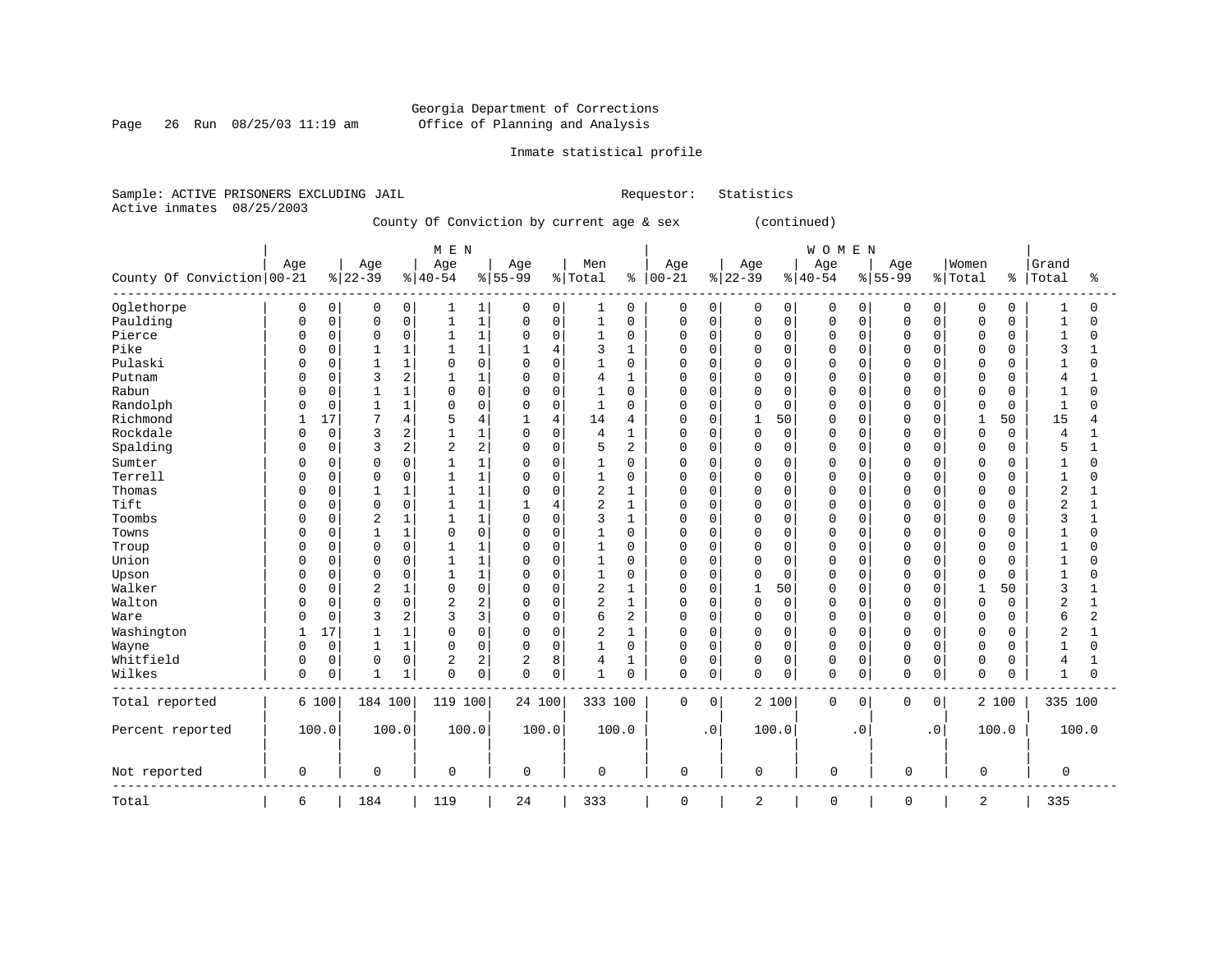Page 26 Run 08/25/03 11:19 am

# Inmate statistical profile

Sample: ACTIVE PRISONERS EXCLUDING JAIL Requestor: Statistics Active inmates 08/25/2003

County Of Conviction by current age & sex (continued)

|                            |              |             |                |                | M E N        |                |              |                |                |                |             |             |             |             | <b>WOMEN</b> |             |             |           |              |          |                |                |
|----------------------------|--------------|-------------|----------------|----------------|--------------|----------------|--------------|----------------|----------------|----------------|-------------|-------------|-------------|-------------|--------------|-------------|-------------|-----------|--------------|----------|----------------|----------------|
|                            | Age          |             | Age            |                | Age          |                | Age          |                | Men            |                | Age         |             | Age         |             | Age          |             | Age         |           | Women        |          | Grand          |                |
| County Of Conviction 00-21 |              |             | $ 22-39$       |                | $8 40-54$    |                | $8 55-99$    |                | % Total        | နွ             | $ 00-21$    |             | $ 22-39$    |             | $8140 - 54$  |             | $8 55-99$   |           | % Total      | ႜ        | Total          | ႜ              |
| Oglethorpe                 | 0            | 0           | 0              | 0              | 1            | 1              | 0            | 0              | 1              | 0              | 0           | 0           | 0           | 0           | 0            | 0           | 0           | 0         | 0            | 0        |                | 0              |
| Paulding                   | <sup>0</sup> | $\mathsf 0$ | $\Omega$       | $\mathbf 0$    | $\mathbf{1}$ | $\mathbf{1}$   | $\Omega$     | $\mathsf{O}$   | $1\,$          | $\mathbf 0$    | $\mathbf 0$ | $\mathbf 0$ | $\mathbf 0$ | $\mathbf 0$ | $\mathbf 0$  | $\mathbf 0$ | $\Omega$    | 0         | $\mathbf 0$  | $\Omega$ | $\mathbf{1}$   | $\Omega$       |
| Pierce                     | 0            | $\mathbf 0$ | $\Omega$       | $\mathbf 0$    | 1            | $\mathbf{1}$   | 0            | 0              | 1              | $\mathbf 0$    | 0           | 0           | 0           | $\Omega$    | $\mathbf 0$  | $\Omega$    | $\Omega$    | $\Omega$  | 0            | $\Omega$ | 1              | 0              |
| Pike                       | O            | $\mathbf 0$ |                | 1              | 1            | $\mathbf{1}$   | 1            | $\overline{4}$ | 3              | 1              | $\Omega$    | $\mathbf 0$ | $\Omega$    | $\Omega$    | $\mathbf 0$  | $\mathbf 0$ | $\Omega$    | $\Omega$  | $\mathbf 0$  | $\Omega$ | 3              | $\mathbf{1}$   |
| Pulaski                    |              | $\mathbf 0$ |                | $\mathbf 1$    | $\Omega$     | $\Omega$       | 0            | $\mathbf 0$    | $\mathbf{1}$   | $\Omega$       | $\Omega$    | 0           | $\Omega$    | $\Omega$    | $\mathbf 0$  | $\Omega$    | $\Omega$    | $\Omega$  | $\Omega$     | $\Omega$ | 1              | 0              |
| Putnam                     | U            | $\mathbf 0$ | 3              | 2              | 1            | 1              | 0            | $\mathbf 0$    | 4              | 1              | $\Omega$    | 0           | $\Omega$    | $\Omega$    | $\mathbf 0$  | $\mathbf 0$ | $\cap$      | $\Omega$  | $\Omega$     | 0        | 4              | $\mathbf{1}$   |
| Rabun                      | U            | $\mathbf 0$ |                | $\mathbf{1}$   | $\Omega$     | $\mathbf 0$    | 0            | 0              | $\mathbf{1}$   | 0              | 0           | 0           | 0           | $\Omega$    | $\mathbf 0$  | $\Omega$    | $\Omega$    | $\Omega$  | $\Omega$     | $\Omega$ | 1              | O              |
| Randolph                   | U            | 0           |                | 1              | $\Omega$     | $\mathbf 0$    | 0            | $\mathbf 0$    | $\mathbf{1}$   | $\Omega$       | $\Omega$    | 0           | $\Omega$    | $\Omega$    | $\mathbf 0$  | $\Omega$    | $\Omega$    | 0         | $\mathbf 0$  | $\Omega$ | $\mathbf{1}$   | $\cap$         |
| Richmond                   |              | 17          | 7              | 4              | 5            | 4              | $\mathbf{1}$ | 4              | 14             | 4              | 0           | 0           | 1           | 50          | $\Omega$     | $\Omega$    | $\Omega$    | $\Omega$  | 1            | 50       | 15             | 4              |
| Rockdale                   | U            | $\mathbf 0$ | 3              | 2              |              | $\mathbf{1}$   | $\Omega$     | $\mathbf 0$    | $\overline{4}$ | 1              | $\Omega$    | 0           | $\mathbf 0$ | $\Omega$    | $\mathbf 0$  | $\mathbf 0$ | $\Omega$    | $\Omega$  | $\mathbf 0$  | $\Omega$ | 4              | $\mathbf{1}$   |
| Spalding                   |              | $\mathbf 0$ | 3              | $\overline{c}$ | 2            | $\overline{2}$ | 0            | $\mathbf 0$    | 5              | $\overline{c}$ | 0           | 0           | 0           | 0           | $\mathbf 0$  | $\mathbf 0$ | 0           | 0         | 0            | $\Omega$ | 5              | $\mathbf{1}$   |
| Sumter                     |              | $\mathbf 0$ | $\Omega$       | 0              |              | $\mathbf{1}$   | 0            | $\mathbf 0$    | 1              | 0              | 0           | 0           | 0           | 0           | $\mathbf 0$  | $\mathbf 0$ | C           | 0         | 0            | 0        | 1              | 0              |
| Terrell                    | <sup>0</sup> | $\mathbf 0$ | $\Omega$       | $\mathbf 0$    | 1            | $\mathbf{1}$   | $\Omega$     | $\mathbf 0$    | 1              | $\mathbf 0$    | $\Omega$    | $\mathbf 0$ | $\Omega$    | $\Omega$    | $\mathbf 0$  | $\Omega$    | $\Omega$    | $\Omega$  | $\mathbf 0$  | $\Omega$ | $\mathbf{1}$   | $\Omega$       |
| Thomas                     | U            | $\mathbf 0$ |                | 1              |              | $\mathbf{1}$   | 0            | $\mathbf 0$    | 2              | 1              | 0           | 0           | $\Omega$    | $\Omega$    | $\mathbf 0$  | 0           | $\Omega$    | 0         | 0            | 0        | $\overline{2}$ | 1              |
| Tift                       | O            | $\mathbf 0$ | $\Omega$       | $\mathbf 0$    |              | $\mathbf{1}$   |              | $\overline{4}$ | 2              | $\mathbf{1}$   | $\Omega$    | $\mathbf 0$ | $\Omega$    | $\Omega$    | $\mathbf 0$  | $\mathbf 0$ | $\Omega$    | $\Omega$  | 0            | $\Omega$ | $\overline{2}$ | 1              |
| Toombs                     | U            | $\mathbf 0$ | $\overline{2}$ | 1              | $\mathbf{1}$ | $\mathbf{1}$   | $\Omega$     | $\mathbf 0$    | 3              | $\mathbf{1}$   | $\Omega$    | 0           | $\Omega$    | $\Omega$    | $\mathbf 0$  | $\Omega$    | $\Omega$    | $\Omega$  | 0            | $\cap$   | 3              | $\mathbf{1}$   |
| Towns                      | O            | $\mathbf 0$ |                | 1              | $\Omega$     | $\Omega$       | 0            | $\mathbf 0$    | $\mathbf{1}$   | $\Omega$       | $\Omega$    | $\mathbf 0$ | $\Omega$    | $\Omega$    | $\mathbf 0$  | $\Omega$    | $\Omega$    | $\Omega$  | $\Omega$     | $\Omega$ |                | $\Omega$       |
| Troup                      | U            | $\mathsf 0$ | $\Omega$       | $\mathsf 0$    | 1            | $\mathbf{1}$   | 0            | $\mathsf 0$    | 1              | $\Omega$       | $\Omega$    | 0           | $\mathbf 0$ | 0           | $\mathbf 0$  | $\mathbf 0$ | $\Omega$    | 0         | $\mathbf 0$  | $\Omega$ | 1              | 0              |
| Union                      | <sup>0</sup> | $\mathbf 0$ | $\Omega$       | 0              |              | $\mathbf{1}$   | 0            | $\mathbf 0$    | $\mathbf{1}$   | $\Omega$       | $\Omega$    | $\mathbf 0$ | $\Omega$    | $\Omega$    | $\mathbf 0$  | $\Omega$    | $\Omega$    | $\Omega$  | $\Omega$     | $\Omega$ | $\mathbf{1}$   | $\Omega$       |
| Upson                      | U            | 0           | $\Omega$       | $\mathbf 0$    | 1            | $\mathbf{1}$   | 0            | $\mathbf 0$    | 1              | 0              | $\Omega$    | 0           | 0           | $\Omega$    | $\mathbf 0$  | 0           | $\Omega$    | 0         | $\Omega$     | 0        | 1              | O              |
| Walker                     | <sup>0</sup> | $\mathbf 0$ | $\overline{2}$ | 1              | $\Omega$     | $\mathbf 0$    | 0            | $\Omega$       | 2              | 1              | $\Omega$    | 0           |             | 50          | $\Omega$     | $\Omega$    | $\Omega$    | $\Omega$  | $\mathbf{1}$ | 50       | 3              | 1              |
| Walton                     | U            | 0           | $\Omega$       | $\mathbf 0$    | 2            | $\overline{2}$ | 0            | $\mathbf 0$    | 2              | $\mathbf{1}$   | $\Omega$    | 0           | $\Omega$    | $\Omega$    | $\mathbf 0$  | 0           | $\Omega$    | $\Omega$  | $\mathbf 0$  | $\Omega$ | $\overline{2}$ | $\mathbf{1}$   |
| Ware                       | O            | $\Omega$    | 3              | $\overline{2}$ | 3            | 3              | $\Omega$     | $\Omega$       | 6              | $\overline{a}$ | 0           | $\Omega$    | $\Omega$    | $\Omega$    | $\Omega$     | $\Omega$    | $\Omega$    | $\Omega$  | $\Omega$     | $\Omega$ | 6              | $\overline{a}$ |
| Washington                 | 1            | 17          | 1              | 1              | $\Omega$     | $\Omega$       | 0            | $\Omega$       | 2              | $\mathbf{1}$   | $\Omega$    | $\Omega$    | $\Omega$    | $\Omega$    | $\Omega$     | $\Omega$    | $\Omega$    | $\Omega$  | $\Omega$     | $\Omega$ | $\overline{c}$ | $\mathbf{1}$   |
| Wayne                      | O            | $\mathsf 0$ |                | 1              | $\Omega$     | $\mathsf 0$    | 0            | $\mathbf 0$    | $\mathbf{1}$   | $\mathbf 0$    | $\mathbf 0$ | $\mathbf 0$ | $\mathbf 0$ | $\Omega$    | $\mathbf 0$  | $\mathbf 0$ | $\Omega$    | $\Omega$  | $\mathbf 0$  | $\Omega$ |                | $\Omega$       |
| Whitfield                  | 0            | $\mathsf 0$ | $\Omega$       | $\mathbf 0$    | 2            | $\overline{c}$ | 2            | 8              | 4              | 1              | $\Omega$    | 0           | $\mathbf 0$ | $\Omega$    | $\mathbf 0$  | $\mathbf 0$ | $\Omega$    | 0         | 0            | $\Omega$ | 4              | 1              |
| Wilkes                     | 0            | $\mathsf 0$ | 1              | 1              | $\Omega$     | 0              | $\Omega$     | $\mathbf 0$    | $\mathbf 1$    | $\mathbf 0$    | $\mathbf 0$ | 0           | $\mathbf 0$ | $\mathbf 0$ | $\Omega$     | 0           | $\Omega$    | 0         | $\mathbf 0$  | 0        | $\mathbf{1}$   | $\Omega$       |
| Total reported             |              | 6 100       | 184 100        |                | 119 100      |                | 24 100       |                | 333 100        |                | $\mathbf 0$ | $\mathbf 0$ |             | 2 100       | $\mathbf 0$  | $\mathbf 0$ | $\mathbf 0$ | 0         |              | 2 100    | 335 100        |                |
| Percent reported           |              | 100.0       |                | 100.0          | 100.0        |                | 100.0        |                | 100.0          |                |             | $\cdot$ 0   |             | 100.0       |              | $\cdot$ 0   |             | $\cdot$ 0 |              | 100.0    |                | 100.0          |
| Not reported               | 0            |             | 0              |                | 0            |                | 0            |                | $\mathbf 0$    |                | 0           |             | 0           |             | 0            |             | 0           |           | 0            |          | 0              |                |
| Total                      | 6            |             | 184            |                | 119          |                | 24           |                | 333            |                | $\mathbf 0$ |             | 2           |             | $\Omega$     |             | $\mathbf 0$ |           | 2            |          | 335            |                |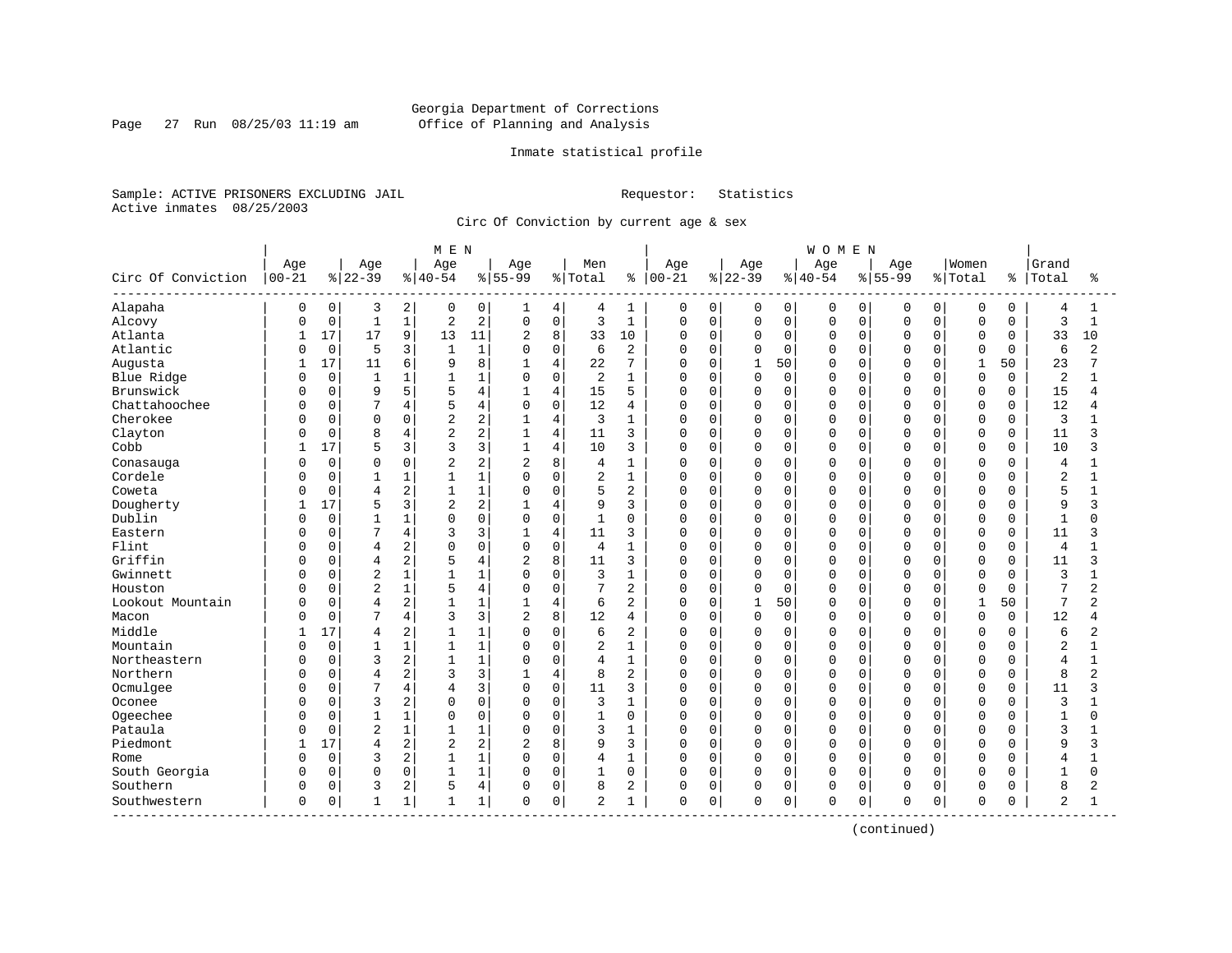# Georgia Department of Corrections Page 27 Run 08/25/03 11:19 am Office of Planning and Analysis

# Inmate statistical profile

Sample: ACTIVE PRISONERS EXCLUDING JAIL Requestor: Statistics Active inmates 08/25/2003

Circ Of Conviction by current age & sex

| Age<br>Age<br>Women<br>Grand<br>Age<br>Age<br>Age<br>Men<br>Age<br>Age<br>Age<br>Circ Of Conviction<br>$00 - 21$<br>$ 22-39$<br>$8 40-54$<br>$8 55-99$<br>% Total<br>$ 00 - 21$<br>$ 22-39$<br>$ 40-54$<br>$8 55-99$<br>% Total<br>Total<br>ႜ<br>နွ<br>ႜ<br>Alapaha<br>$\mathbf 0$<br>2<br>0<br>$\mathbf 0$<br>0<br>$\overline{0}$<br>0<br>3<br>0<br>4<br>4<br>1<br>0<br>0<br>0<br>0<br>0<br>0<br>0<br>4<br>1<br>1<br>$\mathbf 1$<br>2<br>$\mathsf 0$<br>$\mathbf 1$<br>Alcovy<br>$\mathbf 0$<br>$\mathbf{1}$<br>$\overline{2}$<br>$\mathbf 0$<br>3<br>0<br>$\mathbf 0$<br>$\mathsf 0$<br>$\mathbf 0$<br>$\mathbf 0$<br>$\overline{0}$<br>3<br>0<br>$\mathbf 0$<br>0<br>$\mathbf 0$<br>$\mathbf{1}$<br>C<br>9<br>17<br>17<br>8<br>33<br>Atlanta<br>13<br>11<br>2<br>33<br>10<br>0<br>$\mathbf 0$<br>0<br>$\mathbf 0$<br>$\mathbf 0$<br>$\Omega$<br>$\mathbf 0$<br>10<br>0<br>$\Omega$<br>0<br>1<br>Atlantic<br>$\mathbf 0$<br>5<br>3<br>$\mathbf{1}$<br>$\mathbf 0$<br>2<br>$\mathbf{1}$<br>6<br>$\mathbf 0$<br>$\Omega$<br>$\mathbf 0$<br>$\mathbf 0$<br>$\Omega$<br>$\Omega$<br>$\Omega$<br>6<br>$\overline{2}$<br>$\Omega$<br>U<br>$\Omega$<br>$\Omega$<br>C<br>17<br>6<br>8<br>23<br>Augusta<br>11<br>9<br>$\overline{4}$<br>22<br>7<br>$\mathbf 0$<br>$\mathbf{1}$<br>50<br>$\mathbf{1}$<br>50<br>1<br>U<br>U<br>$\Omega$<br>U<br>U<br>$\mathbf 0$<br>$\mathbf 0$<br>1<br>Blue Ridge<br>$\mathbf{1}$<br>1<br>$\mathbf 0$<br>2<br>$\mathbf{1}$<br>$\mathbf 0$<br>0<br>$\mathbf 0$<br>0<br>$\mathbf 0$<br>$\Omega$<br>$\overline{2}$<br>0<br>0<br>$\Omega$<br>0<br>1<br>C<br>5<br>Brunswick<br>15<br>15<br>$\mathbf 0$<br>9<br>4<br>$\mathbf{1}$<br>4<br>5<br>$\mathbf 0$<br>$\mathbf 0$<br>0<br>0<br>$\mathbf 0$<br>0<br>0<br>$\Omega$<br>0<br>0<br>4<br>C<br>Chattahoochee<br>7<br>$\mathbf 0$<br>12<br>12<br>0<br>4<br>5<br>$\Omega$<br>4<br>0<br>$\mathbf 0$<br>0<br>O<br>$\Omega$<br>$\Omega$<br>$\Omega$<br>4<br>0<br>0<br>0<br>C<br>Cherokee<br>$\overline{2}$<br>$\overline{4}$<br>3<br>0<br>3<br>$\mathbf 0$<br>0<br>0<br>$\Omega$<br>2<br>1<br>0<br>0<br>0<br>$\Omega$<br>$\Omega$<br>O<br>$\Omega$<br>0<br>2<br>Clayton<br>8<br>$\overline{4}$<br>11<br>$\mathbf 0$<br>$\mathbf 0$<br>$\Omega$<br>11<br>0<br>4<br>$\mathbf{1}$<br>3<br>0<br>$\Omega$<br>$\Omega$<br>$\Omega$<br>$\Omega$<br>$\Omega$<br>$\mathbf 0$<br>ς<br>3<br>17<br>3<br>4<br>Cobb<br>5<br>10<br>$\mathbf 0$<br>$\Omega$<br>$\Omega$<br>10<br>3<br>$\mathbf{1}$<br>3<br>0<br>$\Omega$<br>$\Omega$<br>$\Omega$<br>$\Omega$<br>$\Omega$<br>$\Omega$<br>ς<br>2<br>8<br>$\mathbf 0$<br>0<br>$\Omega$<br>$\overline{2}$<br>2<br>$\mathbf{1}$<br>$\mathbf 0$<br>$\Omega$<br>0<br>0<br>Conasauga<br>4<br>0<br>0<br>$\Omega$<br>$\Omega$<br>$\Omega$<br>4<br>$\Omega$<br>С<br>Cordele<br>$\mathbf 0$<br>1<br>$\mathsf 0$<br>$\overline{2}$<br>$\mathbf{1}$<br>$\mathbf 0$<br>$\Omega$<br>$\overline{c}$<br>$\mathbf{1}$<br>1<br>$\Omega$<br>0<br>0<br>0<br>0<br>$\mathbf 0$<br>0<br>$\Omega$<br>$\Omega$<br>2<br>1<br>$\mathbf 0$<br>2<br>5<br>Coweta<br>0<br>$\overline{4}$<br>1<br>5<br>0<br>$\mathbf 0$<br>$\Omega$<br>0<br>$\Omega$<br>$\Omega$<br>0<br>$\Omega$<br>$\Omega$<br>O<br>$\Omega$<br>Dougherty<br>3<br>2<br>17<br>5<br>$\overline{4}$<br>9<br>3<br>$\mathbf 0$<br>0<br>9<br>0<br>0<br>0<br>$\Omega$<br>$\Omega$<br>O<br>$\Omega$<br>0<br>3<br>Dublin<br>$\mathbf 0$<br>1<br>0<br>$\mathbf 0$<br>$\mathbf 0$<br>$\Omega$<br>$\mathbf{1}$<br>$\Omega$<br>$\Omega$<br>$\mathbf{1}$<br>0<br>0<br>0<br>0<br>$\Omega$<br>$\Omega$<br>$\Omega$<br>O<br>0<br>$\mathbf{1}$<br>7<br>3<br>$\overline{4}$<br>$\Omega$<br>4<br>11<br>$\Omega$<br>0<br>$\Omega$<br>Eastern<br>3<br>$\mathbf{1}$<br>3<br>0<br>$\Omega$<br>$\Omega$<br>$\Omega$<br>$\Omega$<br>0<br>$\Omega$<br>11<br>3<br>2<br>$\mathbf 0$<br>Flint<br>$\Omega$<br>$\mathbf 0$<br>$\overline{4}$<br>0<br>$\Omega$<br>$\overline{4}$<br>$\mathbf{1}$<br>0<br>0<br>$\Omega$<br>0<br>$\Omega$<br>$\Omega$<br>0<br>$\Omega$<br>$\Omega$<br>4<br>$\Omega$<br>C<br>Griffin<br>2<br>$\overline{c}$<br>8<br>3<br>$\mathbf 0$<br>0<br>$\Omega$<br>4<br>11<br>O<br>$\Omega$<br>$\Omega$<br>$\Omega$<br>$\Omega$<br>0<br>$\Omega$<br>$\Omega$<br>11<br>4<br>3<br>C<br>$\overline{2}$<br>$\mathbf{1}$<br>$\mathbf 0$<br>3<br>Gwinnett<br>$\Omega$<br>$\mathbf{1}$<br>$\mathbf{1}$<br>$\Omega$<br>3<br>$\mathbf 1$<br>O<br>$\mathbf 0$<br>$\Omega$<br>$\Omega$<br>0<br>$\Omega$<br>$\Omega$<br>$\Omega$<br>$\Omega$<br>C<br>0<br>$\mathbf{1}$<br>Houston<br>2<br>1<br>$\mathbf 0$<br>2<br>$\Omega$<br>7<br>$\overline{2}$<br>0<br>5<br>4<br>7<br>0<br>$\mathbf 0$<br>$\mathbf 0$<br>$\Omega$<br>$\Omega$<br>$\Omega$<br>0<br>$\Omega$<br>O<br>$\Omega$<br>2<br>$\overline{4}$<br>$\mathbf 0$<br>$\mathbf{1}$<br>7<br>Lookout Mountain<br>$\Omega$<br>$\overline{4}$<br>$\mathbf{1}$<br>1<br>$\mathbf{1}$<br>6<br>2<br>O<br>50<br>$\Omega$<br>$\Omega$<br>$\Omega$<br>$\cap$<br>1<br>50<br>$\overline{2}$<br>C<br>3<br>7<br>4<br>$\overline{2}$<br>8<br>0<br>3<br>12<br>$\mathbf 0$<br>$\Omega$<br>$\mathbf 0$<br>$\mathbf 0$<br>$\Omega$<br>$\mathbf 0$<br>$\Omega$<br>12<br>Macon<br>4<br>0<br>$\Omega$<br>0<br>4<br>C<br>Middle<br>2<br>$\mathbf 0$<br>17<br>1<br>$\overline{2}$<br>$\mathbf 0$<br>$\Omega$<br>6<br>0<br>$\Omega$<br>0<br>$\Omega$<br>0<br>6<br>2<br>0<br>$\Omega$<br>$\Omega$<br>$\Omega$<br>4<br>1<br>Mountain<br>$\mathbf 0$<br>$\mathbf{1}$<br>$\mathbf 1$<br>$\mathsf 0$<br>$\overline{2}$<br>$\mathbf{1}$<br>$\mathbf 0$<br>$\Omega$<br>$\Omega$<br>$\overline{2}$<br>$\Omega$<br>0<br>$\Omega$<br>0<br>0<br>$\Omega$<br>0<br>$\Omega$<br>С<br>2<br>Northeastern<br>$\Omega$<br>3<br>$\mathbf{1}$<br>1<br>$\Omega$<br>$\mathbf{1}$<br>$\mathbf 0$<br>$\Omega$<br>O<br>$\Omega$<br>$\Omega$<br>$\Omega$<br>$\Omega$<br>$\Omega$<br>$\overline{4}$<br>$\Omega$<br>4<br>$\Omega$<br>0<br>$\mathbf{1}$<br>2<br>Northern<br>3<br>$\overline{4}$<br>$\Omega$<br>8<br>2<br>$\mathbf 0$<br>0<br>$\Omega$<br>8<br>$\overline{2}$<br>4<br>0<br>0<br>0<br>$\Omega$<br>$\Omega$<br>O<br>$\Omega$<br>C<br>Ocmulgee<br>7<br>4<br>3<br>$\mathbf 0$<br>$\Omega$<br>11<br>3<br>O<br>$\mathbf 0$<br>$\Omega$<br>$\Omega$<br>$\mathbf 0$<br>$\Omega$<br>11<br>ς<br>$\Omega$<br>$\Omega$<br><sup>0</sup><br>U<br>$\Omega$<br>4<br>3<br>2<br>$\Omega$<br>$\mathbf 0$<br>Oconee<br>$\Omega$<br>$\Omega$<br>3<br>$\mathbf{1}$<br>$\mathbf 0$<br>$\Omega$<br>$\Omega$<br>0<br>$\Omega$<br>$\Omega$<br>3<br>0<br>$\Omega$<br>$\Omega$<br>$\Omega$<br>U<br>C<br>Ogeechee<br>1<br>$\Omega$<br>$\mathsf 0$<br>0<br>$\mathbf{1}$<br>$\mathbf 0$<br>$\mathbf 0$<br>$\Omega$<br>0<br>0<br>$\mathbf 0$<br>$\Omega$<br>$\Omega$<br>1<br>0<br>0<br>$\Omega$<br>0<br>$\Omega$<br>1<br>O<br>C<br>$\overline{2}$<br>Pataula<br>$\mathbf 1$<br>$\mathbf 0$<br>3<br>0<br>$\mathbf{1}$<br>1<br>0<br>3<br>1<br>0<br>$\Omega$<br>0<br>$\Omega$<br>$\mathbf 0$<br>$\Omega$<br>0<br>$\Omega$<br>$\Omega$<br>$\Omega$<br>Piedmont<br>2<br>2<br>8<br>17<br>$\overline{c}$<br>2<br>9<br>3<br>$\mathbf 0$<br>$\mathbf 0$<br>9<br>0<br>0<br>0<br>0<br>$\Omega$<br>0<br>$\Omega$<br>3<br>4<br>$\Omega$<br>2<br>$\mathbf 0$<br>$\mathbf 0$<br>3<br>1<br>$\mathbf 0$<br>0<br>$\mathbf 0$<br>$\Omega$<br>$\Omega$<br>1<br>0<br>0<br>$\Omega$<br>$\Omega$<br>O<br>4<br>Rome<br>4<br>$\Omega$<br>C<br>South Georgia<br>0<br>$\Omega$<br>0<br>1<br>$\mathbf 0$<br>$\Omega$<br>$\mathbf{1}$<br>$\Omega$<br>$\mathbf{1}$<br>$\Omega$<br>0<br>$\mathbf 0$<br>$\Omega$<br>$\Omega$<br>$\Omega$<br>$\Omega$<br>0<br>$\Omega$<br>$\mathbf{1}$<br>$\Omega$<br>$\Omega$<br>C<br>Southern<br>2<br>4<br>$\mathbf 0$<br>0<br>3<br>8<br>2<br>$\mathbf 0$<br>0<br>$\mathbf 0$<br>0<br>8<br>2<br>5<br>$\Omega$<br>0<br>0<br>$\Omega$<br>$\Omega$<br>$\Omega$<br>C<br>O<br>$\mathsf 0$<br>Southwestern<br>0<br>1<br>1<br>$\overline{2}$<br>0<br>$\mathbf 0$<br>0<br>$\mathbf 0$<br>0<br>$\mathbf 0$<br>2<br>0<br>$\mathbf{1}$<br>1<br>1<br>0<br>0<br>$\Omega$<br>$\Omega$<br>O |  |  | MEN |  |  |  |  | <b>WOMEN</b> |  |  |  |  |
|--------------------------------------------------------------------------------------------------------------------------------------------------------------------------------------------------------------------------------------------------------------------------------------------------------------------------------------------------------------------------------------------------------------------------------------------------------------------------------------------------------------------------------------------------------------------------------------------------------------------------------------------------------------------------------------------------------------------------------------------------------------------------------------------------------------------------------------------------------------------------------------------------------------------------------------------------------------------------------------------------------------------------------------------------------------------------------------------------------------------------------------------------------------------------------------------------------------------------------------------------------------------------------------------------------------------------------------------------------------------------------------------------------------------------------------------------------------------------------------------------------------------------------------------------------------------------------------------------------------------------------------------------------------------------------------------------------------------------------------------------------------------------------------------------------------------------------------------------------------------------------------------------------------------------------------------------------------------------------------------------------------------------------------------------------------------------------------------------------------------------------------------------------------------------------------------------------------------------------------------------------------------------------------------------------------------------------------------------------------------------------------------------------------------------------------------------------------------------------------------------------------------------------------------------------------------------------------------------------------------------------------------------------------------------------------------------------------------------------------------------------------------------------------------------------------------------------------------------------------------------------------------------------------------------------------------------------------------------------------------------------------------------------------------------------------------------------------------------------------------------------------------------------------------------------------------------------------------------------------------------------------------------------------------------------------------------------------------------------------------------------------------------------------------------------------------------------------------------------------------------------------------------------------------------------------------------------------------------------------------------------------------------------------------------------------------------------------------------------------------------------------------------------------------------------------------------------------------------------------------------------------------------------------------------------------------------------------------------------------------------------------------------------------------------------------------------------------------------------------------------------------------------------------------------------------------------------------------------------------------------------------------------------------------------------------------------------------------------------------------------------------------------------------------------------------------------------------------------------------------------------------------------------------------------------------------------------------------------------------------------------------------------------------------------------------------------------------------------------------------------------------------------------------------------------------------------------------------------------------------------------------------------------------------------------------------------------------------------------------------------------------------------------------------------------------------------------------------------------------------------------------------------------------------------------------------------------------------------------------------------------------------------------------------------------------------------------------------------------------------------------------------------------------------------------------------------------------------------------------------------------------------------------------------------------------------------------------------------------------------------------------------------------------------------------------------------------------------------------------------------------------------------------------------------------------------------------------------------------------------------------------------------------------------------------------------------------------------------------------------------------------------------------------------------------------------------------------------------------------------------------------------------------------------------------------------------------------------------------------------------------------------------------------------------------------------------------------------------------------------------------------------------------------------------------------------------------------------------------------------------------------------------------------------------------------------------------------------------------------------------------------------------------------------------------------------------------------------------------------------------------------------------------------------------------------------------------------------------------------------------------------------------------------------------------------------------------------------------------------------------------------------------------------------------------------------------------------------------------------------------------------------------------------------------------------------------------------------------------------------------------------------------------------------------------------------------------------------------------------------------------------------------------------------------------------------------------------------------------------------------------------------------------------------------------------------------------------------------------------------------------------------------------------------------------------------------------------------------------------------------------------------------------------------------------------------------------------------------------------------------------------------------------------------------------------------------------------|--|--|-----|--|--|--|--|--------------|--|--|--|--|
|                                                                                                                                                                                                                                                                                                                                                                                                                                                                                                                                                                                                                                                                                                                                                                                                                                                                                                                                                                                                                                                                                                                                                                                                                                                                                                                                                                                                                                                                                                                                                                                                                                                                                                                                                                                                                                                                                                                                                                                                                                                                                                                                                                                                                                                                                                                                                                                                                                                                                                                                                                                                                                                                                                                                                                                                                                                                                                                                                                                                                                                                                                                                                                                                                                                                                                                                                                                                                                                                                                                                                                                                                                                                                                                                                                                                                                                                                                                                                                                                                                                                                                                                                                                                                                                                                                                                                                                                                                                                                                                                                                                                                                                                                                                                                                                                                                                                                                                                                                                                                                                                                                                                                                                                                                                                                                                                                                                                                                                                                                                                                                                                                                                                                                                                                                                                                                                                                                                                                                                                                                                                                                                                                                                                                                                                                                                                                                                                                                                                                                                                                                                                                                                                                                                                                                                                                                                                                                                                                                                                                                                                                                                                                                                                                                                                                                                                                                                                                                                                                                                                                                                                                                                                                                                                                                                                                                                                                                                                                              |  |  |     |  |  |  |  |              |  |  |  |  |
|                                                                                                                                                                                                                                                                                                                                                                                                                                                                                                                                                                                                                                                                                                                                                                                                                                                                                                                                                                                                                                                                                                                                                                                                                                                                                                                                                                                                                                                                                                                                                                                                                                                                                                                                                                                                                                                                                                                                                                                                                                                                                                                                                                                                                                                                                                                                                                                                                                                                                                                                                                                                                                                                                                                                                                                                                                                                                                                                                                                                                                                                                                                                                                                                                                                                                                                                                                                                                                                                                                                                                                                                                                                                                                                                                                                                                                                                                                                                                                                                                                                                                                                                                                                                                                                                                                                                                                                                                                                                                                                                                                                                                                                                                                                                                                                                                                                                                                                                                                                                                                                                                                                                                                                                                                                                                                                                                                                                                                                                                                                                                                                                                                                                                                                                                                                                                                                                                                                                                                                                                                                                                                                                                                                                                                                                                                                                                                                                                                                                                                                                                                                                                                                                                                                                                                                                                                                                                                                                                                                                                                                                                                                                                                                                                                                                                                                                                                                                                                                                                                                                                                                                                                                                                                                                                                                                                                                                                                                                                              |  |  |     |  |  |  |  |              |  |  |  |  |
|                                                                                                                                                                                                                                                                                                                                                                                                                                                                                                                                                                                                                                                                                                                                                                                                                                                                                                                                                                                                                                                                                                                                                                                                                                                                                                                                                                                                                                                                                                                                                                                                                                                                                                                                                                                                                                                                                                                                                                                                                                                                                                                                                                                                                                                                                                                                                                                                                                                                                                                                                                                                                                                                                                                                                                                                                                                                                                                                                                                                                                                                                                                                                                                                                                                                                                                                                                                                                                                                                                                                                                                                                                                                                                                                                                                                                                                                                                                                                                                                                                                                                                                                                                                                                                                                                                                                                                                                                                                                                                                                                                                                                                                                                                                                                                                                                                                                                                                                                                                                                                                                                                                                                                                                                                                                                                                                                                                                                                                                                                                                                                                                                                                                                                                                                                                                                                                                                                                                                                                                                                                                                                                                                                                                                                                                                                                                                                                                                                                                                                                                                                                                                                                                                                                                                                                                                                                                                                                                                                                                                                                                                                                                                                                                                                                                                                                                                                                                                                                                                                                                                                                                                                                                                                                                                                                                                                                                                                                                                              |  |  |     |  |  |  |  |              |  |  |  |  |
|                                                                                                                                                                                                                                                                                                                                                                                                                                                                                                                                                                                                                                                                                                                                                                                                                                                                                                                                                                                                                                                                                                                                                                                                                                                                                                                                                                                                                                                                                                                                                                                                                                                                                                                                                                                                                                                                                                                                                                                                                                                                                                                                                                                                                                                                                                                                                                                                                                                                                                                                                                                                                                                                                                                                                                                                                                                                                                                                                                                                                                                                                                                                                                                                                                                                                                                                                                                                                                                                                                                                                                                                                                                                                                                                                                                                                                                                                                                                                                                                                                                                                                                                                                                                                                                                                                                                                                                                                                                                                                                                                                                                                                                                                                                                                                                                                                                                                                                                                                                                                                                                                                                                                                                                                                                                                                                                                                                                                                                                                                                                                                                                                                                                                                                                                                                                                                                                                                                                                                                                                                                                                                                                                                                                                                                                                                                                                                                                                                                                                                                                                                                                                                                                                                                                                                                                                                                                                                                                                                                                                                                                                                                                                                                                                                                                                                                                                                                                                                                                                                                                                                                                                                                                                                                                                                                                                                                                                                                                                              |  |  |     |  |  |  |  |              |  |  |  |  |
|                                                                                                                                                                                                                                                                                                                                                                                                                                                                                                                                                                                                                                                                                                                                                                                                                                                                                                                                                                                                                                                                                                                                                                                                                                                                                                                                                                                                                                                                                                                                                                                                                                                                                                                                                                                                                                                                                                                                                                                                                                                                                                                                                                                                                                                                                                                                                                                                                                                                                                                                                                                                                                                                                                                                                                                                                                                                                                                                                                                                                                                                                                                                                                                                                                                                                                                                                                                                                                                                                                                                                                                                                                                                                                                                                                                                                                                                                                                                                                                                                                                                                                                                                                                                                                                                                                                                                                                                                                                                                                                                                                                                                                                                                                                                                                                                                                                                                                                                                                                                                                                                                                                                                                                                                                                                                                                                                                                                                                                                                                                                                                                                                                                                                                                                                                                                                                                                                                                                                                                                                                                                                                                                                                                                                                                                                                                                                                                                                                                                                                                                                                                                                                                                                                                                                                                                                                                                                                                                                                                                                                                                                                                                                                                                                                                                                                                                                                                                                                                                                                                                                                                                                                                                                                                                                                                                                                                                                                                                                              |  |  |     |  |  |  |  |              |  |  |  |  |
|                                                                                                                                                                                                                                                                                                                                                                                                                                                                                                                                                                                                                                                                                                                                                                                                                                                                                                                                                                                                                                                                                                                                                                                                                                                                                                                                                                                                                                                                                                                                                                                                                                                                                                                                                                                                                                                                                                                                                                                                                                                                                                                                                                                                                                                                                                                                                                                                                                                                                                                                                                                                                                                                                                                                                                                                                                                                                                                                                                                                                                                                                                                                                                                                                                                                                                                                                                                                                                                                                                                                                                                                                                                                                                                                                                                                                                                                                                                                                                                                                                                                                                                                                                                                                                                                                                                                                                                                                                                                                                                                                                                                                                                                                                                                                                                                                                                                                                                                                                                                                                                                                                                                                                                                                                                                                                                                                                                                                                                                                                                                                                                                                                                                                                                                                                                                                                                                                                                                                                                                                                                                                                                                                                                                                                                                                                                                                                                                                                                                                                                                                                                                                                                                                                                                                                                                                                                                                                                                                                                                                                                                                                                                                                                                                                                                                                                                                                                                                                                                                                                                                                                                                                                                                                                                                                                                                                                                                                                                                              |  |  |     |  |  |  |  |              |  |  |  |  |
|                                                                                                                                                                                                                                                                                                                                                                                                                                                                                                                                                                                                                                                                                                                                                                                                                                                                                                                                                                                                                                                                                                                                                                                                                                                                                                                                                                                                                                                                                                                                                                                                                                                                                                                                                                                                                                                                                                                                                                                                                                                                                                                                                                                                                                                                                                                                                                                                                                                                                                                                                                                                                                                                                                                                                                                                                                                                                                                                                                                                                                                                                                                                                                                                                                                                                                                                                                                                                                                                                                                                                                                                                                                                                                                                                                                                                                                                                                                                                                                                                                                                                                                                                                                                                                                                                                                                                                                                                                                                                                                                                                                                                                                                                                                                                                                                                                                                                                                                                                                                                                                                                                                                                                                                                                                                                                                                                                                                                                                                                                                                                                                                                                                                                                                                                                                                                                                                                                                                                                                                                                                                                                                                                                                                                                                                                                                                                                                                                                                                                                                                                                                                                                                                                                                                                                                                                                                                                                                                                                                                                                                                                                                                                                                                                                                                                                                                                                                                                                                                                                                                                                                                                                                                                                                                                                                                                                                                                                                                                              |  |  |     |  |  |  |  |              |  |  |  |  |
|                                                                                                                                                                                                                                                                                                                                                                                                                                                                                                                                                                                                                                                                                                                                                                                                                                                                                                                                                                                                                                                                                                                                                                                                                                                                                                                                                                                                                                                                                                                                                                                                                                                                                                                                                                                                                                                                                                                                                                                                                                                                                                                                                                                                                                                                                                                                                                                                                                                                                                                                                                                                                                                                                                                                                                                                                                                                                                                                                                                                                                                                                                                                                                                                                                                                                                                                                                                                                                                                                                                                                                                                                                                                                                                                                                                                                                                                                                                                                                                                                                                                                                                                                                                                                                                                                                                                                                                                                                                                                                                                                                                                                                                                                                                                                                                                                                                                                                                                                                                                                                                                                                                                                                                                                                                                                                                                                                                                                                                                                                                                                                                                                                                                                                                                                                                                                                                                                                                                                                                                                                                                                                                                                                                                                                                                                                                                                                                                                                                                                                                                                                                                                                                                                                                                                                                                                                                                                                                                                                                                                                                                                                                                                                                                                                                                                                                                                                                                                                                                                                                                                                                                                                                                                                                                                                                                                                                                                                                                                              |  |  |     |  |  |  |  |              |  |  |  |  |
|                                                                                                                                                                                                                                                                                                                                                                                                                                                                                                                                                                                                                                                                                                                                                                                                                                                                                                                                                                                                                                                                                                                                                                                                                                                                                                                                                                                                                                                                                                                                                                                                                                                                                                                                                                                                                                                                                                                                                                                                                                                                                                                                                                                                                                                                                                                                                                                                                                                                                                                                                                                                                                                                                                                                                                                                                                                                                                                                                                                                                                                                                                                                                                                                                                                                                                                                                                                                                                                                                                                                                                                                                                                                                                                                                                                                                                                                                                                                                                                                                                                                                                                                                                                                                                                                                                                                                                                                                                                                                                                                                                                                                                                                                                                                                                                                                                                                                                                                                                                                                                                                                                                                                                                                                                                                                                                                                                                                                                                                                                                                                                                                                                                                                                                                                                                                                                                                                                                                                                                                                                                                                                                                                                                                                                                                                                                                                                                                                                                                                                                                                                                                                                                                                                                                                                                                                                                                                                                                                                                                                                                                                                                                                                                                                                                                                                                                                                                                                                                                                                                                                                                                                                                                                                                                                                                                                                                                                                                                                              |  |  |     |  |  |  |  |              |  |  |  |  |
|                                                                                                                                                                                                                                                                                                                                                                                                                                                                                                                                                                                                                                                                                                                                                                                                                                                                                                                                                                                                                                                                                                                                                                                                                                                                                                                                                                                                                                                                                                                                                                                                                                                                                                                                                                                                                                                                                                                                                                                                                                                                                                                                                                                                                                                                                                                                                                                                                                                                                                                                                                                                                                                                                                                                                                                                                                                                                                                                                                                                                                                                                                                                                                                                                                                                                                                                                                                                                                                                                                                                                                                                                                                                                                                                                                                                                                                                                                                                                                                                                                                                                                                                                                                                                                                                                                                                                                                                                                                                                                                                                                                                                                                                                                                                                                                                                                                                                                                                                                                                                                                                                                                                                                                                                                                                                                                                                                                                                                                                                                                                                                                                                                                                                                                                                                                                                                                                                                                                                                                                                                                                                                                                                                                                                                                                                                                                                                                                                                                                                                                                                                                                                                                                                                                                                                                                                                                                                                                                                                                                                                                                                                                                                                                                                                                                                                                                                                                                                                                                                                                                                                                                                                                                                                                                                                                                                                                                                                                                                              |  |  |     |  |  |  |  |              |  |  |  |  |
|                                                                                                                                                                                                                                                                                                                                                                                                                                                                                                                                                                                                                                                                                                                                                                                                                                                                                                                                                                                                                                                                                                                                                                                                                                                                                                                                                                                                                                                                                                                                                                                                                                                                                                                                                                                                                                                                                                                                                                                                                                                                                                                                                                                                                                                                                                                                                                                                                                                                                                                                                                                                                                                                                                                                                                                                                                                                                                                                                                                                                                                                                                                                                                                                                                                                                                                                                                                                                                                                                                                                                                                                                                                                                                                                                                                                                                                                                                                                                                                                                                                                                                                                                                                                                                                                                                                                                                                                                                                                                                                                                                                                                                                                                                                                                                                                                                                                                                                                                                                                                                                                                                                                                                                                                                                                                                                                                                                                                                                                                                                                                                                                                                                                                                                                                                                                                                                                                                                                                                                                                                                                                                                                                                                                                                                                                                                                                                                                                                                                                                                                                                                                                                                                                                                                                                                                                                                                                                                                                                                                                                                                                                                                                                                                                                                                                                                                                                                                                                                                                                                                                                                                                                                                                                                                                                                                                                                                                                                                                              |  |  |     |  |  |  |  |              |  |  |  |  |
|                                                                                                                                                                                                                                                                                                                                                                                                                                                                                                                                                                                                                                                                                                                                                                                                                                                                                                                                                                                                                                                                                                                                                                                                                                                                                                                                                                                                                                                                                                                                                                                                                                                                                                                                                                                                                                                                                                                                                                                                                                                                                                                                                                                                                                                                                                                                                                                                                                                                                                                                                                                                                                                                                                                                                                                                                                                                                                                                                                                                                                                                                                                                                                                                                                                                                                                                                                                                                                                                                                                                                                                                                                                                                                                                                                                                                                                                                                                                                                                                                                                                                                                                                                                                                                                                                                                                                                                                                                                                                                                                                                                                                                                                                                                                                                                                                                                                                                                                                                                                                                                                                                                                                                                                                                                                                                                                                                                                                                                                                                                                                                                                                                                                                                                                                                                                                                                                                                                                                                                                                                                                                                                                                                                                                                                                                                                                                                                                                                                                                                                                                                                                                                                                                                                                                                                                                                                                                                                                                                                                                                                                                                                                                                                                                                                                                                                                                                                                                                                                                                                                                                                                                                                                                                                                                                                                                                                                                                                                                              |  |  |     |  |  |  |  |              |  |  |  |  |
|                                                                                                                                                                                                                                                                                                                                                                                                                                                                                                                                                                                                                                                                                                                                                                                                                                                                                                                                                                                                                                                                                                                                                                                                                                                                                                                                                                                                                                                                                                                                                                                                                                                                                                                                                                                                                                                                                                                                                                                                                                                                                                                                                                                                                                                                                                                                                                                                                                                                                                                                                                                                                                                                                                                                                                                                                                                                                                                                                                                                                                                                                                                                                                                                                                                                                                                                                                                                                                                                                                                                                                                                                                                                                                                                                                                                                                                                                                                                                                                                                                                                                                                                                                                                                                                                                                                                                                                                                                                                                                                                                                                                                                                                                                                                                                                                                                                                                                                                                                                                                                                                                                                                                                                                                                                                                                                                                                                                                                                                                                                                                                                                                                                                                                                                                                                                                                                                                                                                                                                                                                                                                                                                                                                                                                                                                                                                                                                                                                                                                                                                                                                                                                                                                                                                                                                                                                                                                                                                                                                                                                                                                                                                                                                                                                                                                                                                                                                                                                                                                                                                                                                                                                                                                                                                                                                                                                                                                                                                                              |  |  |     |  |  |  |  |              |  |  |  |  |
|                                                                                                                                                                                                                                                                                                                                                                                                                                                                                                                                                                                                                                                                                                                                                                                                                                                                                                                                                                                                                                                                                                                                                                                                                                                                                                                                                                                                                                                                                                                                                                                                                                                                                                                                                                                                                                                                                                                                                                                                                                                                                                                                                                                                                                                                                                                                                                                                                                                                                                                                                                                                                                                                                                                                                                                                                                                                                                                                                                                                                                                                                                                                                                                                                                                                                                                                                                                                                                                                                                                                                                                                                                                                                                                                                                                                                                                                                                                                                                                                                                                                                                                                                                                                                                                                                                                                                                                                                                                                                                                                                                                                                                                                                                                                                                                                                                                                                                                                                                                                                                                                                                                                                                                                                                                                                                                                                                                                                                                                                                                                                                                                                                                                                                                                                                                                                                                                                                                                                                                                                                                                                                                                                                                                                                                                                                                                                                                                                                                                                                                                                                                                                                                                                                                                                                                                                                                                                                                                                                                                                                                                                                                                                                                                                                                                                                                                                                                                                                                                                                                                                                                                                                                                                                                                                                                                                                                                                                                                                              |  |  |     |  |  |  |  |              |  |  |  |  |
|                                                                                                                                                                                                                                                                                                                                                                                                                                                                                                                                                                                                                                                                                                                                                                                                                                                                                                                                                                                                                                                                                                                                                                                                                                                                                                                                                                                                                                                                                                                                                                                                                                                                                                                                                                                                                                                                                                                                                                                                                                                                                                                                                                                                                                                                                                                                                                                                                                                                                                                                                                                                                                                                                                                                                                                                                                                                                                                                                                                                                                                                                                                                                                                                                                                                                                                                                                                                                                                                                                                                                                                                                                                                                                                                                                                                                                                                                                                                                                                                                                                                                                                                                                                                                                                                                                                                                                                                                                                                                                                                                                                                                                                                                                                                                                                                                                                                                                                                                                                                                                                                                                                                                                                                                                                                                                                                                                                                                                                                                                                                                                                                                                                                                                                                                                                                                                                                                                                                                                                                                                                                                                                                                                                                                                                                                                                                                                                                                                                                                                                                                                                                                                                                                                                                                                                                                                                                                                                                                                                                                                                                                                                                                                                                                                                                                                                                                                                                                                                                                                                                                                                                                                                                                                                                                                                                                                                                                                                                                              |  |  |     |  |  |  |  |              |  |  |  |  |
|                                                                                                                                                                                                                                                                                                                                                                                                                                                                                                                                                                                                                                                                                                                                                                                                                                                                                                                                                                                                                                                                                                                                                                                                                                                                                                                                                                                                                                                                                                                                                                                                                                                                                                                                                                                                                                                                                                                                                                                                                                                                                                                                                                                                                                                                                                                                                                                                                                                                                                                                                                                                                                                                                                                                                                                                                                                                                                                                                                                                                                                                                                                                                                                                                                                                                                                                                                                                                                                                                                                                                                                                                                                                                                                                                                                                                                                                                                                                                                                                                                                                                                                                                                                                                                                                                                                                                                                                                                                                                                                                                                                                                                                                                                                                                                                                                                                                                                                                                                                                                                                                                                                                                                                                                                                                                                                                                                                                                                                                                                                                                                                                                                                                                                                                                                                                                                                                                                                                                                                                                                                                                                                                                                                                                                                                                                                                                                                                                                                                                                                                                                                                                                                                                                                                                                                                                                                                                                                                                                                                                                                                                                                                                                                                                                                                                                                                                                                                                                                                                                                                                                                                                                                                                                                                                                                                                                                                                                                                                              |  |  |     |  |  |  |  |              |  |  |  |  |
|                                                                                                                                                                                                                                                                                                                                                                                                                                                                                                                                                                                                                                                                                                                                                                                                                                                                                                                                                                                                                                                                                                                                                                                                                                                                                                                                                                                                                                                                                                                                                                                                                                                                                                                                                                                                                                                                                                                                                                                                                                                                                                                                                                                                                                                                                                                                                                                                                                                                                                                                                                                                                                                                                                                                                                                                                                                                                                                                                                                                                                                                                                                                                                                                                                                                                                                                                                                                                                                                                                                                                                                                                                                                                                                                                                                                                                                                                                                                                                                                                                                                                                                                                                                                                                                                                                                                                                                                                                                                                                                                                                                                                                                                                                                                                                                                                                                                                                                                                                                                                                                                                                                                                                                                                                                                                                                                                                                                                                                                                                                                                                                                                                                                                                                                                                                                                                                                                                                                                                                                                                                                                                                                                                                                                                                                                                                                                                                                                                                                                                                                                                                                                                                                                                                                                                                                                                                                                                                                                                                                                                                                                                                                                                                                                                                                                                                                                                                                                                                                                                                                                                                                                                                                                                                                                                                                                                                                                                                                                              |  |  |     |  |  |  |  |              |  |  |  |  |
|                                                                                                                                                                                                                                                                                                                                                                                                                                                                                                                                                                                                                                                                                                                                                                                                                                                                                                                                                                                                                                                                                                                                                                                                                                                                                                                                                                                                                                                                                                                                                                                                                                                                                                                                                                                                                                                                                                                                                                                                                                                                                                                                                                                                                                                                                                                                                                                                                                                                                                                                                                                                                                                                                                                                                                                                                                                                                                                                                                                                                                                                                                                                                                                                                                                                                                                                                                                                                                                                                                                                                                                                                                                                                                                                                                                                                                                                                                                                                                                                                                                                                                                                                                                                                                                                                                                                                                                                                                                                                                                                                                                                                                                                                                                                                                                                                                                                                                                                                                                                                                                                                                                                                                                                                                                                                                                                                                                                                                                                                                                                                                                                                                                                                                                                                                                                                                                                                                                                                                                                                                                                                                                                                                                                                                                                                                                                                                                                                                                                                                                                                                                                                                                                                                                                                                                                                                                                                                                                                                                                                                                                                                                                                                                                                                                                                                                                                                                                                                                                                                                                                                                                                                                                                                                                                                                                                                                                                                                                                              |  |  |     |  |  |  |  |              |  |  |  |  |
|                                                                                                                                                                                                                                                                                                                                                                                                                                                                                                                                                                                                                                                                                                                                                                                                                                                                                                                                                                                                                                                                                                                                                                                                                                                                                                                                                                                                                                                                                                                                                                                                                                                                                                                                                                                                                                                                                                                                                                                                                                                                                                                                                                                                                                                                                                                                                                                                                                                                                                                                                                                                                                                                                                                                                                                                                                                                                                                                                                                                                                                                                                                                                                                                                                                                                                                                                                                                                                                                                                                                                                                                                                                                                                                                                                                                                                                                                                                                                                                                                                                                                                                                                                                                                                                                                                                                                                                                                                                                                                                                                                                                                                                                                                                                                                                                                                                                                                                                                                                                                                                                                                                                                                                                                                                                                                                                                                                                                                                                                                                                                                                                                                                                                                                                                                                                                                                                                                                                                                                                                                                                                                                                                                                                                                                                                                                                                                                                                                                                                                                                                                                                                                                                                                                                                                                                                                                                                                                                                                                                                                                                                                                                                                                                                                                                                                                                                                                                                                                                                                                                                                                                                                                                                                                                                                                                                                                                                                                                                              |  |  |     |  |  |  |  |              |  |  |  |  |
|                                                                                                                                                                                                                                                                                                                                                                                                                                                                                                                                                                                                                                                                                                                                                                                                                                                                                                                                                                                                                                                                                                                                                                                                                                                                                                                                                                                                                                                                                                                                                                                                                                                                                                                                                                                                                                                                                                                                                                                                                                                                                                                                                                                                                                                                                                                                                                                                                                                                                                                                                                                                                                                                                                                                                                                                                                                                                                                                                                                                                                                                                                                                                                                                                                                                                                                                                                                                                                                                                                                                                                                                                                                                                                                                                                                                                                                                                                                                                                                                                                                                                                                                                                                                                                                                                                                                                                                                                                                                                                                                                                                                                                                                                                                                                                                                                                                                                                                                                                                                                                                                                                                                                                                                                                                                                                                                                                                                                                                                                                                                                                                                                                                                                                                                                                                                                                                                                                                                                                                                                                                                                                                                                                                                                                                                                                                                                                                                                                                                                                                                                                                                                                                                                                                                                                                                                                                                                                                                                                                                                                                                                                                                                                                                                                                                                                                                                                                                                                                                                                                                                                                                                                                                                                                                                                                                                                                                                                                                                              |  |  |     |  |  |  |  |              |  |  |  |  |
|                                                                                                                                                                                                                                                                                                                                                                                                                                                                                                                                                                                                                                                                                                                                                                                                                                                                                                                                                                                                                                                                                                                                                                                                                                                                                                                                                                                                                                                                                                                                                                                                                                                                                                                                                                                                                                                                                                                                                                                                                                                                                                                                                                                                                                                                                                                                                                                                                                                                                                                                                                                                                                                                                                                                                                                                                                                                                                                                                                                                                                                                                                                                                                                                                                                                                                                                                                                                                                                                                                                                                                                                                                                                                                                                                                                                                                                                                                                                                                                                                                                                                                                                                                                                                                                                                                                                                                                                                                                                                                                                                                                                                                                                                                                                                                                                                                                                                                                                                                                                                                                                                                                                                                                                                                                                                                                                                                                                                                                                                                                                                                                                                                                                                                                                                                                                                                                                                                                                                                                                                                                                                                                                                                                                                                                                                                                                                                                                                                                                                                                                                                                                                                                                                                                                                                                                                                                                                                                                                                                                                                                                                                                                                                                                                                                                                                                                                                                                                                                                                                                                                                                                                                                                                                                                                                                                                                                                                                                                                              |  |  |     |  |  |  |  |              |  |  |  |  |
|                                                                                                                                                                                                                                                                                                                                                                                                                                                                                                                                                                                                                                                                                                                                                                                                                                                                                                                                                                                                                                                                                                                                                                                                                                                                                                                                                                                                                                                                                                                                                                                                                                                                                                                                                                                                                                                                                                                                                                                                                                                                                                                                                                                                                                                                                                                                                                                                                                                                                                                                                                                                                                                                                                                                                                                                                                                                                                                                                                                                                                                                                                                                                                                                                                                                                                                                                                                                                                                                                                                                                                                                                                                                                                                                                                                                                                                                                                                                                                                                                                                                                                                                                                                                                                                                                                                                                                                                                                                                                                                                                                                                                                                                                                                                                                                                                                                                                                                                                                                                                                                                                                                                                                                                                                                                                                                                                                                                                                                                                                                                                                                                                                                                                                                                                                                                                                                                                                                                                                                                                                                                                                                                                                                                                                                                                                                                                                                                                                                                                                                                                                                                                                                                                                                                                                                                                                                                                                                                                                                                                                                                                                                                                                                                                                                                                                                                                                                                                                                                                                                                                                                                                                                                                                                                                                                                                                                                                                                                                              |  |  |     |  |  |  |  |              |  |  |  |  |
|                                                                                                                                                                                                                                                                                                                                                                                                                                                                                                                                                                                                                                                                                                                                                                                                                                                                                                                                                                                                                                                                                                                                                                                                                                                                                                                                                                                                                                                                                                                                                                                                                                                                                                                                                                                                                                                                                                                                                                                                                                                                                                                                                                                                                                                                                                                                                                                                                                                                                                                                                                                                                                                                                                                                                                                                                                                                                                                                                                                                                                                                                                                                                                                                                                                                                                                                                                                                                                                                                                                                                                                                                                                                                                                                                                                                                                                                                                                                                                                                                                                                                                                                                                                                                                                                                                                                                                                                                                                                                                                                                                                                                                                                                                                                                                                                                                                                                                                                                                                                                                                                                                                                                                                                                                                                                                                                                                                                                                                                                                                                                                                                                                                                                                                                                                                                                                                                                                                                                                                                                                                                                                                                                                                                                                                                                                                                                                                                                                                                                                                                                                                                                                                                                                                                                                                                                                                                                                                                                                                                                                                                                                                                                                                                                                                                                                                                                                                                                                                                                                                                                                                                                                                                                                                                                                                                                                                                                                                                                              |  |  |     |  |  |  |  |              |  |  |  |  |
|                                                                                                                                                                                                                                                                                                                                                                                                                                                                                                                                                                                                                                                                                                                                                                                                                                                                                                                                                                                                                                                                                                                                                                                                                                                                                                                                                                                                                                                                                                                                                                                                                                                                                                                                                                                                                                                                                                                                                                                                                                                                                                                                                                                                                                                                                                                                                                                                                                                                                                                                                                                                                                                                                                                                                                                                                                                                                                                                                                                                                                                                                                                                                                                                                                                                                                                                                                                                                                                                                                                                                                                                                                                                                                                                                                                                                                                                                                                                                                                                                                                                                                                                                                                                                                                                                                                                                                                                                                                                                                                                                                                                                                                                                                                                                                                                                                                                                                                                                                                                                                                                                                                                                                                                                                                                                                                                                                                                                                                                                                                                                                                                                                                                                                                                                                                                                                                                                                                                                                                                                                                                                                                                                                                                                                                                                                                                                                                                                                                                                                                                                                                                                                                                                                                                                                                                                                                                                                                                                                                                                                                                                                                                                                                                                                                                                                                                                                                                                                                                                                                                                                                                                                                                                                                                                                                                                                                                                                                                                              |  |  |     |  |  |  |  |              |  |  |  |  |
|                                                                                                                                                                                                                                                                                                                                                                                                                                                                                                                                                                                                                                                                                                                                                                                                                                                                                                                                                                                                                                                                                                                                                                                                                                                                                                                                                                                                                                                                                                                                                                                                                                                                                                                                                                                                                                                                                                                                                                                                                                                                                                                                                                                                                                                                                                                                                                                                                                                                                                                                                                                                                                                                                                                                                                                                                                                                                                                                                                                                                                                                                                                                                                                                                                                                                                                                                                                                                                                                                                                                                                                                                                                                                                                                                                                                                                                                                                                                                                                                                                                                                                                                                                                                                                                                                                                                                                                                                                                                                                                                                                                                                                                                                                                                                                                                                                                                                                                                                                                                                                                                                                                                                                                                                                                                                                                                                                                                                                                                                                                                                                                                                                                                                                                                                                                                                                                                                                                                                                                                                                                                                                                                                                                                                                                                                                                                                                                                                                                                                                                                                                                                                                                                                                                                                                                                                                                                                                                                                                                                                                                                                                                                                                                                                                                                                                                                                                                                                                                                                                                                                                                                                                                                                                                                                                                                                                                                                                                                                              |  |  |     |  |  |  |  |              |  |  |  |  |
|                                                                                                                                                                                                                                                                                                                                                                                                                                                                                                                                                                                                                                                                                                                                                                                                                                                                                                                                                                                                                                                                                                                                                                                                                                                                                                                                                                                                                                                                                                                                                                                                                                                                                                                                                                                                                                                                                                                                                                                                                                                                                                                                                                                                                                                                                                                                                                                                                                                                                                                                                                                                                                                                                                                                                                                                                                                                                                                                                                                                                                                                                                                                                                                                                                                                                                                                                                                                                                                                                                                                                                                                                                                                                                                                                                                                                                                                                                                                                                                                                                                                                                                                                                                                                                                                                                                                                                                                                                                                                                                                                                                                                                                                                                                                                                                                                                                                                                                                                                                                                                                                                                                                                                                                                                                                                                                                                                                                                                                                                                                                                                                                                                                                                                                                                                                                                                                                                                                                                                                                                                                                                                                                                                                                                                                                                                                                                                                                                                                                                                                                                                                                                                                                                                                                                                                                                                                                                                                                                                                                                                                                                                                                                                                                                                                                                                                                                                                                                                                                                                                                                                                                                                                                                                                                                                                                                                                                                                                                                              |  |  |     |  |  |  |  |              |  |  |  |  |
|                                                                                                                                                                                                                                                                                                                                                                                                                                                                                                                                                                                                                                                                                                                                                                                                                                                                                                                                                                                                                                                                                                                                                                                                                                                                                                                                                                                                                                                                                                                                                                                                                                                                                                                                                                                                                                                                                                                                                                                                                                                                                                                                                                                                                                                                                                                                                                                                                                                                                                                                                                                                                                                                                                                                                                                                                                                                                                                                                                                                                                                                                                                                                                                                                                                                                                                                                                                                                                                                                                                                                                                                                                                                                                                                                                                                                                                                                                                                                                                                                                                                                                                                                                                                                                                                                                                                                                                                                                                                                                                                                                                                                                                                                                                                                                                                                                                                                                                                                                                                                                                                                                                                                                                                                                                                                                                                                                                                                                                                                                                                                                                                                                                                                                                                                                                                                                                                                                                                                                                                                                                                                                                                                                                                                                                                                                                                                                                                                                                                                                                                                                                                                                                                                                                                                                                                                                                                                                                                                                                                                                                                                                                                                                                                                                                                                                                                                                                                                                                                                                                                                                                                                                                                                                                                                                                                                                                                                                                                                              |  |  |     |  |  |  |  |              |  |  |  |  |
|                                                                                                                                                                                                                                                                                                                                                                                                                                                                                                                                                                                                                                                                                                                                                                                                                                                                                                                                                                                                                                                                                                                                                                                                                                                                                                                                                                                                                                                                                                                                                                                                                                                                                                                                                                                                                                                                                                                                                                                                                                                                                                                                                                                                                                                                                                                                                                                                                                                                                                                                                                                                                                                                                                                                                                                                                                                                                                                                                                                                                                                                                                                                                                                                                                                                                                                                                                                                                                                                                                                                                                                                                                                                                                                                                                                                                                                                                                                                                                                                                                                                                                                                                                                                                                                                                                                                                                                                                                                                                                                                                                                                                                                                                                                                                                                                                                                                                                                                                                                                                                                                                                                                                                                                                                                                                                                                                                                                                                                                                                                                                                                                                                                                                                                                                                                                                                                                                                                                                                                                                                                                                                                                                                                                                                                                                                                                                                                                                                                                                                                                                                                                                                                                                                                                                                                                                                                                                                                                                                                                                                                                                                                                                                                                                                                                                                                                                                                                                                                                                                                                                                                                                                                                                                                                                                                                                                                                                                                                                              |  |  |     |  |  |  |  |              |  |  |  |  |
|                                                                                                                                                                                                                                                                                                                                                                                                                                                                                                                                                                                                                                                                                                                                                                                                                                                                                                                                                                                                                                                                                                                                                                                                                                                                                                                                                                                                                                                                                                                                                                                                                                                                                                                                                                                                                                                                                                                                                                                                                                                                                                                                                                                                                                                                                                                                                                                                                                                                                                                                                                                                                                                                                                                                                                                                                                                                                                                                                                                                                                                                                                                                                                                                                                                                                                                                                                                                                                                                                                                                                                                                                                                                                                                                                                                                                                                                                                                                                                                                                                                                                                                                                                                                                                                                                                                                                                                                                                                                                                                                                                                                                                                                                                                                                                                                                                                                                                                                                                                                                                                                                                                                                                                                                                                                                                                                                                                                                                                                                                                                                                                                                                                                                                                                                                                                                                                                                                                                                                                                                                                                                                                                                                                                                                                                                                                                                                                                                                                                                                                                                                                                                                                                                                                                                                                                                                                                                                                                                                                                                                                                                                                                                                                                                                                                                                                                                                                                                                                                                                                                                                                                                                                                                                                                                                                                                                                                                                                                                              |  |  |     |  |  |  |  |              |  |  |  |  |
|                                                                                                                                                                                                                                                                                                                                                                                                                                                                                                                                                                                                                                                                                                                                                                                                                                                                                                                                                                                                                                                                                                                                                                                                                                                                                                                                                                                                                                                                                                                                                                                                                                                                                                                                                                                                                                                                                                                                                                                                                                                                                                                                                                                                                                                                                                                                                                                                                                                                                                                                                                                                                                                                                                                                                                                                                                                                                                                                                                                                                                                                                                                                                                                                                                                                                                                                                                                                                                                                                                                                                                                                                                                                                                                                                                                                                                                                                                                                                                                                                                                                                                                                                                                                                                                                                                                                                                                                                                                                                                                                                                                                                                                                                                                                                                                                                                                                                                                                                                                                                                                                                                                                                                                                                                                                                                                                                                                                                                                                                                                                                                                                                                                                                                                                                                                                                                                                                                                                                                                                                                                                                                                                                                                                                                                                                                                                                                                                                                                                                                                                                                                                                                                                                                                                                                                                                                                                                                                                                                                                                                                                                                                                                                                                                                                                                                                                                                                                                                                                                                                                                                                                                                                                                                                                                                                                                                                                                                                                                              |  |  |     |  |  |  |  |              |  |  |  |  |
|                                                                                                                                                                                                                                                                                                                                                                                                                                                                                                                                                                                                                                                                                                                                                                                                                                                                                                                                                                                                                                                                                                                                                                                                                                                                                                                                                                                                                                                                                                                                                                                                                                                                                                                                                                                                                                                                                                                                                                                                                                                                                                                                                                                                                                                                                                                                                                                                                                                                                                                                                                                                                                                                                                                                                                                                                                                                                                                                                                                                                                                                                                                                                                                                                                                                                                                                                                                                                                                                                                                                                                                                                                                                                                                                                                                                                                                                                                                                                                                                                                                                                                                                                                                                                                                                                                                                                                                                                                                                                                                                                                                                                                                                                                                                                                                                                                                                                                                                                                                                                                                                                                                                                                                                                                                                                                                                                                                                                                                                                                                                                                                                                                                                                                                                                                                                                                                                                                                                                                                                                                                                                                                                                                                                                                                                                                                                                                                                                                                                                                                                                                                                                                                                                                                                                                                                                                                                                                                                                                                                                                                                                                                                                                                                                                                                                                                                                                                                                                                                                                                                                                                                                                                                                                                                                                                                                                                                                                                                                              |  |  |     |  |  |  |  |              |  |  |  |  |
|                                                                                                                                                                                                                                                                                                                                                                                                                                                                                                                                                                                                                                                                                                                                                                                                                                                                                                                                                                                                                                                                                                                                                                                                                                                                                                                                                                                                                                                                                                                                                                                                                                                                                                                                                                                                                                                                                                                                                                                                                                                                                                                                                                                                                                                                                                                                                                                                                                                                                                                                                                                                                                                                                                                                                                                                                                                                                                                                                                                                                                                                                                                                                                                                                                                                                                                                                                                                                                                                                                                                                                                                                                                                                                                                                                                                                                                                                                                                                                                                                                                                                                                                                                                                                                                                                                                                                                                                                                                                                                                                                                                                                                                                                                                                                                                                                                                                                                                                                                                                                                                                                                                                                                                                                                                                                                                                                                                                                                                                                                                                                                                                                                                                                                                                                                                                                                                                                                                                                                                                                                                                                                                                                                                                                                                                                                                                                                                                                                                                                                                                                                                                                                                                                                                                                                                                                                                                                                                                                                                                                                                                                                                                                                                                                                                                                                                                                                                                                                                                                                                                                                                                                                                                                                                                                                                                                                                                                                                                                              |  |  |     |  |  |  |  |              |  |  |  |  |
|                                                                                                                                                                                                                                                                                                                                                                                                                                                                                                                                                                                                                                                                                                                                                                                                                                                                                                                                                                                                                                                                                                                                                                                                                                                                                                                                                                                                                                                                                                                                                                                                                                                                                                                                                                                                                                                                                                                                                                                                                                                                                                                                                                                                                                                                                                                                                                                                                                                                                                                                                                                                                                                                                                                                                                                                                                                                                                                                                                                                                                                                                                                                                                                                                                                                                                                                                                                                                                                                                                                                                                                                                                                                                                                                                                                                                                                                                                                                                                                                                                                                                                                                                                                                                                                                                                                                                                                                                                                                                                                                                                                                                                                                                                                                                                                                                                                                                                                                                                                                                                                                                                                                                                                                                                                                                                                                                                                                                                                                                                                                                                                                                                                                                                                                                                                                                                                                                                                                                                                                                                                                                                                                                                                                                                                                                                                                                                                                                                                                                                                                                                                                                                                                                                                                                                                                                                                                                                                                                                                                                                                                                                                                                                                                                                                                                                                                                                                                                                                                                                                                                                                                                                                                                                                                                                                                                                                                                                                                                              |  |  |     |  |  |  |  |              |  |  |  |  |
|                                                                                                                                                                                                                                                                                                                                                                                                                                                                                                                                                                                                                                                                                                                                                                                                                                                                                                                                                                                                                                                                                                                                                                                                                                                                                                                                                                                                                                                                                                                                                                                                                                                                                                                                                                                                                                                                                                                                                                                                                                                                                                                                                                                                                                                                                                                                                                                                                                                                                                                                                                                                                                                                                                                                                                                                                                                                                                                                                                                                                                                                                                                                                                                                                                                                                                                                                                                                                                                                                                                                                                                                                                                                                                                                                                                                                                                                                                                                                                                                                                                                                                                                                                                                                                                                                                                                                                                                                                                                                                                                                                                                                                                                                                                                                                                                                                                                                                                                                                                                                                                                                                                                                                                                                                                                                                                                                                                                                                                                                                                                                                                                                                                                                                                                                                                                                                                                                                                                                                                                                                                                                                                                                                                                                                                                                                                                                                                                                                                                                                                                                                                                                                                                                                                                                                                                                                                                                                                                                                                                                                                                                                                                                                                                                                                                                                                                                                                                                                                                                                                                                                                                                                                                                                                                                                                                                                                                                                                                                              |  |  |     |  |  |  |  |              |  |  |  |  |
|                                                                                                                                                                                                                                                                                                                                                                                                                                                                                                                                                                                                                                                                                                                                                                                                                                                                                                                                                                                                                                                                                                                                                                                                                                                                                                                                                                                                                                                                                                                                                                                                                                                                                                                                                                                                                                                                                                                                                                                                                                                                                                                                                                                                                                                                                                                                                                                                                                                                                                                                                                                                                                                                                                                                                                                                                                                                                                                                                                                                                                                                                                                                                                                                                                                                                                                                                                                                                                                                                                                                                                                                                                                                                                                                                                                                                                                                                                                                                                                                                                                                                                                                                                                                                                                                                                                                                                                                                                                                                                                                                                                                                                                                                                                                                                                                                                                                                                                                                                                                                                                                                                                                                                                                                                                                                                                                                                                                                                                                                                                                                                                                                                                                                                                                                                                                                                                                                                                                                                                                                                                                                                                                                                                                                                                                                                                                                                                                                                                                                                                                                                                                                                                                                                                                                                                                                                                                                                                                                                                                                                                                                                                                                                                                                                                                                                                                                                                                                                                                                                                                                                                                                                                                                                                                                                                                                                                                                                                                                              |  |  |     |  |  |  |  |              |  |  |  |  |
|                                                                                                                                                                                                                                                                                                                                                                                                                                                                                                                                                                                                                                                                                                                                                                                                                                                                                                                                                                                                                                                                                                                                                                                                                                                                                                                                                                                                                                                                                                                                                                                                                                                                                                                                                                                                                                                                                                                                                                                                                                                                                                                                                                                                                                                                                                                                                                                                                                                                                                                                                                                                                                                                                                                                                                                                                                                                                                                                                                                                                                                                                                                                                                                                                                                                                                                                                                                                                                                                                                                                                                                                                                                                                                                                                                                                                                                                                                                                                                                                                                                                                                                                                                                                                                                                                                                                                                                                                                                                                                                                                                                                                                                                                                                                                                                                                                                                                                                                                                                                                                                                                                                                                                                                                                                                                                                                                                                                                                                                                                                                                                                                                                                                                                                                                                                                                                                                                                                                                                                                                                                                                                                                                                                                                                                                                                                                                                                                                                                                                                                                                                                                                                                                                                                                                                                                                                                                                                                                                                                                                                                                                                                                                                                                                                                                                                                                                                                                                                                                                                                                                                                                                                                                                                                                                                                                                                                                                                                                                              |  |  |     |  |  |  |  |              |  |  |  |  |
|                                                                                                                                                                                                                                                                                                                                                                                                                                                                                                                                                                                                                                                                                                                                                                                                                                                                                                                                                                                                                                                                                                                                                                                                                                                                                                                                                                                                                                                                                                                                                                                                                                                                                                                                                                                                                                                                                                                                                                                                                                                                                                                                                                                                                                                                                                                                                                                                                                                                                                                                                                                                                                                                                                                                                                                                                                                                                                                                                                                                                                                                                                                                                                                                                                                                                                                                                                                                                                                                                                                                                                                                                                                                                                                                                                                                                                                                                                                                                                                                                                                                                                                                                                                                                                                                                                                                                                                                                                                                                                                                                                                                                                                                                                                                                                                                                                                                                                                                                                                                                                                                                                                                                                                                                                                                                                                                                                                                                                                                                                                                                                                                                                                                                                                                                                                                                                                                                                                                                                                                                                                                                                                                                                                                                                                                                                                                                                                                                                                                                                                                                                                                                                                                                                                                                                                                                                                                                                                                                                                                                                                                                                                                                                                                                                                                                                                                                                                                                                                                                                                                                                                                                                                                                                                                                                                                                                                                                                                                                              |  |  |     |  |  |  |  |              |  |  |  |  |
|                                                                                                                                                                                                                                                                                                                                                                                                                                                                                                                                                                                                                                                                                                                                                                                                                                                                                                                                                                                                                                                                                                                                                                                                                                                                                                                                                                                                                                                                                                                                                                                                                                                                                                                                                                                                                                                                                                                                                                                                                                                                                                                                                                                                                                                                                                                                                                                                                                                                                                                                                                                                                                                                                                                                                                                                                                                                                                                                                                                                                                                                                                                                                                                                                                                                                                                                                                                                                                                                                                                                                                                                                                                                                                                                                                                                                                                                                                                                                                                                                                                                                                                                                                                                                                                                                                                                                                                                                                                                                                                                                                                                                                                                                                                                                                                                                                                                                                                                                                                                                                                                                                                                                                                                                                                                                                                                                                                                                                                                                                                                                                                                                                                                                                                                                                                                                                                                                                                                                                                                                                                                                                                                                                                                                                                                                                                                                                                                                                                                                                                                                                                                                                                                                                                                                                                                                                                                                                                                                                                                                                                                                                                                                                                                                                                                                                                                                                                                                                                                                                                                                                                                                                                                                                                                                                                                                                                                                                                                                              |  |  |     |  |  |  |  |              |  |  |  |  |

(continued)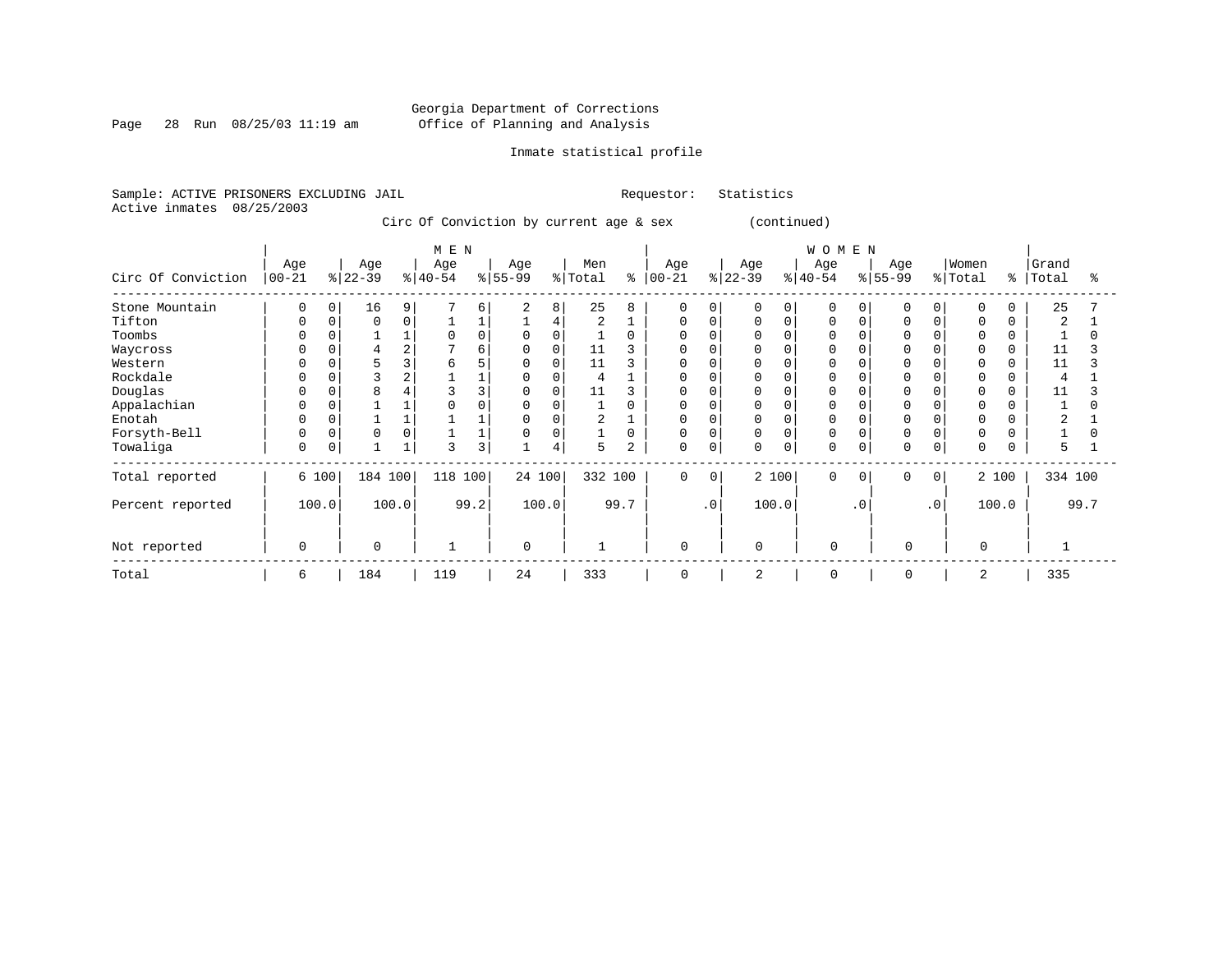Page 28 Run 08/25/03 11:19 am

# Inmate statistical profile

Sample: ACTIVE PRISONERS EXCLUDING JAIL Requestor: Statistics Active inmates 08/25/2003

Circ Of Conviction by current age & sex (continued)

| Circ Of Conviction                                                                                                                    | Age<br>$00 - 21$    | $ 22-39 $        | Age                                                                         | M E N<br>Age<br>$ 40-54$ | $8 55-99$   | Age                                                                                        | Men<br>% Total                           | နွ             | Age<br>$ 00 - 21$           |                       | Age<br>$ 22-39 $                                                                    |                    | W O M E N<br>Age<br>$ 40-54 $                                                    |                       | Age<br>$ 55-99 $     |                       | Women<br>% Total                                                                                                                   | $\approx$      | Grand<br>Total                              | °    |
|---------------------------------------------------------------------------------------------------------------------------------------|---------------------|------------------|-----------------------------------------------------------------------------|--------------------------|-------------|--------------------------------------------------------------------------------------------|------------------------------------------|----------------|-----------------------------|-----------------------|-------------------------------------------------------------------------------------|--------------------|----------------------------------------------------------------------------------|-----------------------|----------------------|-----------------------|------------------------------------------------------------------------------------------------------------------------------------|----------------|---------------------------------------------|------|
| Stone Mountain<br>Tifton<br>Toombs<br>Waycross<br>Western<br>Rockdale<br>Douglas<br>Appalachian<br>Enotah<br>Forsyth-Bell<br>Towaliga | 0<br>0<br>0         | 0<br>0<br>0<br>0 | 16<br>9<br>0<br>0<br>$\overline{2}$<br>4<br>3<br>2<br>8<br>0<br>$\mathbf 0$ | 6<br>3                   | 6<br>6<br>3 | 8<br>$\overline{2}$<br>4<br>$\Omega$<br>0<br>0<br>$\Omega$<br>0<br>0<br>$\Omega$<br>0<br>4 | 25<br>2<br>11<br>11<br>4<br>11<br>2<br>5 | $\overline{2}$ | U<br>U<br>0<br>0            | $\Omega$<br>0<br>0    | <sup>0</sup><br>0<br>0<br>0<br>$\Omega$<br>0<br>$\Omega$<br>0<br>$\Omega$<br>0<br>0 | $\Omega$<br>0<br>0 | $\Omega$<br>$\Omega$<br>$\Omega$<br>$\Omega$<br>$\Omega$<br>$\Omega$<br>$\Omega$ | $\Omega$              | $\Omega$             |                       | $\Omega$<br>$\mathbf 0$<br>$\Omega$<br>$\Omega$<br>$\Omega$<br>$\Omega$<br>$\Omega$<br>0<br>$\Omega$<br>$\mathbf 0$<br>$\mathbf 0$ |                | 25<br>$\overline{2}$<br>11<br>11<br>11<br>5 |      |
| Total reported<br>Percent reported<br>Not reported                                                                                    | 6 100<br>100.0<br>0 |                  | 184 100<br>100.0<br>$\Omega$                                                | 118 100                  | 99.2        | 24 100<br>100.0<br>$\Omega$                                                                | 332 100                                  | 99.7           | $\mathbf 0$<br>$\mathbf{0}$ | $\Omega$<br>$\cdot$ 0 | $\mathbf 0$                                                                         | 2 100<br>100.0     | $\Omega$<br>$\mathbf 0$                                                          | $\Omega$<br>$\cdot$ 0 | $\Omega$<br>$\Omega$ | $\Omega$<br>$\cdot$ 0 | 0                                                                                                                                  | 2 100<br>100.0 | 334 100                                     | 99.7 |
| Total                                                                                                                                 | 6                   |                  | 184                                                                         | 119                      |             | 24                                                                                         | 333                                      |                | $\Omega$                    |                       | 2                                                                                   |                    | $\overline{0}$                                                                   |                       | $\Omega$             |                       | $\overline{2}$                                                                                                                     |                | 335                                         |      |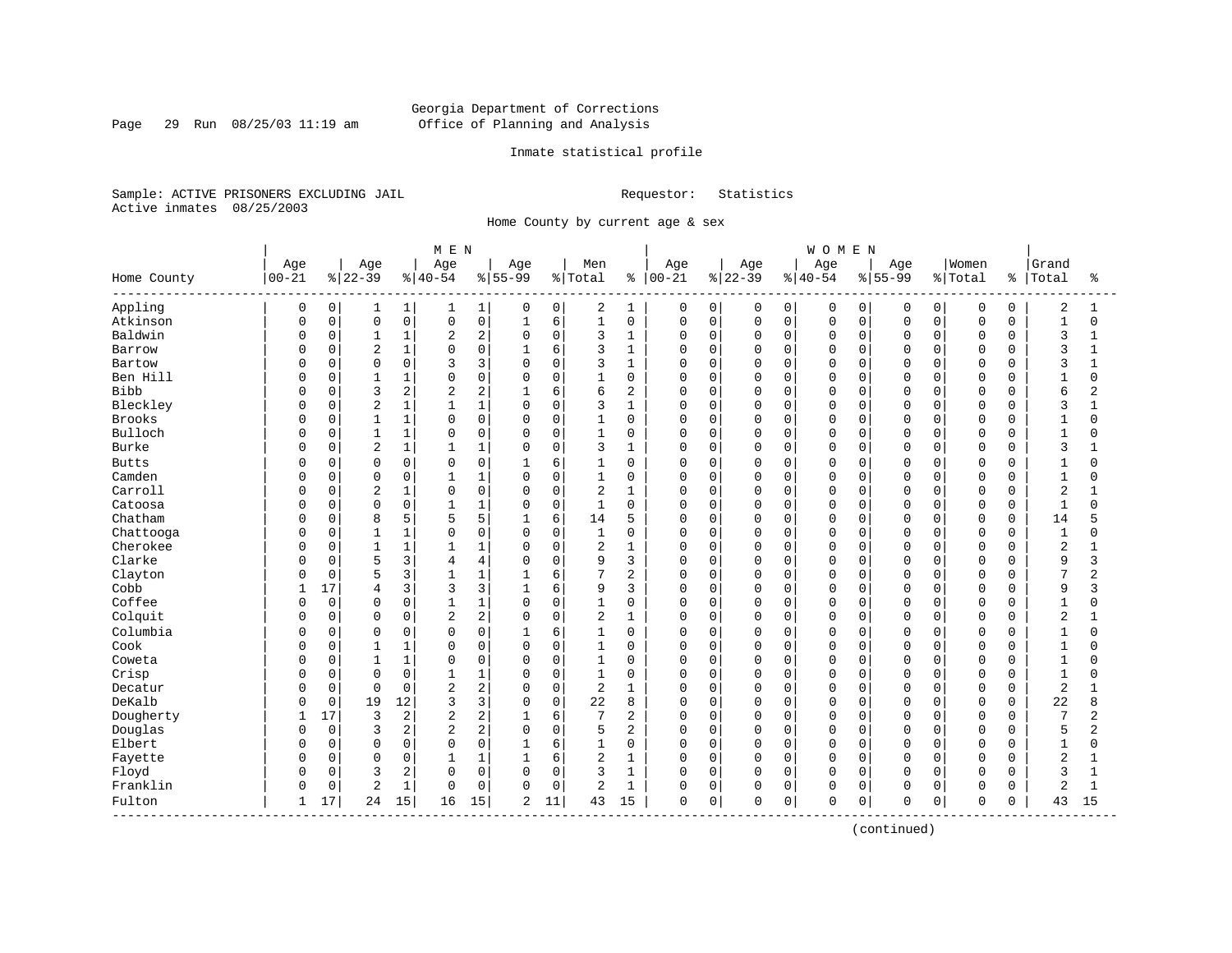# Georgia Department of Corrections Page 29 Run  $08/25/03$  11:19 am Office of Planning and Analysis

# Inmate statistical profile

Sample: ACTIVE PRISONERS EXCLUDING JAIL Requestor: Statistics Active inmates 08/25/2003

Home County by current age & sex

|                          |             |             |                |              | M E N          |                |              |             |              |                |            |             |          |              | <b>WOMEN</b> |          |             |             |                |             |                |                |
|--------------------------|-------------|-------------|----------------|--------------|----------------|----------------|--------------|-------------|--------------|----------------|------------|-------------|----------|--------------|--------------|----------|-------------|-------------|----------------|-------------|----------------|----------------|
|                          | Age         |             | Age            |              | Age            |                | Age          |             | Men          |                | Age        |             | Age      |              | Age          |          | Age         |             | Women          |             | Grand          |                |
| Home County<br>--------- | $00 - 21$   |             | $ 22-39$       |              | $ 40-54$       |                | $8 55-99$    |             | % Total      | ႜ              | $ 00 - 21$ |             | $ 22-39$ |              | $8 40-54$    |          | $8155 - 99$ |             | % Total        | န္          | Total          | ႜ              |
| Appling                  | $\mathbf 0$ | 0           | 1              | $\mathbf{1}$ | 1              | 1              | 0            | 0           | 2            | 1              | 0          | $\mathbf 0$ | 0        | 0            | 0            | 0        | 0           | $\mathbf 0$ | $\mathbf 0$    | $\mathbf 0$ | $\overline{2}$ | 1              |
| Atkinson                 | $\Omega$    | $\mathsf 0$ | $\mathsf 0$    | 0            | 0              | $\mathsf 0$    |              | 6           | $\mathbf{1}$ | $\mathsf 0$    | 0          | $\mathbf 0$ | 0        | $\mathsf{O}$ | $\mathsf 0$  | 0        | $\mathbf 0$ | $\mathbf 0$ | $\mathsf 0$    | $\mathbf 0$ | $\mathbf{1}$   | $\mathbf 0$    |
| Baldwin                  | O           | $\mathbf 0$ | $\mathbf{1}$   | 1            | $\overline{2}$ | $\overline{c}$ | $\mathbf 0$  | $\mathbf 0$ | 3            | $\mathbf{1}$   | $\Omega$   | $\mathbf 0$ | 0        | $\mathbf 0$  | $\mathbf 0$  | 0        | $\Omega$    | 0           | $\mathsf 0$    | $\Omega$    | 3              | $\mathbf{1}$   |
| Barrow                   | $\Omega$    | $\mathbf 0$ | $\overline{2}$ | 1            | $\Omega$       | $\mathbf 0$    | $\mathbf{1}$ | 6           | 3            | $\mathbf{1}$   | 0          | $\mathbf 0$ | 0        | $\mathbf 0$  | $\mathbf 0$  | 0        | $\Omega$    | $\Omega$    | $\mathbf 0$    | 0           | 3              | -1             |
| Bartow                   | O           | 0           | $\mathbf 0$    | 0            | κ              | 3              | $\Omega$     | $\mathbf 0$ | 3            | $\mathbf{1}$   | $\Omega$   | $\mathbf 0$ | 0        | $\Omega$     | $\mathbf 0$  | $\Omega$ | $\Omega$    | $\Omega$    | $\Omega$       | $\Omega$    | 3              |                |
| Ben Hill                 | O           | 0           | $\overline{1}$ | $\mathbf 1$  | $\Omega$       | $\Omega$       | $\Omega$     | $\Omega$    | 1            | $\Omega$       | 0          | $\Omega$    | 0        | $\Omega$     | $\Omega$     | $\Omega$ | $\Omega$    | $\Omega$    | $\Omega$       | $\Omega$    | $\mathbf{1}$   | $\Omega$       |
| <b>Bibb</b>              | U           | $\mathbf 0$ | 3              | 2            | 2              | $\overline{c}$ |              | 6           | 6            | $\overline{2}$ | 0          | $\mathbf 0$ | 0        | $\Omega$     | $\mathbf 0$  | $\Omega$ | $\Omega$    | $\Omega$    | $\mathbf 0$    | $\Omega$    | 6              | 2              |
| Bleckley                 | Ω           | $\mathbf 0$ | $\overline{2}$ | $\mathbf{1}$ | $\mathbf{1}$   | $1\,$          | $\mathbf 0$  | $\mathbf 0$ | 3            | $\mathbf{1}$   | $\Omega$   | $\mathbf 0$ | 0        | $\mathbf 0$  | $\mathbf 0$  | 0        | $\Omega$    | 0           | $\Omega$       | $\Omega$    | 3              | $\mathbf{1}$   |
| <b>Brooks</b>            | $\Omega$    | 0           | $\mathbf{1}$   | 1            | $\Omega$       | $\mathbf 0$    | $\Omega$     | $\mathbf 0$ | 1            | $\mathbf 0$    | $\Omega$   | $\mathbf 0$ | 0        | $\mathbf 0$  | $\mathbf 0$  | 0        | $\Omega$    | $\Omega$    | $\mathbf 0$    | $\Omega$    | $\mathbf 1$    | $\Omega$       |
| Bulloch                  | O           | 0           | $\overline{1}$ | 1            | $\Omega$       | $\mathsf 0$    | $\Omega$     | $\mathbf 0$ | 1            | $\mathbf 0$    | $\Omega$   | $\mathbf 0$ | 0        | $\mathbf 0$  | $\mathbf 0$  | $\Omega$ | $\Omega$    | $\Omega$    | $\Omega$       | $\Omega$    | $\mathbf{1}$   |                |
| <b>Burke</b>             | O           | 0           | $\overline{2}$ | $\mathbf 1$  |                | $1\,$          | $\Omega$     | $\mathbf 0$ | 3            | $\mathbf{1}$   | $\Omega$   | $\mathbf 0$ | 0        | $\Omega$     | $\mathbf 0$  | $\Omega$ | $\Omega$    | $\Omega$    | $\Omega$       | $\cap$      | 3              |                |
| <b>Butts</b>             | O           | 0           | 0              | 0            | 0              | $\mathbf 0$    | $\mathbf{1}$ | 6           | 1            | 0              | 0          | 0           | 0        | $\Omega$     | 0            | $\Omega$ | $\Omega$    | O           | $\Omega$       | $\Omega$    | 1              | U              |
| Camden                   | O           | $\mathbf 0$ | $\mathbf 0$    | 0            | 1              | $\mathbf{1}$   | $\mathbf 0$  | $\mathbf 0$ | 1            | 0              | 0          | $\mathbf 0$ | 0        | $\mathbf 0$  | $\mathbf 0$  | $\Omega$ | $\Omega$    | $\Omega$    | $\mathbf 0$    | $\Omega$    | $\mathbf{1}$   | $\Omega$       |
| Carroll                  | 0           | $\mathbf 0$ | 2              | 1            | $\Omega$       | $\mathbf 0$    | $\Omega$     | $\mathbf 0$ | 2            | $\mathbf{1}$   | 0          | $\mathbf 0$ | 0        | $\mathbf 0$  | $\mathbf 0$  | 0        | $\Omega$    | 0           | $\mathbf 0$    | $\Omega$    | $\overline{a}$ |                |
| Catoosa                  | U           | 0           | $\mathbf 0$    | 0            | 1              | $1\,$          | $\Omega$     | $\mathbf 0$ | 1            | $\mathbf 0$    | 0          | $\mathbf 0$ | 0        | $\mathbf 0$  | $\mathbf 0$  | 0        | $\Omega$    | O           | $\Omega$       | 0           | $\mathbf{1}$   | $\cap$         |
| Chatham                  | O           | 0           | 8              | 5            | 5              | 5              |              | 6           | 14           | 5              | 0          | 0           | 0        | 0            | $\mathbf 0$  | $\Omega$ | 0           | O           | $\Omega$       | 0           | 14             |                |
| Chattooga                | O           | 0           | $\mathbf{1}$   | 1            | $\Omega$       | $\mathbf 0$    | $\Omega$     | $\mathbf 0$ | 1            | 0              | 0          | 0           | 0        | $\Omega$     | $\mathbf 0$  | $\Omega$ | $\Omega$    | O           | $\Omega$       | $\Omega$    | $\mathbf{1}$   | U              |
| Cherokee                 | O           | $\mathbf 0$ | $\mathbf{1}$   | 1            | 1              | $\mathbf{1}$   | $\Omega$     | $\mathbf 0$ | 2            | $\mathbf{1}$   | 0          | $\mathbf 0$ | 0        | $\mathbf 0$  | $\mathbf 0$  | $\Omega$ | $\Omega$    | $\Omega$    | $\mathbf 0$    | $\Omega$    | $\overline{2}$ |                |
| Clarke                   |             | $\mathbf 0$ | 5              | 3            | 4              | $\overline{4}$ | $\Omega$     | $\mathbf 0$ | 9            | 3              | 0          | $\mathbf 0$ | 0        | $\mathbf 0$  | $\mathbf 0$  | 0        | $\Omega$    | 0           | $\overline{0}$ | 0           | 9              | 3              |
| Clayton                  |             | $\mathbf 0$ | 5              | 3            | $\mathbf{1}$   | $1\,$          | 1            | 6           | 7            | 2              | 0          | $\mathbf 0$ | 0        | $\mathbf 0$  | $\Omega$     | 0        | $\Omega$    | O           | $\mathbf 0$    | $\Omega$    | 7              | 2              |
| Cobb                     | 1           | 17          | 4              | 3            | 3              | 3              | $\mathbf{1}$ | 6           | 9            | 3              | 0          | $\mathbf 0$ | 0        | $\mathbf 0$  | $\mathbf 0$  | 0        | $\Omega$    | $\Omega$    | 0              | $\Omega$    | 9              | 3              |
| Coffee                   | O           | $\mathbf 0$ | 0              | 0            |                | $\mathbf{1}$   | $\Omega$     | $\mathbf 0$ | 1            | $\mathbf 0$    | 0          | 0           | 0        | $\mathbf 0$  | $\mathbf 0$  | 0        | $\Omega$    | O           | $\Omega$       | $\Omega$    | $\mathbf{1}$   | $\Omega$       |
| Colquit                  | O           | $\mathbf 0$ | $\mathbf 0$    | 0            | 2              | $\overline{c}$ | $\Omega$     | 0           | 2            | $\mathbf{1}$   | 0          | $\mathbf 0$ | 0        | $\mathbf 0$  | $\mathbf 0$  | $\Omega$ | $\Omega$    | $\Omega$    | $\Omega$       | $\Omega$    | $\overline{2}$ | 1              |
| Columbia                 | U           | 0           | $\Omega$       | $\Omega$     | $\Omega$       | $\Omega$       | -1           | 6           | $\mathbf{1}$ | $\Omega$       | $\Omega$   | $\Omega$    | O        | $\Omega$     | $\Omega$     | $\Omega$ | $\Omega$    | $\Omega$    | $\Omega$       | $\Omega$    | $\mathbf{1}$   | $\Omega$       |
| Cook                     |             | $\mathbf 0$ | $\mathbf{1}$   | 1            | $\Omega$       | $\mathbf 0$    | $\mathbf 0$  | $\mathbf 0$ | $\mathbf{1}$ | $\mathbf 0$    | $\Omega$   | $\mathbf 0$ | 0        | $\mathbf 0$  | $\mathbf 0$  | 0        | $\Omega$    | $\Omega$    | $\Omega$       | $\Omega$    | $\mathbf{1}$   | O              |
| Coweta                   | Ω           | $\mathbf 0$ | $\mathbf{1}$   | 1            | $\Omega$       | $\mathbf 0$    | $\Omega$     | $\mathbf 0$ | $\mathbf{1}$ | $\mathbf 0$    | $\Omega$   | $\mathbf 0$ | 0        | $\Omega$     | $\mathbf 0$  | 0        | $\Omega$    | $\Omega$    | $\Omega$       | $\Omega$    | $\mathbf{1}$   | O              |
| Crisp                    | O           | $\mathbf 0$ | $\mathbf 0$    | 0            |                | $\mathbf{1}$   | $\Omega$     | $\mathbf 0$ | $\mathbf{1}$ | $\mathbf 0$    | $\Omega$   | $\mathbf 0$ | 0        | $\mathbf 0$  | $\mathbf 0$  | 0        | $\Omega$    | $\Omega$    | $\mathbf 0$    | $\Omega$    | $\mathbf{1}$   | O              |
| Decatur                  | O           | $\mathbf 0$ | $\Omega$       | 0            | $\overline{a}$ | $\overline{c}$ | $\Omega$     | $\mathbf 0$ | 2            | $\mathbf{1}$   | $\Omega$   | $\mathbf 0$ | 0        | $\Omega$     | $\mathbf 0$  | $\Omega$ | $\Omega$    | $\Omega$    | $\Omega$       | $\Omega$    | $\overline{2}$ |                |
| DeKalb                   | U           | $\Omega$    | 19             | 12           | 3              | 3              | $\Omega$     | $\Omega$    | 22           | 8              | $\Omega$   | $\Omega$    | 0        | $\Omega$     | $\Omega$     | $\Omega$ | $\Omega$    | $\Omega$    | $\Omega$       | $\Omega$    | 22             | 8              |
| Dougherty                | 1           | 17          | 3              | 2            | 2              | $\overline{c}$ |              | 6           | 7            | $\overline{2}$ | 0          | $\mathbf 0$ | 0        | $\mathbf 0$  | $\mathbf 0$  | $\Omega$ | $\Omega$    | $\Omega$    | $\mathbf 0$    | $\Omega$    | 7              | 2              |
| Douglas                  | U           | $\mathbf 0$ | 3              | 2            | $\overline{2}$ | $\overline{c}$ | $\Omega$     | $\mathbf 0$ | 5            | $\overline{2}$ | $\Omega$   | $\mathbf 0$ | 0        | $\mathbf 0$  | $\mathbf 0$  | 0        | $\Omega$    | $\Omega$    | $\Omega$       | $\Omega$    | 5              | $\overline{a}$ |
| Elbert                   | U           | $\mathbf 0$ | $\mathbf 0$    | 0            | $\Omega$       | $\mathbf 0$    | $\mathbf{1}$ | 6           | $\mathbf{1}$ | $\mathbf 0$    | $\Omega$   | $\mathbf 0$ | 0        | $\mathbf 0$  | $\mathbf 0$  | 0        | $\Omega$    | $\Omega$    | $\mathbf 0$    | $\Omega$    | $\mathbf{1}$   | $\Omega$       |
| Fayette                  | U           | 0           | $\mathbf 0$    | 0            |                | $1\,$          |              | 6           | 2            | $\mathbf{1}$   | $\Omega$   | $\mathbf 0$ | 0        | $\mathbf 0$  | $\mathbf 0$  | $\Omega$ | $\Omega$    | $\Omega$    | $\Omega$       | $\Omega$    | $\overline{2}$ |                |
| Floyd                    | U           | $\mathbf 0$ | 3              | 2            | $\Omega$       | $\mathbf 0$    | $\Omega$     | $\mathbf 0$ | 3            | $\mathbf{1}$   | $\Omega$   | $\mathbf 0$ | 0        | $\Omega$     | $\Omega$     | 0        | $\Omega$    | $\Omega$    | $\Omega$       | $\Omega$    | 3              | $\mathbf{1}$   |
| Franklin                 | U           | $\mathsf 0$ | $\overline{2}$ | $\mathbf{1}$ | $\Omega$       | $\mathbf 0$    | $\Omega$     | $\mathbf 0$ | 2            | $\mathbf{1}$   | 0          | $\mathbf 0$ | 0        | $\mathbf 0$  | $\mathbf 0$  | 0        | $\Omega$    | 0           | $\mathbf 0$    | 0           | 2              | 1              |
| Fulton                   | 1           | 17          | 24             | 15           | 16             | 15             | 2            | 11          | 43           | 15             | 0          | 0           | 0        | 0            | $\mathbf 0$  | 0        | 0           | 0           | $\mathbf 0$    | 0           | 43             | 15             |

(continued)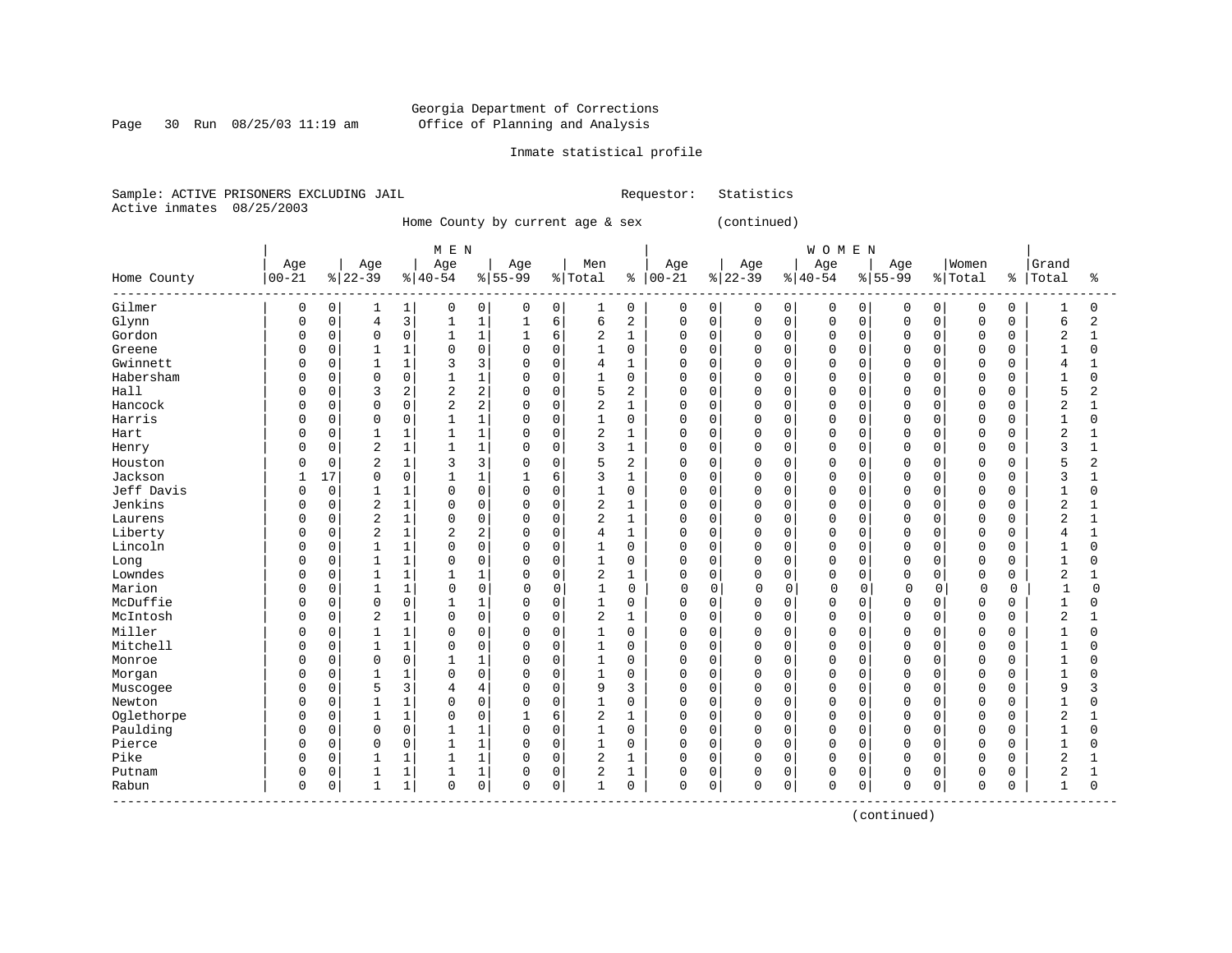Page 30 Run 08/25/03 11:19 am

# Inmate statistical profile

Sample: ACTIVE PRISONERS EXCLUDING JAIL Requestor: Statistics Active inmates 08/25/2003

Home County by current age & sex (continued)

|                           |              |             |                |              | M E N          |                |              |             |                |                |             |             |             |          | <b>WOMEN</b> |             |           |             |             |             |                |              |
|---------------------------|--------------|-------------|----------------|--------------|----------------|----------------|--------------|-------------|----------------|----------------|-------------|-------------|-------------|----------|--------------|-------------|-----------|-------------|-------------|-------------|----------------|--------------|
|                           | Age          |             | Age            |              | Age            |                | Age          |             | Men            |                | Age         |             | Age         |          | Age          |             | Age       |             | Women       |             | Grand          |              |
| Home County<br>---------- | $ 00 - 21$   |             | $ 22-39$       |              | $ 40-54$       |                | $8 55-99$    |             | % Total        | ႜ              | $ 00 - 21$  |             | $ 22-39$    |          | $ 40-54$     |             | $8 55-99$ |             | % Total     | ႜ           | Total          | ႜ            |
| Gilmer                    | 0            | 0           |                | 1            | 0              | 0              | 0            | 0           | 1              | 0              | 0           | 0           | 0           | 0        | 0            | 0           | 0         | 0           | 0           | $\mathbf 0$ |                | $\Omega$     |
| Glynn                     | $\Omega$     | $\mathsf 0$ | 4              | 3            |                | $\mathbf{1}$   | 1            | 6           | 6              | $\overline{2}$ | $\mathbf 0$ | 0           | 0           | 0        | $\mathbf 0$  | 0           | $\Omega$  | $\Omega$    | $\mathbf 0$ | $\Omega$    | 6              | 2            |
| Gordon                    | $\Omega$     | $\Omega$    | $\Omega$       | $\mathbf 0$  | 1              | $\mathbf{1}$   | $\mathbf{1}$ | 6           | 2              | $\mathbf{1}$   | $\Omega$    | $\Omega$    | $\mathbf 0$ | $\Omega$ | $\Omega$     | $\Omega$    | $\Omega$  | $\Omega$    | $\Omega$    | $\Omega$    | $\overline{a}$ | $\mathbf 1$  |
| Greene                    | <sup>0</sup> | $\mathbf 0$ |                | $\mathbf{1}$ | $\Omega$       | $\mathbf 0$    | $\mathbf 0$  | $\Omega$    | $\mathbf{1}$   | $\mathbf 0$    | 0           | $\Omega$    | 0           | $\Omega$ | $\Omega$     | $\Omega$    | $\Omega$  | $\Omega$    | $\Omega$    | $\Omega$    | $\mathbf{1}$   | 0            |
| Gwinnett                  | <sup>0</sup> | $\mathbf 0$ |                | 1            | 3              | 3              | $\mathbf 0$  | $\Omega$    | 4              | $\mathbf{1}$   | O           | $\mathbf 0$ | $\Omega$    | $\Omega$ | $\Omega$     | $\Omega$    | $\Omega$  | $\Omega$    | $\Omega$    | $\Omega$    | 4              |              |
| Habersham                 |              | 0           | $\Omega$       | $\mathsf 0$  |                | $\mathbf{1}$   | 0            | $\Omega$    |                | $\mathbf 0$    | 0           | $\mathbf 0$ | 0           | 0        | $\Omega$     | 0           | $\Omega$  | $\Omega$    | $\Omega$    | $\Omega$    | $\mathbf{1}$   | $\Omega$     |
| Hall                      |              | $\mathbf 0$ | 3              | 2            | 2              | $\overline{2}$ | $\Omega$     | $\Omega$    | 5              | $\overline{c}$ | O           | $\mathbf 0$ | $\mathbf 0$ | $\Omega$ | $\Omega$     | 0           | $\cap$    | $\Omega$    | $\Omega$    | $\Omega$    | 5              | 2            |
| Hancock                   | $\Omega$     | $\mathbf 0$ | $\Omega$       | $\mathbf 0$  | 2              | 2              | $\mathbf 0$  | $\Omega$    | 2              | $\mathbf{1}$   | 0           | $\mathbf 0$ | 0           | $\Omega$ | $\Omega$     | 0           | $\Omega$  | $\Omega$    | $\Omega$    | $\Omega$    | 2              |              |
| Harris                    | n            | 0           |                | 0            |                | $\mathbf{1}$   | 0            | $\Omega$    |                | $\mathbf 0$    | O           | 0           | 0           | $\Omega$ | $\Omega$     | 0           | $\Omega$  | $\Omega$    | $\Omega$    | $\Omega$    | $\mathbf{1}$   | O            |
| Hart                      | <sup>0</sup> | 0           |                | 1            |                | $\mathbf{1}$   | $\Omega$     | $\Omega$    | 2              | $\mathbf{1}$   | $\Omega$    | $\Omega$    | $\Omega$    | $\Omega$ | $\Omega$     | $\Omega$    | $\Omega$  | $\Omega$    | $\Omega$    | $\Omega$    | $\overline{2}$ |              |
| Henry                     | n            | $\mathbf 0$ | 2              | 1            |                | $\mathbf{1}$   | $\Omega$     | $\Omega$    | 3              | 1              | O           | $\Omega$    | $\mathbf 0$ | $\Omega$ | $\Omega$     | $\Omega$    | $\cap$    | $\Omega$    | $\Omega$    | $\Omega$    | 3              |              |
| Houston                   | <sup>0</sup> | $\Omega$    | 2              | 1            | 3              | 3              | $\Omega$     | $\Omega$    | 5              | $\overline{2}$ | U           | $\Omega$    | 0           | $\Omega$ | $\Omega$     | $\Omega$    | $\Omega$  | $\Omega$    | $\Omega$    | O           | 5              | 2            |
| Jackson                   | 1            | 17          | $\Omega$       | $\Omega$     | $\mathbf{1}$   | $\mathbf{1}$   | $\mathbf{1}$ | 6           | 3              | $\mathbf{1}$   | O           | $\Omega$    | $\Omega$    | $\Omega$ | $\Omega$     | $\Omega$    | $\Omega$  | $\Omega$    | $\Omega$    | $\Omega$    | 3              |              |
| Jeff Davis                | $\Omega$     | $\mathbf 0$ |                | 1            | $\Omega$       | $\mathbf 0$    | $\Omega$     | $\Omega$    | 1              | $\Omega$       | U           | 0           | $\Omega$    | $\Omega$ | $\Omega$     | $\Omega$    | $\Omega$  | $\Omega$    | $\Omega$    | $\Omega$    |                | O            |
| Jenkins                   |              | $\mathbf 0$ | 2              | $\mathbf{1}$ | O              | $\mathbf 0$    | $\Omega$     | $\Omega$    | $\overline{2}$ | 1              | U           | $\mathbf 0$ | $\Omega$    | $\Omega$ | $\Omega$     | 0           | $\Omega$  | $\Omega$    | $\Omega$    | $\Omega$    | $\overline{2}$ |              |
| Laurens                   |              | $\mathbf 0$ | 2              | $\mathbf 1$  | 0              | $\mathbf 0$    | 0            | $\Omega$    | 2              | 1              | U           | 0           | 0           | $\Omega$ | $\Omega$     | 0           | $\Omega$  | $\Omega$    | $\Omega$    | $\Omega$    | $\overline{2}$ |              |
| Liberty                   | $\Omega$     | $\mathbf 0$ | $\overline{2}$ | $\mathbf{1}$ | $\overline{c}$ | $\overline{2}$ | $\Omega$     | $\Omega$    | 4              | 1              | U           | 0           | 0           | $\Omega$ | $\Omega$     | $\Omega$    | $\Omega$  | $\Omega$    | $\Omega$    | $\Omega$    | 4              | $\mathbf{1}$ |
| Lincoln                   | $\Omega$     | $\mathbf 0$ |                | 1            | O              | $\mathbf 0$    | $\Omega$     | $\Omega$    |                | $\mathbf 0$    | U           | 0           | 0           | $\Omega$ | $\Omega$     | 0           | $\Omega$  | $\Omega$    | $\Omega$    | $\Omega$    |                | O            |
| Long                      | <sup>0</sup> | $\mathbf 0$ |                | 1            | $\Omega$       | $\mathbf 0$    | 0            | $\Omega$    | 1              | 0              | $\Omega$    | 0           | 0           | $\Omega$ | $\mathbf 0$  | $\Omega$    | $\Omega$  | $\Omega$    | $\Omega$    | $\Omega$    | $\mathbf{1}$   |              |
| Lowndes                   | <sup>0</sup> | $\mathbf 0$ | $\mathbf{1}$   | 1            |                | $\mathbf{1}$   | $\Omega$     | $\Omega$    | $\overline{2}$ | 1              | $\Omega$    | $\Omega$    | 0           | $\Omega$ | $\Omega$     | $\Omega$    | $\Omega$  | $\Omega$    | $\Omega$    | $\Omega$    | $\overline{2}$ |              |
| Marion                    | $\Omega$     | $\mathbf 0$ | $\mathbf{1}$   | 1            | $\mathbf 0$    | $\Omega$       | $\Omega$     | $\Omega$    | $\mathbf{1}$   | $\Omega$       | $\Omega$    | $\Omega$    | $\Omega$    | $\Omega$ | $\mathbf 0$  | $\mathbf 0$ | $\Omega$  | $\Omega$    | $\Omega$    | 0           | $\mathbf{1}$   | $\Omega$     |
| McDuffie                  | <sup>0</sup> | $\mathbf 0$ | $\mathbf 0$    | $\mathbf 0$  | 1              | $\mathbf{1}$   | $\Omega$     | $\mathbf 0$ | 1              | $\Omega$       | 0           | $\mathbf 0$ | $\Omega$    | $\Omega$ | $\Omega$     | $\Omega$    | $\Omega$  | $\Omega$    | $\Omega$    | $\Omega$    | $\mathbf{1}$   | O            |
| McIntosh                  | $\Omega$     | 0           | 2              | 1            | $\Omega$       | $\mathsf 0$    | $\Omega$     | $\mathbf 0$ | 2              | $\mathbf{1}$   | 0           | $\mathbf 0$ | 0           | 0        | $\mathbf 0$  | 0           | $\Omega$  | $\mathbf 0$ | $\Omega$    | $\Omega$    | $\overline{2}$ |              |
| Miller                    |              | $\mathbf 0$ |                | 1            | 0              | $\mathbf 0$    | 0            | $\mathbf 0$ | $\mathbf{1}$   | $\mathbf 0$    | 0           | $\mathbf 0$ | 0           | $\Omega$ | $\Omega$     | 0           | 0         | $\Omega$    | $\Omega$    | 0           | $\mathbf{1}$   |              |
| Mitchell                  |              | $\mathbf 0$ |                | 1            | 0              | $\mathbf 0$    | $\Omega$     | $\Omega$    | $\mathbf{1}$   | $\mathbf 0$    | 0           | $\mathbf 0$ | $\mathbf 0$ | $\Omega$ | $\Omega$     | 0           | $\Omega$  | $\Omega$    | $\Omega$    | $\Omega$    | $\mathbf{1}$   | 0            |
| Monroe                    | n            | $\mathbf 0$ | $\Omega$       | $\mathbf 0$  |                | $\mathbf{1}$   | $\Omega$     | $\Omega$    | $\mathbf{1}$   | $\Omega$       | $\Omega$    | $\mathbf 0$ | $\mathbf 0$ | $\Omega$ | $\Omega$     | 0           | $\Omega$  | $\Omega$    | $\Omega$    | $\Omega$    | $\mathbf{1}$   | O            |
| Morgan                    | n            | $\mathbf 0$ |                | 1            | $\Omega$       | $\mathbf 0$    | $\Omega$     | $\Omega$    | 1              | 0              | 0           | 0           | 0           | $\Omega$ | $\Omega$     | 0           | $\Omega$  | $\Omega$    | $\Omega$    | 0           |                | O            |
| Muscogee                  | <sup>0</sup> | $\mathbf 0$ |                | 3            | 4              | $\overline{4}$ | $\Omega$     | $\Omega$    | 9              | 3              | O           | $\Omega$    | $\Omega$    | $\Omega$ | $\Omega$     | $\Omega$    | $\Omega$  | $\Omega$    | $\Omega$    | O           | 9              | 3            |
| Newton                    | $\Omega$     | $\mathbf 0$ |                | 1            | $\Omega$       | $\Omega$       | $\Omega$     | $\Omega$    |                | $\mathbf 0$    | $\Omega$    | $\Omega$    | 0           | $\Omega$ | $\Omega$     | $\Omega$    | $\Omega$  | $\Omega$    | $\Omega$    | $\Omega$    |                | O            |
| Oglethorpe                | $\Omega$     | $\Omega$    | $\mathbf{1}$   | $\mathbf 1$  | $\Omega$       | $\Omega$       | 1            | 6           | 2              | 1              | U           | $\Omega$    | $\Omega$    | $\Omega$ | $\Omega$     | $\Omega$    | $\Omega$  | $\Omega$    | $\Omega$    | $\Omega$    | $\overline{a}$ |              |
| Paulding                  | <sup>0</sup> | $\mathbf 0$ | $\Omega$       | $\mathbf 0$  |                | $\mathbf{1}$   | $\mathbf 0$  | $\Omega$    | $\mathbf{1}$   | $\Omega$       | 0           | 0           | 0           | $\Omega$ | $\Omega$     | $\Omega$    | $\Omega$  | $\Omega$    | $\Omega$    | $\Omega$    | $\mathbf{1}$   | O            |
| Pierce                    | <sup>0</sup> | $\mathbf 0$ | $\Omega$       | $\mathsf 0$  | $\mathbf{1}$   | $\mathbf{1}$   | $\Omega$     | $\Omega$    | 1              | $\mathbf 0$    | U           | $\mathbf 0$ | $\Omega$    | $\Omega$ | $\Omega$     | 0           | $\Omega$  | $\Omega$    | $\Omega$    | $\Omega$    | $\mathbf{1}$   | O            |
| Pike                      | $\Omega$     | 0           |                | 1            |                | $\mathbf{1}$   | 0            | $\Omega$    | $\overline{2}$ | 1              | 0           | 0           | $\Omega$    | $\Omega$ | $\Omega$     | 0           | $\Omega$  | 0           | $\mathbf 0$ | $\Omega$    | $\overline{2}$ |              |
| Putnam                    | $\Omega$     | 0           |                | 1            | 1              | 1              | 0            | $\Omega$    | 2              | 1              | 0           | 0           | 0           | 0        | $\Omega$     | 0           | $\Omega$  | 0           | $\Omega$    | $\Omega$    | 2              |              |
| Rabun                     | $\Omega$     | 0           |                | 1            | $\Omega$       | $\mathbf 0$    | 0            | 0           | 1              | $\mathbf 0$    | $\mathbf 0$ | $\Omega$    | 0           | 0        | $\Omega$     | 0           | $\Omega$  | 0           | $\Omega$    | $\Omega$    | $\mathbf{1}$   | $\Omega$     |

(continued)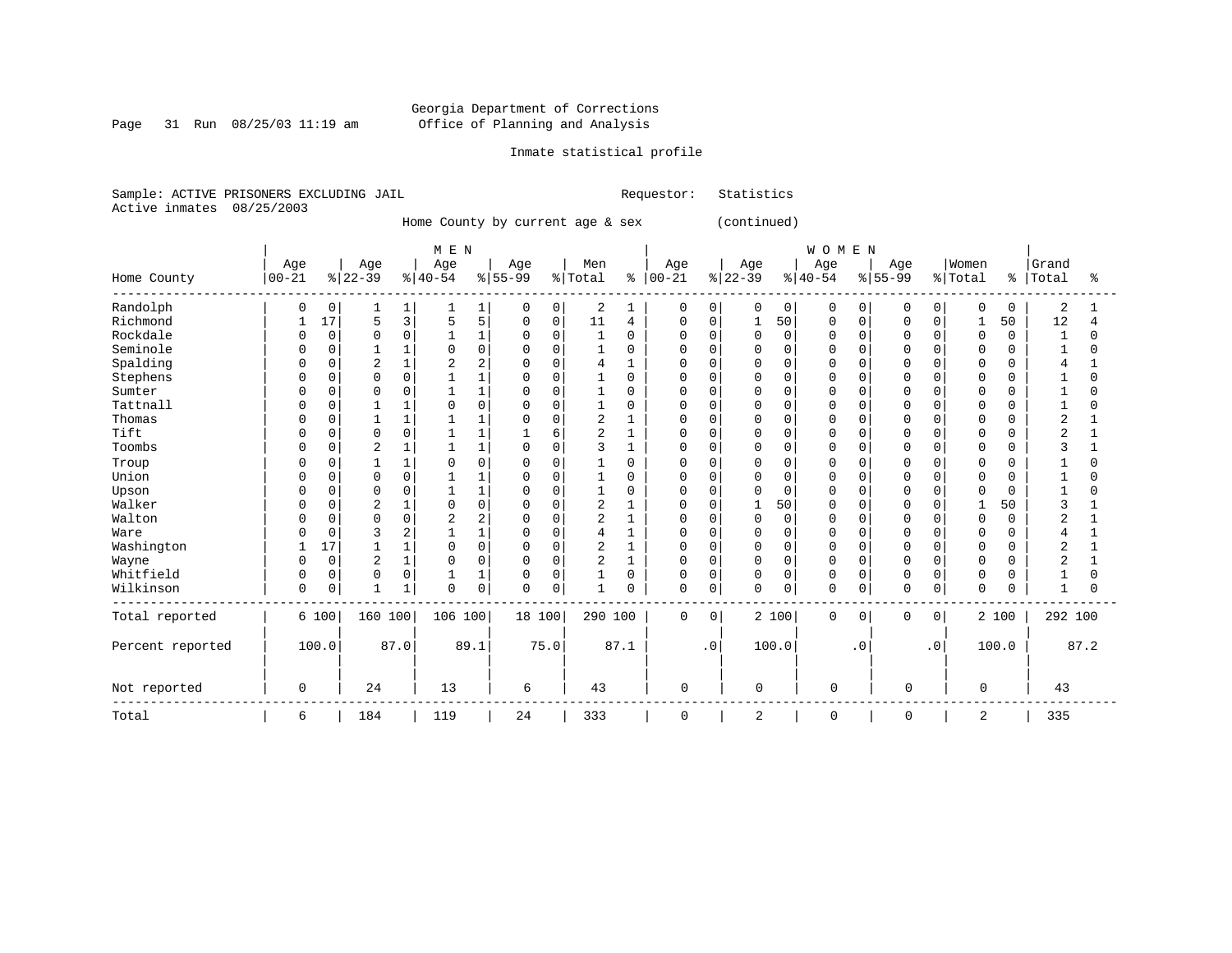Page 31 Run 08/25/03 11:19 am

# Inmate statistical profile

Sample: ACTIVE PRISONERS EXCLUDING JAIL Requestor: Statistics Active inmates 08/25/2003

Home County by current age & sex (continued)

|                  |             |             |                |                | M E N    |                |          |             |                |              |             |           |                |          | WOMEN       |           |             |             |             |               |                |          |
|------------------|-------------|-------------|----------------|----------------|----------|----------------|----------|-------------|----------------|--------------|-------------|-----------|----------------|----------|-------------|-----------|-------------|-------------|-------------|---------------|----------------|----------|
|                  | Age         |             | Age            |                | Age      |                | Age      |             | Men            |              | Age         |           | Age            |          | Age         |           | Age         |             | Women       |               | Grand          |          |
| Home County      | $ 00 - 21 $ |             | $ 22-39$       |                | $ 40-54$ |                | $ 55-99$ |             | % Total        | ి            | $ 00-21 $   |           | $ 22-39$       |          | $8 40-54$   |           | $8 55-99$   |             | % Total     | $\frac{8}{6}$ | Total          | ిక       |
| Randolph         | 0           | 0           |                | 1              |          | 1              | 0        | 0           | 2              |              | 0           | 0         | 0              | 0        | $\Omega$    | 0         | 0           | 0           | $\mathbf 0$ | $\Omega$      | 2              |          |
| Richmond         |             | 17          | 5              | 3              | 5        | 5              | $\Omega$ | 0           | 11             | 4            | $\mathbf 0$ | 0         |                | 50       | 0           | 0         | O           | 0           | 1           | 50            | 12             |          |
| Rockdale         |             | $\Omega$    | <sup>0</sup>   | $\mathbf 0$    |          | $\mathbf{1}$   | $\Omega$ | $\Omega$    | $\mathbf{1}$   | $\Omega$     | U           | $\Omega$  | $\Omega$       | $\Omega$ | $\Omega$    | $\Omega$  | $\cap$      | $\Omega$    | $\Omega$    | $\Omega$      | -1             | $\Omega$ |
| Seminole         |             | $\Omega$    |                | $1\,$          |          | $\Omega$       | $\Omega$ | $\Omega$    | $\mathbf{1}$   | $\Omega$     | U           | $\Omega$  | <sup>0</sup>   | $\Omega$ | $\Omega$    | $\cap$    |             | $\Omega$    | $\Omega$    |               |                | U        |
| Spalding         | U           | $\Omega$    | $\overline{2}$ | $\mathbf 1$    |          |                |          | $\Omega$    | 4              |              | O           | 0         | 0              | $\Omega$ | $\Omega$    | O         |             |             | $\Omega$    |               |                |          |
| Stephens         | U           | 0           | <sup>0</sup>   | 0              |          |                |          | $\Omega$    |                | $\Omega$     | U           | $\Omega$  | 0              | $\Omega$ | $\Omega$    | O         |             | 0           | $\Omega$    | U             |                | O        |
| Sumter           |             | U           | O              | $\mathbf 0$    |          |                | O        | $\mathbf 0$ |                | $\Omega$     | U           | O         | 0              | 0        | $\Omega$    | O         |             | $\Omega$    | $\Omega$    |               |                |          |
| Tattnall         |             | U           |                | $\mathbf{1}$   |          | $\Omega$       | 0        | $\Omega$    |                | $\Omega$     | U           | $\Omega$  | 0              | 0        | $\Omega$    | U         |             | $\Omega$    | $\Omega$    |               |                | N        |
| Thomas           | U           | U           |                | $\mathbf{1}$   |          |                | $\Omega$ | $\Omega$    | 2              |              | U           | O         | 0              | $\Omega$ | $\Omega$    | U         |             | $\Omega$    | $\Omega$    |               | 2              |          |
| Tift             | O           | 0           | $\Omega$       | $\mathsf 0$    |          |                |          | 6           | 2              |              | U           | O         | 0              | $\Omega$ | $\Omega$    | O         |             | $\Omega$    | 0           |               | ◠              |          |
| Toombs           | U           | 0           | 2              | $\mathbf 1$    |          | 1              | $\Omega$ | $\Omega$    | 3              |              | U           | $\Omega$  | 0              | $\Omega$ | $\Omega$    | $\Omega$  | $\cap$      | $\Omega$    | $\Omega$    | O             | 3              |          |
| Troup            |             | 0           |                | $1\,$          |          | $\Omega$       |          | $\Omega$    |                | $\Omega$     | 0           | $\Omega$  | 0              | 0        | $\Omega$    | $\Omega$  |             | $\Omega$    | 0           |               |                | O        |
| Union            |             | $\Omega$    | U              | $\mathbf 0$    |          |                | $\Omega$ | $\Omega$    |                | $\Omega$     | U           | $\Omega$  | 0              | $\Omega$ | $\cap$      | $\cap$    |             | $\Omega$    | $\Omega$    | ∩             |                | U        |
| Upson            | O           | 0           | $\Omega$       | 0              |          |                |          | $\Omega$    |                | $\Omega$     | U           | $\Omega$  | 0              | 0        | $\Omega$    | $\Omega$  |             | $\Omega$    | $\Omega$    |               |                | O        |
| Walker           |             | 0           | 2              | $\mathbf{1}$   |          | $\Omega$       |          | $\Omega$    | $\overline{2}$ |              | 0           | $\Omega$  |                | 50       | $\Omega$    | O         |             |             |             | 50            |                |          |
| Walton           |             | $\Omega$    | <sup>0</sup>   | 0              |          | $\overline{2}$ | O        | $\Omega$    | 2              | 1            | U           | O         | 0              | 0        | $\Omega$    | O         |             | $\Omega$    | $\mathbf 0$ | O             | 2              |          |
| Ware             |             | $\Omega$    | 3              | $\overline{2}$ |          | $\mathbf{1}$   |          | $\mathbf 0$ | 4              |              | U           | $\Omega$  | 0              | $\Omega$ | $\Omega$    | O         |             | $\Omega$    | $\Omega$    |               |                |          |
| Washington       | 1           | 17          |                | $\mathbf{1}$   |          | $\Omega$       | $\Omega$ | $\Omega$    | 2              | $\mathbf{1}$ | O           | O         | $\Omega$       | $\Omega$ | $\Omega$    | $\Omega$  |             | $\Omega$    | $\Omega$    | ∩             | 2              |          |
| Wayne            | U           | $\mathbf 0$ | $\overline{2}$ | $\mathbf 1$    |          | $\Omega$       | $\Omega$ | $\mathbf 0$ | $\overline{2}$ |              | $\mathbf 0$ | 0         | $\mathbf 0$    | 0        | $\Omega$    | 0         | n           | $\mathbf 0$ | $\mathbf 0$ |               | $\overline{2}$ |          |
| Whitfield        | 0           | 0           | 0              | $\mathsf 0$    |          | 1              | 0        | $\Omega$    |                | $\Omega$     | 0           | $\Omega$  | 0              | 0        | $\Omega$    | 0         | 0           | $\mathbf 0$ | 0           |               |                | O        |
| Wilkinson        | 0           | 0           | 1              | $1\,$          | $\Omega$ | $\mathsf 0$    | $\Omega$ | $\mathbf 0$ | $\mathbf{1}$   | $\Omega$     | $\mathbf 0$ | 0         | $\Omega$       | 0        | $\Omega$    | 0         | $\mathbf 0$ | 0           | $\mathbf 0$ | O             | $\mathbf{1}$   | O        |
| Total reported   |             | 6 100       | 160 100        |                | 106 100  |                | 18 100   |             | 290 100        |              | $\mathbf 0$ | 0         |                | 2 100    | 0           | 0         | 0           | 0           |             | 2 100         | 292 100        |          |
| Percent reported |             | 100.0       |                | 87.0           |          | 89.1           |          | 75.0        |                | 87.1         |             | $\cdot$ 0 |                | 100.0    |             | $\cdot$ 0 |             | $\cdot$ 0   |             | 100.0         |                | 87.2     |
| Not reported     | 0           |             | 24             |                | 13       |                | 6        |             | 43             |              | $\mathbf 0$ |           | 0              |          | $\mathbf 0$ |           | $\mathbf 0$ |             | 0           |               | 43             |          |
| Total            | 6           |             | 184            |                | 119      |                | 24       |             | 333            |              | 0           |           | $\overline{c}$ |          | 0           |           | 0           |             | 2           |               | 335            |          |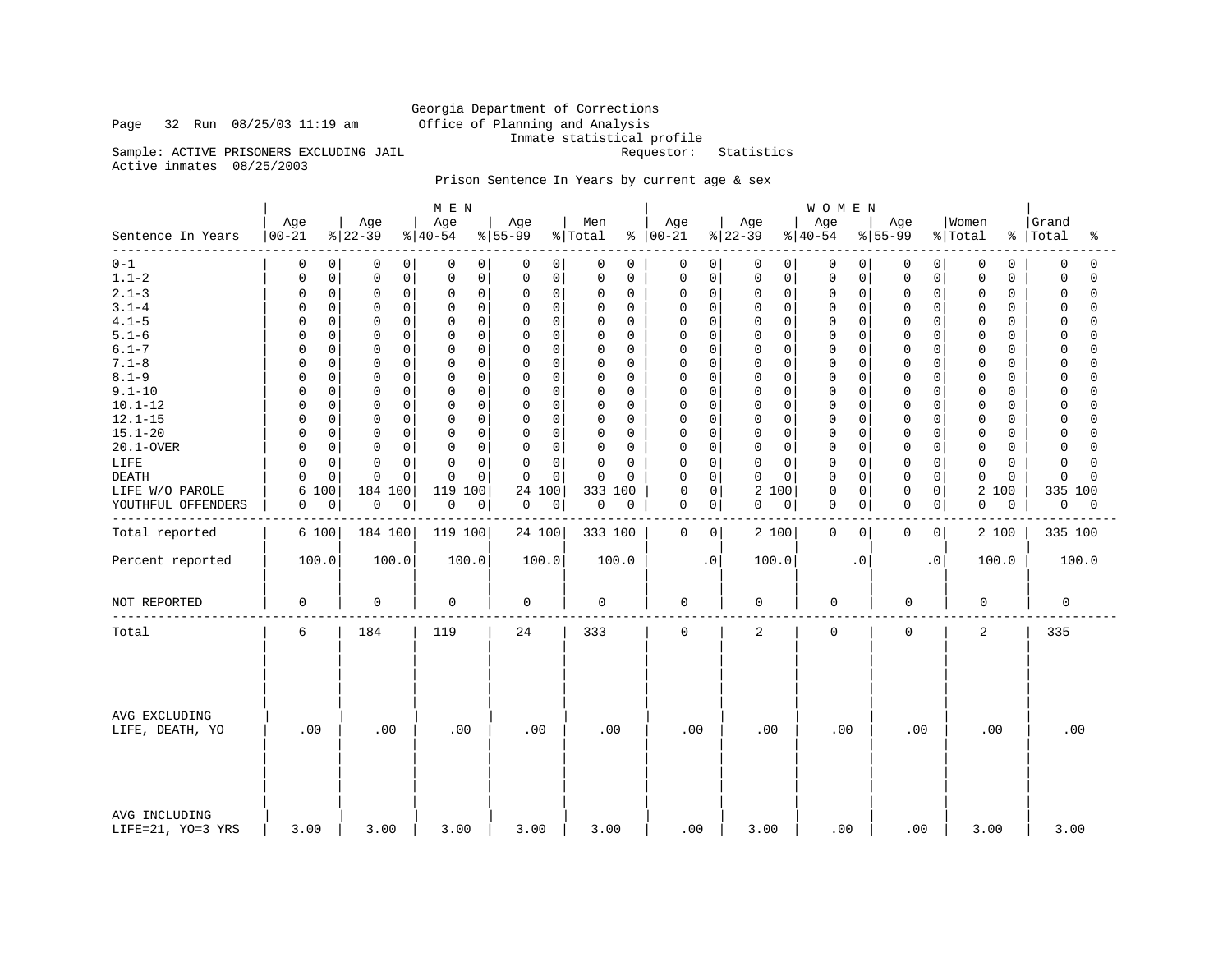# Georgia Department of Corrections<br>Office of Planning and Analysis Inmate statistical profile<br>Requestor: Statistics

Sample: ACTIVE PRISONERS EXCLUDING JAIL

Active inmates 08/25/2003

Page 32 Run 08/25/03 11:19 am

# Prison Sentence In Years by current age & sex

|                                    |                  |                            | M E N                    |                         |                            |                 |                                     | WOMEN                         |                          |                                   |                         |
|------------------------------------|------------------|----------------------------|--------------------------|-------------------------|----------------------------|-----------------|-------------------------------------|-------------------------------|--------------------------|-----------------------------------|-------------------------|
| Sentence In Years<br>- - - - - - - | Age<br>$00 - 21$ | Age<br>$ 22-39$            | Age<br>$8 40-54$         | Age<br>$8155 - 99$      | Men<br>% Total<br>ి        | Age<br>$ 00-21$ | Age<br>$ 22-39 $                    | Age<br>$ 40-54$               | Age<br>$\frac{8}{55-99}$ | Women<br>% Total<br>$\frac{8}{6}$ | Grand<br>Total<br>ႜ     |
| $0 - 1$                            | 0<br>0           | 0<br>0                     | 0<br>0                   | 0<br>0                  | 0<br>0                     | 0               | 0<br>0<br>0                         | 0<br>0                        | 0<br>0                   | 0<br>0                            | 0<br>0                  |
| $1.1 - 2$                          | $\mathsf 0$<br>0 | $\mathbf 0$<br>0           | 0<br>0                   | 0<br>$\mathbf 0$        | 0<br>0                     | 0               | $\Omega$<br>0<br>$\mathbf 0$        | $\mathbf 0$<br>$\mathbf 0$    | 0<br>0                   | 0<br>0                            | $\mathbf 0$<br>$\Omega$ |
| $2.1 - 3$                          | $\mathsf 0$<br>0 | $\mathbf 0$<br>0           | $\mathsf{O}\xspace$<br>0 | 0<br>$\mathbf 0$        | 0<br>0                     | 0               | $\mathbf 0$<br>0<br>$\Omega$        | $\mathbf 0$<br>0              | 0<br>0                   | 0<br>0                            | $\Omega$<br>$\Omega$    |
| $3.1 - 4$                          | $\mathbf 0$<br>0 | $\mathbf 0$<br>$\Omega$    | $\mathbf 0$<br>0         | $\Omega$<br>$\Omega$    | $\mathbf 0$<br>0           | 0               | $\Omega$<br>0<br>$\Omega$           | $\mathbf 0$<br>$\mathbf 0$    | 0<br>$\Omega$            | 0<br>0                            | $\Omega$<br>$\Omega$    |
| $4.1 - 5$                          | $\mathbf 0$<br>U | $\Omega$<br>$\Omega$       | $\mathbf 0$<br>$\Omega$  | $\Omega$<br>$\mathbf 0$ | $\mathbf 0$<br>0           | $\mathbf 0$     | $\mathbf 0$<br>$\Omega$<br>$\Omega$ | $\mathbf 0$<br>$\mathbf 0$    | 0<br>$\Omega$            | 0<br>0                            | $\Omega$<br>$\Omega$    |
| $5.1 - 6$                          | $\mathbf 0$      | $\mathbf 0$<br>$\mathbf 0$ | $\Omega$<br>$\mathbf 0$  | $\Omega$<br>0           | 0<br>0                     | 0               | 0<br>$\mathbf 0$<br>$\Omega$        | $\mathbf 0$<br>0              | 0<br>0                   | 0<br>0                            | $\Omega$<br>$\cap$      |
| $6.1 - 7$                          | 0<br>U           | $\Omega$<br>0              | 0<br>0                   | $\Omega$<br>$\Omega$    | 0<br>0                     | 0               | 0<br>$\Omega$<br>O                  | $\Omega$<br>0                 | 0<br>O                   | 0<br>0                            | $\cap$<br>0             |
| $7.1 - 8$                          | $\mathbf 0$<br>O | $\mathbf 0$<br>$\mathbf 0$ | 0<br>$\mathbf 0$         | 0<br>$\mathbf 0$        | 0<br>0                     | 0               | 0<br>$\Omega$<br>$\Omega$           | $\mathbf 0$<br>0              | 0<br>0                   | 0<br>0                            | $\mathbf 0$<br>$\Omega$ |
| $8.1 - 9$                          | $\mathbf 0$      | $\Omega$<br>$\Omega$       | $\Omega$<br>$\mathbf 0$  | $\Omega$<br>$\Omega$    | $\mathbf 0$<br>$\Omega$    | $\mathbf 0$     | $\mathbf 0$<br>$\Omega$<br>$\Omega$ | $\Omega$<br>0                 | 0<br>$\Omega$            | 0<br>0                            | $\Omega$<br>$\cap$      |
| $9.1 - 10$                         | $\mathbf 0$<br>O | $\mathbf 0$<br>$\Omega$    | $\mathbf 0$<br>$\Omega$  | $\Omega$<br>$\Omega$    | 0<br>0                     | $\mathbf 0$     | 0<br>$\Omega$<br>$\Omega$           | $\mathbf 0$<br>0              | $\Omega$<br>$\Omega$     | 0<br>0                            | $\Omega$<br>$\Omega$    |
| $10.1 - 12$                        | $\mathbf 0$<br>U | 0<br>$\mathbf 0$           | $\mathbf 0$<br>0         | 0<br>$\mathbf 0$        | 0<br>0                     | 0               | 0<br>$\mathbf 0$<br>0               | $\mathbf 0$<br>0              | 0<br>0                   | 0<br>0                            | 0<br>$\Omega$           |
| $12.1 - 15$                        | $\mathbf 0$      | $\mathbf 0$<br>$\Omega$    | $\mathbf 0$<br>0         | 0<br>0                  | $\mathbf 0$<br>0           | 0               | $\mathbf 0$<br>$\Omega$<br>0        | $\Omega$<br>0                 | 0<br>O                   | 0<br>0                            | $\Omega$<br>$\cap$      |
| $15.1 - 20$                        | $\mathbf 0$<br>O | $\mathbf 0$<br>$\Omega$    | $\Omega$<br>$\mathbf 0$  | 0<br>$\mathbf 0$        | 0<br>0                     | $\Omega$        | 0<br>$\Omega$<br>$\Omega$           | $\mathbf 0$<br>0              | 0<br>0                   | 0<br>0                            | $\Omega$<br>$\cap$      |
| 20.1-OVER                          | $\mathbf 0$<br>0 | $\Omega$<br>$\Omega$       | $\mathbf 0$<br>$\Omega$  | 0<br>$\Omega$           | 0<br>0                     | 0               | $\mathbf 0$<br>$\Omega$<br>$\Omega$ | $\mathbf 0$<br>$\mathbf 0$    | $\Omega$<br>$\Omega$     | 0<br>0                            | $\Omega$<br>$\Omega$    |
| LIFE                               | $\mathbf 0$      | $\Omega$<br>$\Omega$       | $\mathbf 0$<br>$\Omega$  | 0<br>$\Omega$           | $\mathsf 0$<br>$\mathbf 0$ | 0               | $\mathbf 0$<br>$\Omega$<br>$\Omega$ | $\circ$<br>0                  | 0<br>$\Omega$            | 0<br>0                            | $\Omega$<br>$\cap$      |
| <b>DEATH</b>                       | $\mathbf 0$      | $\Omega$<br>$\Omega$       | $\Omega$<br>0            | $\Omega$<br>$\Omega$    | $\mathbf 0$<br>$\Omega$    | 0               | $\mathbf 0$<br>$\Omega$<br>$\Omega$ | $\Omega$<br>0                 | $\mathbf 0$<br>$\Omega$  | 0<br>$\Omega$                     | $\Omega$<br>$\Omega$    |
| LIFE W/O PAROLE                    | 100<br>6         | 184<br>100                 | 119<br>100               | 24 100                  | 100<br>333                 | $\mathbf 0$     | 2<br>$\mathbf 0$<br>100             | $\mathbf 0$<br>0              | $\mathbf 0$<br>0         | 2<br>100                          | 335 100                 |
| YOUTHFUL OFFENDERS                 | $\mathbf 0$<br>0 | 0<br>0                     | 0<br>$\overline{0}$      | 0<br>0                  | 0<br>0                     | 0               | 0<br>0<br>0                         | $\mathbf 0$<br>$\overline{0}$ | 0<br>0                   | 0<br>0                            | 0<br>0                  |
| Total reported                     | 6 100            | 184 100                    | 119 100                  | 24 100                  | 333 100                    | $\mathbf 0$     | 2 100<br>0                          | $\mathbf 0$<br>0              | 0<br>0                   | 2 100                             | 335 100                 |
|                                    |                  |                            |                          |                         |                            |                 |                                     |                               |                          |                                   |                         |
| Percent reported                   | 100.0            | 100.0                      | 100.0                    | 100.0                   | 100.0                      |                 | 100.0<br>$\cdot$ 0                  | $\cdot$ 0                     | $\cdot$ 0                | 100.0                             | 100.0                   |
| NOT REPORTED                       | 0                | 0                          | 0                        | 0                       | 0                          | 0               | 0                                   | 0                             | $\mathbf 0$              | 0                                 | 0                       |
| Total                              | 6                | 184                        | 119                      | 24                      | 333                        | $\mathbf 0$     | $\overline{2}$                      | $\mathbf 0$                   | $\mathbf 0$              | 2                                 | 335                     |
| AVG EXCLUDING<br>LIFE, DEATH, YO   | .00              | .00                        | .00                      | .00                     | .00                        | .00             | .00                                 | .00                           | .00                      | .00                               | .00                     |
| AVG INCLUDING<br>LIFE=21, YO=3 YRS | 3.00             | 3.00                       | 3.00                     | 3.00                    | 3.00                       | .00             | 3.00                                | .00                           | .00                      | 3.00                              | 3.00                    |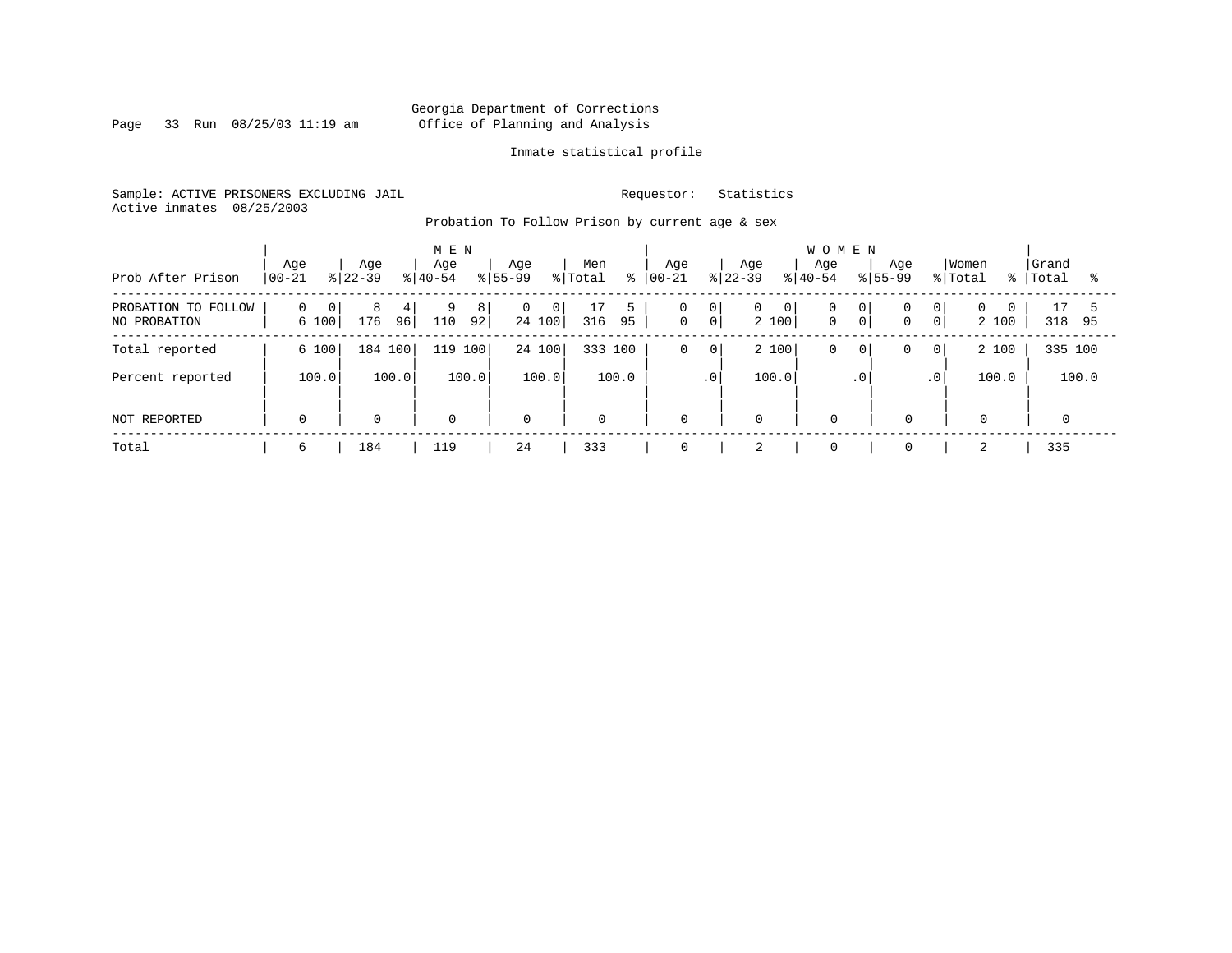Page 33 Run 08/25/03 11:19 am

# Inmate statistical profile

Sample: ACTIVE PRISONERS EXCLUDING JAIL Requestor: Statistics Active inmates 08/25/2003

Probation To Follow Prison by current age & sex

| Prob After Prison                   | Age<br>$00 - 21$                    | Age<br>$ 22-39 $ | M E N<br>Age<br>$ 40-54 $ | Aqe<br>$8155 - 99$<br>% Total            | Men<br>៖       | Aqe<br>$ 00-21 $               | <b>WOMEN</b><br>Age<br>Age<br>$ 22-39 $<br>$8 40-54$ | Aqe<br>$8155 - 99$                                                               | Women<br>  Grand<br>% Total<br>ႜႜႜ<br>Total<br>ႜ |
|-------------------------------------|-------------------------------------|------------------|---------------------------|------------------------------------------|----------------|--------------------------------|------------------------------------------------------|----------------------------------------------------------------------------------|--------------------------------------------------|
| PROBATION TO FOLLOW<br>NO PROBATION | $\Omega$<br>$\overline{0}$<br>6 100 | 8<br>176<br>96   | 9<br>8<br>110<br>92       | $\overline{0}$<br>$\mathbf{0}$<br>24 100 | 5<br>95<br>316 | 0<br> 0 <br> 0 <br>$\mathbf 0$ | 0<br>$\overline{0}$<br>0<br>$\mathbf 0$<br>2 100     | 0 <sup>1</sup><br>0 <sup>1</sup><br>0 <sup>1</sup><br>$\overline{0}$<br>$\Omega$ | 17<br>$\Omega$<br>2 100<br>318<br>95             |
| Total reported                      | 6 100                               | 184 100          | 100<br>119                | 24 100                                   | 333 100        | $\mathbf 0$<br>$\mathsf{O}$    | 2 100<br>0                                           | 0<br>$\overline{0}$<br>$\circ$                                                   | 335 100<br>2 100                                 |
| Percent reported                    | 100.0                               | 100.0            | 100.0                     | 100.0                                    | 100.0          | $\cdot$ 0                      | 100.0                                                | .0 <sup>1</sup><br>$\cdot$ 0                                                     | 100.0<br>100.0                                   |
| NOT REPORTED                        | $\mathbf 0$                         | $\mathbf 0$      | 0                         | $\mathbf 0$                              | $\mathbf 0$    | $\mathbf 0$                    | $\mathbf 0$<br>$\mathbf 0$                           | $\mathbf 0$                                                                      | $\mathbf 0$                                      |
| Total                               | 6                                   | 184              | 119                       | 24                                       | 333            | 0                              | $\mathbf 0$                                          | $\mathbf 0$                                                                      | 335                                              |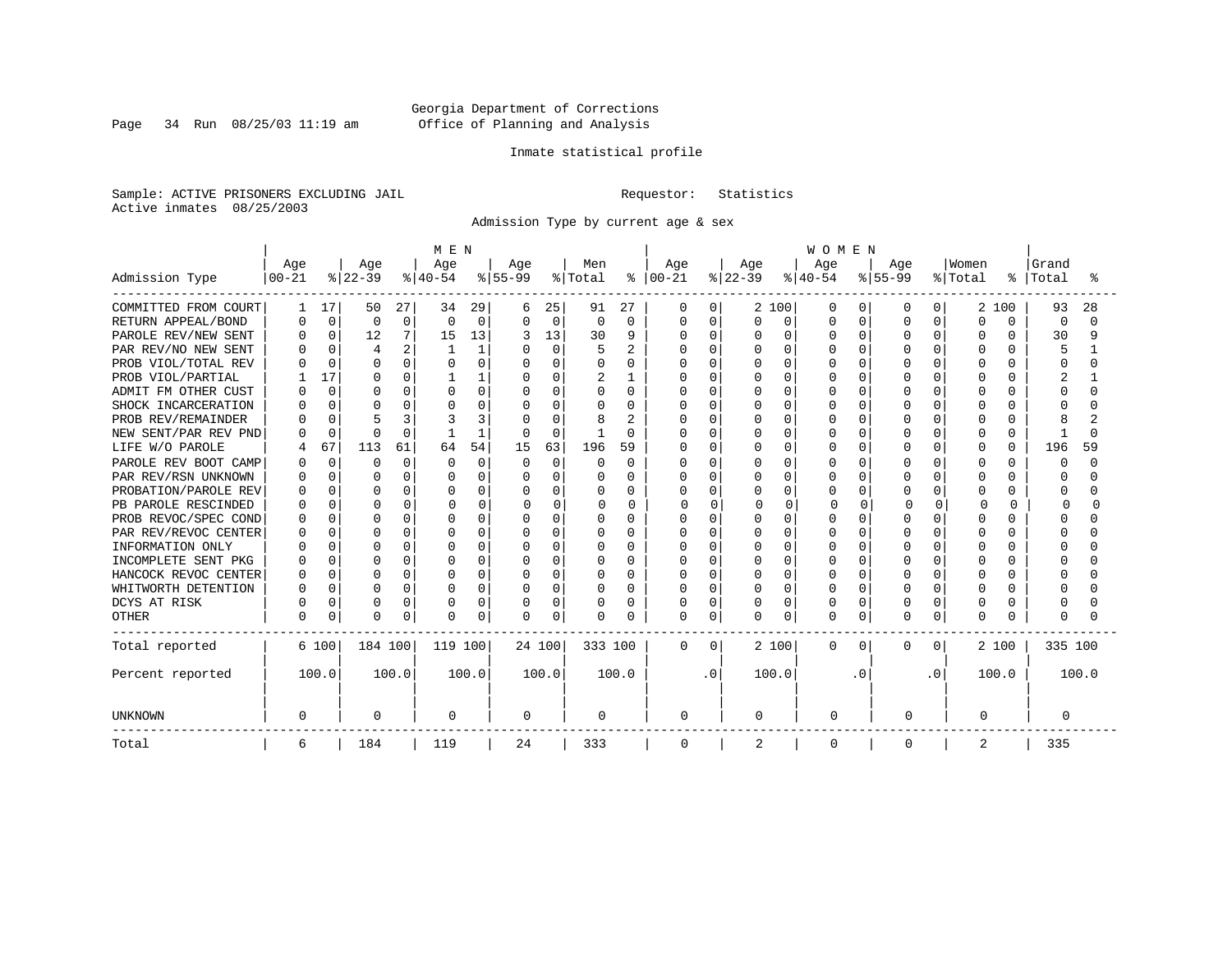Page 34 Run 08/25/03 11:19 am

# Inmate statistical profile

Sample: ACTIVE PRISONERS EXCLUDING JAIL Requestor: Statistics Active inmates 08/25/2003

Admission Type by current age & sex

|                      |              |             |                |          | M E N    |              |           |          |          |                |              |          |              |          | <b>WOMEN</b> |          |           |          |          |              |          |        |
|----------------------|--------------|-------------|----------------|----------|----------|--------------|-----------|----------|----------|----------------|--------------|----------|--------------|----------|--------------|----------|-----------|----------|----------|--------------|----------|--------|
|                      | Age          |             | Age            |          | Age      |              | Age       |          | Men      |                | Age          |          | Age          |          | Age          |          | Age       |          | Women    |              | Grand    |        |
| Admission Type       | $00 - 21$    |             | $ 22-39 $      |          | $ 40-54$ |              | $8 55-99$ |          | % Total  | ⊱              | $ 00 - 21$   |          | $ 22-39 $    |          | $ 40-54$     |          | $8 55-99$ |          | % Total  | ៖            | Total    | °      |
| COMMITTED FROM COURT |              | 17          | 50             | 27       | 34       | 29           | 6         | 25       | 91       | 27             | 0            | 0        |              | 2 100    | O            | 0        | O         | 0        | 2        | 100          | 93       | 28     |
| RETURN APPEAL/BOND   |              | $\mathbf 0$ | $\mathbf 0$    | 0        | $\Omega$ | $\Omega$     | $\Omega$  | $\Omega$ | $\Omega$ | $\Omega$       | <sup>0</sup> | 0        | <sup>0</sup> | 0        | O            | $\Omega$ | $\Omega$  | O        | $\Omega$ | $\Omega$     | $\Omega$ | $\cap$ |
| PAROLE REV/NEW SENT  |              | $\Omega$    | 12             | 7        | 15       | 13           |           | 13       | 30       | 9              | O            | 0        | N            | $\Omega$ | O            | $\Omega$ | $\Omega$  | O        | $\Omega$ | 0            | 30       | 9      |
| PAR REV/NO NEW SENT  |              |             | $\overline{4}$ | 2        |          |              |           | $\Omega$ |          |                |              | $\Omega$ |              | $\Omega$ | $\Omega$     | O        | U         | U        |          |              | 5        |        |
| PROB VIOL/TOTAL REV  |              | $\Omega$    | $\Omega$       | 0        |          | $\Omega$     | $\Omega$  | U        | O        | 0              |              | $\Omega$ | ი            | $\Omega$ | $\Omega$     | O        |           | U        |          | O            |          |        |
| PROB VIOL/PARTIAL    |              | 17          | $\Omega$       | O        |          |              | O         | U        |          |                | N            | $\Omega$ | Ω            | $\Omega$ | O            | O        | U         | U        | ∩        | 0            |          |        |
| ADMIT FM OTHER CUST  |              | $\Omega$    | <sup>0</sup>   | O        |          | $\Omega$     | $\Omega$  | $\Omega$ | O        | $\Omega$       | በ            | $\Omega$ | O            | $\Omega$ | O            | O        | ∩         | U        | ∩        | 0            | Ω        |        |
| SHOCK INCARCERATION  |              | $\Omega$    | $\Omega$       | $\Omega$ |          | O            | O         | $\Omega$ | O        | $\Omega$       | በ            | $\Omega$ | U            | $\Omega$ | O            | O        | ∩         | O        | ∩        | 0            |          |        |
| PROB REV/REMAINDER   |              | $\Omega$    | 5              | 3        |          | 3            | O         | $\Omega$ |          | $\overline{2}$ |              | $\Omega$ | Ω            | $\Omega$ | O            | O        | ∩         | 0        | ∩        | 0            |          |        |
| NEW SENT/PAR REV PND |              | $\Omega$    | $\sqrt{ }$     | $\Omega$ |          | $\mathbf{1}$ | $\Omega$  | $\Omega$ |          | $\Omega$       |              | $\Omega$ | 0            | $\Omega$ | O            | O        | $\cap$    | 0        | $\Omega$ | $\Omega$     |          | ∩      |
| LIFE W/O PAROLE      |              | 67          | 113            | 61       | 64       | 54           | 15        | 63       | 196      | 59             |              | $\Omega$ | 0            | $\Omega$ | 0            | $\Omega$ | $\Omega$  | 0        | $\Omega$ | $\Omega$     | 196      | 59     |
| PAROLE REV BOOT CAMP |              | $\Omega$    | $\Omega$       | $\Omega$ | O        | $\Omega$     | $\Omega$  | $\Omega$ | O        | $\Omega$       | Ω            | $\Omega$ | U            | $\cap$   | O            | $\cap$   | U         | U        | ∩        | 0            | n        | U      |
| PAR REV/RSN UNKNOWN  |              | $\Omega$    | $\Omega$       | $\Omega$ |          | $\Omega$     | $\Omega$  | $\Omega$ | U        | U              | በ            | $\Omega$ | O            | $\cap$   | U            | $\cap$   | U         | U        | $\cap$   | 0            | n        |        |
| PROBATION/PAROLE REV |              | $\cap$      | $\Omega$       | $\Omega$ | O        | $\cap$       | U         | U        | U        | U              | ∩            | $\Omega$ | O            | $\cap$   | U            | $\cap$   | U         | U        | $\cap$   | <sup>n</sup> | n        |        |
| PB PAROLE RESCINDED  |              | U           | $\cap$         | 0        | U        | $\Omega$     | $\cap$    | U        | $\Omega$ | $\cap$         | U            | $\cap$   | $\cap$       |          | $\cap$       |          |           | $\Omega$ | $\Omega$ | U            | ∩        |        |
| PROB REVOC/SPEC COND |              | $\cap$      | $\Omega$       | 0        |          | U            | O         | U        | O        | O              | በ            | $\Omega$ | በ            | $\Omega$ | U            | $\cap$   | $\cap$    | U        | ∩        |              |          |        |
| PAR REV/REVOC CENTER |              | $\Omega$    | $\Omega$       | 0        |          | O            | O         | U        | O        | O              | በ            | $\Omega$ | ი            | $\Omega$ | U            | $\Omega$ | $\cap$    | U        |          | U            |          |        |
| INFORMATION ONLY     |              |             | $\sqrt{ }$     | O        |          | O            |           | U        | O        | O              |              | $\Omega$ |              | $\Omega$ | O            |          |           | U        |          |              |          |        |
| INCOMPLETE SENT PKG  |              |             | $\Omega$       | 0        |          | O            | 0         | U        | O        | 0              | U            | $\Omega$ | ი            | $\Omega$ | O            | O        | $\cap$    | U        |          | n            |          |        |
| HANCOCK REVOC CENTER | n            | $\Omega$    | $\Omega$       | 0        | O        | O            | $\Omega$  | $\Omega$ | O        | $\Omega$       | O            | $\Omega$ | U            | $\Omega$ | O            | $\Omega$ | $\cap$    | U        | $\Omega$ | 0            |          |        |
| WHITWORTH DETENTION  |              | $\Omega$    | $\Omega$       | 0        |          | 0            | $\Omega$  | $\Omega$ | O        | $\Omega$       | U            | $\Omega$ | U            | $\Omega$ | U            | $\Omega$ | $\cap$    | $\Omega$ | $\Omega$ | 0            |          |        |
| DCYS AT RISK         |              | $\Omega$    | $\Omega$       | 0        |          | 0            | O         | 0        | O        | O              | <sup>0</sup> | 0        | 0            | $\Omega$ | U            | 0        | U         | 0        | ∩        | 0            |          |        |
| <b>OTHER</b>         | <sup>0</sup> | 0           | $\Omega$       | 0        | $\cap$   | 0            | 0         | 0        | $\Omega$ | O              | 0            | 0        | <sup>0</sup> | 0        | O            | 0        | $\cap$    | 0        | $\Omega$ | <sup>n</sup> | Ω        |        |
| Total reported       |              | 6 100       | 184 100        |          | 119 100  |              |           | 24 100   | 333 100  |                | 0            | $\Omega$ |              | 2 100    | 0            | 0        | 0         | 0        |          | 2 100        | 335 100  |        |
| Percent reported     |              | 100.0       |                | 100.0    |          | 100.0        |           | 100.0    |          | 100.0          |              | . 0      |              | 100.0    |              | . 0      |           | . 0      |          | 100.0        |          | 100.0  |
| <b>UNKNOWN</b>       | 0            |             | 0              |          | 0        |              | 0         |          | 0        |                | 0            |          | 0            |          | 0            |          | 0         |          | 0        |              | 0        |        |
| Total                | 6            |             | 184            |          | 119      |              | 24        |          | 333      |                | 0            |          | 2            |          | 0            |          | 0         |          | 2        |              | 335      |        |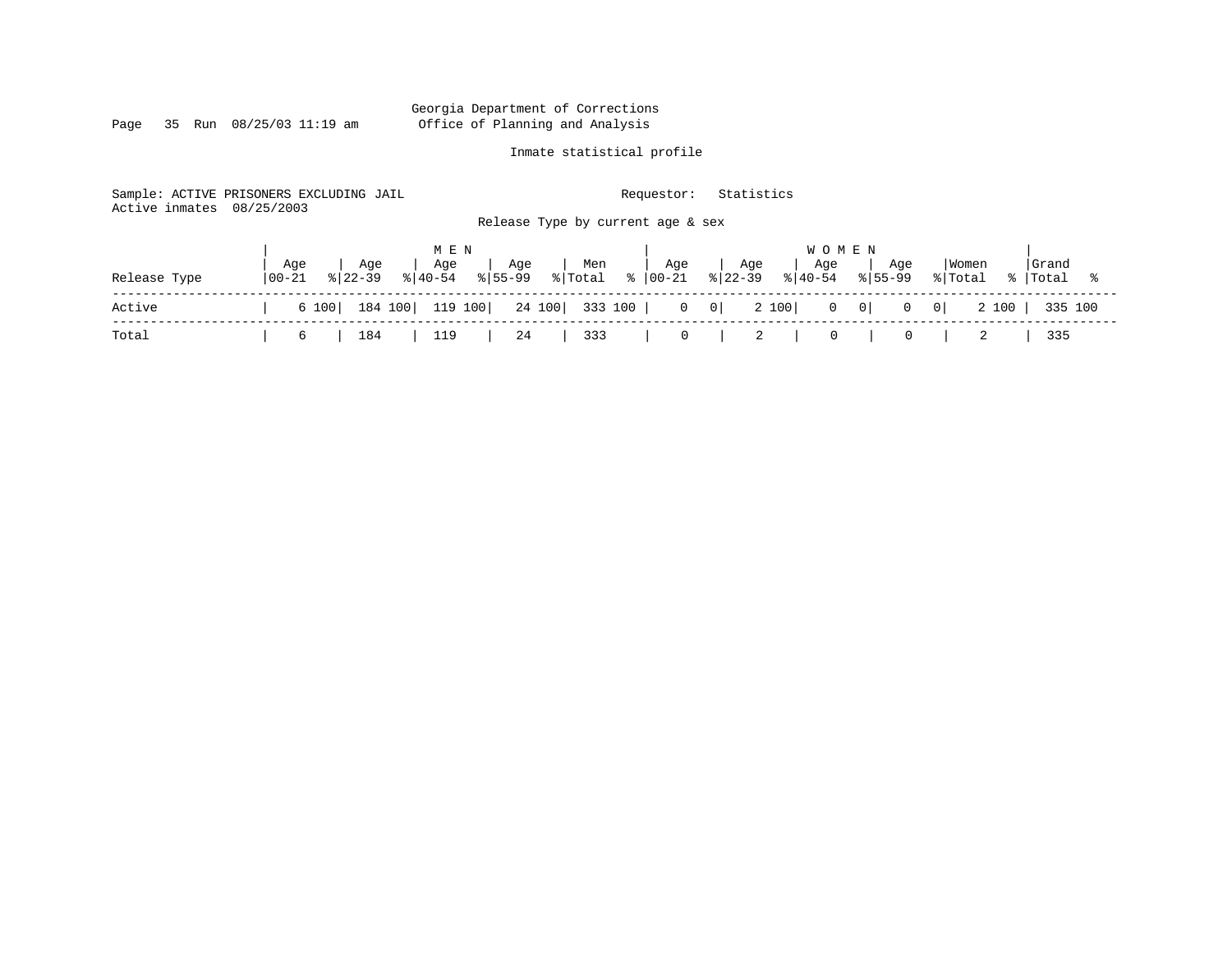Page 35 Run 08/25/03 11:19 am

# Inmate statistical profile

Sample: ACTIVE PRISONERS EXCLUDING JAIL Requestor: Statistics Active inmates 08/25/2003 Release Type by current age & sex

|              |                |  | M E N |                          |  |  |  |  | <b>WOMEN</b> |  |                                                                                          |       |  |
|--------------|----------------|--|-------|--------------------------|--|--|--|--|--------------|--|------------------------------------------------------------------------------------------|-------|--|
| Release Type | Age<br>  00-21 |  |       |                          |  |  |  |  |              |  | Women<br>% Total % Total %                                                               | Grand |  |
| Active       |                |  |       |                          |  |  |  |  |              |  | 6 100   184 100   119 100   24 100   333 100   0 0   2 100   0 0   0 0   2 100   335 100 |       |  |
| Total        |                |  |       | 6   184   119   24   333 |  |  |  |  |              |  | 0   2   0   0   2   335                                                                  |       |  |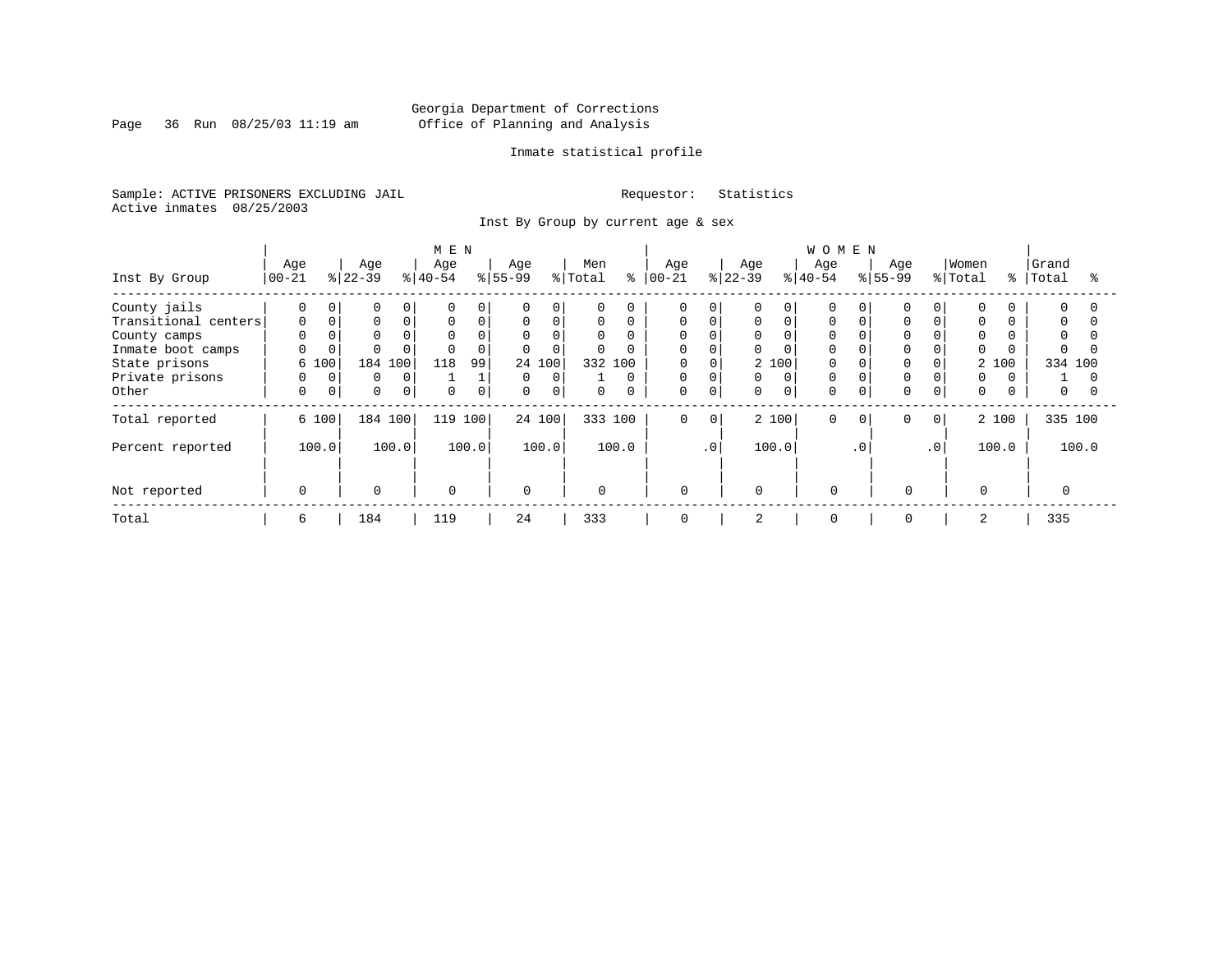Page 36 Run 08/25/03 11:19 am

# Inmate statistical profile

Sample: ACTIVE PRISONERS EXCLUDING JAIL Requestor: Statistics Active inmates 08/25/2003

Inst By Group by current age & sex

|                      |             |             |           |         | M E N    |          |              |          |              |          |             |           |           |             | <b>WOMEN</b> |           |             |                |          |     |           |       |
|----------------------|-------------|-------------|-----------|---------|----------|----------|--------------|----------|--------------|----------|-------------|-----------|-----------|-------------|--------------|-----------|-------------|----------------|----------|-----|-----------|-------|
|                      | Age         |             | Age       |         | Age      |          | Age          |          | Men          |          | Age         |           | Age       |             | Age          |           | Age         |                | Women    |     | Grand     |       |
| Inst By Group        | $ 00 - 21 $ |             | $ 22-39 $ |         | $ 40-54$ |          | $ 55-99 $    |          | % Total      | ွေ       | $ 00 - 21$  |           | $ 22-39 $ |             | $8 40-54$    |           | $ 55-99 $   |                | % Total  |     | %   Total |       |
| County jails         |             | 0           |           |         | $\Omega$ | $\Omega$ | $\mathbf{0}$ | $\Omega$ | $\mathbf 0$  | 0        | 0           |           | O.        | $\Omega$    |              |           |             |                |          |     | $\Omega$  |       |
| Transitional centers | $\Omega$    |             |           |         | $\Omega$ | $\Omega$ | $\mathbf 0$  | $\Omega$ | $\mathbf 0$  | $\Omega$ | 0           |           | 0         | $\Omega$    | 0            |           | $\Omega$    |                |          |     | $\Omega$  |       |
| County camps         |             |             |           |         | $\Omega$ | $\Omega$ | 0            | $\Omega$ | $\mathbf 0$  |          | 0           |           | 0         |             | 0            |           |             |                |          |     | $\Omega$  |       |
| Inmate boot camps    | U           |             |           |         | $\Omega$ | $\Omega$ | $\Omega$     | $\Omega$ | $\mathbf 0$  | O        | 0           |           | 0         |             | 0            |           |             |                |          |     | $\Omega$  |       |
| State prisons        | 6 100       |             | 184       | 100     | 118      | 99       |              | 24 100   | 332 100      |          | 0           |           |           | 2 100       | 0            |           | 0           |                | 2        | 100 | 334 100   |       |
| Private prisons      | 0           | $\Omega$    | 0         | 0       |          |          | $\mathbf{0}$ | 0        |              | $\Omega$ | 0           |           | 0         | $\Omega$    | $\mathbf 0$  |           |             |                |          |     |           |       |
| Other                | $\Omega$    | $\mathbf 0$ | 0         | 0       | $\Omega$ | $\Omega$ | $\mathbf 0$  | 0        | $\mathbf 0$  | $\Omega$ | $\mathbf 0$ | $\Omega$  | 0         | $\mathbf 0$ | 0            |           | $\Omega$    |                | $\Omega$ |     | 0         |       |
| Total reported       | 6 100       |             |           | 184 100 | 119      | 100      |              | 24 100   | 333 100      |          | $\mathbf 0$ | 0         |           | 2 100       | $\mathbf 0$  | $\Omega$  | $\mathbf 0$ | 0 <sup>1</sup> | 2 100    |     | 335 100   |       |
| Percent reported     | 100.0       |             |           | 100.0   |          | 100.0    |              | 100.0    |              | 100.0    |             | $\cdot$ 0 |           | 100.0       |              | $\cdot$ 0 |             | $\cdot$ 0      | 100.0    |     |           | 100.0 |
|                      |             |             |           |         |          |          |              |          |              |          |             |           |           |             |              |           |             |                |          |     |           |       |
| Not reported         | $\Omega$    |             | $\Omega$  |         | 0        |          | $\Omega$     |          | $\mathbf{0}$ |          | $\Omega$    |           | $\Omega$  |             | $\Omega$     |           | $\Omega$    |                | $\Omega$ |     |           |       |
| Total                | 6           |             | 184       |         | 119      |          | 24           |          | 333          |          | 0           |           | 2         |             | $\mathbf{0}$ |           | 0           |                | 2        |     | 335       |       |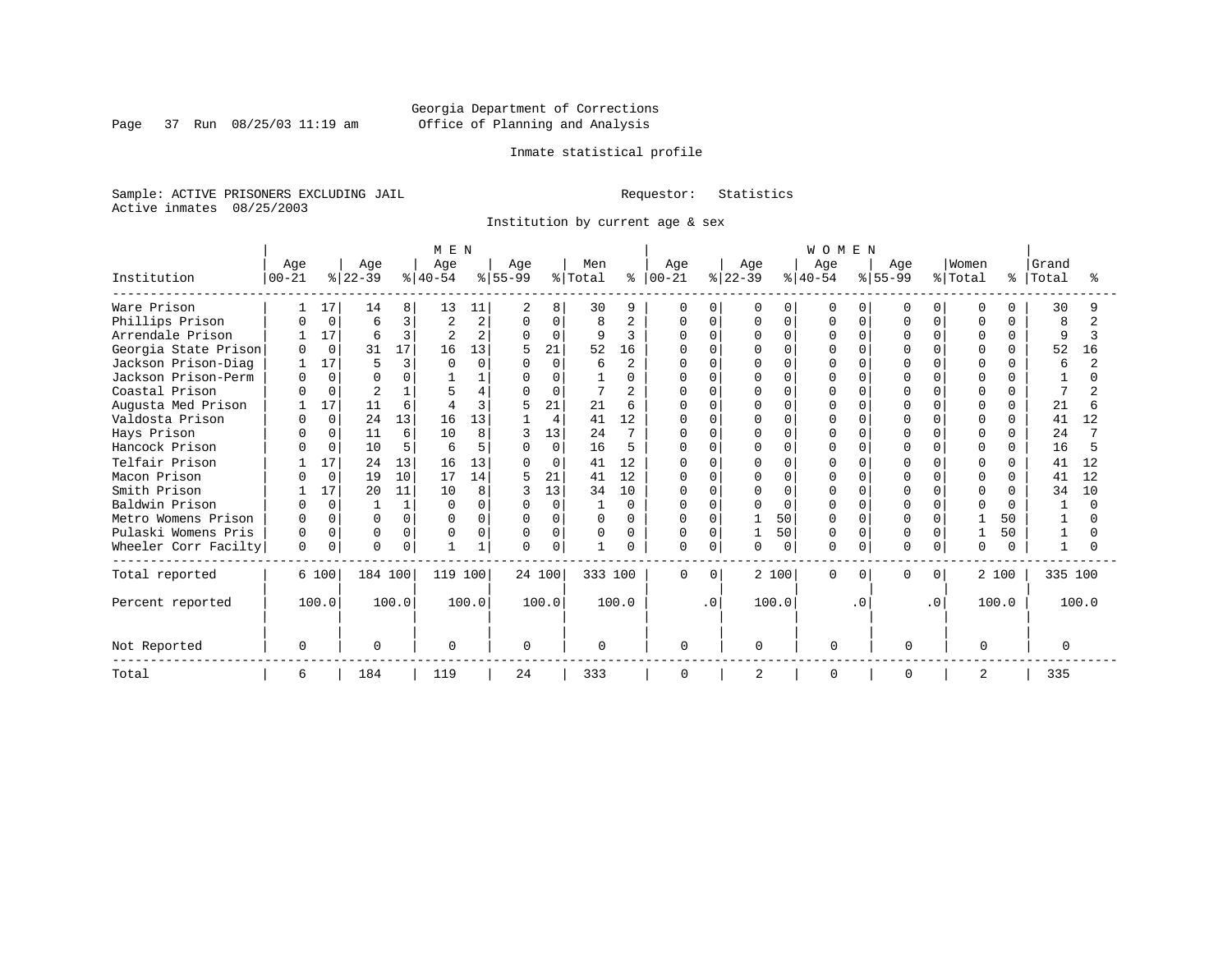Page 37 Run 08/25/03 11:19 am

# Inmate statistical profile

Sample: ACTIVE PRISONERS EXCLUDING JAIL Requestor: Statistics Active inmates 08/25/2003

Institution by current age & sex

|                      | M E N            |             |                  |          |                          |                |                 |          |                |                |                      |              |                  |             | WOMEN            |           |                  |              |                  |              |                |       |
|----------------------|------------------|-------------|------------------|----------|--------------------------|----------------|-----------------|----------|----------------|----------------|----------------------|--------------|------------------|-------------|------------------|-----------|------------------|--------------|------------------|--------------|----------------|-------|
| Institution          | Age<br>$00 - 21$ |             | Age<br>$ 22-39 $ |          | Age<br>$ 40-54 $         |                | Age<br>$ 55-99$ |          | Men<br>% Total |                | Age<br>$8   00 - 21$ |              | Age<br>$ 22-39 $ |             | Age<br>$8 40-54$ |           | Age<br>$ 55-99 $ |              | Women<br>% Total | ႜ            | Grand<br>Total |       |
| Ware Prison          |                  | 17          | 14               | 8        | 13                       | 11             | $\overline{2}$  | 8        | 30             | 9              | $\mathbf 0$          | $\Omega$     | 0                | 0           | $\Omega$         | $\Omega$  | O                | 0            | $\Omega$         | U            | 30             |       |
| Phillips Prison      |                  | $\Omega$    | 6                | ζ        | $\overline{2}$           | 2              | $\Omega$        | 0        | 8              | $\overline{2}$ | 0                    | <sup>n</sup> | U                | $\mathbf 0$ | U                | $\cap$    | U                | <sup>n</sup> | U                |              | 8              |       |
| Arrendale Prison     |                  | 17          | 6                | 3        | $\overline{\mathcal{L}}$ | $\overline{2}$ | $\Omega$        | $\Omega$ | 9              | ζ              | $\cap$               |              |                  | $\Omega$    |                  | $\Omega$  |                  |              | $\cap$           | <sup>n</sup> | 9              |       |
| Georgia State Prison | <sup>0</sup>     | $\Omega$    | 31               | 17       | 16                       | 13             |                 | 21       | 52             | 16             |                      |              |                  | $\Omega$    |                  | $\cap$    |                  |              | $\Omega$         | 0            | 52             | 16    |
| Jackson Prison-Diag  |                  | 17          | 5                | ς        |                          | $\Omega$       | $\Omega$        | $\Omega$ | 6              | $\overline{2}$ |                      |              |                  | $\Omega$    |                  | $\cap$    |                  |              | $\cap$           |              | 6              |       |
| Jackson Prison-Perm  |                  | $\Omega$    | <sup>0</sup>     |          |                          |                | O               | $\Omega$ |                | U              |                      |              |                  | $\Omega$    |                  | n         |                  |              | $\cap$           |              |                |       |
| Coastal Prison       |                  | $\Omega$    |                  |          |                          |                |                 | $\Omega$ |                |                |                      |              |                  | $\Omega$    |                  | ∩         |                  |              | U                |              |                |       |
| Augusta Med Prison   |                  | 17          | 11               | 6        |                          |                | 5               | 21       | 21             | Б              |                      |              |                  | $\Omega$    |                  |           | U                |              | $\cap$           | U            | 21             |       |
| Valdosta Prison      |                  | $\Omega$    | 24               | 13       | 16                       | 13             |                 | 4        | 41             | 12             | 0                    | $\cap$       |                  | $\Omega$    |                  | $\Omega$  | O                | U            | $\Omega$         | $\Omega$     | 41             | 12    |
| Hays Prison          |                  | $\Omega$    | 11               | 6        | 10                       | 8              |                 | 13       | 24             | 7              |                      | $\cap$       | U                | $\Omega$    |                  | ∩         | U                |              | U                | U            | 24             |       |
| Hancock Prison       |                  | $\Omega$    | 10               | 5        | б                        | 5              |                 | $\Omega$ | 16             | 5              |                      |              |                  | $\Omega$    |                  |           |                  |              | U                | 0            | 16             |       |
| Telfair Prison       |                  | 17          | 24               | 13       | 16                       | 13             | <sup>0</sup>    | 0        | 41             | 12             | O                    |              |                  | $\Omega$    |                  | $\cap$    | U                |              | U                | <sup>n</sup> | 41             | 12    |
| Macon Prison         |                  | $\Omega$    | 19               | 10       | 17                       | 14             |                 | 21       | 41             | 12             | O                    |              |                  | $\Omega$    |                  |           | U                |              | U                | 0            | 41             | 12    |
| Smith Prison         |                  | 17          | 20               | 11       | 10                       | 8              |                 | 13       | 34             | 10             | O                    | $\cap$       |                  | $\Omega$    |                  | $\Omega$  | O                | U            | <sup>0</sup>     |              | 34             | 10    |
| Baldwin Prison       |                  | $\Omega$    |                  |          | $\Omega$                 |                | <sup>n</sup>    | $\Omega$ | 1              | $\Omega$       | $\Omega$             | $\cap$       |                  | $\Omega$    |                  | n         | U                |              | ∩                | U            |                |       |
| Metro Womens Prison  |                  |             | $\Omega$         |          | ∩                        |                | U               | 0        | <sup>0</sup>   | U              |                      | $\Omega$     |                  | 50          |                  | $\cap$    |                  |              |                  | 50           |                |       |
| Pulaski Womens Pris  |                  | $\Omega$    | $\Omega$         | $\Omega$ |                          |                | <sup>0</sup>    | 0        | 0              | U              |                      | $\Omega$     |                  | 50          |                  | $\Omega$  |                  |              |                  | 50           |                |       |
| Wheeler Corr Facilty | $\Omega$         | $\mathbf 0$ | $\Omega$         | $\Omega$ |                          |                | $\Omega$        | 0        | $\mathbf{1}$   |                | $\Omega$             | 0            | U                | 0           | U                | 0         | O                |              | $\Omega$         |              |                |       |
| Total reported       |                  | 6 100       | 184 100          |          | 119 100                  |                |                 | 24 100   | 333 100        |                | 0                    | $\Omega$     |                  | 2 100       | O                | $\Omega$  | 0                | $\Omega$     |                  | 2 100        | 335 100        |       |
| Percent reported     |                  | 100.0       |                  | 100.0    |                          | 100.0          |                 | 100.0    |                | 100.0          |                      | $\cdot$ 0    |                  | 100.0       |                  | $\cdot$ 0 |                  | $\cdot$ 0    |                  | 100.0        |                | 100.0 |
| Not Reported         | $\Omega$         |             | $\Omega$         |          | $\Omega$                 |                | $\Omega$        |          | $\Omega$       |                | $\Omega$             |              | U                |             | $\Omega$         |           | $\Omega$         |              | $\Omega$         |              | $\Omega$       |       |
| Total                | 6                |             | 184              |          | 119                      |                | 24              |          | 333            |                | $\Omega$             |              | $\overline{2}$   |             | $\Omega$         |           | $\Omega$         |              | 2                |              | 335            |       |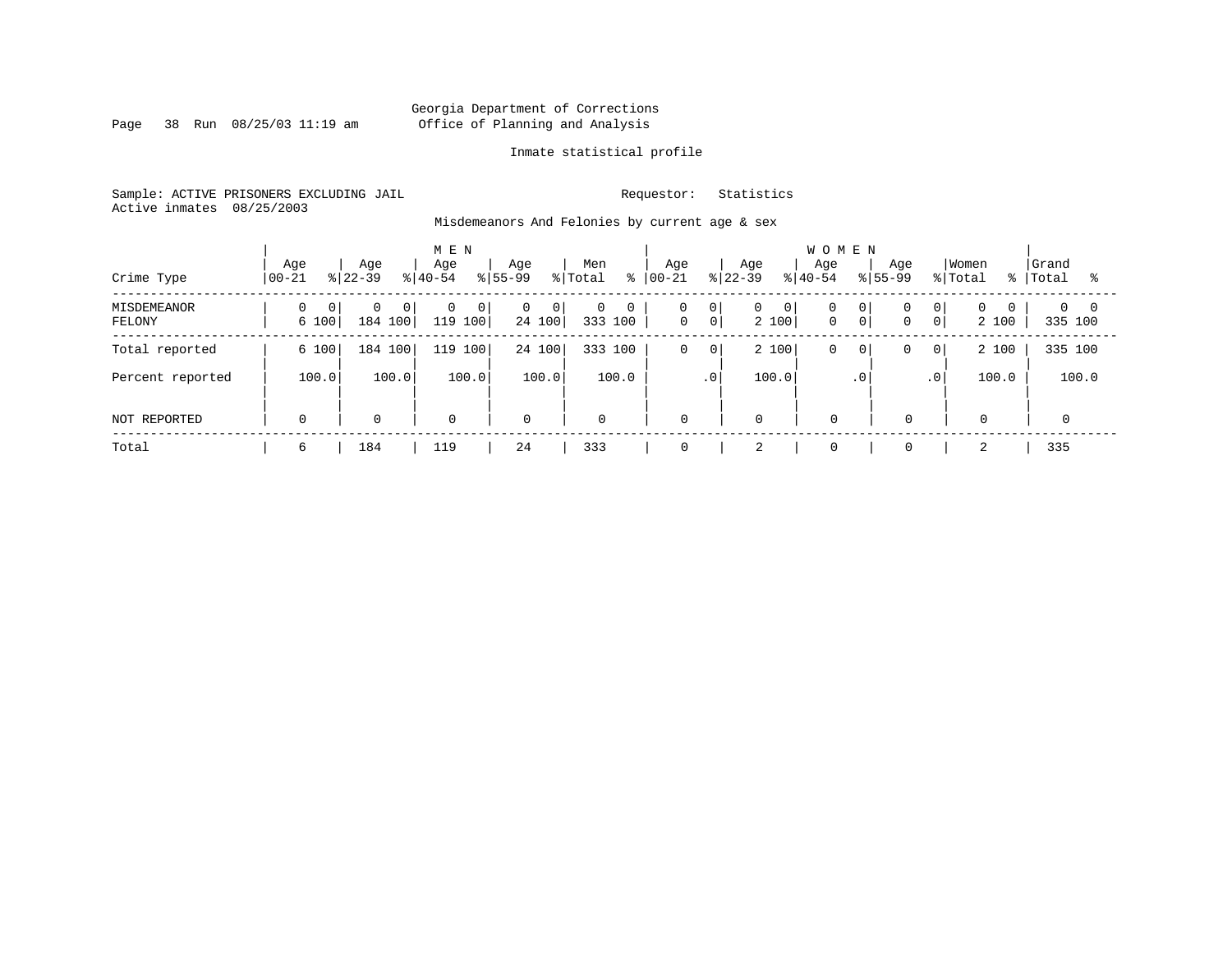Page 38 Run 08/25/03 11:19 am

# Inmate statistical profile

Sample: ACTIVE PRISONERS EXCLUDING JAIL Requestor: Statistics Active inmates 08/25/2003

Misdemeanors And Felonies by current age & sex

| Crime Type            | Age<br>$ 00-21$         | Age<br>$ 22-39 $                      | M E N<br>Age<br>$8 40-54$                 | Age<br>$ 55-99 $                    | Men<br>% Total<br>ႜ | Aqe<br>$ 00 - 21 $                 | Age<br>$8 22-39$                        | <b>WOMEN</b><br>Age<br>$8 40-54$         | Age<br>$8155 - 99$                    | Women<br>% Total<br>- န ၂           | Grand<br>Total<br>°≈   |
|-----------------------|-------------------------|---------------------------------------|-------------------------------------------|-------------------------------------|---------------------|------------------------------------|-----------------------------------------|------------------------------------------|---------------------------------------|-------------------------------------|------------------------|
| MISDEMEANOR<br>FELONY | $\overline{0}$<br>6 100 | $\Omega$<br>0 <sup>1</sup><br>184 100 | $\mathbf{0}$<br>$\overline{0}$<br>119 100 | $\overline{0}$<br>$\circ$<br>24 100 | 0<br>0<br>333 100   | 0<br>$\circ$<br> 0 <br>$\mathbf 0$ | $\overline{0}$<br>$\mathbf{0}$<br>2 100 | 0<br>0 <sup>1</sup><br>$\mathbf 0$<br> 0 | 0 <sup>1</sup><br>$\overline{0}$<br>0 | $\overline{0}$<br>$\Omega$<br>2 100 | $0 \quad 0$<br>335 100 |
| Total reported        | 6 100                   | 184 100                               | 100<br>119                                | 24 100                              | 333 100             | $\mathbf 0$<br>$\mathsf{O}$        | 2 100                                   | $\mathbf 0$<br>$\circ$                   | $\mathbf{0}$<br>0                     | 2 100                               | 335 100                |
| Percent reported      | 100.0                   | 100.0                                 | 100.0                                     | 100.0                               | 100.0               | $\cdot$ 0                          | 100.0                                   | $\cdot$ 0                                | .0 <sup>1</sup>                       | 100.0                               | 100.0                  |
| NOT REPORTED          | $\Omega$                | $\mathbf 0$                           | $\mathbf 0$                               | $\mathbf 0$                         | $\mathbf 0$         | $\mathbf 0$                        | $\mathbf 0$                             | $\Omega$                                 | $\mathbf 0$                           | $\mathbf 0$                         |                        |
| Total                 | 6                       | 184                                   | 119                                       | 24                                  | 333                 | 0                                  | $\bigcap$<br>∠                          | $\mathbf 0$                              | $\mathbf 0$                           | 2                                   | 335                    |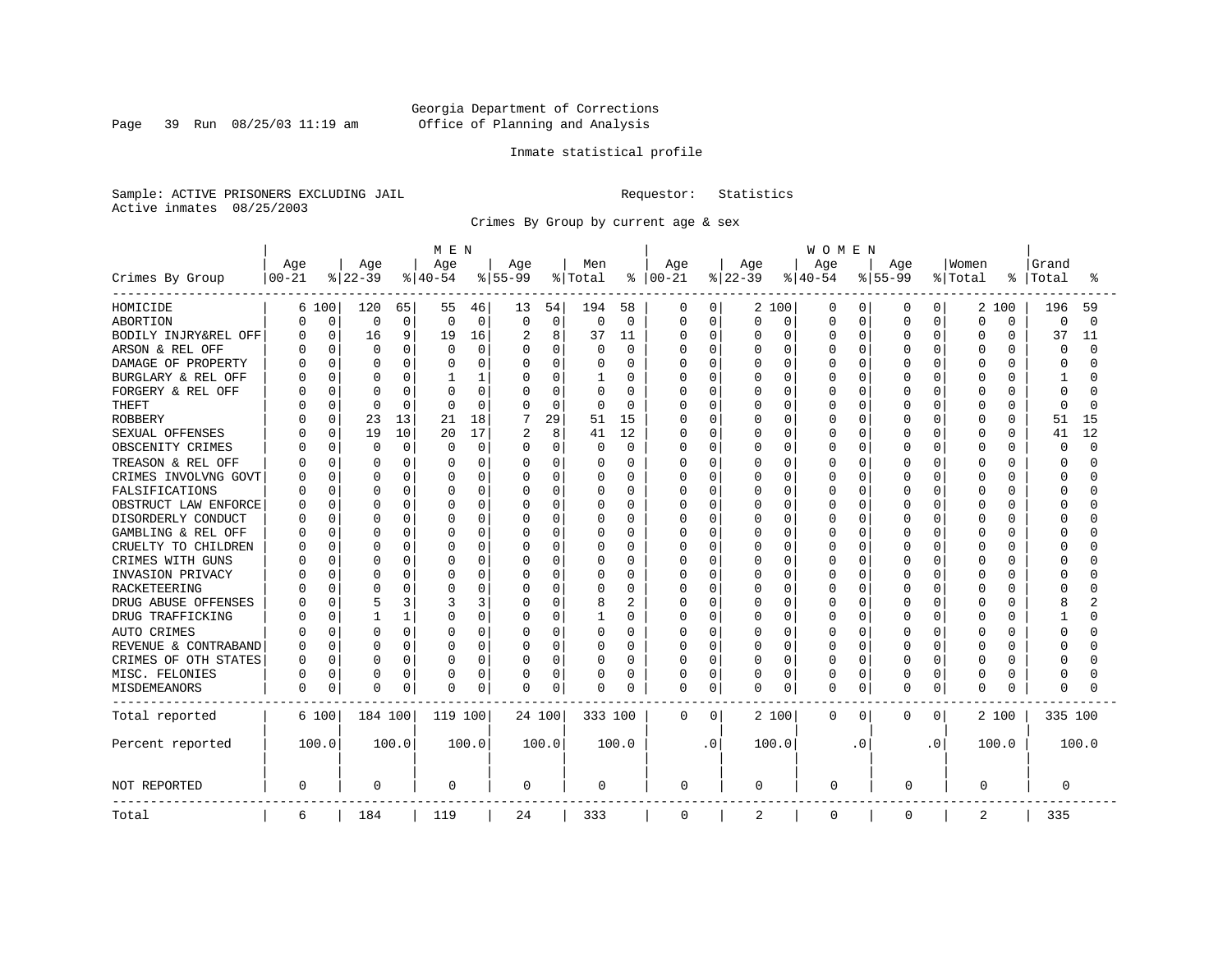Page 39 Run 08/25/03 11:19 am

# Inmate statistical profile

Sample: ACTIVE PRISONERS EXCLUDING JAIL Requestor: Statistics Active inmates 08/25/2003

Crimes By Group by current age & sex

|                      | MEN       |             |              |              |          |              |                |          |          |                | <b>WOMEN</b> |             |          |          |          |           |           |           |          |              |          |          |  |  |
|----------------------|-----------|-------------|--------------|--------------|----------|--------------|----------------|----------|----------|----------------|--------------|-------------|----------|----------|----------|-----------|-----------|-----------|----------|--------------|----------|----------|--|--|
|                      | Age       |             | Age          |              | Age      |              | Age            |          | Men      |                | Age          |             | Age      |          | Age      |           | Age       |           | Women    |              | Grand    |          |  |  |
| Crimes By Group      | $00 - 21$ |             | $ 22-39$     |              | $ 40-54$ |              | $8 55-99$      |          | % Total  | ႜ              | $ 00 - 21$   |             | $ 22-39$ |          | $ 40-54$ |           | $8 55-99$ |           | % Total  | °            | Total    | °        |  |  |
| HOMICIDE             |           | 6 100       | 120          | 65           | 55       | 46           | 13             | 54       | 194      | 58             | 0            | 0           |          | 2 100    | 0        | 0         | 0         | 0         | 2        | 100          | 196      | 59       |  |  |
| ABORTION             | 0         | $\mathbf 0$ | 0            | 0            | 0        | $\mathbf 0$  | $\mathbf 0$    | 0        | $\Omega$ | $\mathbf 0$    | 0            | $\mathbf 0$ | 0        | 0        | 0        | 0         | 0         | 0         | $\Omega$ | 0            | 0        | $\Omega$ |  |  |
| BODILY INJRY&REL OFF | U         | 0           | 16           | 9            | 19       | 16           | $\overline{2}$ | 8        | 37       | 11             | 0            | $\mathbf 0$ | 0        | 0        | 0        | 0         | 0         | 0         | $\Omega$ | 0            | 37       | 11       |  |  |
| ARSON & REL OFF      |           | 0           | $\Omega$     | 0            | 0        | $\mathbf 0$  | 0              | 0        | 0        | $\mathbf 0$    | 0            | $\mathbf 0$ | 0        | 0        | $\Omega$ | 0         | $\Omega$  | O         | $\Omega$ | 0            | 0        | $\cap$   |  |  |
| DAMAGE OF PROPERTY   |           | $\Omega$    | C            | 0            |          | $\Omega$     | $\Omega$       | 0        |          | $\Omega$       | O            | $\Omega$    | U        | $\Omega$ | O        | $\Omega$  | $\Omega$  | U         | $\Omega$ | U            | ∩        |          |  |  |
| BURGLARY & REL OFF   |           | $\Omega$    | 0            | 0            | ı        | $\mathbf{1}$ | 0              | 0        |          | $\Omega$       | 0            | $\mathbf 0$ | 0        | $\Omega$ | $\Omega$ | $\Omega$  | $\Omega$  | 0         | $\Omega$ | $\Omega$     | 1        |          |  |  |
| FORGERY & REL OFF    |           | $\Omega$    | C            | 0            |          | $\mathbf 0$  | 0              | 0        | 0        | $\Omega$       | 0            | $\mathbf 0$ | C        | $\Omega$ | $\Omega$ | $\Omega$  | $\Omega$  | 0         | $\Omega$ | $\Omega$     | $\Omega$ |          |  |  |
| <b>THEFT</b>         |           | $\Omega$    | $\Omega$     | $\Omega$     | $\Omega$ | $\Omega$     | $\Omega$       | $\Omega$ | $\Omega$ | $\Omega$       | Ω            | $\mathbf 0$ | 0        | $\Omega$ | 0        | $\Omega$  | $\Omega$  | 0         | $\Omega$ | O            | $\Omega$ | $\cap$   |  |  |
| <b>ROBBERY</b>       |           | $\Omega$    | 23           | 13           | 21       | 18           |                | 29       | 51       | 15             | 0            | 0           | Ω        | $\Omega$ | $\Omega$ | 0         | $\Omega$  | O         | $\Omega$ | $\Omega$     | 51       | 15       |  |  |
| SEXUAL OFFENSES      |           | $\Omega$    | 19           | 10           | 20       | 17           |                | 8        | 41       | 12             | 0            | 0           | 0        | $\Omega$ | 0        | $\Omega$  | $\Omega$  | O         | $\Omega$ | $\Omega$     | 41       | 12       |  |  |
| OBSCENITY CRIMES     |           | $\Omega$    | $\Omega$     | 0            | $\Omega$ | $\mathbf 0$  | $\Omega$       | 0        | $\Omega$ | $\Omega$       | Ω            | $\mathbf 0$ | U        | $\Omega$ | $\Omega$ | $\Omega$  | $\Omega$  | 0         | $\Omega$ | <sup>0</sup> | $\Omega$ | ∩        |  |  |
| TREASON & REL OFF    |           | $\Omega$    | $\Omega$     | 0            | O        | 0            | 0              | 0        | O        | $\Omega$       | 0            | 0           | 0        | $\Omega$ | O        | 0         | O         | 0         | $\Omega$ | U            | ∩        |          |  |  |
| CRIMES INVOLVNG GOVT |           | 0           | $\Omega$     | 0            |          | 0            | 0              | 0        |          | 0              | Ω            | $\mathbf 0$ | 0        | 0        | $\Omega$ | 0         | 0         | 0         | $\Omega$ | O            | $\Omega$ |          |  |  |
| FALSIFICATIONS       |           | $\Omega$    | $\Omega$     | 0            | O        | 0            | $\Omega$       | 0        |          | 0              | Ω            | 0           | 0        | 0        | O        | $\Omega$  | $\Omega$  | 0         | $\Omega$ | $\Omega$     | $\Omega$ |          |  |  |
| OBSTRUCT LAW ENFORCE |           | $\Omega$    | $\Omega$     | 0            | O        | 0            | $\Omega$       | 0        | 0        | 0              | 0            | 0           | 0        | $\Omega$ | 0        | $\Omega$  | $\Omega$  | O         | $\Omega$ | O            | $\Omega$ |          |  |  |
| DISORDERLY CONDUCT   |           | $\Omega$    | $\bigcap$    | 0            | O        | 0            | $\Omega$       | 0        |          | $\Omega$       | Ω            | 0           | C        | $\Omega$ | O        | $\Omega$  | $\Omega$  | U         | $\Omega$ | $\cap$       | C        |          |  |  |
| GAMBLING & REL OFF   |           | $\Omega$    | $\Omega$     | 0            | O        | 0            | O              | 0        | $\Omega$ | 0              | Ω            | 0           | U        | $\Omega$ | 0        | $\Omega$  | $\Omega$  | 0         | $\Omega$ | U            | ∩        |          |  |  |
| CRUELTY TO CHILDREN  |           | 0           | $\Omega$     | 0            | O        | 0            | $\Omega$       | 0        | 0        | $\mathbf 0$    | Ω            | $\mathbf 0$ | 0        | 0        | 0        | $\Omega$  | $\Omega$  | 0         | $\Omega$ | $\Omega$     | $\Omega$ |          |  |  |
| CRIMES WITH GUNS     |           | $\Omega$    | C            | 0            |          | 0            | $\Omega$       | 0        |          | $\Omega$       | Ω            | 0           | 0        | $\Omega$ | 0        | 0         | $\Omega$  | O         | $\Omega$ | $\Omega$     | $\Omega$ |          |  |  |
| INVASION PRIVACY     |           | 0           | C            | 0            | O        | 0            | $\Omega$       | 0        | $\Omega$ | 0              | Ω            | 0           | 0        | $\Omega$ | 0        | $\Omega$  | $\Omega$  | 0         | $\Omega$ | O            | $\Omega$ |          |  |  |
| <b>RACKETEERING</b>  |           | 0           | C            | 0            |          | 0            | 0              | 0        | 0        | $\mathbf 0$    | Ω            | $\mathbf 0$ | C        | $\Omega$ | 0        | $\Omega$  | $\Omega$  | O         | $\Omega$ | O            | C        |          |  |  |
| DRUG ABUSE OFFENSES  |           | $\Omega$    | 5            | 3            | 3        | 3            | $\Omega$       | 0        | 8        | $\overline{2}$ | Ω            | $\mathbf 0$ | 0        | $\Omega$ | $\Omega$ | 0         | $\Omega$  | 0         | $\Omega$ | U            | 8        |          |  |  |
| DRUG TRAFFICKING     |           | $\Omega$    | $\mathbf{1}$ | $\mathbf{1}$ | O        | $\Omega$     | $\Omega$       | 0        |          | $\Omega$       | 0            | $\mathbf 0$ | 0        | $\Omega$ | 0        | $\Omega$  | $\Omega$  | 0         | $\Omega$ | O            | 1        |          |  |  |
| AUTO CRIMES          |           | $\Omega$    | 0            | 0            | O        | 0            | O              | 0        | 0        | $\Omega$       | 0            | $\mathbf 0$ | 0        | $\Omega$ | 0        | 0         | O         | 0         | 0        | U            | $\Omega$ |          |  |  |
| REVENUE & CONTRABAND |           | 0           | 0            | O            | O        | 0            | 0              | 0        |          | $\Omega$       | 0            | $\mathbf 0$ | 0        | $\Omega$ | 0        | 0         | $\Omega$  | 0         | $\Omega$ | $\Omega$     | $\Omega$ |          |  |  |
| CRIMES OF OTH STATES | U         | 0           | 0            | 0            | O        | 0            | 0              | 0        | $\Omega$ | 0              | Ω            | 0           | 0        | $\Omega$ | O        | 0         | O         | 0         | 0        | $\Omega$     | ∩        |          |  |  |
| MISC. FELONIES       | U         | 0           | 0            | 0            | 0        | 0            | 0              | 0        | 0        | 0              | 0            | 0           | 0        | 0        | 0        | 0         | $\Omega$  | O         | $\Omega$ | 0            | $\Omega$ |          |  |  |
| MISDEMEANORS         | 0         | 0           | C            | 0            | 0        | 0            | 0              | 0        | 0        | 0              | 0            | 0           | 0        | 0        | 0        | 0         | $\Omega$  | 0         | $\Omega$ | O            | $\Omega$ |          |  |  |
| Total reported       |           | 6 100       | 184 100      |              | 119 100  |              |                | 24 100   | 333 100  |                | 0            | 0           |          | 2 100    | 0        | 0         | 0         | 0         |          | 2 100        | 335 100  |          |  |  |
| Percent reported     |           | 100.0       |              | 100.0        |          | 100.0        |                | 100.0    |          | 100.0          |              | $\cdot$ 0   |          | 100.0    |          | $\cdot$ 0 |           | $\cdot$ 0 |          | 100.0        |          | 100.0    |  |  |
| NOT REPORTED         | 0         |             | 0            |              | 0        |              | 0              |          | 0        |                | 0            |             | 0        |          | 0        |           | 0         |           | 0        |              | 0        |          |  |  |
| Total                | 6         |             | 184          |              | 119      |              | 24             |          | 333      |                | $\mathbf 0$  |             | 2        |          | $\Omega$ |           | 0         |           | 2        |              | 335      |          |  |  |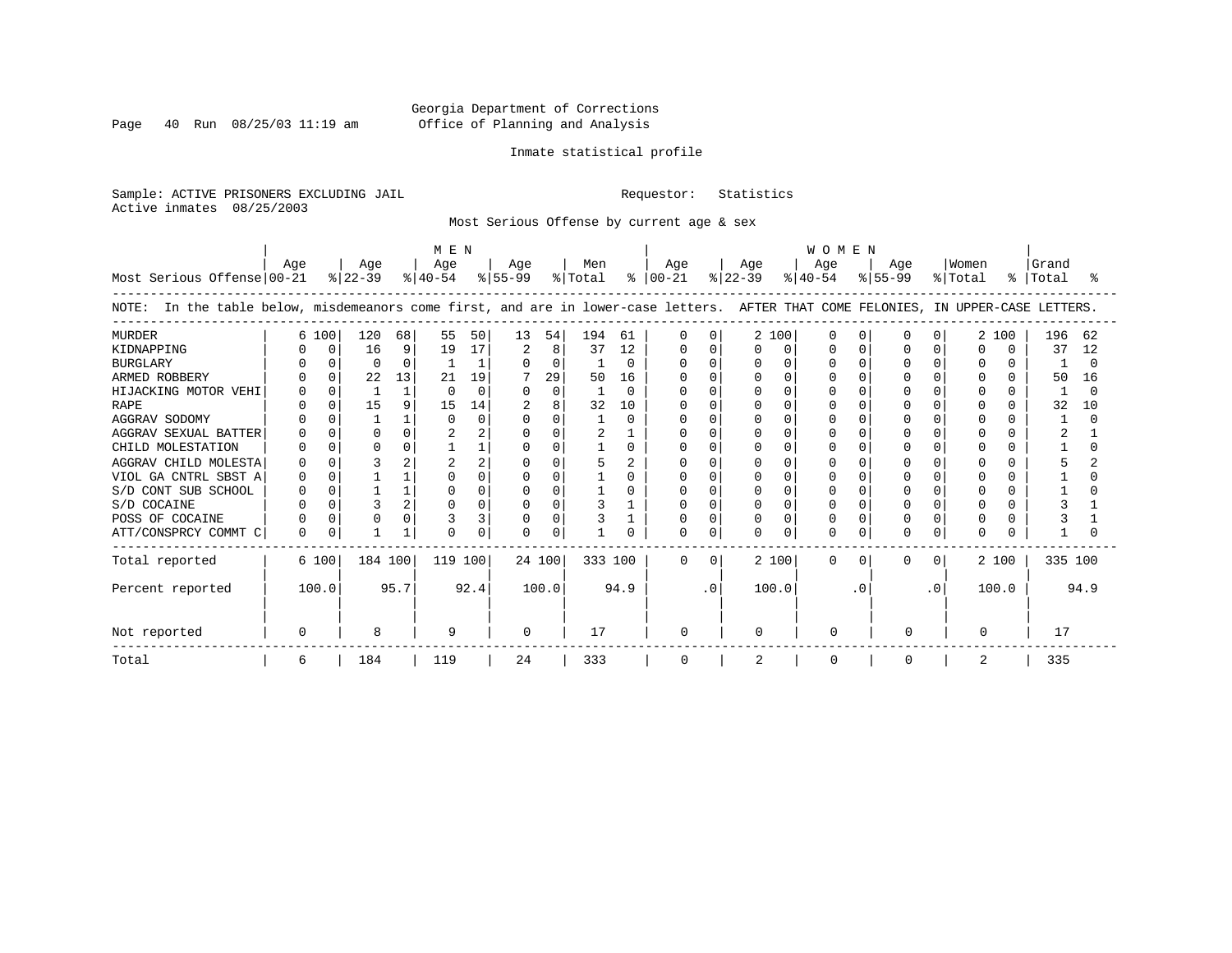Page 40 Run  $08/25/03$  11:19 am

# Inmate statistical profile

Sample: ACTIVE PRISONERS EXCLUDING JAIL Requestor: Statistics Active inmates 08/25/2003

Most Serious Offense by current age & sex

|                                                                                                                                    | M E N |              |                  |      |                  |          |                  |          |                |              | <b>WOMEN</b>         |           |                  |              |                  |              |                  |          |                  |        |                    |        |
|------------------------------------------------------------------------------------------------------------------------------------|-------|--------------|------------------|------|------------------|----------|------------------|----------|----------------|--------------|----------------------|-----------|------------------|--------------|------------------|--------------|------------------|----------|------------------|--------|--------------------|--------|
| Most Serious Offense 00-21                                                                                                         | Age   |              | Age<br>$ 22-39 $ |      | Age<br>$ 40-54 $ |          | Age<br>$ 55-99 $ |          | Men<br>% Total |              | Age<br>$8   00 - 21$ |           | Age<br>$ 22-39 $ |              | Age<br>$ 40-54 $ |              | Age<br>$ 55-99 $ |          | Women<br>% Total |        | Grand<br>%   Total |        |
| NOTE: In the table below, misdemeanors come first, and are in lower-case letters. AFTER THAT COME FELONIES, IN UPPER-CASE LETTERS. |       |              |                  |      |                  |          |                  |          |                |              |                      |           |                  |              |                  |              |                  |          |                  |        |                    |        |
| <b>MURDER</b>                                                                                                                      |       | 6 100        | 120              | 68   | 55               | 50       | 13               | 54       | 194            | 61           | $\Omega$             | $\Omega$  |                  | 2 100        | O                |              | U                |          | 2                | 100    | 196                | 62     |
| KIDNAPPING                                                                                                                         |       | <sup>0</sup> | 16               | 9    | 19               | 17       | 2                | 8        | 37             | 12           | O                    | $\Omega$  | 0                | $\Omega$     |                  | n            |                  |          | n                | $\cap$ | 37                 | 12     |
| <b>BURGLARY</b>                                                                                                                    |       |              | $\Omega$         | 0    |                  |          | $\Omega$         | 0        |                | $\Omega$     | U                    |           |                  | <sup>0</sup> |                  |              |                  |          | $\Omega$         | n      |                    | $\cap$ |
| ARMED ROBBERY                                                                                                                      |       |              | 22               | 13   | 21               | 19       |                  | 29       | 50             | 16           |                      |           |                  | ∩            |                  |              |                  |          |                  | 0      | 50                 | 16     |
| HIJACKING MOTOR VEHI                                                                                                               |       |              |                  |      |                  | $\Omega$ | $\Omega$         | $\Omega$ |                | <sup>0</sup> |                      |           |                  |              |                  |              |                  |          |                  |        |                    |        |
| <b>RAPE</b>                                                                                                                        |       |              | 15               | 9    | 15               | 14       |                  | 8        | 32             | 10           |                      |           |                  |              |                  |              |                  |          |                  |        | 32                 | 10     |
| AGGRAV SODOMY                                                                                                                      |       |              |                  |      |                  | $\Omega$ | $\Omega$         | 0        |                |              |                      |           |                  | $\cap$       |                  |              |                  |          |                  |        |                    |        |
| AGGRAV SEXUAL BATTER                                                                                                               |       |              | $\Omega$         | 0    |                  |          |                  | $\Omega$ |                |              |                      |           |                  | $\cap$       |                  |              |                  |          |                  |        |                    |        |
| CHILD MOLESTATION                                                                                                                  |       |              | $\Omega$         | 0    |                  |          | ∩                | U        |                | 0            |                      |           |                  | n            |                  |              |                  |          |                  |        |                    |        |
| AGGRAV CHILD MOLESTA                                                                                                               |       |              |                  | 2    |                  |          |                  |          |                |              |                      |           |                  |              |                  |              |                  |          |                  |        |                    |        |
| VIOL GA CNTRL SBST A                                                                                                               |       |              |                  |      |                  |          | $\Omega$         | 0        |                |              |                      |           |                  | $\cap$       |                  |              |                  |          |                  |        |                    |        |
| S/D CONT SUB SCHOOL                                                                                                                |       |              |                  |      |                  |          |                  | $\Omega$ |                |              |                      |           |                  | $\cap$       |                  |              |                  |          |                  |        |                    |        |
| S/D COCAINE                                                                                                                        |       | $\Omega$     |                  | 2    |                  |          | $\Omega$         | U        |                |              |                      | $\cap$    |                  | $\Omega$     |                  |              |                  |          |                  |        |                    |        |
| POSS OF COCAINE                                                                                                                    |       |              |                  | 0    |                  |          | $\Omega$         | 0        |                |              |                      |           |                  | $\cap$       |                  |              |                  |          |                  |        |                    |        |
| ATT/CONSPRCY COMMT C                                                                                                               | U     | $\Omega$     |                  |      |                  | U        | $\Omega$         | U        |                |              | 0                    |           | U.               | $\Omega$     | U                |              | U                |          | <sup>n</sup>     |        |                    |        |
| Total reported                                                                                                                     |       | 6 100        | 184 100          |      | 119 100          |          |                  | 24 100   | 333 100        |              | $\Omega$             | $\Omega$  |                  | 2 100        | $\Omega$         | <sup>o</sup> | $\Omega$         | $\Omega$ |                  | 2 100  | 335 100            |        |
| Percent reported                                                                                                                   |       | 100.0        |                  | 95.7 |                  | 92.4     |                  | 100.0    |                | 94.9         |                      | $\cdot$ 0 |                  | 100.0        |                  | $\cdot$ 0    |                  | .0       |                  | 100.0  |                    | 94.9   |
| Not reported                                                                                                                       |       |              | 8                |      | 9                |          | $\Omega$         |          | 17             |              | 0                    |           | U                |              | ∩                |              | <sup>0</sup>     |          |                  |        | 17                 |        |
| Total                                                                                                                              | 6     |              | 184              |      | 119              |          | 24               |          | 333            |              | 0                    |           | 2                |              |                  |              | $\Omega$         |          | 2                |        | 335                |        |